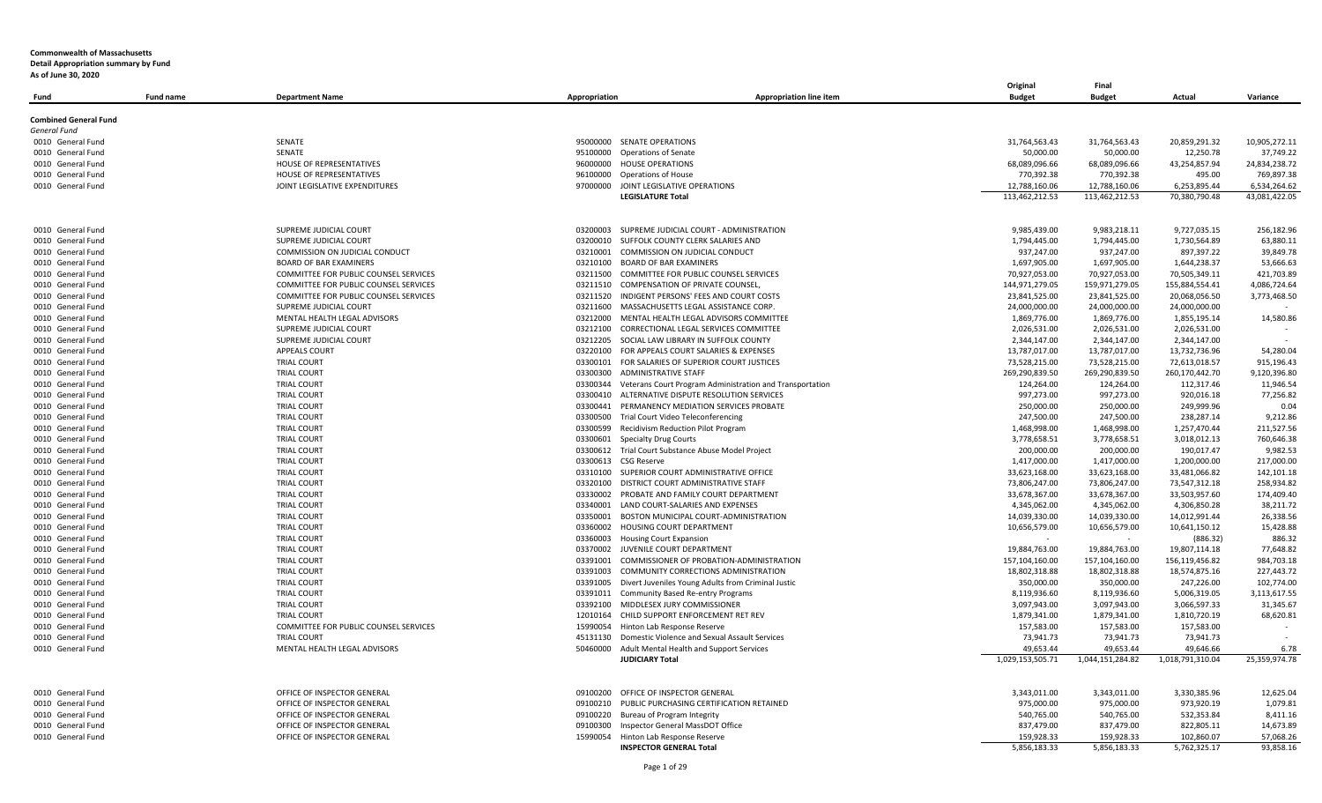| Fund                         | <b>Fund name</b> | <b>Department Name</b>                | Appropriation | <b>Appropriation line item</b>                                     | Original<br><b>Budget</b>     | Final<br><b>Budget</b>        | Actual                        | Variance               |
|------------------------------|------------------|---------------------------------------|---------------|--------------------------------------------------------------------|-------------------------------|-------------------------------|-------------------------------|------------------------|
| <b>Combined General Fund</b> |                  |                                       |               |                                                                    |                               |                               |                               |                        |
| General Fund                 |                  |                                       |               |                                                                    |                               |                               |                               |                        |
| 0010 General Fund            |                  | SENATE                                | 95000000      | <b>SENATE OPERATIONS</b>                                           | 31,764,563.43                 | 31,764,563.43                 | 20,859,291.32                 | 10,905,272.11          |
| 0010 General Fund            |                  | SENATE                                | 95100000      | <b>Operations of Senate</b>                                        | 50,000.00                     | 50,000.00                     | 12.250.78                     | 37,749.22              |
| 0010 General Fund            |                  | HOUSE OF REPRESENTATIVES              | 96000000      | <b>HOUSE OPERATIONS</b>                                            | 68,089,096.66                 | 68,089,096.66                 | 43,254,857.94                 | 24,834,238.72          |
| 0010 General Fund            |                  | HOUSE OF REPRESENTATIVES              | 96100000      | <b>Operations of House</b>                                         | 770,392.38                    | 770,392.38                    | 495.00                        | 769,897.38             |
| 0010 General Fund            |                  | JOINT LEGISLATIVE EXPENDITURES        | 97000000      | JOINT LEGISLATIVE OPERATIONS                                       | 12,788,160.06                 | 12,788,160.06                 | 6,253,895.44                  | 6,534,264.62           |
|                              |                  |                                       |               | <b>LEGISLATURE Total</b>                                           | 113,462,212.53                | 113,462,212.53                | 70,380,790.48                 | 43,081,422.05          |
| 0010 General Fund            |                  | SUPREME JUDICIAL COURT                | 03200003      | SUPREME JUDICIAL COURT - ADMINISTRATION                            | 9,985,439.00                  | 9,983,218.11                  | 9,727,035.15                  | 256,182.96             |
| 0010 General Fund            |                  | SUPREME JUDICIAL COURT                | 03200010      | SUFFOLK COUNTY CLERK SALARIES AND                                  | 1,794,445.00                  | 1,794,445.00                  | 1,730,564.89                  | 63,880.11              |
| 0010 General Fund            |                  | COMMISSION ON JUDICIAL CONDUCT        | 03210001      | COMMISSION ON JUDICIAL CONDUCT                                     | 937,247.00                    | 937,247.00                    | 897,397.22                    | 39,849.78              |
| 0010 General Fund            |                  | <b>BOARD OF BAR EXAMINERS</b>         | 03210100      | <b>BOARD OF BAR EXAMINERS</b>                                      | 1,697,905.00                  | 1,697,905.00                  | 1,644,238.37                  | 53,666.63              |
| 0010 General Fund            |                  | COMMITTEE FOR PUBLIC COUNSEL SERVICES | 03211500      | COMMITTEE FOR PUBLIC COUNSEL SERVICES                              | 70,927,053.00                 | 70,927,053.00                 | 70,505,349.11                 | 421,703.89             |
| 0010 General Fund            |                  | COMMITTEE FOR PUBLIC COUNSEL SERVICES | 03211510      | <b>COMPENSATION OF PRIVATE COUNSEL</b>                             | 144,971,279.05                | 159,971,279.05                | 155,884,554.41                | 4,086,724.64           |
| 0010 General Fund            |                  | COMMITTEE FOR PUBLIC COUNSEL SERVICES | 03211520      | INDIGENT PERSONS' FEES AND COURT COSTS                             | 23,841,525.00                 | 23,841,525.00                 | 20,068,056.50                 | 3,773,468.50           |
| 0010 General Fund            |                  | SUPREME JUDICIAL COURT                | 03211600      | MASSACHUSETTS LEGAL ASSISTANCE CORP.                               | 24,000,000.00                 | 24,000,000.00                 | 24,000,000.00                 |                        |
| 0010 General Fund            |                  | MENTAL HEALTH LEGAL ADVISORS          | 03212000      | MENTAL HEALTH LEGAL ADVISORS COMMITTEE                             | 1,869,776.00                  | 1,869,776.00                  | 1,855,195.14                  | 14,580.86              |
| 0010 General Fund            |                  | SUPREME JUDICIAL COURT                | 03212100      | CORRECTIONAL LEGAL SERVICES COMMITTEE                              | 2,026,531.00                  | 2,026,531.00                  | 2,026,531.00                  |                        |
| 0010 General Fund            |                  | SUPREME JUDICIAL COURT                | 03212205      | SOCIAL LAW LIBRARY IN SUFFOLK COUNTY                               | 2,344,147.00                  | 2,344,147.00                  | 2,344,147.00                  |                        |
| 0010 General Fund            |                  | <b>APPEALS COURT</b>                  | 03220100      | FOR APPEALS COURT SALARIES & EXPENSES                              | 13,787,017.00                 | 13,787,017.00                 | 13,732,736.96                 | 54,280.04              |
| 0010 General Fund            |                  | <b>TRIAL COURT</b>                    |               | 03300101 FOR SALARIES OF SUPERIOR COURT JUSTICES                   | 73,528,215.00                 | 73,528,215.00                 | 72,613,018.57                 | 915,196.43             |
| 0010 General Fund            |                  | <b>TRIAL COURT</b>                    | 03300300      | ADMINISTRATIVE STAFF                                               | 269,290,839.50                | 269,290,839.50                | 260,170,442.70                | 9,120,396.80           |
| 0010 General Fund            |                  | <b>TRIAL COURT</b>                    | 03300344      | Veterans Court Program Administration and Transportation           | 124,264.00                    | 124,264.00                    | 112,317.46                    | 11,946.54              |
| 0010 General Fund            |                  | <b>TRIAL COURT</b>                    | 03300410      | ALTERNATIVE DISPUTE RESOLUTION SERVICES                            | 997,273.00                    | 997,273.00                    | 920,016.18                    | 77,256.82              |
| 0010 General Fund            |                  | <b>TRIAL COURT</b>                    |               | 03300441 PERMANENCY MEDIATION SERVICES PROBATE                     | 250,000.00                    | 250,000.00                    | 249,999.96                    | 0.04                   |
| 0010 General Fund            |                  | <b>TRIAL COURT</b>                    | 03300500      | Trial Court Video Teleconferencing                                 | 247,500.00                    | 247,500.00                    | 238,287.14                    | 9,212.86               |
| 0010 General Fund            |                  | <b>TRIAL COURT</b>                    | 03300599      | Recidivism Reduction Pilot Program                                 | 1,468,998.00                  | 1,468,998.00                  | 1,257,470.44                  | 211,527.56             |
| 0010 General Fund            |                  | <b>TRIAL COURT</b>                    | 03300601      | <b>Specialty Drug Courts</b>                                       | 3,778,658.51                  | 3,778,658.51                  | 3,018,012.13                  | 760,646.38             |
| 0010 General Fund            |                  | <b>TRIAL COURT</b>                    | 03300612      | Trial Court Substance Abuse Model Project                          | 200,000.00                    | 200,000.00                    | 190,017.47                    | 9,982.53               |
| 0010 General Fund            |                  | <b>TRIAL COURT</b>                    | 03300613      | <b>CSG Reserve</b>                                                 | 1,417,000.00                  | 1,417,000.00                  | 1,200,000.00                  | 217,000.00             |
| 0010 General Fund            |                  | <b>TRIAL COURT</b>                    | 03310100      | SUPERIOR COURT ADMINISTRATIVE OFFICE                               | 33,623,168.00                 | 33,623,168.00                 | 33,481,066.82                 | 142,101.18             |
| 0010 General Fund            |                  | <b>TRIAL COURT</b>                    | 03320100      | DISTRICT COURT ADMINISTRATIVE STAFF                                | 73,806,247.00                 | 73,806,247.00                 | 73,547,312.18                 | 258,934.82             |
| 0010 General Fund            |                  | <b>TRIAL COURT</b>                    | 03330002      | PROBATE AND FAMILY COURT DEPARTMENT                                | 33,678,367.00                 | 33,678,367.00                 | 33,503,957.60                 | 174,409.40             |
| 0010 General Fund            |                  | <b>TRIAL COURT</b>                    | 03340001      | LAND COURT-SALARIES AND EXPENSES                                   | 4,345,062.00                  | 4,345,062.00                  | 4,306,850.28                  | 38,211.72              |
| 0010 General Fund            |                  | <b>TRIAL COURT</b>                    |               | 03350001 BOSTON MUNICIPAL COURT-ADMINISTRATION                     | 14,039,330.00                 | 14,039,330.00                 | 14,012,991.44                 | 26,338.56              |
| 0010 General Fund            |                  | <b>TRIAL COURT</b>                    | 03360002      | HOUSING COURT DEPARTMENT                                           | 10,656,579.00                 | 10,656,579.00                 | 10,641,150.12                 | 15,428.88              |
| 0010 General Fund            |                  | <b>TRIAL COURT</b>                    | 03360003      | <b>Housing Court Expansion</b>                                     |                               | $\sim$                        | (886.32)                      | 886.32                 |
| 0010 General Fund            |                  | <b>TRIAL COURT</b>                    |               | 03370002 JUVENILE COURT DEPARTMENT                                 | 19,884,763.00                 | 19,884,763.00                 | 19,807,114.18                 | 77,648.82              |
| 0010 General Fund            |                  | <b>TRIAL COURT</b>                    | 03391001      | COMMISSIONER OF PROBATION-ADMINISTRATION                           | 157,104,160.00                | 157,104,160.00                | 156,119,456.82                | 984,703.18             |
| 0010 General Fund            |                  | <b>TRIAL COURT</b>                    | 03391003      | COMMUNITY CORRECTIONS ADMINISTRATION                               | 18,802,318.88                 | 18,802,318.88                 | 18,574,875.16                 | 227,443.72             |
| 0010 General Fund            |                  | <b>TRIAL COURT</b>                    | 03391005      | Divert Juveniles Young Adults from Criminal Justic                 | 350,000.00                    | 350,000.00                    | 247,226.00                    | 102,774.00             |
| 0010 General Fund            |                  | <b>TRIAL COURT</b>                    | 03391011      | <b>Community Based Re-entry Programs</b>                           | 8,119,936.60                  | 8,119,936.60                  | 5,006,319.05                  | 3,113,617.55           |
| 0010 General Fund            |                  | <b>TRIAL COURT</b>                    | 03392100      | MIDDLESEX JURY COMMISSIONER                                        | 3,097,943.00                  | 3,097,943.00                  | 3,066,597.33                  | 31,345.67              |
| 0010 General Fund            |                  | <b>TRIAL COURT</b>                    |               | 12010164 CHILD SUPPORT ENFORCEMENT RET REV                         | 1,879,341.00                  | 1,879,341.00                  | 1,810,720.19                  | 68,620.81              |
| 0010 General Fund            |                  | COMMITTEE FOR PUBLIC COUNSEL SERVICES | 15990054      | Hinton Lab Response Reserve                                        | 157,583.00                    | 157,583.00                    | 157,583.00                    |                        |
| 0010 General Fund            |                  | <b>TRIAL COURT</b>                    | 45131130      | Domestic Violence and Sexual Assault Services                      | 73,941.73                     | 73,941.73                     | 73,941.73                     |                        |
| 0010 General Fund            |                  | MENTAL HEALTH LEGAL ADVISORS          | 50460000      | Adult Mental Health and Support Services<br><b>JUDICIARY Total</b> | 49,653.44<br>1,029,153,505.71 | 49,653.44<br>1,044,151,284.82 | 49,646.66<br>1,018,791,310.04 | 6.78<br>25,359,974.78  |
|                              |                  |                                       |               |                                                                    |                               |                               |                               |                        |
| 0010 General Fund            |                  | OFFICE OF INSPECTOR GENERAL           | 09100200      | OFFICE OF INSPECTOR GENERAL                                        | 3,343,011.00                  | 3,343,011.00                  | 3,330,385.96                  | 12,625.04              |
| 0010 General Fund            |                  | OFFICE OF INSPECTOR GENERAL           | 09100210      | PUBLIC PURCHASING CERTIFICATION RETAINED                           | 975,000.00                    | 975,000.00                    | 973,920.19                    | 1,079.81               |
| 0010 General Fund            |                  | OFFICE OF INSPECTOR GENERAL           | 09100220      | Bureau of Program Integrity                                        | 540,765.00                    | 540,765.00                    | 532,353.84                    | 8,411.16               |
| 0010 General Fund            |                  | OFFICE OF INSPECTOR GENERAL           | 09100300      | Inspector General MassDOT Office                                   | 837,479.00                    | 837,479.00                    | 822,805.11                    | 14,673.89              |
| 0010 General Fund            |                  | OFFICE OF INSPECTOR GENERAL           | 15990054      | Hinton Lab Response Reserve<br><b>INSPECTOR GENERAL Total</b>      | 159,928.33<br>5,856,183.33    | 159,928.33<br>5,856,183.33    | 102,860.07<br>5,762,325.17    | 57,068.26<br>93,858.16 |
|                              |                  |                                       |               |                                                                    |                               |                               |                               |                        |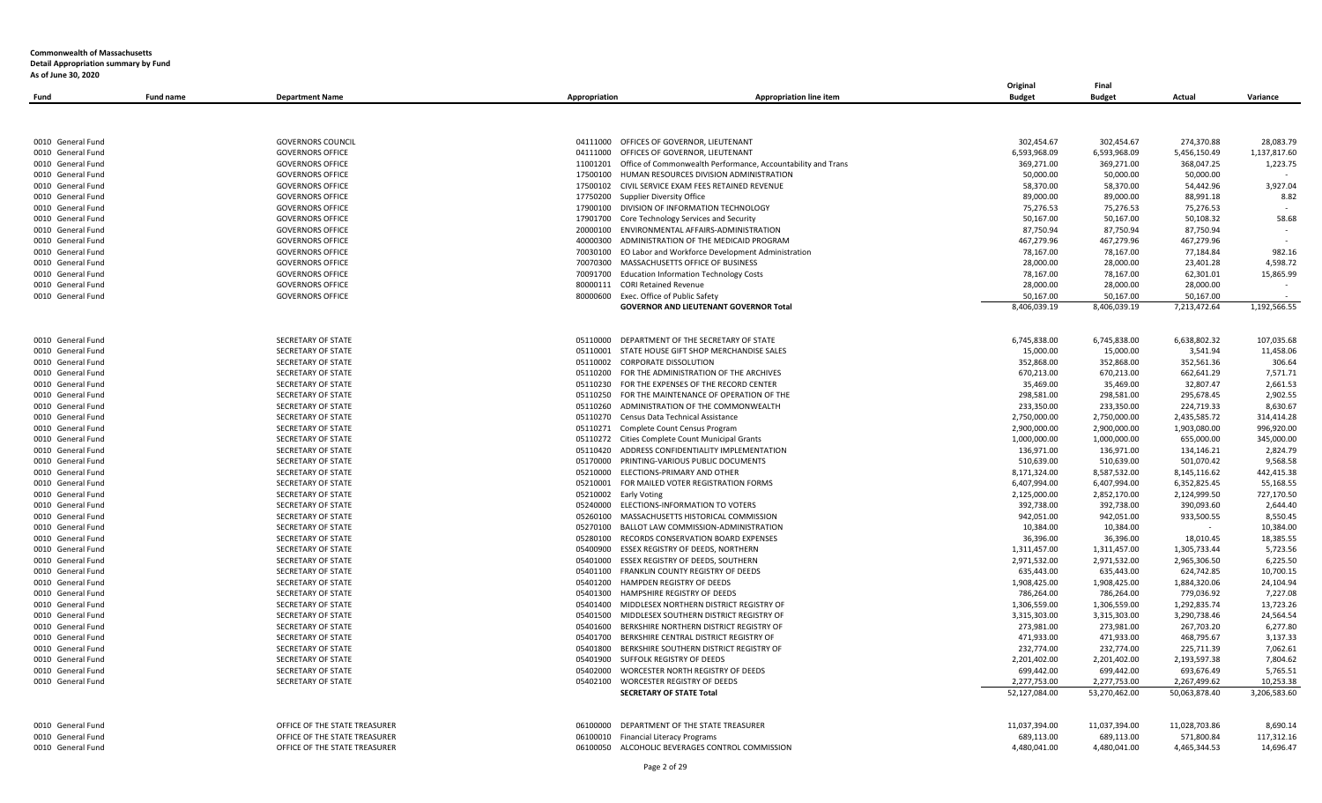|                                        |                  |                                                                  |                                                                               | Original                 | Final                    |                          |                      |
|----------------------------------------|------------------|------------------------------------------------------------------|-------------------------------------------------------------------------------|--------------------------|--------------------------|--------------------------|----------------------|
| Fund                                   | <b>Fund name</b> | <b>Department Name</b><br>Appropriation                          | <b>Appropriation line item</b>                                                | <b>Budget</b>            | <b>Budget</b>            | Actual                   | Variance             |
|                                        |                  |                                                                  |                                                                               |                          |                          |                          |                      |
|                                        |                  |                                                                  |                                                                               |                          |                          |                          |                      |
| 0010 General Fund                      |                  | <b>GOVERNORS COUNCIL</b><br>04111000                             | OFFICES OF GOVERNOR, LIEUTENANT                                               | 302,454.67               | 302,454.67               | 274,370.88               | 28,083.79            |
| 0010 General Fund                      |                  | <b>GOVERNORS OFFICE</b><br>04111000                              | OFFICES OF GOVERNOR, LIEUTENANT                                               | 6,593,968.09             | 6,593,968.09             | 5,456,150.49             | 1,137,817.60         |
| 0010 General Fund                      |                  | <b>GOVERNORS OFFICE</b><br>11001201                              | Office of Commonwealth Performance, Accountability and Trans                  | 369,271.00               | 369,271.00               | 368,047.25               | 1,223.75             |
| 0010 General Fund                      |                  | <b>GOVERNORS OFFICE</b><br>17500100                              | HUMAN RESOURCES DIVISION ADMINISTRATION                                       | 50,000.00                | 50,000.00                | 50,000.00                |                      |
| 0010 General Fund                      |                  | <b>GOVERNORS OFFICE</b><br>17500102                              | CIVIL SERVICE EXAM FEES RETAINED REVENUE                                      | 58,370.00                | 58,370.00                | 54,442.96                | 3,927.04             |
| 0010 General Fund                      |                  | <b>GOVERNORS OFFICE</b><br>17750200                              | Supplier Diversity Office                                                     | 89,000.00                | 89,000.00                | 88,991.18                | 8.82                 |
| 0010 General Fund                      |                  | <b>GOVERNORS OFFICE</b><br>17900100                              | DIVISION OF INFORMATION TECHNOLOGY                                            | 75,276.53                | 75,276.53                | 75,276.53                |                      |
| 0010 General Fund                      |                  | <b>GOVERNORS OFFICE</b><br>17901700                              | Core Technology Services and Security                                         | 50,167.00                | 50,167.00                | 50,108.32                | 58.68                |
| 0010 General Fund                      |                  | <b>GOVERNORS OFFICE</b><br>20000100                              | ENVIRONMENTAL AFFAIRS-ADMINISTRATION                                          | 87,750.94                | 87,750.94                | 87,750.94                |                      |
| 0010 General Fund                      |                  | <b>GOVERNORS OFFICE</b><br>40000300                              | ADMINISTRATION OF THE MEDICAID PROGRAM                                        | 467,279.96               | 467,279.96               | 467,279.96               |                      |
| 0010 General Fund                      |                  | <b>GOVERNORS OFFICE</b><br>70030100                              | EO Labor and Workforce Development Administration                             | 78,167.00                | 78,167.00                | 77,184.84                | 982.16               |
| 0010 General Fund                      |                  | <b>GOVERNORS OFFICE</b><br>70070300                              | MASSACHUSETTS OFFICE OF BUSINESS                                              | 28,000.00                | 28,000.00                | 23,401.28                | 4,598.72             |
| 0010 General Fund                      |                  | <b>GOVERNORS OFFICE</b><br>70091700                              | <b>Education Information Technology Costs</b>                                 | 78,167.00                | 78,167.00                | 62,301.01                | 15,865.99            |
| 0010 General Fund                      |                  | <b>GOVERNORS OFFICE</b>                                          | 80000111 CORI Retained Revenue                                                | 28,000.00                | 28,000.00                | 28,000.00                |                      |
| 0010 General Fund                      |                  | <b>GOVERNORS OFFICE</b><br>80000600                              | Exec. Office of Public Safety                                                 | 50,167.00                | 50,167.00                | 50,167.00                |                      |
|                                        |                  |                                                                  | <b>GOVERNOR AND LIEUTENANT GOVERNOR Total</b>                                 | 8,406,039.19             | 8,406,039.19             | 7,213,472.64             | 1,192,566.55         |
|                                        |                  |                                                                  |                                                                               |                          |                          |                          |                      |
|                                        |                  |                                                                  |                                                                               |                          |                          |                          |                      |
| 0010 General Fund<br>0010 General Fund |                  | SECRETARY OF STATE<br>05110000<br>SECRETARY OF STATE<br>05110001 | DEPARTMENT OF THE SECRETARY OF STATE                                          | 6,745,838.00             | 6,745,838.00             | 6,638,802.32             | 107,035.68           |
| 0010 General Fund                      |                  | SECRETARY OF STATE<br>05110002                                   | STATE HOUSE GIFT SHOP MERCHANDISE SALES<br><b>CORPORATE DISSOLUTION</b>       | 15,000.00<br>352,868.00  | 15,000.00<br>352,868.00  | 3,541.94<br>352,561.36   | 11,458.06<br>306.64  |
| 0010 General Fund                      |                  | SECRETARY OF STATE                                               | FOR THE ADMINISTRATION OF THE ARCHIVES                                        | 670,213.00               | 670,213.00               | 662,641.29               | 7,571.71             |
|                                        |                  | 05110200<br>05110230                                             |                                                                               | 35,469.00                |                          |                          | 2,661.53             |
| 0010 General Fund                      |                  | SECRETARY OF STATE                                               | FOR THE EXPENSES OF THE RECORD CENTER                                         | 298,581.00               | 35,469.00                | 32,807.47<br>295,678.45  | 2,902.55             |
| 0010 General Fund<br>0010 General Fund |                  | SECRETARY OF STATE<br>05110250<br>SECRETARY OF STATE<br>05110260 | FOR THE MAINTENANCE OF OPERATION OF THE<br>ADMINISTRATION OF THE COMMONWEALTH | 233,350.00               | 298,581.00<br>233,350.00 | 224,719.33               | 8,630.67             |
| 0010 General Fund                      |                  | SECRETARY OF STATE<br>05110270                                   | Census Data Technical Assistance                                              | 2,750,000.00             | 2,750,000.00             | 2,435,585.72             | 314,414.28           |
|                                        |                  | <b>SECRETARY OF STATE</b>                                        |                                                                               |                          |                          |                          | 996.920.00           |
| 0010 General Fund                      |                  | 05110271                                                         | Complete Count Census Program                                                 | 2,900,000.00             | 2,900,000.00             | 1,903,080.00             |                      |
| 0010 General Fund                      |                  | SECRETARY OF STATE<br>05110272                                   | Cities Complete Count Municipal Grants                                        | 1,000,000.00             | 1,000,000.00             | 655,000.00               | 345,000.00           |
| 0010 General Fund<br>0010 General Fund |                  | SECRETARY OF STATE<br>05110420<br>05170000                       | ADDRESS CONFIDENTIALITY IMPLEMENTATION<br>PRINTING-VARIOUS PUBLIC DOCUMENTS   | 136,971.00<br>510,639.00 | 136,971.00<br>510,639.00 | 134,146.21<br>501,070.42 | 2,824.79<br>9,568.58 |
| 0010 General Fund                      |                  | SECRETARY OF STATE<br>SECRETARY OF STATE<br>05210000             | ELECTIONS-PRIMARY AND OTHER                                                   | 8,171,324.00             | 8,587,532.00             | 8,145,116.62             | 442,415.38           |
| 0010 General Fund                      |                  | <b>SECRETARY OF STATE</b><br>05210001                            | FOR MAILED VOTER REGISTRATION FORMS                                           | 6,407,994.00             | 6,407,994.00             | 6,352,825.45             | 55,168.55            |
| 0010 General Fund                      |                  | SECRETARY OF STATE                                               | 05210002 Early Voting                                                         | 2,125,000.00             | 2,852,170.00             | 2,124,999.50             | 727,170.50           |
| 0010 General Fund                      |                  | SECRETARY OF STATE<br>05240000                                   | ELECTIONS-INFORMATION TO VOTERS                                               | 392,738.00               | 392,738.00               | 390,093.60               | 2,644.40             |
| 0010 General Fund                      |                  | SECRETARY OF STATE<br>05260100                                   | MASSACHUSETTS HISTORICAL COMMISSION                                           | 942,051.00               | 942,051.00               | 933,500.55               | 8,550.45             |
| 0010 General Fund                      |                  | SECRETARY OF STATE<br>05270100                                   | BALLOT LAW COMMISSION-ADMINISTRATION                                          | 10,384.00                | 10,384.00                |                          | 10,384.00            |
| 0010 General Fund                      |                  | SECRETARY OF STATE<br>05280100                                   | RECORDS CONSERVATION BOARD EXPENSES                                           | 36,396.00                | 36,396.00                | 18,010.45                | 18,385.55            |
| 0010 General Fund                      |                  | SECRETARY OF STATE<br>05400900                                   | ESSEX REGISTRY OF DEEDS, NORTHERN                                             | 1,311,457.00             | 1,311,457.00             | 1,305,733.44             | 5,723.56             |
| 0010 General Fund                      |                  | SECRETARY OF STATE<br>05401000                                   | ESSEX REGISTRY OF DEEDS, SOUTHERN                                             | 2,971,532.00             | 2,971,532.00             | 2,965,306.50             | 6,225.50             |
| 0010 General Fund                      |                  | SECRETARY OF STATE<br>05401100                                   | FRANKLIN COUNTY REGISTRY OF DEEDS                                             | 635,443.00               | 635,443.00               | 624,742.85               | 10,700.15            |
| 0010 General Fund                      |                  | SECRETARY OF STATE<br>05401200                                   | HAMPDEN REGISTRY OF DEEDS                                                     | 1,908,425.00             | 1,908,425.00             | 1,884,320.06             | 24,104.94            |
| 0010 General Fund                      |                  | SECRETARY OF STATE<br>05401300                                   | HAMPSHIRE REGISTRY OF DEEDS                                                   | 786,264.00               | 786,264.00               | 779,036.92               | 7,227.08             |
| 0010 General Fund                      |                  | SECRETARY OF STATE<br>05401400                                   | MIDDLESEX NORTHERN DISTRICT REGISTRY OF                                       | 1,306,559.00             | 1,306,559.00             | 1,292,835.74             | 13,723.26            |
| 0010 General Fund                      |                  | <b>SECRETARY OF STATE</b><br>05401500                            | MIDDLESEX SOUTHERN DISTRICT REGISTRY OF                                       | 3,315,303.00             | 3,315,303.00             | 3,290,738.46             | 24.564.54            |
| 0010 General Fund                      |                  | SECRETARY OF STATE<br>05401600                                   | BERKSHIRE NORTHERN DISTRICT REGISTRY OF                                       | 273,981.00               | 273,981.00               | 267,703.20               | 6,277.80             |
| 0010 General Fund                      |                  | SECRETARY OF STATE<br>05401700                                   | BERKSHIRE CENTRAL DISTRICT REGISTRY OF                                        | 471,933.00               | 471,933.00               | 468,795.67               | 3,137.33             |
| 0010 General Fund                      |                  | SECRETARY OF STATE<br>05401800                                   | BERKSHIRE SOUTHERN DISTRICT REGISTRY OF                                       | 232,774.00               | 232,774.00               | 225,711.39               | 7,062.61             |
| 0010 General Fund                      |                  | SECRETARY OF STATE                                               | 05401900 SUFFOLK REGISTRY OF DEEDS                                            | 2,201,402.00             | 2,201,402.00             | 2,193,597.38             | 7,804.62             |
| 0010 General Fund                      |                  | <b>SECRETARY OF STATE</b><br>05402000                            | WORCESTER NORTH REGISTRY OF DEEDS                                             | 699,442.00               | 699,442.00               | 693,676.49               | 5,765.51             |
| 0010 General Fund                      |                  | SECRETARY OF STATE<br>05402100                                   | WORCESTER REGISTRY OF DEEDS                                                   | 2,277,753.00             | 2,277,753.00             | 2,267,499.62             | 10,253.38            |
|                                        |                  |                                                                  | <b>SECRETARY OF STATE Total</b>                                               | 52,127,084.00            | 53,270,462.00            | 50,063,878.40            | 3,206,583.60         |
|                                        |                  |                                                                  |                                                                               |                          |                          |                          |                      |
| 0010 General Fund                      |                  | OFFICE OF THE STATE TREASURER<br>06100000                        | DEPARTMENT OF THE STATE TREASURER                                             | 11,037,394.00            | 11,037,394.00            | 11,028,703.86            | 8,690.14             |
| 0010 General Fund                      |                  | OFFICE OF THE STATE TREASURER<br>06100010                        | <b>Financial Literacy Programs</b>                                            | 689,113.00               | 689,113.00               | 571,800.84               | 117,312.16           |
| 0010 General Fund                      |                  | OFFICE OF THE STATE TREASURER                                    | 06100050 ALCOHOLIC BEVERAGES CONTROL COMMISSION                               | 4,480,041.00             | 4,480,041.00             | 4,465,344.53             | 14,696.47            |
|                                        |                  |                                                                  |                                                                               |                          |                          |                          |                      |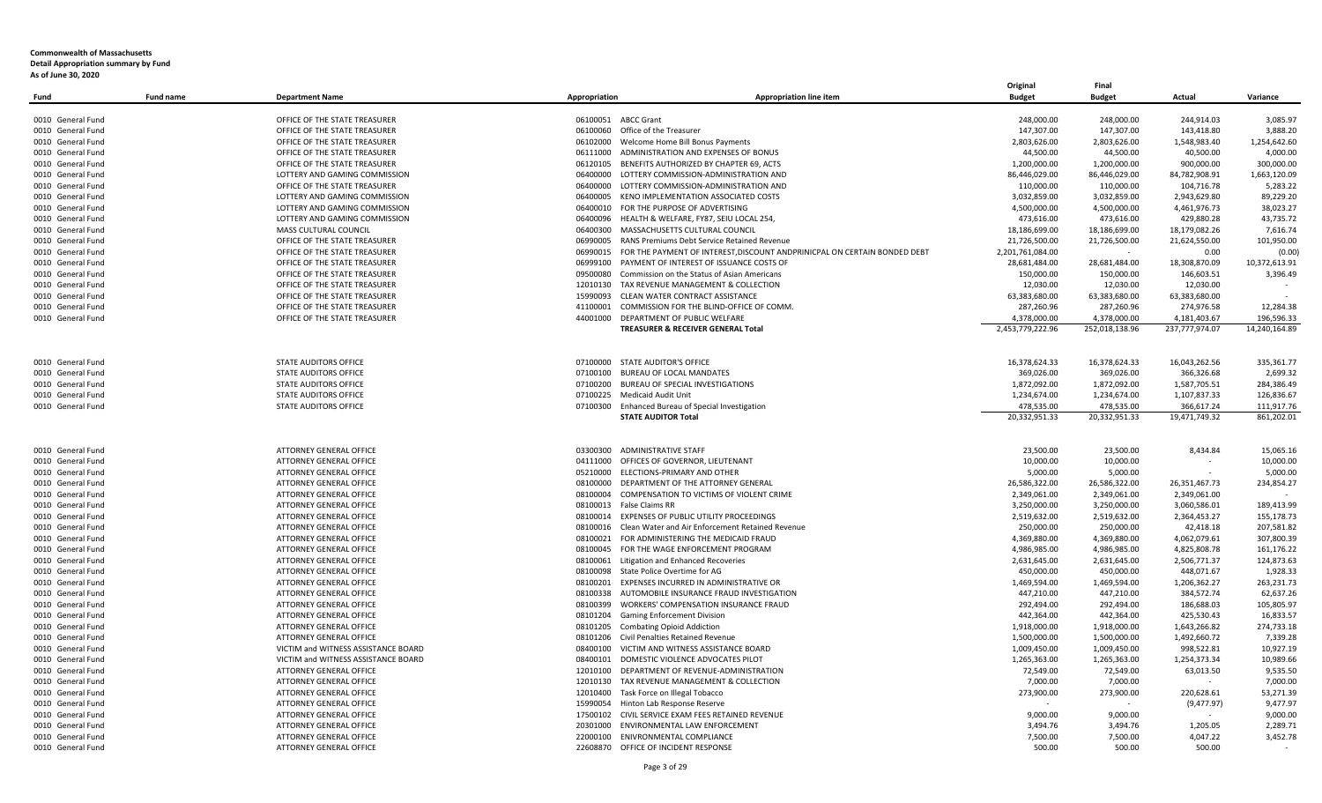| Fund                                   | <b>Fund name</b> | <b>Department Name</b>                                    | Appropriation | Appropriation line item                                                                    | Original<br><b>Budget</b>  | Final<br><b>Budget</b>         | Actual                         | Variance                |
|----------------------------------------|------------------|-----------------------------------------------------------|---------------|--------------------------------------------------------------------------------------------|----------------------------|--------------------------------|--------------------------------|-------------------------|
|                                        |                  |                                                           |               |                                                                                            |                            |                                |                                |                         |
| 0010 General Fund                      |                  | OFFICE OF THE STATE TREASURER                             |               | 06100051 ABCC Grant                                                                        | 248,000.00                 | 248,000.00                     | 244,914.03                     | 3,085.97                |
| 0010 General Fund                      |                  | OFFICE OF THE STATE TREASURER                             |               | 06100060 Office of the Treasurer                                                           | 147,307.00                 | 147,307.00                     | 143,418.80                     | 3,888.20                |
| 0010 General Fund                      |                  | OFFICE OF THE STATE TREASURER                             |               | 06102000 Welcome Home Bill Bonus Payments                                                  | 2,803,626.00               | 2,803,626.00                   | 1,548,983.40                   | 1,254,642.60            |
| 0010 General Fund                      |                  | OFFICE OF THE STATE TREASURER                             |               | 06111000 ADMINISTRATION AND EXPENSES OF BONUS                                              | 44,500.00                  | 44,500.00                      | 40,500.00                      | 4,000.00                |
| 0010 General Fund                      |                  | OFFICE OF THE STATE TREASURER                             |               | 06120105 BENEFITS AUTHORIZED BY CHAPTER 69, ACTS                                           | 1,200,000.00               | 1,200,000.00                   | 900,000.00                     | 300,000.00              |
| 0010 General Fund                      |                  | LOTTERY AND GAMING COMMISSION                             | 06400000      | LOTTERY COMMISSION-ADMINISTRATION AND                                                      | 86,446,029.00              | 86,446,029.00                  | 84,782,908.91                  | 1,663,120.09            |
| 0010 General Fund                      |                  | OFFICE OF THE STATE TREASURER                             | 06400000      | LOTTERY COMMISSION-ADMINISTRATION AND                                                      | 110,000.00                 | 110,000.00                     | 104,716.78                     | 5,283.22                |
| 0010 General Fund                      |                  | LOTTERY AND GAMING COMMISSION                             |               | 06400005 KENO IMPLEMENTATION ASSOCIATED COSTS                                              | 3,032,859.00               | 3,032,859.00                   | 2,943,629.80                   | 89,229.20               |
| 0010 General Fund                      |                  | LOTTERY AND GAMING COMMISSION                             |               | 06400010 FOR THE PURPOSE OF ADVERTISING                                                    | 4,500,000.00               | 4,500,000.00                   | 4,461,976.73                   | 38,023.27               |
| 0010 General Fund                      |                  | LOTTERY AND GAMING COMMISSION                             |               | 06400096 HEALTH & WELFARE, FY87, SEIU LOCAL 254,                                           | 473,616.00                 | 473,616.00                     | 429,880.28                     | 43,735.72               |
| 0010 General Fund                      |                  | MASS CULTURAL COUNCIL                                     |               | 06400300 MASSACHUSETTS CULTURAL COUNCIL                                                    | 18,186,699.00              | 18,186,699.00                  | 18,179,082.26                  | 7,616.74                |
| 0010 General Fund                      |                  | OFFICE OF THE STATE TREASURER                             |               | 06990005 RANS Premiums Debt Service Retained Revenue                                       | 21,726,500.00              | 21,726,500.00                  | 21,624,550.00                  | 101,950.00              |
| 0010 General Fund                      |                  | OFFICE OF THE STATE TREASURER                             |               | 06990015 FOR THE PAYMENT OF INTEREST, DISCOUNT ANDPRINICPAL ON CERTAIN BONDED DEBT         | 2,201,761,084.00           |                                | 0.00                           | (0.00)                  |
| 0010 General Fund                      |                  | OFFICE OF THE STATE TREASURER                             |               | 06999100 PAYMENT OF INTEREST OF ISSUANCE COSTS OF                                          | 28,681,484.00              | 28,681,484.00                  | 18,308,870.09                  | 10,372,613.91           |
| 0010 General Fund                      |                  | OFFICE OF THE STATE TREASURER                             |               | 09500080 Commission on the Status of Asian Americans                                       | 150.000.00                 | 150,000.00                     | 146,603.51                     | 3,396.49                |
| 0010 General Fund                      |                  | OFFICE OF THE STATE TREASURER                             |               | 12010130 TAX REVENUE MANAGEMENT & COLLECTION                                               | 12,030.00                  | 12,030.00                      | 12,030.00                      |                         |
| 0010 General Fund                      |                  | OFFICE OF THE STATE TREASURER                             |               | 15990093 CLEAN WATER CONTRACT ASSISTANCE                                                   | 63,383,680.00              | 63,383,680.00                  | 63,383,680.00                  |                         |
| 0010 General Fund                      |                  | OFFICE OF THE STATE TREASURER                             |               | 41100001 COMMISSION FOR THE BLIND-OFFICE OF COMM.<br>44001000 DEPARTMENT OF PUBLIC WELFARE | 287,260.96<br>4.378.000.00 | 287,260.96                     | 274,976.58                     | 12,284.38<br>196.596.33 |
| 0010 General Fund                      |                  | OFFICE OF THE STATE TREASURER                             |               | TREASURER & RECEIVER GENERAL Total                                                         | 2,453,779,222.96           | 4,378,000.00<br>252,018,138.96 | 4,181,403.67<br>237,777,974.07 | 14,240,164.89           |
|                                        |                  |                                                           |               |                                                                                            |                            |                                |                                |                         |
| 0010 General Fund                      |                  | STATE AUDITORS OFFICE                                     |               | 07100000 STATE AUDITOR'S OFFICE                                                            | 16,378,624.33              | 16,378,624.33                  | 16,043,262.56                  | 335,361.77              |
| 0010 General Fund                      |                  | <b>STATE AUDITORS OFFICE</b>                              |               | 07100100 BUREAU OF LOCAL MANDATES                                                          | 369,026.00                 | 369,026.00                     | 366,326.68                     | 2,699.32                |
| 0010 General Fund                      |                  | <b>STATE AUDITORS OFFICE</b>                              |               | 07100200 BUREAU OF SPECIAL INVESTIGATIONS                                                  | 1,872,092.00               | 1,872,092.00                   | 1,587,705.51                   | 284,386.49              |
| 0010 General Fund                      |                  | <b>STATE AUDITORS OFFICE</b>                              |               | 07100225 Medicaid Audit Unit                                                               | 1,234,674.00               | 1,234,674.00                   | 1,107,837.33                   | 126,836.67              |
| 0010 General Fund                      |                  | STATE AUDITORS OFFICE                                     |               | 07100300 Enhanced Bureau of Special Investigation                                          | 478,535.00                 | 478,535.00                     | 366,617.24                     | 111,917.76              |
|                                        |                  |                                                           |               | <b>STATE AUDITOR Total</b>                                                                 | 20,332,951.33              | 20,332,951.33                  | 19,471,749.32                  | 861,202.01              |
|                                        |                  |                                                           |               |                                                                                            |                            |                                |                                |                         |
| 0010 General Fund                      |                  | ATTORNEY GENERAL OFFICE                                   |               | 03300300 ADMINISTRATIVE STAFF                                                              | 23,500.00                  | 23,500.00                      | 8,434.84                       | 15,065.16               |
| 0010 General Fund                      |                  | ATTORNEY GENERAL OFFICE<br><b>ATTORNEY GENERAL OFFICE</b> |               | 04111000 OFFICES OF GOVERNOR, LIEUTENANT<br>05210000 ELECTIONS-PRIMARY AND OTHER           | 10,000.00<br>5,000.00      | 10,000.00<br>5,000.00          | $\sim$                         | 10,000.00<br>5,000.00   |
| 0010 General Fund<br>0010 General Fund |                  | ATTORNEY GENERAL OFFICE                                   |               | 08100000 DEPARTMENT OF THE ATTORNEY GENERAL                                                | 26,586,322.00              | 26,586,322.00                  | 26,351,467.73                  | 234,854.27              |
| 0010 General Fund                      |                  | ATTORNEY GENERAL OFFICE                                   |               | 08100004 COMPENSATION TO VICTIMS OF VIOLENT CRIME                                          | 2,349,061.00               | 2,349,061.00                   | 2,349,061.00                   |                         |
| 0010 General Fund                      |                  | ATTORNEY GENERAL OFFICE                                   |               | 08100013 False Claims RR                                                                   | 3,250,000.00               | 3,250,000.00                   | 3,060,586.01                   | 189,413.99              |
| 0010 General Fund                      |                  | <b>ATTORNEY GENERAL OFFICE</b>                            |               | 08100014 EXPENSES OF PUBLIC UTILITY PROCEEDINGS                                            | 2,519,632.00               | 2,519,632.00                   | 2,364,453.27                   | 155,178.73              |
| 0010 General Fund                      |                  | <b>ATTORNEY GENERAL OFFICE</b>                            |               | 08100016 Clean Water and Air Enforcement Retained Revenue                                  | 250,000.00                 | 250,000.00                     | 42,418.18                      | 207,581.82              |
| 0010 General Fund                      |                  | <b>ATTORNEY GENERAL OFFICE</b>                            |               | 08100021 FOR ADMINISTERING THE MEDICAID FRAUD                                              | 4,369,880.00               | 4,369,880.00                   | 4,062,079.61                   | 307,800.39              |
| 0010 General Fund                      |                  | ATTORNEY GENERAL OFFICE                                   |               | 08100045 FOR THE WAGE ENFORCEMENT PROGRAM                                                  | 4,986,985.00               | 4,986,985.00                   | 4,825,808.78                   | 161,176.22              |
| 0010 General Fund                      |                  | <b>ATTORNEY GENERAL OFFICE</b>                            |               | 08100061 Litigation and Enhanced Recoveries                                                | 2,631,645.00               | 2,631,645.00                   | 2,506,771.37                   | 124,873.63              |
| 0010 General Fund                      |                  | <b>ATTORNEY GENERAL OFFICE</b>                            |               | 08100098 State Police Overtime for AG                                                      | 450,000.00                 | 450,000.00                     | 448,071.67                     | 1,928.33                |
| 0010 General Fund                      |                  | ATTORNEY GENERAL OFFICE                                   |               | 08100201 EXPENSES INCURRED IN ADMINISTRATIVE OR                                            | 1,469,594.00               | 1,469,594.00                   | 1,206,362.27                   | 263,231.73              |
| 0010 General Fund                      |                  | ATTORNEY GENERAL OFFICE                                   |               | 08100338 AUTOMOBILE INSURANCE FRAUD INVESTIGATION                                          | 447,210.00                 | 447,210.00                     | 384,572.74                     | 62,637.26               |
| 0010 General Fund                      |                  | <b>ATTORNEY GENERAL OFFICE</b>                            |               | 08100399 WORKERS' COMPENSATION INSURANCE FRAUD                                             | 292,494.00                 | 292,494.00                     | 186,688.03                     | 105,805.97              |
| 0010 General Fund                      |                  | ATTORNEY GENERAL OFFICE                                   |               | 08101204 Gaming Enforcement Division                                                       | 442,364.00                 | 442,364.00                     | 425,530.43                     | 16,833.57               |
| 0010 General Fund                      |                  | <b>ATTORNEY GENERAL OFFICE</b>                            |               | 08101205 Combating Opioid Addiction                                                        | 1,918,000.00               | 1,918,000.00                   | 1,643,266.82                   | 274,733.18              |
| 0010 General Fund                      |                  | <b>ATTORNEY GENERAL OFFICE</b>                            |               | 08101206 Civil Penalties Retained Revenue                                                  | 1,500,000.00               | 1,500,000.00                   | 1,492,660.72                   | 7,339.28                |
| 0010 General Fund                      |                  | VICTIM and WITNESS ASSISTANCE BOARD                       |               | 08400100 VICTIM AND WITNESS ASSISTANCE BOARD                                               | 1,009,450.00               | 1,009,450.00                   | 998,522.81                     | 10,927.19               |
| 0010 General Fund                      |                  | VICTIM and WITNESS ASSISTANCE BOARD                       | 08400101      | DOMESTIC VIOLENCE ADVOCATES PILOT                                                          | 1,265,363.00               | 1,265,363.00                   | 1,254,373.34                   | 10,989.66               |
| 0010 General Fund                      |                  | ATTORNEY GENERAL OFFICE                                   | 12010100      | DEPARTMENT OF REVENUE-ADMINISTRATION                                                       | 72,549.00                  | 72,549.00                      | 63,013.50                      | 9,535.50                |
| 0010 General Fund                      |                  | ATTORNEY GENERAL OFFICE                                   |               | 12010130 TAX REVENUE MANAGEMENT & COLLECTION                                               | 7,000.00                   | 7,000.00                       |                                | 7,000.00                |
| 0010 General Fund                      |                  | ATTORNEY GENERAL OFFICE                                   |               | 12010400 Task Force on Illegal Tobacco                                                     | 273,900.00                 | 273,900.00                     | 220,628.61                     | 53,271.39               |
| 0010 General Fund                      |                  | <b>ATTORNEY GENERAL OFFICE</b>                            |               | 15990054 Hinton Lab Response Reserve                                                       |                            |                                | (9, 477.97)                    | 9,477.97                |
| 0010 General Fund                      |                  | ATTORNEY GENERAL OFFICE                                   |               | 17500102 CIVIL SERVICE EXAM FEES RETAINED REVENUE                                          | 9,000.00                   | 9,000.00                       |                                | 9,000.00                |
| 0010 General Fund                      |                  | <b>ATTORNEY GENERAL OFFICE</b>                            |               | 20301000 ENVIRONMENTAL LAW ENFORCEMENT                                                     | 3,494.76                   | 3,494.76                       | 1,205.05                       | 2,289.71                |
| 0010 General Fund                      |                  | ATTORNEY GENERAL OFFICE                                   |               | 22000100 ENIVRONMENTAL COMPLIANCE                                                          | 7,500.00                   | 7,500.00                       | 4,047.22                       | 3,452.78                |
| 0010 General Fund                      |                  | <b>ATTORNEY GENERAL OFFICE</b>                            |               | 22608870 OFFICE OF INCIDENT RESPONSE                                                       | 500.00                     | 500.00                         | 500.00                         |                         |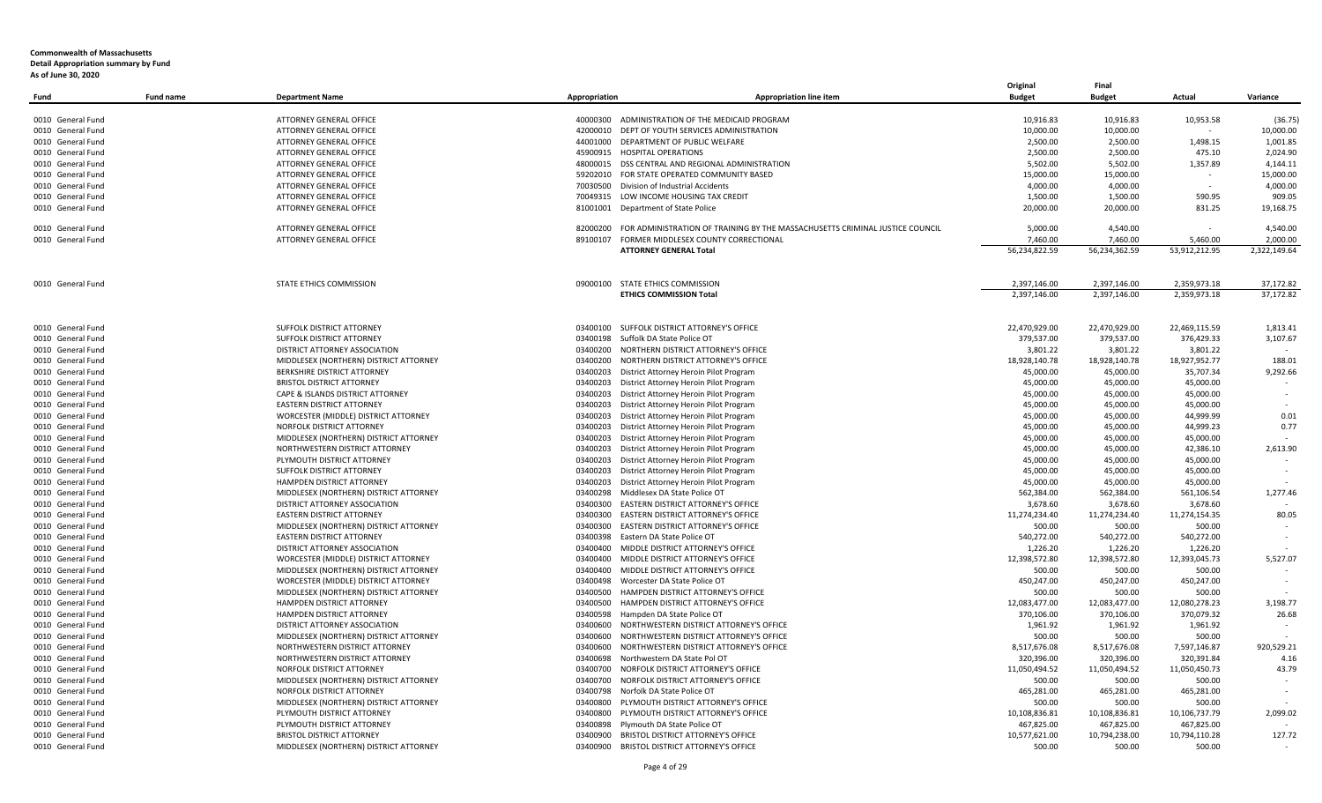| Fund              | <b>Fund name</b> | <b>Department Name</b>                 | Appropriation | <b>Appropriation line item</b>                                               | Original<br><b>Budget</b> | Final<br><b>Budget</b>    | Actual                    | Variance     |
|-------------------|------------------|----------------------------------------|---------------|------------------------------------------------------------------------------|---------------------------|---------------------------|---------------------------|--------------|
| 0010 General Fund |                  | ATTORNEY GENERAL OFFICE                |               | 40000300 ADMINISTRATION OF THE MEDICAID PROGRAM                              | 10,916.83                 | 10,916.83                 | 10,953.58                 | (36.75)      |
| 0010 General Fund |                  | ATTORNEY GENERAL OFFICE                | 42000010      | DEPT OF YOUTH SERVICES ADMINISTRATION                                        | 10,000.00                 | 10,000.00                 |                           | 10,000.00    |
| 0010 General Fund |                  | ATTORNEY GENERAL OFFICE                |               | 44001000 DEPARTMENT OF PUBLIC WELFARE                                        | 2,500.00                  | 2,500.00                  | 1,498.15                  | 1,001.85     |
| 0010 General Fund |                  | ATTORNEY GENERAL OFFICE                |               | 45900915 HOSPITAL OPERATIONS                                                 | 2,500.00                  | 2,500.00                  | 475.10                    | 2,024.90     |
| 0010 General Fund |                  | ATTORNEY GENERAL OFFICE                |               | 48000015 DSS CENTRAL AND REGIONAL ADMINISTRATION                             | 5,502.00                  | 5,502.00                  | 1,357.89                  | 4,144.11     |
| 0010 General Fund |                  | ATTORNEY GENERAL OFFICE                |               | 59202010 FOR STATE OPERATED COMMUNITY BASED                                  | 15,000.00                 | 15,000.00                 |                           | 15,000.00    |
| 0010 General Fund |                  | ATTORNEY GENERAL OFFICE                |               | 70030500 Division of Industrial Accidents                                    | 4,000.00                  | 4,000.00                  |                           | 4,000.00     |
| 0010 General Fund |                  | ATTORNEY GENERAL OFFICE                |               | 70049315 LOW INCOME HOUSING TAX CREDIT                                       | 1,500.00                  | 1,500.00                  | 590.95                    | 909.05       |
| 0010 General Fund |                  | ATTORNEY GENERAL OFFICE                |               | 81001001 Department of State Police                                          | 20,000.00                 | 20,000.00                 | 831.25                    | 19,168.75    |
|                   |                  |                                        |               |                                                                              |                           |                           |                           |              |
| 0010 General Fund |                  | ATTORNEY GENERAL OFFICE                | 82000200      | FOR ADMINISTRATION OF TRAINING BY THE MASSACHUSETTS CRIMINAL JUSTICE COUNCIL | 5.000.00                  | 4,540.00                  |                           | 4.540.00     |
| 0010 General Fund |                  | ATTORNEY GENERAL OFFICE                | 89100107      | FORMER MIDDLESEX COUNTY CORRECTIONAL                                         | 7,460.00                  | 7,460.00                  | 5,460.00                  | 2,000.00     |
|                   |                  |                                        |               | <b>ATTORNEY GENERAL Total</b>                                                | 56,234,822.59             | 56,234,362.59             | 53,912,212.95             | 2,322,149.64 |
| 0010 General Fund |                  | STATE ETHICS COMMISSION                |               | 09000100 STATE ETHICS COMMISSION                                             | 2,397,146.00              | 2,397,146.00              | 2,359,973.18              | 37,172.82    |
|                   |                  |                                        |               | <b>ETHICS COMMISSION Total</b>                                               | 2,397,146.00              | 2,397,146.00              | 2,359,973.18              | 37,172.82    |
|                   |                  |                                        |               |                                                                              |                           |                           |                           |              |
| 0010 General Fund |                  | SUFFOLK DISTRICT ATTORNEY              |               | 03400100 SUFFOLK DISTRICT ATTORNEY'S OFFICE                                  | 22,470,929.00             | 22,470,929.00             | 22,469,115.59             | 1,813.41     |
| 0010 General Fund |                  | SUFFOLK DISTRICT ATTORNEY              | 03400198      | Suffolk DA State Police OT                                                   | 379,537.00                | 379,537.00                | 376,429.33                | 3,107.67     |
| 0010 General Fund |                  | DISTRICT ATTORNEY ASSOCIATION          | 03400200      | NORTHERN DISTRICT ATTORNEY'S OFFICE                                          | 3,801.22                  | 3,801.22                  | 3,801.22                  |              |
| 0010 General Fund |                  | MIDDLESEX (NORTHERN) DISTRICT ATTORNEY | 03400200      | NORTHERN DISTRICT ATTORNEY'S OFFICE                                          | 18,928,140.78             | 18,928,140.78             | 18,927,952.77             | 188.01       |
| 0010 General Fund |                  | <b>BERKSHIRE DISTRICT ATTORNEY</b>     | 03400203      | District Attorney Heroin Pilot Program                                       | 45,000.00                 | 45,000.00                 | 35,707.34                 | 9,292.66     |
| 0010 General Fund |                  | <b>BRISTOL DISTRICT ATTORNEY</b>       | 03400203      | District Attorney Heroin Pilot Program                                       | 45,000.00                 | 45,000.00                 | 45,000.00                 |              |
| 0010 General Fund |                  | CAPE & ISLANDS DISTRICT ATTORNEY       | 03400203      | District Attorney Heroin Pilot Program                                       | 45,000.00                 | 45,000.00                 | 45,000.00                 |              |
| 0010 General Fund |                  | EASTERN DISTRICT ATTORNEY              | 03400203      | District Attorney Heroin Pilot Program                                       | 45,000.00                 | 45,000.00                 | 45,000.00                 |              |
| 0010 General Fund |                  | WORCESTER (MIDDLE) DISTRICT ATTORNEY   | 03400203      | District Attorney Heroin Pilot Program                                       | 45,000.00                 | 45,000.00                 | 44,999.99                 | 0.01         |
| 0010 General Fund |                  | NORFOLK DISTRICT ATTORNEY              | 03400203      | District Attorney Heroin Pilot Program                                       | 45,000.00                 | 45,000.00                 | 44,999.23                 | 0.77         |
| 0010 General Fund |                  | MIDDLESEX (NORTHERN) DISTRICT ATTORNEY | 03400203      | District Attorney Heroin Pilot Program                                       | 45,000.00                 | 45,000.00                 | 45,000.00                 |              |
| 0010 General Fund |                  | NORTHWESTERN DISTRICT ATTORNEY         | 03400203      | District Attorney Heroin Pilot Program                                       | 45,000.00                 | 45,000.00                 | 42,386.10                 | 2,613.90     |
| 0010 General Fund |                  | PLYMOUTH DISTRICT ATTORNEY             | 03400203      | District Attorney Heroin Pilot Program                                       | 45,000.00                 | 45,000.00                 | 45,000.00                 |              |
| 0010 General Fund |                  | SUFFOLK DISTRICT ATTORNEY              | 03400203      | District Attorney Heroin Pilot Program                                       | 45,000.00                 | 45,000.00                 | 45,000.00                 |              |
| 0010 General Fund |                  | HAMPDEN DISTRICT ATTORNEY              | 03400203      | District Attorney Heroin Pilot Program                                       | 45,000.00                 | 45,000.00                 | 45,000.00                 |              |
| 0010 General Fund |                  | MIDDLESEX (NORTHERN) DISTRICT ATTORNEY | 03400298      | Middlesex DA State Police OT                                                 | 562,384.00                | 562,384.00                | 561,106.54                | 1.277.46     |
| 0010 General Fund |                  | DISTRICT ATTORNEY ASSOCIATION          | 03400300      | EASTERN DISTRICT ATTORNEY'S OFFICE                                           | 3,678.60                  | 3,678.60                  | 3,678.60                  |              |
| 0010 General Fund |                  | EASTERN DISTRICT ATTORNEY              | 03400300      | EASTERN DISTRICT ATTORNEY'S OFFICE                                           | 11,274,234.40             | 11,274,234.40             | 11,274,154.35             | 80.05        |
| 0010 General Fund |                  | MIDDLESEX (NORTHERN) DISTRICT ATTORNEY | 03400300      | EASTERN DISTRICT ATTORNEY'S OFFICE                                           | 500.00                    | 500.00                    | 500.00                    |              |
| 0010 General Fund |                  | EASTERN DISTRICT ATTORNEY              | 03400398      | Eastern DA State Police OT                                                   | 540,272.00                |                           | 540,272.00                |              |
|                   |                  |                                        | 03400400      | MIDDLE DISTRICT ATTORNEY'S OFFICE                                            |                           | 540,272.00                |                           |              |
| 0010 General Fund |                  | DISTRICT ATTORNEY ASSOCIATION          | 03400400      |                                                                              | 1,226.20<br>12,398,572.80 | 1,226.20<br>12,398,572.80 | 1,226.20<br>12,393,045.73 | 5,527.07     |
| 0010 General Fund |                  | WORCESTER (MIDDLE) DISTRICT ATTORNEY   |               | MIDDLE DISTRICT ATTORNEY'S OFFICE                                            |                           |                           |                           |              |
| 0010 General Fund |                  | MIDDLESEX (NORTHERN) DISTRICT ATTORNEY | 03400400      | MIDDLE DISTRICT ATTORNEY'S OFFICE                                            | 500.00                    | 500.00                    | 500.00                    |              |
| 0010 General Fund |                  | WORCESTER (MIDDLE) DISTRICT ATTORNEY   | 03400498      | Worcester DA State Police OT                                                 | 450,247.00                | 450,247.00                | 450,247.00                |              |
| 0010 General Fund |                  | MIDDLESEX (NORTHERN) DISTRICT ATTORNEY | 03400500      | HAMPDEN DISTRICT ATTORNEY'S OFFICE                                           | 500.00                    | 500.00                    | 500.00                    |              |
| 0010 General Fund |                  | HAMPDEN DISTRICT ATTORNEY              | 03400500      | HAMPDEN DISTRICT ATTORNEY'S OFFICE                                           | 12,083,477.00             | 12,083,477.00             | 12,080,278.23             | 3,198.77     |
| 0010 General Fund |                  | HAMPDEN DISTRICT ATTORNEY              | 03400598      | Hampden DA State Police OT                                                   | 370,106.00                | 370,106.00                | 370,079.32                | 26.68        |
| 0010 General Fund |                  | DISTRICT ATTORNEY ASSOCIATION          | 03400600      | NORTHWESTERN DISTRICT ATTORNEY'S OFFICE                                      | 1,961.92                  | 1,961.92                  | 1,961.92                  |              |
| 0010 General Fund |                  | MIDDLESEX (NORTHERN) DISTRICT ATTORNEY | 03400600      | NORTHWESTERN DISTRICT ATTORNEY'S OFFICE                                      | 500.00                    | 500.00                    | 500.00                    |              |
| 0010 General Fund |                  | NORTHWESTERN DISTRICT ATTORNEY         | 03400600      | NORTHWESTERN DISTRICT ATTORNEY'S OFFICE                                      | 8,517,676.08              | 8,517,676.08              | 7,597,146.87              | 920,529.21   |
| 0010 General Fund |                  | NORTHWESTERN DISTRICT ATTORNEY         | 03400698      | Northwestern DA State Pol OT                                                 | 320,396.00                | 320,396.00                | 320,391.84                | 4.16         |
| 0010 General Fund |                  | NORFOLK DISTRICT ATTORNEY              | 03400700      | NORFOLK DISTRICT ATTORNEY'S OFFICE                                           | 11,050,494.52             | 11,050,494.52             | 11,050,450.73             | 43.79        |
| 0010 General Fund |                  | MIDDLESEX (NORTHERN) DISTRICT ATTORNEY | 03400700      | NORFOLK DISTRICT ATTORNEY'S OFFICE                                           | 500.00                    | 500.00                    | 500.00                    |              |
| 0010 General Fund |                  | NORFOLK DISTRICT ATTORNEY              |               | 03400798 Norfolk DA State Police OT                                          | 465,281.00                | 465,281.00                | 465,281.00                |              |
| 0010 General Fund |                  | MIDDLESEX (NORTHERN) DISTRICT ATTORNEY |               | 03400800 PLYMOUTH DISTRICT ATTORNEY'S OFFICE                                 | 500.00                    | 500.00                    | 500.00                    |              |
| 0010 General Fund |                  | PLYMOUTH DISTRICT ATTORNEY             |               | 03400800 PLYMOUTH DISTRICT ATTORNEY'S OFFICE                                 | 10,108,836.81             | 10,108,836.81             | 10,106,737.79             | 2,099.02     |
| 0010 General Fund |                  | PLYMOUTH DISTRICT ATTORNEY             | 03400898      | Plymouth DA State Police OT                                                  | 467,825.00                | 467,825.00                | 467,825.00                |              |
| 0010 General Fund |                  | <b>BRISTOL DISTRICT ATTORNEY</b>       |               | 03400900 BRISTOL DISTRICT ATTORNEY'S OFFICE                                  | 10,577,621.00             | 10,794,238.00             | 10,794,110.28             | 127.72       |
| 0010 General Fund |                  | MIDDLESEX (NORTHERN) DISTRICT ATTORNEY |               | 03400900 BRISTOL DISTRICT ATTORNEY'S OFFICE                                  | 500.00                    | 500.00                    | 500.00                    |              |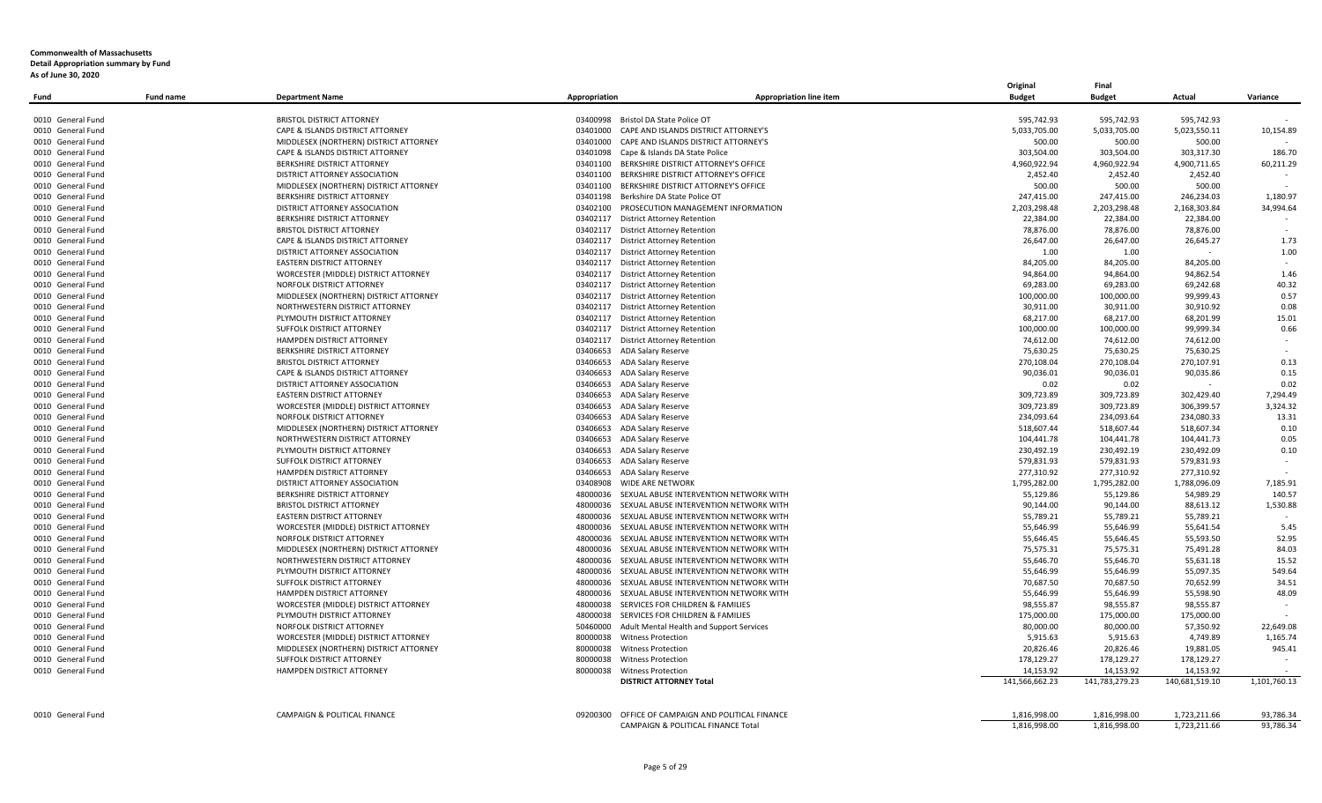|                   |                  |                                         |                                       |                                               | Original       | Final          |                |              |
|-------------------|------------------|-----------------------------------------|---------------------------------------|-----------------------------------------------|----------------|----------------|----------------|--------------|
| Fund              | <b>Fund name</b> | <b>Department Name</b>                  | Appropriation                         | <b>Appropriation line item</b>                | <b>Budget</b>  | <b>Budget</b>  | Actual         | Variance     |
| 0010 General Fund |                  | <b>BRISTOL DISTRICT ATTORNEY</b>        | 03400998                              | Bristol DA State Police OT                    | 595,742.93     | 595,742.93     | 595,742.93     |              |
| 0010 General Fund |                  | CAPE & ISLANDS DISTRICT ATTORNEY        | 03401000                              | CAPE AND ISLANDS DISTRICT ATTORNEY'S          | 5,033,705.00   | 5,033,705.00   | 5,023,550.11   | 10,154.89    |
| 0010 General Fund |                  | MIDDLESEX (NORTHERN) DISTRICT ATTORNEY  | 03401000                              | CAPE AND ISLANDS DISTRICT ATTORNEY'S          | 500.00         | 500.00         | 500.00         |              |
| 0010 General Fund |                  | CAPE & ISLANDS DISTRICT ATTORNEY        | 03401098                              | Cape & Islands DA State Police                | 303,504.00     | 303,504.00     | 303,317.30     | 186.70       |
| 0010 General Fund |                  | BERKSHIRE DISTRICT ATTORNEY             | 03401100                              | BERKSHIRE DISTRICT ATTORNEY'S OFFICE          | 4,960,922.94   | 4,960,922.94   | 4,900,711.65   | 60,211.29    |
| 0010 General Fund |                  | DISTRICT ATTORNEY ASSOCIATION           | 03401100                              | BERKSHIRE DISTRICT ATTORNEY'S OFFICE          | 2,452.40       | 2,452.40       | 2,452.40       |              |
| 0010 General Fund |                  | MIDDLESEX (NORTHERN) DISTRICT ATTORNEY  | 03401100                              | BERKSHIRE DISTRICT ATTORNEY'S OFFICE          | 500.00         | 500.00         | 500.00         |              |
| 0010 General Fund |                  | <b>BERKSHIRE DISTRICT ATTORNEY</b>      | 03401198                              | Berkshire DA State Police OT                  | 247,415.00     | 247,415.00     | 246,234.03     | 1,180.97     |
| 0010 General Fund |                  | DISTRICT ATTORNEY ASSOCIATION           | 03402100                              | PROSECUTION MANAGEMENT INFORMATION            | 2,203,298.48   | 2,203,298.48   | 2,168,303.84   | 34,994.64    |
| 0010 General Fund |                  | <b>BERKSHIRE DISTRICT ATTORNEY</b>      | 03402117                              | <b>District Attorney Retention</b>            | 22,384.00      | 22,384.00      | 22,384.00      |              |
| 0010 General Fund |                  | <b>BRISTOL DISTRICT ATTORNEY</b>        | 03402117                              | <b>District Attorney Retention</b>            | 78,876.00      | 78,876.00      | 78,876.00      |              |
| 0010 General Fund |                  | CAPE & ISLANDS DISTRICT ATTORNEY        | 03402117                              | <b>District Attorney Retention</b>            | 26,647.00      | 26,647.00      | 26,645.27      | 1.73         |
| 0010 General Fund |                  | DISTRICT ATTORNEY ASSOCIATION           | 03402117                              | <b>District Attorney Retention</b>            | 1.00           | 1.00           |                | 1.00         |
| 0010 General Fund |                  | <b>EASTERN DISTRICT ATTORNEY</b>        | 03402117                              | <b>District Attorney Retention</b>            | 84,205.00      | 84,205.00      | 84,205.00      |              |
| 0010 General Fund |                  | WORCESTER (MIDDLE) DISTRICT ATTORNEY    | 03402117                              | <b>District Attorney Retention</b>            | 94,864.00      | 94,864.00      | 94,862.54      | 1.46         |
| 0010 General Fund |                  | NORFOLK DISTRICT ATTORNEY               | 03402117                              | <b>District Attorney Retention</b>            | 69,283.00      | 69,283.00      | 69,242.68      | 40.32        |
| 0010 General Fund |                  | MIDDLESEX (NORTHERN) DISTRICT ATTORNEY  | 03402117                              | <b>District Attorney Retention</b>            | 100,000.00     | 100,000.00     | 99,999.43      | 0.57         |
| 0010 General Fund |                  | NORTHWESTERN DISTRICT ATTORNEY          | 03402117                              | <b>District Attorney Retention</b>            | 30,911.00      | 30,911.00      | 30,910.92      | 0.08         |
| 0010 General Fund |                  | PLYMOUTH DISTRICT ATTORNEY              | 03402117                              | <b>District Attorney Retention</b>            | 68,217.00      | 68,217.00      | 68,201.99      | 15.01        |
| 0010 General Fund |                  | SUFFOLK DISTRICT ATTORNEY               | 03402117                              | <b>District Attorney Retention</b>            | 100,000.00     | 100,000.00     | 99,999.34      | 0.66         |
| 0010 General Fund |                  | HAMPDEN DISTRICT ATTORNEY               | 03402117                              | <b>District Attorney Retention</b>            | 74,612.00      | 74,612.00      | 74,612.00      | $\sim$       |
| 0010 General Fund |                  | BERKSHIRE DISTRICT ATTORNEY             | 03406653<br>ADA Salary Reserve        |                                               | 75,630.25      | 75,630.25      | 75,630.25      |              |
| 0010 General Fund |                  | <b>BRISTOL DISTRICT ATTORNEY</b>        | 03406653<br>ADA Salary Reserve        |                                               | 270,108.04     | 270,108.04     | 270,107.91     | 0.13         |
| 0010 General Fund |                  | CAPE & ISLANDS DISTRICT ATTORNEY        | 03406653<br>ADA Salary Reserve        |                                               | 90,036.01      | 90,036.01      | 90,035.86      | 0.15         |
| 0010 General Fund |                  | DISTRICT ATTORNEY ASSOCIATION           | 03406653<br>ADA Salary Reserve        |                                               | 0.02           | 0.02           |                | 0.02         |
| 0010 General Fund |                  | <b>EASTERN DISTRICT ATTORNEY</b>        | 03406653<br>ADA Salary Reserve        |                                               | 309,723.89     | 309,723.89     | 302,429.40     | 7,294.49     |
| 0010 General Fund |                  | WORCESTER (MIDDLE) DISTRICT ATTORNEY    | 03406653<br>ADA Salary Reserve        |                                               | 309,723.89     | 309,723.89     | 306,399.57     | 3,324.32     |
| 0010 General Fund |                  | NORFOLK DISTRICT ATTORNEY               | 03406653<br>ADA Salary Reserve        |                                               | 234,093.64     | 234,093.64     | 234,080.33     | 13.31        |
| 0010 General Fund |                  | MIDDLESEX (NORTHERN) DISTRICT ATTORNEY  | 03406653<br><b>ADA Salary Reserve</b> |                                               | 518,607.44     | 518,607.44     | 518,607.34     | 0.10         |
| 0010 General Fund |                  | NORTHWESTERN DISTRICT ATTORNEY          | 03406653<br><b>ADA Salary Reserve</b> |                                               | 104,441.78     | 104,441.78     | 104,441.73     | 0.05         |
| 0010 General Fund |                  | PLYMOUTH DISTRICT ATTORNEY              | 03406653<br>ADA Salary Reserve        |                                               | 230,492.19     | 230,492.19     | 230,492.09     | 0.10         |
| 0010 General Fund |                  | SUFFOLK DISTRICT ATTORNEY               | 03406653<br><b>ADA Salary Reserve</b> |                                               | 579,831.93     | 579,831.93     | 579,831.93     | $\sim$       |
| 0010 General Fund |                  | HAMPDEN DISTRICT ATTORNEY               | 03406653<br>ADA Salary Reserve        |                                               | 277,310.92     | 277,310.92     | 277,310.92     |              |
| 0010 General Fund |                  | DISTRICT ATTORNEY ASSOCIATION           | <b>WIDE ARE NETWORK</b><br>03408908   |                                               | 1,795,282.00   | 1,795,282.00   | 1,788,096.09   | 7,185.91     |
| 0010 General Fund |                  | <b>BERKSHIRE DISTRICT ATTORNEY</b>      | 48000036                              | SEXUAL ABUSE INTERVENTION NETWORK WITH        | 55,129.86      | 55,129.86      | 54,989.29      | 140.57       |
| 0010 General Fund |                  | <b>BRISTOL DISTRICT ATTORNEY</b>        | 48000036                              | SEXUAL ABUSE INTERVENTION NETWORK WITH        | 90,144.00      | 90,144.00      | 88,613.12      | 1,530.88     |
| 0010 General Fund |                  | EASTERN DISTRICT ATTORNEY               | 48000036                              | SEXUAL ABUSE INTERVENTION NETWORK WITH        | 55,789.21      | 55,789.21      | 55,789.21      |              |
| 0010 General Fund |                  | WORCESTER (MIDDLE) DISTRICT ATTORNEY    | 48000036                              | SEXUAL ABUSE INTERVENTION NETWORK WITH        | 55,646.99      | 55,646.99      | 55,641.54      | 5.45         |
| 0010 General Fund |                  | NORFOLK DISTRICT ATTORNEY               | 48000036                              | SEXUAL ABUSE INTERVENTION NETWORK WITH        | 55,646.45      | 55,646.45      | 55,593.50      | 52.95        |
| 0010 General Fund |                  | MIDDLESEX (NORTHERN) DISTRICT ATTORNEY  | 48000036                              | SEXUAL ABUSE INTERVENTION NETWORK WITH        | 75,575.31      | 75,575.31      | 75,491.28      | 84.03        |
| 0010 General Fund |                  | NORTHWESTERN DISTRICT ATTORNEY          | 48000036                              | SEXUAL ABUSE INTERVENTION NETWORK WITH        | 55,646.70      | 55,646.70      | 55,631.18      | 15.52        |
| 0010 General Fund |                  | PLYMOUTH DISTRICT ATTORNEY              | 48000036                              | SEXUAL ABUSE INTERVENTION NETWORK WITH        | 55,646.99      | 55,646.99      | 55,097.35      | 549.64       |
| 0010 General Fund |                  | SUFFOLK DISTRICT ATTORNEY               | 48000036                              | SEXUAL ABUSE INTERVENTION NETWORK WITH        | 70,687.50      | 70,687.50      | 70,652.99      | 34.51        |
| 0010 General Fund |                  | HAMPDEN DISTRICT ATTORNEY               | 48000036                              | SEXUAL ABUSE INTERVENTION NETWORK WITH        | 55,646.99      | 55,646.99      | 55,598.90      | 48.09        |
| 0010 General Fund |                  | WORCESTER (MIDDLE) DISTRICT ATTORNEY    | 48000038                              | SERVICES FOR CHILDREN & FAMILIES              | 98,555.87      | 98,555.87      | 98,555.87      |              |
| 0010 General Fund |                  | PLYMOUTH DISTRICT ATTORNEY              | 48000038                              | SERVICES FOR CHILDREN & FAMILIES              | 175,000.00     | 175,000.00     | 175.000.00     |              |
| 0010 General Fund |                  | NORFOLK DISTRICT ATTORNEY               | 50460000                              | Adult Mental Health and Support Services      | 80,000.00      | 80,000.00      | 57,350.92      | 22.649.08    |
| 0010 General Fund |                  | WORCESTER (MIDDLE) DISTRICT ATTORNEY    | 80000038<br><b>Witness Protection</b> |                                               | 5,915.63       | 5,915.63       | 4,749.89       | 1,165.74     |
| 0010 General Fund |                  | MIDDLESEX (NORTHERN) DISTRICT ATTORNEY  | 80000038<br><b>Witness Protection</b> |                                               | 20,826.46      | 20,826.46      | 19,881.05      | 945.41       |
| 0010 General Fund |                  | SUFFOLK DISTRICT ATTORNEY               | 80000038<br><b>Witness Protection</b> |                                               | 178,129.27     | 178,129.27     | 178,129.27     |              |
| 0010 General Fund |                  | HAMPDEN DISTRICT ATTORNEY               | 80000038<br><b>Witness Protection</b> |                                               | 14,153.92      | 14,153.92      | 14,153.92      |              |
|                   |                  |                                         |                                       | <b>DISTRICT ATTORNEY Total</b>                | 141,566,662.23 | 141,783,279.23 | 140,681,519.10 | 1,101,760.13 |
|                   |                  |                                         |                                       |                                               |                |                |                |              |
| 0010 General Fund |                  | <b>CAMPAIGN &amp; POLITICAL FINANCE</b> | 09200300                              | OFFICE OF CAMPAIGN AND POLITICAL FINANCE      | 1,816,998.00   | 1,816,998.00   | 1,723,211.66   | 93,786.34    |
|                   |                  |                                         |                                       | <b>CAMPAIGN &amp; POLITICAL FINANCE Total</b> | 1.816.998.00   | 1,816,998.00   | 1,723,211.66   | 93,786.34    |
|                   |                  |                                         |                                       |                                               |                |                |                |              |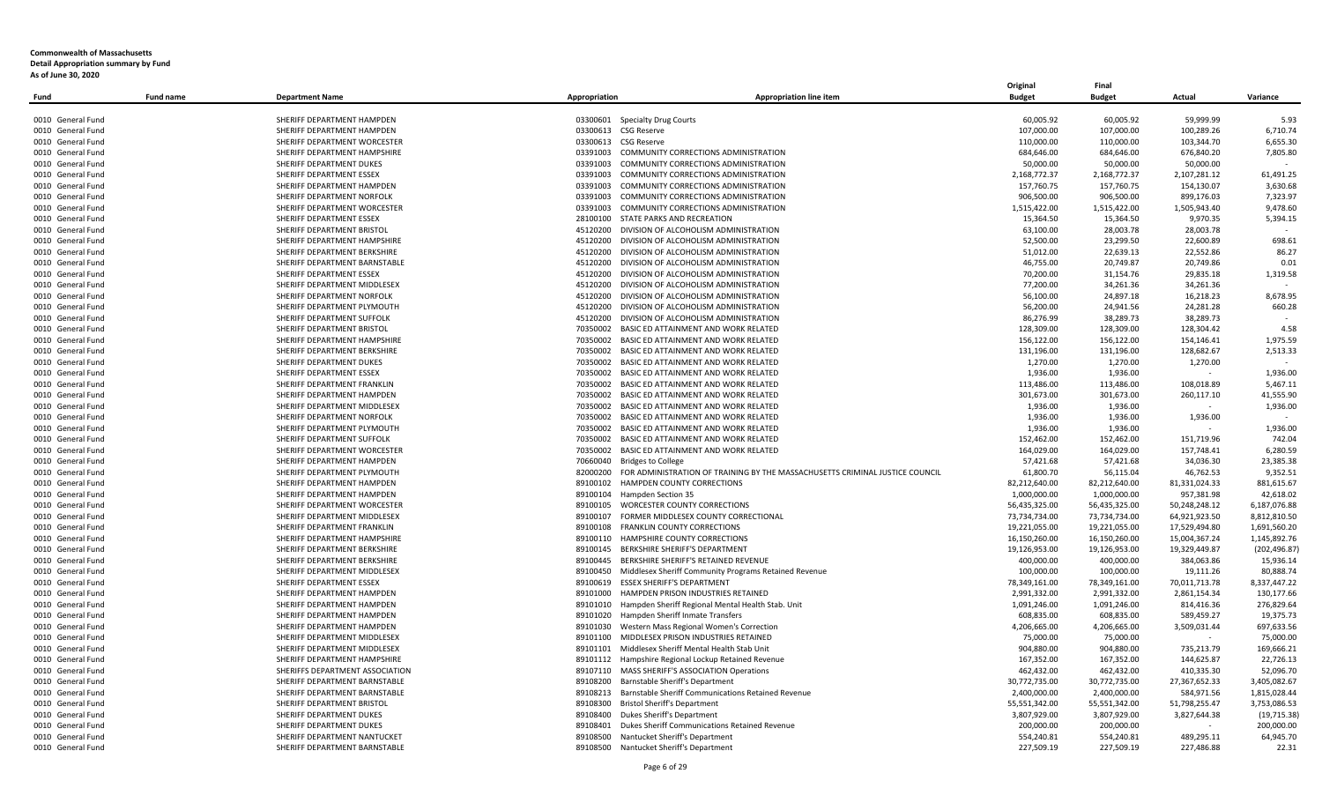|                                        |           |                                                              |                                                 |                                                                                       | Original                       | Final                          |                                |                              |
|----------------------------------------|-----------|--------------------------------------------------------------|-------------------------------------------------|---------------------------------------------------------------------------------------|--------------------------------|--------------------------------|--------------------------------|------------------------------|
| Fund                                   | Fund name | <b>Department Name</b>                                       | Appropriation                                   | <b>Appropriation line item</b>                                                        | <b>Budget</b>                  | <b>Budget</b>                  | Actual                         | Variance                     |
| 0010 General Fund                      |           | SHERIFF DEPARTMENT HAMPDEN                                   | <b>Specialty Drug Courts</b><br>03300601        |                                                                                       | 60,005.92                      | 60,005.92                      | 59,999.99                      | 5.93                         |
| 0010 General Fund                      |           | SHERIFF DEPARTMENT HAMPDEN                                   | 03300613 CSG Reserve                            |                                                                                       | 107,000.00                     | 107,000.00                     | 100,289.26                     | 6,710.74                     |
| 0010 General Fund                      |           | SHERIFF DEPARTMENT WORCESTER                                 | 03300613<br>CSG Reserve                         |                                                                                       | 110,000.00                     | 110,000.00                     | 103,344.70                     | 6,655.30                     |
| 0010 General Fund                      |           | SHERIFF DEPARTMENT HAMPSHIRE                                 | 03391003                                        | COMMUNITY CORRECTIONS ADMINISTRATION                                                  | 684,646.00                     | 684,646.00                     | 676,840.20                     | 7,805.80                     |
| 0010 General Fund                      |           | SHERIFF DEPARTMENT DUKES                                     | 03391003                                        | COMMUNITY CORRECTIONS ADMINISTRATION                                                  | 50,000.00                      | 50,000.00                      | 50,000.00                      | $\sim$                       |
| 0010 General Fund                      |           | SHERIFF DEPARTMENT ESSEX                                     | 03391003                                        | COMMUNITY CORRECTIONS ADMINISTRATION                                                  | 2,168,772.37                   | 2,168,772.37                   | 2,107,281.12                   | 61,491.25                    |
| 0010 General Fund                      |           | SHERIFF DEPARTMENT HAMPDEN                                   | 03391003                                        | <b>COMMUNITY CORRECTIONS ADMINISTRATION</b>                                           | 157,760.75                     | 157,760.75                     | 154,130.07                     | 3,630.68                     |
| 0010 General Fund                      |           | SHERIFF DEPARTMENT NORFOLK                                   | 03391003                                        | <b>COMMUNITY CORRECTIONS ADMINISTRATION</b>                                           | 906,500.00                     | 906,500.00                     | 899,176.03                     | 7,323.97                     |
| 0010 General Fund                      |           | SHERIFF DEPARTMENT WORCESTER                                 | 03391003                                        | <b>COMMUNITY CORRECTIONS ADMINISTRATION</b>                                           | 1.515.422.00                   | 1.515.422.00                   | 1,505,943.40                   | 9.478.60                     |
| 0010 General Fund                      |           | SHERIFF DEPARTMENT ESSEX                                     | 28100100<br>STATE PARKS AND RECREATION          |                                                                                       | 15,364.50                      | 15,364.50                      | 9,970.35                       | 5,394.15                     |
| 0010 General Fund                      |           | SHERIFF DEPARTMENT BRISTOL                                   | 45120200                                        | DIVISION OF ALCOHOLISM ADMINISTRATION                                                 | 63,100.00                      | 28,003.78                      | 28,003.78                      |                              |
| 0010 General Fund                      |           | SHERIFF DEPARTMENT HAMPSHIRE                                 | 45120200                                        | DIVISION OF ALCOHOLISM ADMINISTRATION                                                 | 52,500.00                      | 23,299.50                      | 22,600.89                      | 698.61                       |
| 0010 General Fund                      |           | SHERIFF DEPARTMENT BERKSHIRE                                 |                                                 | 45120200 DIVISION OF ALCOHOLISM ADMINISTRATION                                        | 51,012.00                      | 22,639.13                      | 22,552.86                      | 86.27                        |
| 0010 General Fund                      |           | SHERIFF DEPARTMENT BARNSTABLE                                | 45120200                                        | DIVISION OF ALCOHOLISM ADMINISTRATION                                                 | 46,755.00                      | 20,749.87                      | 20,749.86                      | 0.01                         |
| 0010 General Fund                      |           | SHERIFF DEPARTMENT ESSEX                                     | 45120200                                        | DIVISION OF ALCOHOLISM ADMINISTRATION                                                 | 70,200.00                      | 31,154.76                      | 29,835.18                      | 1,319.58                     |
| 0010 General Fund                      |           | SHERIFF DEPARTMENT MIDDLESEX                                 | 45120200                                        | DIVISION OF ALCOHOLISM ADMINISTRATION                                                 | 77,200.00                      | 34,261.36                      | 34,261.36                      |                              |
| 0010 General Fund                      |           | SHERIFF DEPARTMENT NORFOLK                                   | 45120200                                        | DIVISION OF ALCOHOLISM ADMINISTRATION                                                 | 56,100.00                      | 24,897.18                      | 16,218.23                      | 8,678.95                     |
| 0010 General Fund                      |           | SHERIFF DEPARTMENT PLYMOUTH                                  | 45120200                                        | DIVISION OF ALCOHOLISM ADMINISTRATION                                                 | 56,200.00                      | 24,941.56                      | 24,281.28                      | 660.28                       |
| 0010 General Fund                      |           | SHERIFF DEPARTMENT SUFFOLK                                   | 45120200                                        | DIVISION OF ALCOHOLISM ADMINISTRATION                                                 | 86,276.99                      | 38,289.73                      | 38,289.73                      |                              |
| 0010 General Fund                      |           | SHERIFF DEPARTMENT BRISTOL                                   |                                                 | 70350002 BASIC ED ATTAINMENT AND WORK RELATED                                         | 128,309.00                     | 128,309.00                     | 128,304.42                     | 4.58                         |
| 0010 General Fund                      |           | SHERIFF DEPARTMENT HAMPSHIRE                                 | 70350002                                        | BASIC ED ATTAINMENT AND WORK RELATED                                                  | 156,122.00                     | 156,122.00                     | 154,146.41                     | 1,975.59                     |
| 0010 General Fund                      |           | SHERIFF DEPARTMENT BERKSHIRE                                 | 70350002                                        | BASIC ED ATTAINMENT AND WORK RELATED                                                  | 131,196.00                     | 131,196.00                     | 128,682.67                     | 2,513.33                     |
| 0010 General Fund                      |           | SHERIFF DEPARTMENT DUKES                                     | 70350002                                        | BASIC ED ATTAINMENT AND WORK RELATED                                                  | 1,270.00                       | 1,270.00                       | 1,270.00                       | $\sim$                       |
| 0010 General Fund                      |           | SHERIFF DEPARTMENT ESSEX                                     |                                                 | 70350002 BASIC ED ATTAINMENT AND WORK RELATED                                         | 1,936.00                       | 1,936.00                       | $\sim$                         | 1,936.00                     |
| 0010 General Fund                      |           | SHERIFF DEPARTMENT FRANKLIN                                  | 70350002                                        | BASIC ED ATTAINMENT AND WORK RELATED                                                  | 113,486.00                     | 113,486.00                     | 108,018.89                     | 5,467.11                     |
| 0010 General Fund                      |           | SHERIFF DEPARTMENT HAMPDEN                                   | 70350002                                        | BASIC ED ATTAINMENT AND WORK RELATED                                                  | 301,673.00                     | 301,673.00                     | 260,117.10                     | 41,555.90                    |
| 0010 General Fund                      |           | SHERIFF DEPARTMENT MIDDLESEX                                 | 70350002                                        | BASIC ED ATTAINMENT AND WORK RELATED                                                  | 1.936.00                       | 1.936.00                       |                                | 1.936.00                     |
| 0010 General Fund                      |           | SHERIFF DEPARTMENT NORFOLK                                   |                                                 | 70350002 BASIC ED ATTAINMENT AND WORK RELATED                                         | 1,936.00                       | 1,936.00                       | 1,936.00                       | $\sim$                       |
| 0010 General Fund                      |           | SHERIFF DEPARTMENT PLYMOUTH                                  | 70350002                                        | BASIC ED ATTAINMENT AND WORK RELATED                                                  | 1,936.00                       | 1,936.00                       |                                | 1,936.00                     |
| 0010 General Fund                      |           | SHERIFF DEPARTMENT SUFFOLK                                   | 70350002                                        | BASIC ED ATTAINMENT AND WORK RELATED                                                  | 152,462.00                     | 152,462.00                     | 151,719.96                     | 742.04                       |
| 0010 General Fund                      |           | SHERIFF DEPARTMENT WORCESTER                                 |                                                 | 70350002 BASIC ED ATTAINMENT AND WORK RELATED                                         | 164,029.00                     | 164,029.00                     | 157,748.41                     | 6,280.59                     |
| 0010 General Fund                      |           | SHERIFF DEPARTMENT HAMPDEN                                   | 70660040<br><b>Bridges to College</b>           |                                                                                       | 57,421.68                      | 57,421.68                      | 34,036.30                      | 23,385.38                    |
| 0010 General Fund                      |           | SHERIFF DEPARTMENT PLYMOUTH                                  |                                                 | 82000200 FOR ADMINISTRATION OF TRAINING BY THE MASSACHUSETTS CRIMINAL JUSTICE COUNCIL | 61,800.70                      | 56,115.04                      | 46,762.53                      | 9,352.51                     |
| 0010 General Fund                      |           | SHERIFF DEPARTMENT HAMPDEN                                   | 89100102                                        | HAMPDEN COUNTY CORRECTIONS                                                            | 82,212,640.00                  | 82,212,640.00                  | 81,331,024.33                  | 881,615.67                   |
| 0010 General Fund                      |           | SHERIFF DEPARTMENT HAMPDEN                                   | 89100104<br>Hampden Section 35                  |                                                                                       | 1,000,000.00                   | 1,000,000.00                   | 957,381.98                     | 42,618.02                    |
| 0010 General Fund                      |           | SHERIFF DEPARTMENT WORCESTER<br>SHERIFF DEPARTMENT MIDDLESEX | 89100105                                        | WORCESTER COUNTY CORRECTIONS<br>FORMER MIDDLESEX COUNTY CORRECTIONAL                  | 56,435,325.00                  | 56,435,325.00                  | 50,248,248.12                  | 6,187,076.88                 |
| 0010 General Fund<br>0010 General Fund |           | SHERIFF DEPARTMENT FRANKLIN                                  | 89100107<br>89100108                            | FRANKLIN COUNTY CORRECTIONS                                                           | 73,734,734.00<br>19,221,055.00 | 73,734,734.00<br>19,221,055.00 | 64,921,923.50<br>17,529,494.80 | 8,812,810.50<br>1,691,560.20 |
| 0010 General Fund                      |           | SHERIFF DEPARTMENT HAMPSHIRE                                 | 89100110                                        | HAMPSHIRE COUNTY CORRECTIONS                                                          | 16,150,260.00                  | 16,150,260.00                  | 15,004,367.24                  | 1,145,892.76                 |
| 0010 General Fund                      |           | SHERIFF DEPARTMENT BERKSHIRE                                 | 89100145                                        | BERKSHIRE SHERIFF'S DEPARTMENT                                                        | 19,126,953.00                  | 19,126,953.00                  | 19,329,449.87                  | (202, 496.87)                |
| 0010 General Fund                      |           | SHERIFF DEPARTMENT BERKSHIRE                                 | 89100445                                        | BERKSHIRE SHERIFF'S RETAINED REVENUE                                                  | 400,000.00                     | 400,000.00                     | 384,063.86                     | 15,936.14                    |
| 0010 General Fund                      |           | SHERIFF DEPARTMENT MIDDLESEX                                 | 89100450                                        | Middlesex Sheriff Community Programs Retained Revenue                                 | 100,000.00                     | 100,000.00                     | 19,111.26                      | 80,888.74                    |
| 0010 General Fund                      |           | SHERIFF DEPARTMENT ESSEX                                     | 89100619<br><b>ESSEX SHERIFF'S DEPARTMENT</b>   |                                                                                       | 78,349,161.00                  | 78,349,161.00                  | 70,011,713.78                  | 8,337,447.22                 |
| 0010 General Fund                      |           | SHERIFF DEPARTMENT HAMPDEN                                   | 89101000                                        | HAMPDEN PRISON INDUSTRIES RETAINED                                                    | 2,991,332.00                   | 2,991,332.00                   | 2,861,154.34                   | 130,177.66                   |
| 0010 General Fund                      |           | SHERIFF DEPARTMENT HAMPDEN                                   | 89101010                                        | Hampden Sheriff Regional Mental Health Stab. Unit                                     | 1,091,246.00                   | 1,091,246.00                   | 814,416.36                     | 276,829.64                   |
| 0010 General Fund                      |           | SHERIFF DEPARTMENT HAMPDEN                                   | 89101020                                        | Hampden Sheriff Inmate Transfers                                                      | 608,835.00                     | 608,835.00                     | 589,459.27                     | 19.375.73                    |
| 0010 General Fund                      |           | SHERIFF DEPARTMENT HAMPDEN                                   | 89101030                                        | Western Mass Regional Women's Correction                                              | 4,206,665.00                   | 4,206,665.00                   | 3,509,031.44                   | 697,633.56                   |
| 0010 General Fund                      |           | SHERIFF DEPARTMENT MIDDLESEX                                 | 89101100                                        | MIDDLESEX PRISON INDUSTRIES RETAINED                                                  | 75,000.00                      | 75,000.00                      |                                | 75,000.00                    |
| 0010 General Fund                      |           | SHERIFF DEPARTMENT MIDDLESEX                                 | 89101101                                        | Middlesex Sheriff Mental Health Stab Unit                                             | 904,880.00                     | 904,880.00                     | 735,213.79                     | 169,666.21                   |
| 0010 General Fund                      |           | SHERIFF DEPARTMENT HAMPSHIRE                                 | 89101112                                        | Hampshire Regional Lockup Retained Revenue                                            | 167,352.00                     | 167,352.00                     | 144,625.87                     | 22,726.13                    |
| 0010 General Fund                      |           | SHERIFFS DEPARTMENT ASSOCIATION                              | 89107110                                        | MASS SHERIFF'S ASSOCIATION Operations                                                 | 462,432.00                     | 462,432.00                     | 410,335.30                     | 52,096.70                    |
| 0010 General Fund                      |           | SHERIFF DEPARTMENT BARNSTABLE                                | 89108200                                        | Barnstable Sheriff's Department                                                       | 30,772,735.00                  | 30,772,735.00                  | 27,367,652.33                  | 3,405,082.67                 |
| 0010 General Fund                      |           | SHERIFF DEPARTMENT BARNSTABLE                                | 89108213                                        | Barnstable Sheriff Communications Retained Revenue                                    | 2,400,000.00                   | 2,400,000.00                   | 584,971.56                     | 1,815,028.44                 |
| 0010 General Fund                      |           | SHERIFF DEPARTMENT BRISTOL                                   | 89108300<br><b>Bristol Sheriff's Department</b> |                                                                                       | 55,551,342.00                  | 55,551,342.00                  | 51,798,255.47                  | 3,753,086.53                 |
| 0010 General Fund                      |           | SHERIFF DEPARTMENT DUKES                                     | Dukes Sheriff's Department<br>89108400          |                                                                                       | 3,807,929.00                   | 3,807,929.00                   | 3,827,644.38                   | (19, 715.38)                 |
| 0010 General Fund                      |           | SHERIFF DEPARTMENT DUKES                                     | 89108401                                        | Dukes Sheriff Communications Retained Revenue                                         | 200,000.00                     | 200,000.00                     |                                | 200,000.00                   |
| 0010 General Fund                      |           | SHERIFF DEPARTMENT NANTUCKET                                 | 89108500<br>Nantucket Sheriff's Department      |                                                                                       | 554,240.81                     | 554,240.81                     | 489,295.11                     | 64,945.70                    |
| 0010 General Fund                      |           | SHERIFF DEPARTMENT BARNSTABLE                                | 89108500 Nantucket Sheriff's Department         |                                                                                       | 227,509.19                     | 227,509.19                     | 227,486.88                     | 22.31                        |
|                                        |           |                                                              |                                                 |                                                                                       |                                |                                |                                |                              |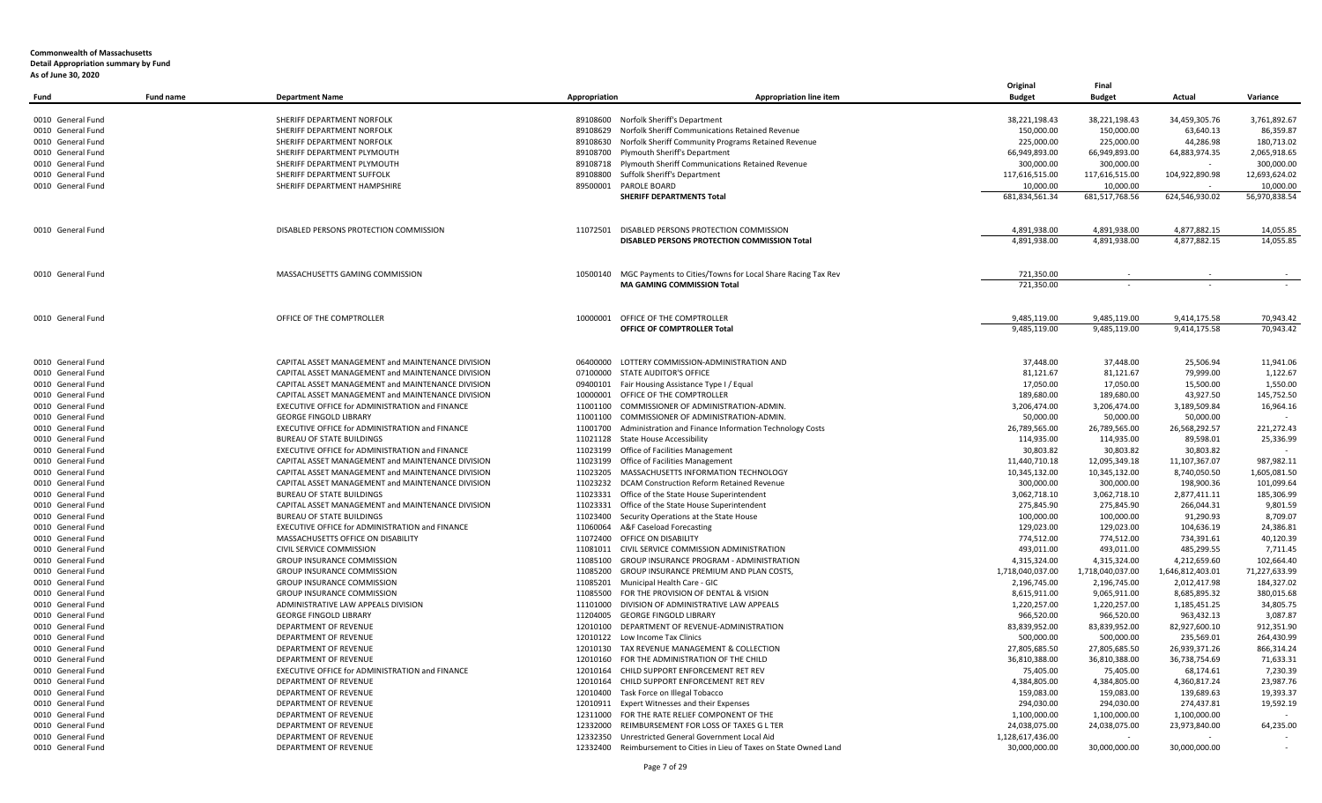| Fund                                   | <b>Fund name</b> | <b>Department Name</b>                                                                               | Appropriation | <b>Appropriation line item</b>                                                                                     | Original<br><b>Budget</b>         | Final<br><b>Budget</b>     | Actual                    | Variance                |
|----------------------------------------|------------------|------------------------------------------------------------------------------------------------------|---------------|--------------------------------------------------------------------------------------------------------------------|-----------------------------------|----------------------------|---------------------------|-------------------------|
|                                        |                  |                                                                                                      |               |                                                                                                                    |                                   |                            |                           |                         |
| 0010 General Fund                      |                  | SHERIFF DEPARTMENT NORFOLK                                                                           |               | 89108600 Norfolk Sheriff's Department                                                                              | 38,221,198.43                     | 38,221,198.43              | 34,459,305.76             | 3,761,892.67            |
| 0010 General Fund                      |                  | SHERIFF DEPARTMENT NORFOLK                                                                           | 89108629      | Norfolk Sheriff Communications Retained Revenue                                                                    | 150,000.00                        | 150,000.00                 | 63,640.13                 | 86,359.87               |
| 0010 General Fund                      |                  | SHERIFF DEPARTMENT NORFOLK                                                                           | 89108630      | Norfolk Sheriff Community Programs Retained Revenue                                                                | 225,000.00                        | 225,000.00                 | 44,286.98                 | 180,713.02              |
| 0010 General Fund                      |                  | SHERIFF DEPARTMENT PLYMOUTH                                                                          | 89108700      | Plymouth Sheriff's Department                                                                                      | 66,949,893.00                     | 66,949,893.00              | 64,883,974.35             | 2,065,918.65            |
| 0010 General Fund                      |                  | SHERIFF DEPARTMENT PLYMOUTH                                                                          |               | 89108718 Plymouth Sheriff Communications Retained Revenue                                                          | 300,000.00                        | 300,000.00                 |                           | 300,000.00              |
| 0010 General Fund                      |                  | SHERIFF DEPARTMENT SUFFOLK                                                                           | 89108800      | Suffolk Sheriff's Department                                                                                       | 117,616,515.00                    | 117,616,515.00             | 104,922,890.98            | 12,693,624.02           |
| 0010 General Fund                      |                  | SHERIFF DEPARTMENT HAMPSHIRE                                                                         | 89500001      | PAROLE BOARD                                                                                                       | 10,000.00                         | 10,000.00                  |                           | 10,000.00               |
|                                        |                  |                                                                                                      |               | <b>SHERIFF DEPARTMENTS Total</b>                                                                                   | 681,834,561.34                    | 681,517,768.56             | 624,546,930.02            | 56,970,838.54           |
| 0010 General Fund                      |                  | DISABLED PERSONS PROTECTION COMMISSION                                                               | 11072501      | DISABLED PERSONS PROTECTION COMMISSION                                                                             | 4,891,938.00                      | 4,891,938.00               | 4.877.882.15              | 14,055.85               |
|                                        |                  |                                                                                                      |               | DISABLED PERSONS PROTECTION COMMISSION Total                                                                       | 4,891,938.00                      | 4,891,938.00               | 4,877,882.15              | 14,055.85               |
| 0010 General Fund                      |                  | MASSACHUSETTS GAMING COMMISSION                                                                      |               | 10500140 MGC Payments to Cities/Towns for Local Share Racing Tax Rev                                               | 721,350.00                        |                            |                           |                         |
|                                        |                  |                                                                                                      |               | <b>MA GAMING COMMISSION Total</b>                                                                                  | 721,350.00                        |                            |                           |                         |
|                                        |                  |                                                                                                      |               |                                                                                                                    |                                   |                            |                           |                         |
| 0010 General Fund                      |                  | OFFICE OF THE COMPTROLLER                                                                            | 10000001      | OFFICE OF THE COMPTROLLER                                                                                          | 9,485,119.00                      | 9,485,119.00               | 9,414,175.58              | 70,943.42               |
|                                        |                  |                                                                                                      |               | <b>OFFICE OF COMPTROLLER Total</b>                                                                                 | 9,485,119.00                      | 9,485,119.00               | 9,414,175.58              | 70.943.42               |
|                                        |                  |                                                                                                      |               |                                                                                                                    |                                   |                            |                           |                         |
| 0010 General Fund                      |                  | CAPITAL ASSET MANAGEMENT and MAINTENANCE DIVISION                                                    | 06400000      | LOTTERY COMMISSION-ADMINISTRATION AND                                                                              | 37,448.00                         | 37,448.00                  | 25,506.94                 | 11,941.06               |
| 0010 General Fund                      |                  | CAPITAL ASSET MANAGEMENT and MAINTENANCE DIVISION                                                    | 07100000      | STATE AUDITOR'S OFFICE                                                                                             | 81,121.67                         | 81,121.67                  | 79,999.00                 | 1,122.67<br>1,550.00    |
| 0010 General Fund                      |                  | CAPITAL ASSET MANAGEMENT and MAINTENANCE DIVISION                                                    |               | 09400101 Fair Housing Assistance Type I / Equal                                                                    | 17,050.00                         | 17,050.00                  | 15,500.00                 |                         |
| 0010 General Fund                      |                  | CAPITAL ASSET MANAGEMENT and MAINTENANCE DIVISION<br>EXECUTIVE OFFICE for ADMINISTRATION and FINANCE | 11001100      | 10000001 OFFICE OF THE COMPTROLLER<br>COMMISSIONER OF ADMINISTRATION-ADMIN.                                        | 189,680.00<br>3,206,474.00        | 189,680.00<br>3,206,474.00 | 43,927.50<br>3,189,509.84 | 145,752.50<br>16,964.16 |
| 0010 General Fund<br>0010 General Fund |                  | <b>GEORGE FINGOLD LIBRARY</b>                                                                        | 11001100      | COMMISSIONER OF ADMINISTRATION-ADMIN.                                                                              | 50,000.00                         | 50,000.00                  | 50,000.00                 |                         |
| 0010 General Fund                      |                  | EXECUTIVE OFFICE for ADMINISTRATION and FINANCE                                                      | 11001700      | Administration and Finance Information Technology Costs                                                            | 26,789,565.00                     | 26,789,565.00              | 26,568,292.57             | 221,272.43              |
| 0010 General Fund                      |                  | <b>BUREAU OF STATE BUILDINGS</b>                                                                     | 11021128      | <b>State House Accessibility</b>                                                                                   | 114,935.00                        | 114,935.00                 | 89,598.01                 | 25,336.99               |
| 0010 General Fund                      |                  | EXECUTIVE OFFICE for ADMINISTRATION and FINANCE                                                      |               | 11023199 Office of Facilities Management                                                                           | 30.803.82                         | 30,803.82                  | 30.803.82                 |                         |
| 0010 General Fund                      |                  | CAPITAL ASSET MANAGEMENT and MAINTENANCE DIVISION                                                    | 11023199      | Office of Facilities Management                                                                                    | 11,440,710.18                     | 12,095,349.18              | 11,107,367.07             | 987,982.11              |
| 0010 General Fund                      |                  | CAPITAL ASSET MANAGEMENT and MAINTENANCE DIVISION                                                    | 11023205      | MASSACHUSETTS INFORMATION TECHNOLOGY                                                                               | 10,345,132.00                     | 10,345,132.00              | 8,740,050.50              | 1,605,081.50            |
| 0010 General Fund                      |                  | CAPITAL ASSET MANAGEMENT and MAINTENANCE DIVISION                                                    | 11023232      | DCAM Construction Reform Retained Revenue                                                                          | 300,000.00                        | 300,000.00                 | 198,900.36                | 101,099.64              |
| 0010 General Fund                      |                  | <b>BUREAU OF STATE BUILDINGS</b>                                                                     | 11023331      | Office of the State House Superintendent                                                                           | 3,062,718.10                      | 3,062,718.10               | 2,877,411.11              | 185,306.99              |
| 0010 General Fund                      |                  | CAPITAL ASSET MANAGEMENT and MAINTENANCE DIVISION                                                    | 11023331      | Office of the State House Superintendent                                                                           | 275,845.90                        | 275,845.90                 | 266,044.31                | 9,801.59                |
| 0010 General Fund                      |                  | <b>BUREAU OF STATE BUILDINGS</b>                                                                     | 11023400      | Security Operations at the State House                                                                             | 100,000.00                        | 100,000.00                 | 91,290.93                 | 8,709.07                |
| 0010 General Fund                      |                  | EXECUTIVE OFFICE for ADMINISTRATION and FINANCE                                                      | 11060064      | A&F Caseload Forecasting                                                                                           | 129.023.00                        | 129,023.00                 | 104.636.19                | 24.386.81               |
| 0010 General Fund                      |                  | MASSACHUSETTS OFFICE ON DISABILITY                                                                   | 11072400      | OFFICE ON DISABILITY                                                                                               | 774,512.00                        | 774,512.00                 | 734,391.61                | 40,120.39               |
| 0010 General Fund                      |                  | CIVIL SERVICE COMMISSION                                                                             |               | 11081011 CIVIL SERVICE COMMISSION ADMINISTRATION                                                                   | 493,011.00                        | 493,011.00                 | 485,299.55                | 7,711.45                |
| 0010 General Fund                      |                  | <b>GROUP INSURANCE COMMISSION</b>                                                                    | 11085100      | <b>GROUP INSURANCE PROGRAM - ADMINISTRATION</b>                                                                    | 4,315,324.00                      | 4,315,324.00               | 4,212,659.60              | 102,664.40              |
| 0010 General Fund                      |                  | <b>GROUP INSURANCE COMMISSION</b>                                                                    | 11085200      | GROUP INSURANCE PREMIUM AND PLAN COSTS,                                                                            | 1,718,040,037.00                  | 1,718,040,037.00           | 1,646,812,403.01          | 71,227,633.99           |
| 0010 General Fund                      |                  | GROUP INSURANCE COMMISSION                                                                           | 11085201      | Municipal Health Care - GIC                                                                                        | 2,196,745.00                      | 2,196,745.00               | 2,012,417.98              | 184,327.02              |
| 0010 General Fund                      |                  | <b>GROUP INSURANCE COMMISSION</b>                                                                    | 11085500      | FOR THE PROVISION OF DENTAL & VISION                                                                               | 8,615,911.00                      | 9,065,911.00               | 8,685,895.32              | 380,015.68              |
| 0010 General Fund                      |                  | ADMINISTRATIVE LAW APPEALS DIVISION                                                                  | 11101000      | DIVISION OF ADMINISTRATIVE LAW APPEALS                                                                             | 1,220,257.00                      | 1,220,257.00               | 1,185,451.25              | 34,805.75               |
| 0010 General Fund                      |                  | <b>GEORGE FINGOLD LIBRARY</b>                                                                        | 11204005      | <b>GEORGE FINGOLD LIBRARY</b>                                                                                      | 966,520.00                        | 966,520.00                 | 963,432.13                | 3,087.87                |
| 0010 General Fund                      |                  | DEPARTMENT OF REVENUE                                                                                | 12010100      | DEPARTMENT OF REVENUE-ADMINISTRATION                                                                               | 83,839,952.00                     | 83,839,952.00              | 82,927,600.10             | 912,351.90              |
| 0010 General Fund                      |                  | DEPARTMENT OF REVENUE                                                                                | 12010122      | Low Income Tax Clinics                                                                                             | 500,000.00                        | 500,000.00                 | 235,569.01                | 264,430.99              |
| 0010 General Fund                      |                  | DEPARTMENT OF REVENUE                                                                                | 12010130      | TAX REVENUE MANAGEMENT & COLLECTION                                                                                | 27,805,685.50                     | 27,805,685.50              | 26,939,371.26             | 866,314.24              |
| 0010 General Fund                      |                  | DEPARTMENT OF REVENUE                                                                                | 12010160      | FOR THE ADMINISTRATION OF THE CHILD                                                                                | 36,810,388.00                     | 36,810,388.00              | 36,738,754.69             | 71,633.31               |
| 0010 General Fund                      |                  | EXECUTIVE OFFICE for ADMINISTRATION and FINANCE                                                      | 12010164      | CHILD SUPPORT ENFORCEMENT RET REV                                                                                  | 75,405.00                         | 75,405.00                  | 68,174.61                 | 7,230.39                |
| 0010 General Fund                      |                  | DEPARTMENT OF REVENUE                                                                                | 12010164      | CHILD SUPPORT ENFORCEMENT RET REV                                                                                  | 4,384,805.00                      | 4,384,805.00               | 4,360,817.24              | 23,987.76               |
| 0010 General Fund                      |                  | DEPARTMENT OF REVENUE                                                                                |               | 12010400 Task Force on Illegal Tobacco                                                                             | 159,083.00                        | 159,083.00                 | 139,689.63                | 19,393.37               |
| 0010 General Fund                      |                  | DEPARTMENT OF REVENUE                                                                                | 12010911      | Expert Witnesses and their Expenses                                                                                | 294,030.00                        | 294,030.00                 | 274,437.81                | 19,592.19               |
| 0010 General Fund                      |                  | DEPARTMENT OF REVENUE                                                                                | 12311000      | FOR THE RATE RELIEF COMPONENT OF THE                                                                               | 1,100,000.00                      | 1,100,000.00               | 1,100,000.00              | $\sim$                  |
| 0010 General Fund                      |                  | DEPARTMENT OF REVENUE                                                                                | 12332000      | REIMBURSEMENT FOR LOSS OF TAXES G L TER                                                                            | 24,038,075.00                     | 24,038,075.00              | 23,973,840.00             | 64,235.00               |
| 0010 General Fund<br>0010 General Fund |                  | <b>DEPARTMENT OF REVENUE</b><br>DEPARTMENT OF REVENUE                                                | 12332350      | Unrestricted General Government Local Aid<br>12332400 Reimbursement to Cities in Lieu of Taxes on State Owned Land | 1,128,617,436.00<br>30,000,000.00 | 30,000,000.00              | 30,000,000.00             | $\sim$                  |
|                                        |                  |                                                                                                      |               |                                                                                                                    |                                   |                            |                           |                         |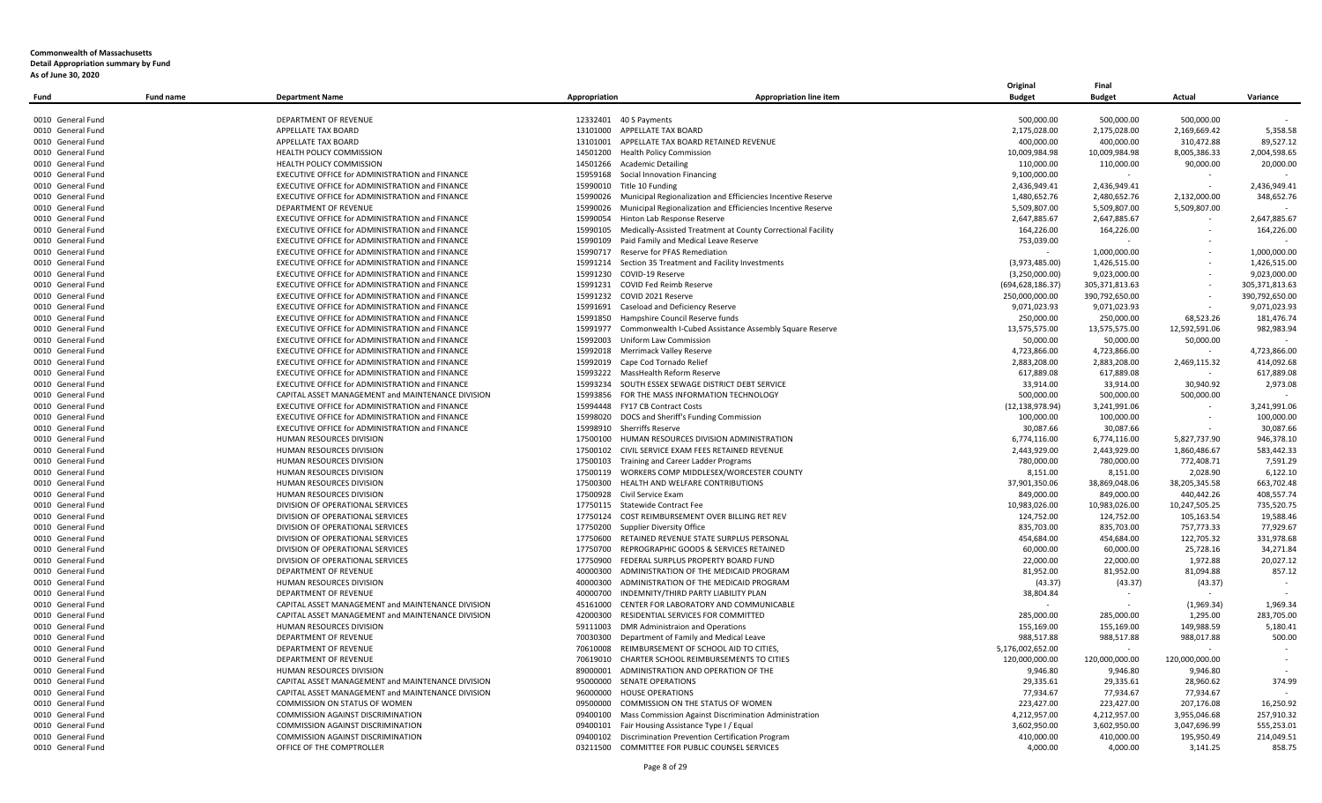| Fund              | <b>Fund name</b> | <b>Department Name</b>                            | Appropriation | <b>Appropriation line item</b>                                        | <b>Budget</b>      | <b>Budget</b>  | Actual         | Variance       |
|-------------------|------------------|---------------------------------------------------|---------------|-----------------------------------------------------------------------|--------------------|----------------|----------------|----------------|
|                   |                  |                                                   |               |                                                                       |                    |                |                |                |
| 0010 General Fund |                  | <b>DEPARTMENT OF REVENUE</b>                      |               | 12332401 40 S Payments                                                | 500,000.00         | 500,000.00     | 500,000.00     |                |
| 0010 General Fund |                  | APPELLATE TAX BOARD                               |               | 13101000 APPELLATE TAX BOARD                                          | 2,175,028.00       | 2,175,028.00   | 2,169,669.42   | 5,358.58       |
| 0010 General Fund |                  | APPELLATE TAX BOARD                               |               | 13101001 APPELLATE TAX BOARD RETAINED REVENUE                         | 400,000.00         | 400,000.00     | 310,472.88     | 89,527.12      |
| 0010 General Fund |                  | HEALTH POLICY COMMISSION                          |               | 14501200 Health Policy Commission                                     | 10,009,984.98      | 10,009,984.98  | 8,005,386.33   | 2,004,598.65   |
| 0010 General Fund |                  | <b>HEALTH POLICY COMMISSION</b>                   |               | 14501266 Academic Detailing                                           | 110,000.00         | 110,000.00     | 90,000.00      | 20,000.00      |
| 0010 General Fund |                  | EXECUTIVE OFFICE for ADMINISTRATION and FINANCE   |               | 15959168 Social Innovation Financing                                  | 9,100,000.00       |                |                |                |
| 0010 General Fund |                  | EXECUTIVE OFFICE for ADMINISTRATION and FINANCE   |               | 15990010 Title 10 Funding                                             | 2,436,949.41       | 2,436,949.41   |                | 2.436.949.41   |
| 0010 General Fund |                  | EXECUTIVE OFFICE for ADMINISTRATION and FINANCE   |               | 15990026 Municipal Regionalization and Efficiencies Incentive Reserve | 1,480,652.76       | 2,480,652.76   | 2,132,000.00   | 348,652.76     |
| 0010 General Fund |                  | <b>DEPARTMENT OF REVENUE</b>                      |               | 15990026 Municipal Regionalization and Efficiencies Incentive Reserve | 5,509,807.00       | 5,509,807.00   | 5,509,807.00   |                |
| 0010 General Fund |                  | EXECUTIVE OFFICE for ADMINISTRATION and FINANCE   |               | 15990054 Hinton Lab Response Reserve                                  | 2,647,885.67       | 2,647,885.67   |                | 2,647,885.67   |
| 0010 General Fund |                  | EXECUTIVE OFFICE for ADMINISTRATION and FINANCE   |               | 15990105 Medically-Assisted Treatment at County Correctional Facility | 164.226.00         | 164,226.00     |                | 164,226.00     |
| 0010 General Fund |                  | EXECUTIVE OFFICE for ADMINISTRATION and FINANCE   |               | 15990109 Paid Family and Medical Leave Reserve                        | 753,039.00         |                |                |                |
| 0010 General Fund |                  | EXECUTIVE OFFICE for ADMINISTRATION and FINANCE   |               | 15990717 Reserve for PFAS Remediation                                 |                    | 1,000,000.00   |                | 1,000,000.00   |
| 0010 General Fund |                  | EXECUTIVE OFFICE for ADMINISTRATION and FINANCE   |               | 15991214 Section 35 Treatment and Facility Investments                | (3,973,485.00)     | 1,426,515.00   |                | 1,426,515.00   |
| 0010 General Fund |                  | EXECUTIVE OFFICE for ADMINISTRATION and FINANCE   |               | 15991230 COVID-19 Reserve                                             | (3,250,000.00)     | 9,023,000.00   |                | 9,023,000.00   |
| 0010 General Fund |                  | EXECUTIVE OFFICE for ADMINISTRATION and FINANCE   |               | 15991231 COVID Fed Reimb Reserve                                      | (694, 628, 186.37) | 305,371,813.63 |                | 305,371,813.63 |
| 0010 General Fund |                  | EXECUTIVE OFFICE for ADMINISTRATION and FINANCE   |               | 15991232 COVID 2021 Reserve                                           | 250,000,000.00     | 390,792,650.00 |                | 390,792,650.00 |
| 0010 General Fund |                  | EXECUTIVE OFFICE for ADMINISTRATION and FINANCE   |               | 15991691 Caseload and Deficiency Reserve                              | 9,071,023.93       | 9,071,023.93   |                | 9,071,023.93   |
| 0010 General Fund |                  | EXECUTIVE OFFICE for ADMINISTRATION and FINANCE   |               | 15991850 Hampshire Council Reserve funds                              | 250,000.00         | 250,000.00     | 68,523.26      | 181,476.74     |
| 0010 General Fund |                  | EXECUTIVE OFFICE for ADMINISTRATION and FINANCE   | 15991977      | Commonwealth I-Cubed Assistance Assembly Square Reserve               | 13,575,575.00      | 13,575,575.00  | 12,592,591.06  | 982,983.94     |
|                   |                  | EXECUTIVE OFFICE for ADMINISTRATION and FINANCE   |               | 15992003 Uniform Law Commission                                       |                    |                |                |                |
| 0010 General Fund |                  |                                                   |               |                                                                       | 50,000.00          | 50,000.00      | 50,000.00      | 4,723,866.00   |
| 0010 General Fund |                  | EXECUTIVE OFFICE for ADMINISTRATION and FINANCE   |               | 15992018 Merrimack Valley Reserve                                     | 4,723,866.00       | 4,723,866.00   |                |                |
| 0010 General Fund |                  | EXECUTIVE OFFICE for ADMINISTRATION and FINANCE   |               | 15992019 Cape Cod Tornado Relief                                      | 2,883,208.00       | 2,883,208.00   | 2,469,115.32   | 414,092.68     |
| 0010 General Fund |                  | EXECUTIVE OFFICE for ADMINISTRATION and FINANCE   |               | 15993222 MassHealth Reform Reserve                                    | 617,889.08         | 617,889.08     |                | 617,889.08     |
| 0010 General Fund |                  | EXECUTIVE OFFICE for ADMINISTRATION and FINANCE   |               | 15993234 SOUTH ESSEX SEWAGE DISTRICT DEBT SERVICE                     | 33,914.00          | 33,914.00      | 30,940.92      | 2,973.08       |
| 0010 General Fund |                  | CAPITAL ASSET MANAGEMENT and MAINTENANCE DIVISION |               | 15993856 FOR THE MASS INFORMATION TECHNOLOGY                          | 500,000.00         | 500,000.00     | 500,000.00     |                |
| 0010 General Fund |                  | EXECUTIVE OFFICE for ADMINISTRATION and FINANCE   |               | 15994448 FY17 CB Contract Costs                                       | (12, 138, 978.94)  | 3,241,991.06   |                | 3,241,991.06   |
| 0010 General Fund |                  | EXECUTIVE OFFICE for ADMINISTRATION and FINANCE   |               | 15998020 DOCS and Sheriff's Funding Commission                        | 100,000.00         | 100,000.00     |                | 100,000.00     |
| 0010 General Fund |                  | EXECUTIVE OFFICE for ADMINISTRATION and FINANCE   |               | 15998910 Sherriffs Reserve                                            | 30,087.66          | 30,087.66      |                | 30,087.66      |
| 0010 General Fund |                  | HUMAN RESOURCES DIVISION                          |               | 17500100 HUMAN RESOURCES DIVISION ADMINISTRATION                      | 6,774,116.00       | 6,774,116.00   | 5,827,737.90   | 946,378.10     |
| 0010 General Fund |                  | HUMAN RESOURCES DIVISION                          |               | 17500102 CIVIL SERVICE EXAM FEES RETAINED REVENUE                     | 2,443,929.00       | 2,443,929.00   | 1,860,486.67   | 583,442.33     |
| 0010 General Fund |                  | HUMAN RESOURCES DIVISION                          |               | 17500103 Training and Career Ladder Programs                          | 780,000.00         | 780,000.00     | 772,408.71     | 7,591.29       |
| 0010 General Fund |                  | HUMAN RESOURCES DIVISION                          |               | 17500119 WORKERS COMP MIDDLESEX/WORCESTER COUNTY                      | 8,151.00           | 8,151.00       | 2,028.90       | 6,122.10       |
| 0010 General Fund |                  | HUMAN RESOURCES DIVISION                          | 17500300      | HEALTH AND WELFARE CONTRIBUTIONS                                      | 37,901,350.06      | 38,869,048.06  | 38,205,345.58  | 663,702.48     |
| 0010 General Fund |                  | HUMAN RESOURCES DIVISION                          |               | 17500928 Civil Service Exam                                           | 849,000.00         | 849,000.00     | 440,442.26     | 408,557.74     |
| 0010 General Fund |                  | DIVISION OF OPERATIONAL SERVICES                  |               | 17750115 Statewide Contract Fee                                       | 10,983,026.00      | 10,983,026.00  | 10,247,505.25  | 735,520.75     |
| 0010 General Fund |                  | DIVISION OF OPERATIONAL SERVICES                  |               | 17750124 COST REIMBURSEMENT OVER BILLING RET REV                      | 124,752.00         | 124,752.00     | 105,163.54     | 19,588.46      |
| 0010 General Fund |                  | DIVISION OF OPERATIONAL SERVICES                  |               | 17750200 Supplier Diversity Office                                    | 835,703.00         | 835,703.00     | 757,773.33     | 77,929.67      |
| 0010 General Fund |                  | DIVISION OF OPERATIONAL SERVICES                  |               | 17750600 RETAINED REVENUE STATE SURPLUS PERSONAL                      | 454,684.00         | 454,684.00     | 122,705.32     | 331,978.68     |
| 0010 General Fund |                  | DIVISION OF OPERATIONAL SERVICES                  |               | 17750700 REPROGRAPHIC GOODS & SERVICES RETAINED                       | 60.000.00          | 60,000.00      | 25,728.16      | 34.271.84      |
| 0010 General Fund |                  | DIVISION OF OPERATIONAL SERVICES                  |               | 17750900 FEDERAL SURPLUS PROPERTY BOARD FUND                          | 22,000.00          | 22,000.00      | 1,972.88       | 20,027.12      |
| 0010 General Fund |                  | <b>DEPARTMENT OF REVENUE</b>                      |               | 40000300 ADMINISTRATION OF THE MEDICAID PROGRAM                       | 81.952.00          | 81,952.00      | 81,094.88      | 857.12         |
| 0010 General Fund |                  | HUMAN RESOURCES DIVISION                          |               | 40000300 ADMINISTRATION OF THE MEDICAID PROGRAM                       | (43.37)            | (43.37)        | (43.37)        |                |
| 0010 General Fund |                  | <b>DEPARTMENT OF REVENUE</b>                      |               | 40000700 INDEMNITY/THIRD PARTY LIABILITY PLAN                         | 38.804.84          |                |                |                |
| 0010 General Fund |                  | CAPITAL ASSET MANAGEMENT and MAINTENANCE DIVISION |               | 45161000 CENTER FOR LABORATORY AND COMMUNICABLE                       |                    |                | (1,969.34)     | 1,969.34       |
| 0010 General Fund |                  | CAPITAL ASSET MANAGEMENT and MAINTENANCE DIVISION |               | 42000300 RESIDENTIAL SERVICES FOR COMMITTED                           | 285.000.00         | 285.000.00     | 1.295.00       | 283.705.00     |
| 0010 General Fund |                  | HUMAN RESOURCES DIVISION                          |               | 59111003 DMR Administraion and Operations                             | 155,169.00         | 155,169.00     | 149,988.59     | 5,180.41       |
| 0010 General Fund |                  | <b>DEPARTMENT OF REVENUE</b>                      |               | 70030300 Department of Family and Medical Leave                       | 988,517.88         | 988,517.88     | 988,017.88     | 500.00         |
| 0010 General Fund |                  | DEPARTMENT OF REVENUE                             |               | 70610008 REIMBURSEMENT OF SCHOOL AID TO CITIES                        | 5,176,002,652.00   |                |                |                |
| 0010 General Fund |                  | <b>DEPARTMENT OF REVENUE</b>                      |               | 70619010 CHARTER SCHOOL REIMBURSEMENTS TO CITIES                      | 120,000,000.00     | 120,000,000.00 | 120,000,000.00 |                |
| 0010 General Fund |                  | HUMAN RESOURCES DIVISION                          |               | 89000001 ADMINISTRATION AND OPERATION OF THE                          | 9,946.80           | 9,946.80       | 9,946.80       |                |
| 0010 General Fund |                  | CAPITAL ASSET MANAGEMENT and MAINTENANCE DIVISION |               | 95000000 SENATE OPERATIONS                                            | 29,335.61          | 29,335.61      | 28,960.62      | 374.99         |
| 0010 General Fund |                  | CAPITAL ASSET MANAGEMENT and MAINTENANCE DIVISION | 96000000      | <b>HOUSE OPERATIONS</b>                                               | 77,934.67          | 77,934.67      | 77,934.67      |                |
| 0010 General Fund |                  |                                                   |               |                                                                       |                    |                |                |                |
|                   |                  | COMMISSION ON STATUS OF WOMEN                     |               | 09500000 COMMISSION ON THE STATUS OF WOMEN                            | 223,427.00         | 223,427.00     | 207,176.08     | 16,250.92      |
| 0010 General Fund |                  | COMMISSION AGAINST DISCRIMINATION                 | 09400100      | Mass Commission Against Discrimination Administration                 | 4,212,957.00       | 4,212,957.00   | 3,955,046.68   | 257,910.32     |
| 0010 General Fund |                  | COMMISSION AGAINST DISCRIMINATION                 | 09400101      | Fair Housing Assistance Type I / Equal                                | 3,602,950.00       | 3,602,950.00   | 3,047,696.99   | 555,253.01     |
| 0010 General Fund |                  | COMMISSION AGAINST DISCRIMINATION                 | 09400102      | Discrimination Prevention Certification Program                       | 410,000.00         | 410,000.00     | 195,950.49     | 214,049.51     |
| 0010 General Fund |                  | OFFICE OF THE COMPTROLLER                         |               | 03211500 COMMITTEE FOR PUBLIC COUNSEL SERVICES                        | 4,000.00           | 4,000.00       | 3,141.25       | 858.75         |

**Original Final**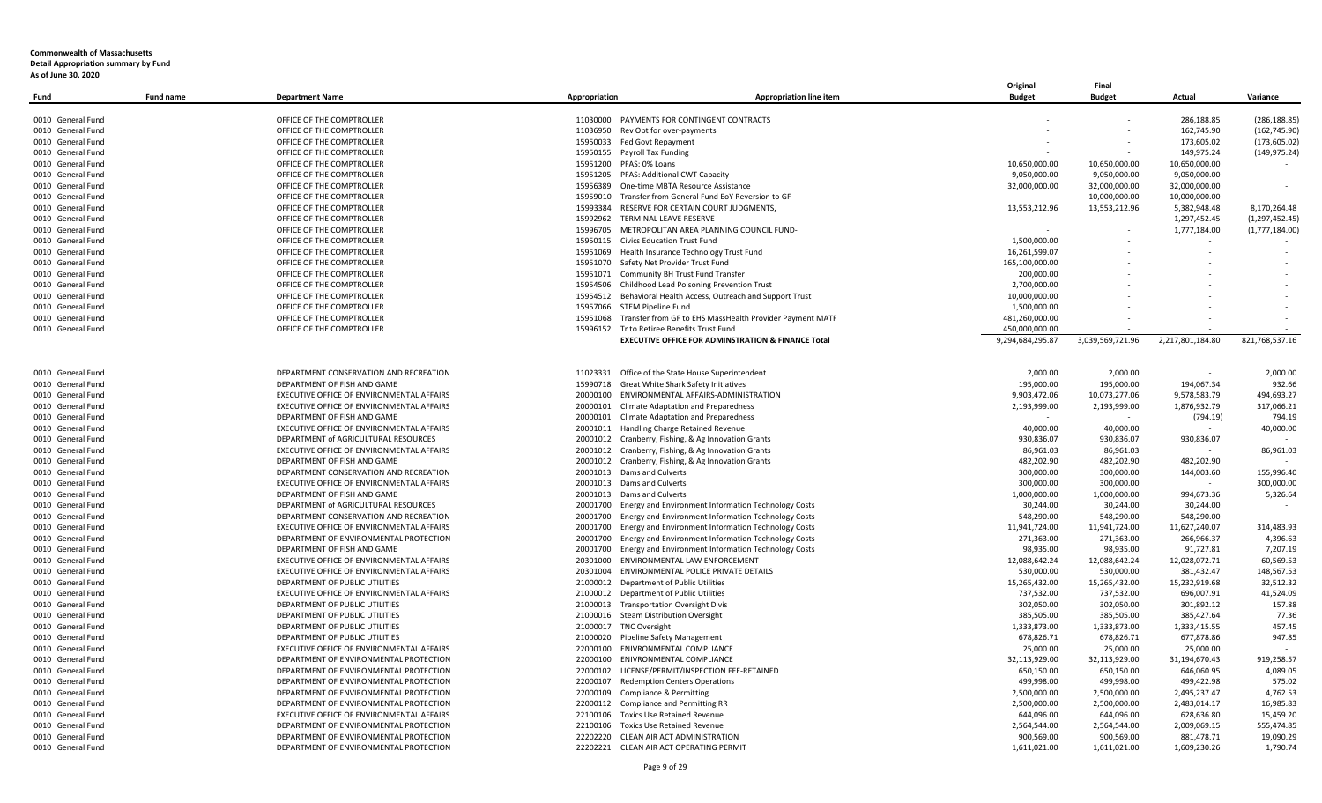| 286,188.85<br>0010 General Fund<br>OFFICE OF THE COMPTROLLER<br>11030000 PAYMENTS FOR CONTINGENT CONTRACTS<br>(286, 188.85)<br>0010 General Fund<br>OFFICE OF THE COMPTROLLER<br>11036950<br>Rev Opt for over-payments<br>162,745.90<br>(162, 745.90)<br>OFFICE OF THE COMPTROLLER<br>15950033 Fed Govt Repayment<br>173,605.02<br>(173, 605.02)<br>15950155 Payroll Tax Funding<br>(149, 975.24)<br>0010 General Fund<br>OFFICE OF THE COMPTROLLER<br>149,975.24<br>0010 General Fund<br>OFFICE OF THE COMPTROLLER<br>15951200 PFAS: 0% Loans<br>10,650,000.00<br>10,650,000.00<br>10,650,000.00<br>0010 General Fund<br>OFFICE OF THE COMPTROLLER<br>15951205 PFAS: Additional CWT Capacity<br>9,050,000.00<br>9,050,000.00<br>9,050,000.00<br>32,000,000.00<br>0010 General Fund<br>OFFICE OF THE COMPTROLLER<br>15956389<br>One-time MBTA Resource Assistance<br>32,000,000.00<br>32,000,000.00<br>0010 General Fund<br>OFFICE OF THE COMPTROLLER<br>15959010<br>Transfer from General Fund EoY Reversion to GF<br>10,000,000.00<br>10,000,000.00<br>$\sim$<br>13,553,212.96<br>15993384<br>RESERVE FOR CERTAIN COURT JUDGMENTS,<br>5,382,948.48<br>8,170,264.48<br>0010 General Fund<br>OFFICE OF THE COMPTROLLER<br>13,553,212.96<br>0010 General Fund<br>OFFICE OF THE COMPTROLLER<br>15992962 TERMINAL LEAVE RESERVE<br>1,297,452.45<br>(1, 297, 452.45)<br>0010 General Fund<br>OFFICE OF THE COMPTROLLER<br>15996705 METROPOLITAN AREA PLANNING COUNCIL FUND-<br>1,777,184.00<br>(1,777,184.00)<br>0010 General Fund<br>OFFICE OF THE COMPTROLLER<br>15950115 Civics Education Trust Fund<br>1,500,000.00<br>0010 General Fund<br>OFFICE OF THE COMPTROLLER<br>15951069<br>Health Insurance Technology Trust Fund<br>16,261,599.07<br>15951070 Safety Net Provider Trust Fund<br>165,100,000.00<br>0010 General Fund<br>OFFICE OF THE COMPTROLLER<br>0010 General Fund<br>OFFICE OF THE COMPTROLLER<br>15951071 Community BH Trust Fund Transfer<br>200,000.00<br>0010 General Fund<br>OFFICE OF THE COMPTROLLER<br>Childhood Lead Poisoning Prevention Trust<br>2,700,000.00<br>15954506<br>0010 General Fund<br>OFFICE OF THE COMPTROLLER<br>15954512 Behavioral Health Access, Outreach and Support Trust<br>10,000,000.00<br>15957066 STEM Pipeline Fund<br>0010 General Fund<br>OFFICE OF THE COMPTROLLER<br>1,500,000.00<br>0010 General Fund<br>OFFICE OF THE COMPTROLLER<br>15951068<br>Transfer from GF to EHS MassHealth Provider Payment MATF<br>481,260,000.00<br>15996152 Tr to Retiree Benefits Trust Fund<br>450,000,000.00<br>0010 General Fund<br>OFFICE OF THE COMPTROLLER<br><b>EXECUTIVE OFFICE FOR ADMINSTRATION &amp; FINANCE Total</b><br>9,294,684,295.87<br>3,039,569,721.96<br>2,217,801,184.80<br>821,768,537.16<br>0010 General Fund<br>DEPARTMENT CONSERVATION AND RECREATION<br>11023331<br>Office of the State House Superintendent<br>2.000.00<br>2,000.00<br>2,000.00<br>0010 General Fund<br>DEPARTMENT OF FISH AND GAME<br>Great White Shark Safety Initiatives<br>195,000.00<br>195,000.00<br>194,067.34<br>932.66<br>15990718<br>0010 General Fund<br>EXECUTIVE OFFICE OF ENVIRONMENTAL AFFAIRS<br>20000100 ENVIRONMENTAL AFFAIRS-ADMINISTRATION<br>9,903,472.06<br>10,073,277.06<br>9,578,583.79<br>494,693.27<br>2,193,999.00<br>317,066.21<br>0010 General Fund<br>EXECUTIVE OFFICE OF ENVIRONMENTAL AFFAIRS<br>20000101 Climate Adaptation and Preparedness<br>2,193,999.00<br>1,876,932.79<br>0010 General Fund<br>DEPARTMENT OF FISH AND GAME<br>20000101 Climate Adaptation and Preparedness<br>794.19<br>(794.19)<br>$\sim$<br>$\sim$<br>0010 General Fund<br>EXECUTIVE OFFICE OF ENVIRONMENTAL AFFAIRS<br>20001011 Handling Charge Retained Revenue<br>40,000.00<br>40,000.00<br>40,000.00<br>930,836.07<br>0010 General Fund<br>DEPARTMENT of AGRICULTURAL RESOURCES<br>20001012 Cranberry, Fishing, & Ag Innovation Grants<br>930,836.07<br>930,836.07<br>86,961.03<br>0010 General Fund<br>EXECUTIVE OFFICE OF ENVIRONMENTAL AFFAIRS<br>20001012<br>86,961.03<br>86,961.03<br>Cranberry, Fishing, & Ag Innovation Grants<br>0010 General Fund<br>DEPARTMENT OF FISH AND GAME<br>20001012 Cranberry, Fishing, & Ag Innovation Grants<br>482,202.90<br>482,202.90<br>482,202.90<br>$\sim$<br>0010 General Fund<br>DEPARTMENT CONSERVATION AND RECREATION<br>20001013 Dams and Culverts<br>300,000.00<br>300,000.00<br>144,003.60<br>155,996.40<br>300,000.00<br>300,000.00<br>0010 General Fund<br>EXECUTIVE OFFICE OF ENVIRONMENTAL AFFAIRS<br>20001013 Dams and Culverts<br>300,000.00<br>0010 General Fund<br>DEPARTMENT OF FISH AND GAME<br>20001013 Dams and Culverts<br>1,000,000.00<br>1,000,000.00<br>994,673.36<br>5,326.64<br>DEPARTMENT of AGRICULTURAL RESOURCES<br>20001700 Energy and Environment Information Technology Costs<br>30,244.00<br>30,244.00<br>0010 General Fund<br>30,244.00<br>0010 General Fund<br>DEPARTMENT CONSERVATION AND RECREATION<br>20001700<br>Energy and Environment Information Technology Costs<br>548,290.00<br>548,290.00<br>548,290.00<br>11,941,724.00<br>EXECUTIVE OFFICE OF ENVIRONMENTAL AFFAIRS<br>20001700 Energy and Environment Information Technology Costs<br>11,941,724.00<br>11,627,240.07<br>314,483.93<br>0010 General Fund<br>271,363.00<br>0010 General Fund<br>DEPARTMENT OF ENVIRONMENTAL PROTECTION<br>20001700 Energy and Environment Information Technology Costs<br>271,363.00<br>266,966.37<br>4,396.63<br>98,935.00<br>0010 General Fund<br>DEPARTMENT OF FISH AND GAME<br>20001700 Energy and Environment Information Technology Costs<br>98,935.00<br>91,727.81<br>7,207.19<br>20301000<br>ENVIRONMENTAL LAW ENFORCEMENT<br>12,088,642.24<br>12,088,642.24<br>12,028,072.71<br>60,569.53<br>0010 General Fund<br>EXECUTIVE OFFICE OF ENVIRONMENTAL AFFAIRS<br>EXECUTIVE OFFICE OF ENVIRONMENTAL AFFAIRS<br>20301004 ENVIRONMENTAL POLICE PRIVATE DETAILS<br>530,000.00<br>381,432.47<br>148,567.53<br>0010 General Fund<br>530,000.00<br>15,265,432.00<br>32,512.32<br>0010 General Fund<br>DEPARTMENT OF PUBLIC UTILITIES<br>21000012 Department of Public Utilities<br>15,265,432.00<br>15,232,919.68<br>737,532.00<br>41,524.09<br>0010 General Fund<br>EXECUTIVE OFFICE OF ENVIRONMENTAL AFFAIRS<br>21000012 Department of Public Utilities<br>737,532.00<br>696,007.91<br>DEPARTMENT OF PUBLIC UTILITIES<br>21000013 Transportation Oversight Divis<br>302,050.00<br>302,050.00<br>301,892.12<br>157.88<br>0010 General Fund<br>DEPARTMENT OF PUBLIC UTILITIES<br><b>Steam Distribution Oversight</b><br>385,505.00<br>385,427.64<br>77.36<br>21000016<br>385,505.00<br>457.45<br>DEPARTMENT OF PUBLIC UTILITIES<br>21000017<br><b>TNC Oversight</b><br>1,333,873.00<br>1,333,873.00<br>1,333,415.55<br>947.85<br>DEPARTMENT OF PUBLIC UTILITIES<br>21000020<br>678,826.71<br>678,826.71<br>677,878.86<br>Pipeline Safety Management<br>25,000.00<br>EXECUTIVE OFFICE OF ENVIRONMENTAL AFFAIRS<br>22000100 ENIVRONMENTAL COMPLIANCE<br>25,000.00<br>25,000.00<br>22000100 ENIVRONMENTAL COMPLIANCE<br>32,113,929.00<br>32,113,929.00<br>31,194,670.43<br>919,258.57<br>DEPARTMENT OF ENVIRONMENTAL PROTECTION<br>4,089.05<br>DEPARTMENT OF ENVIRONMENTAL PROTECTION<br>22000102<br>LICENSE/PERMIT/INSPECTION FEE-RETAINED<br>650,150.00<br>650,150.00<br>646,060.95<br>DEPARTMENT OF ENVIRONMENTAL PROTECTION<br>22000107<br>499,998.00<br>499,998.00<br>499,422.98<br>575.02<br><b>Redemption Centers Operations</b><br>4,762.53<br>DEPARTMENT OF ENVIRONMENTAL PROTECTION<br>22000109<br>Compliance & Permitting<br>2,500,000.00<br>2,500,000.00<br>2,495,237.47<br>DEPARTMENT OF ENVIRONMENTAL PROTECTION<br>22000112 Compliance and Permitting RR<br>2,500,000.00<br>2,500,000.00<br>2,483,014.17<br>16,985.83<br>EXECUTIVE OFFICE OF ENVIRONMENTAL AFFAIRS<br>644,096.00<br>15,459.20<br>22100106 Toxics Use Retained Revenue<br>644,096.00<br>628,636.80<br>0010 General Fund<br>DEPARTMENT OF ENVIRONMENTAL PROTECTION<br><b>Toxics Use Retained Revenue</b><br>2,564,544.00<br>2,564,544.00<br>2,009,069.15<br>555,474.85<br>22100106<br>900,569.00<br>19,090.29<br>0010 General Fund<br>DEPARTMENT OF ENVIRONMENTAL PROTECTION<br>22202220 CLEAN AIR ACT ADMINISTRATION<br>900,569.00<br>881,478.71<br>DEPARTMENT OF ENVIRONMENTAL PROTECTION<br>22202221 CLEAN AIR ACT OPERATING PERMIT<br>1,611,021.00<br>1,609,230.26<br>1,790.74<br>1,611,021.00 | Fund              | <b>Fund name</b> | <b>Department Name</b> | Appropriation | <b>Appropriation line item</b> | Original<br><b>Budget</b> | Final<br><b>Budget</b> | Actual | Variance |
|-----------------------------------------------------------------------------------------------------------------------------------------------------------------------------------------------------------------------------------------------------------------------------------------------------------------------------------------------------------------------------------------------------------------------------------------------------------------------------------------------------------------------------------------------------------------------------------------------------------------------------------------------------------------------------------------------------------------------------------------------------------------------------------------------------------------------------------------------------------------------------------------------------------------------------------------------------------------------------------------------------------------------------------------------------------------------------------------------------------------------------------------------------------------------------------------------------------------------------------------------------------------------------------------------------------------------------------------------------------------------------------------------------------------------------------------------------------------------------------------------------------------------------------------------------------------------------------------------------------------------------------------------------------------------------------------------------------------------------------------------------------------------------------------------------------------------------------------------------------------------------------------------------------------------------------------------------------------------------------------------------------------------------------------------------------------------------------------------------------------------------------------------------------------------------------------------------------------------------------------------------------------------------------------------------------------------------------------------------------------------------------------------------------------------------------------------------------------------------------------------------------------------------------------------------------------------------------------------------------------------------------------------------------------------------------------------------------------------------------------------------------------------------------------------------------------------------------------------------------------------------------------------------------------------------------------------------------------------------------------------------------------------------------------------------------------------------------------------------------------------------------------------------------------------------------------------------------------------------------------------------------------------------------------------------------------------------------------------------------------------------------------------------------------------------------------------------------------------------------------------------------------------------------------------------------------------------------------------------------------------------------------------------------------------------------------------------------------------------------------------------------------------------------------------------------------------------------------------------------------------------------------------------------------------------------------------------------------------------------------------------------------------------------------------------------------------------------------------------------------------------------------------------------------------------------------------------------------------------------------------------------------------------------------------------------------------------------------------------------------------------------------------------------------------------------------------------------------------------------------------------------------------------------------------------------------------------------------------------------------------------------------------------------------------------------------------------------------------------------------------------------------------------------------------------------------------------------------------------------------------------------------------------------------------------------------------------------------------------------------------------------------------------------------------------------------------------------------------------------------------------------------------------------------------------------------------------------------------------------------------------------------------------------------------------------------------------------------------------------------------------------------------------------------------------------------------------------------------------------------------------------------------------------------------------------------------------------------------------------------------------------------------------------------------------------------------------------------------------------------------------------------------------------------------------------------------------------------------------------------------------------------------------------------------------------------------------------------------------------------------------------------------------------------------------------------------------------------------------------------------------------------------------------------------------------------------------------------------------------------------------------------------------------------------------------------------------------------------------------------------------------------------------------------------------------------------------------------------------------------------------------------------------------------------------------------------------------------------------------------------------------------------------------------------------------------------------------------------------------------------------------------------------------------------------------------------------------------------------------------------------------------------------------------------------------------------------------------------------------------------------------------------------------------------------------------------------------------------------------------------------------------------------------------------------------------------------------------------------------------------------------------------------------------------------------------------------------------------------------------------------------------------------------------------------------------------------------------------------------------------------------------------------------------------------------------------------------------------------------------------------------------------------------------------------------------------------------------------------------------------------------------------------------------------------------------------------------------------------------------------------------------------------------------------------------------------------------------------------------------------------------------------------------------------------------------------------------------------------------------------------------------------------------------------------------------------------------------------------------------------------------------------------------------------------------------------------------------------------------------------------------------------------|-------------------|------------------|------------------------|---------------|--------------------------------|---------------------------|------------------------|--------|----------|
|                                                                                                                                                                                                                                                                                                                                                                                                                                                                                                                                                                                                                                                                                                                                                                                                                                                                                                                                                                                                                                                                                                                                                                                                                                                                                                                                                                                                                                                                                                                                                                                                                                                                                                                                                                                                                                                                                                                                                                                                                                                                                                                                                                                                                                                                                                                                                                                                                                                                                                                                                                                                                                                                                                                                                                                                                                                                                                                                                                                                                                                                                                                                                                                                                                                                                                                                                                                                                                                                                                                                                                                                                                                                                                                                                                                                                                                                                                                                                                                                                                                                                                                                                                                                                                                                                                                                                                                                                                                                                                                                                                                                                                                                                                                                                                                                                                                                                                                                                                                                                                                                                                                                                                                                                                                                                                                                                                                                                                                                                                                                                                                                                                                                                                                                                                                                                                                                                                                                                                                                                                                                                                                                                                                                                                                                                                                                                                                                                                                                                                                                                                                                                                                                                                                                                                                                                                                                                                                                                                                                                                                                                                                                                                                                                                                                                                                                                                                                                                                                                                                                                                                                                                                                                                                                                                                                                                                                                                                                                                                                                                                                                                                                                                                                                                                                                                                                                                                                     |                   |                  |                        |               |                                |                           |                        |        |          |
|                                                                                                                                                                                                                                                                                                                                                                                                                                                                                                                                                                                                                                                                                                                                                                                                                                                                                                                                                                                                                                                                                                                                                                                                                                                                                                                                                                                                                                                                                                                                                                                                                                                                                                                                                                                                                                                                                                                                                                                                                                                                                                                                                                                                                                                                                                                                                                                                                                                                                                                                                                                                                                                                                                                                                                                                                                                                                                                                                                                                                                                                                                                                                                                                                                                                                                                                                                                                                                                                                                                                                                                                                                                                                                                                                                                                                                                                                                                                                                                                                                                                                                                                                                                                                                                                                                                                                                                                                                                                                                                                                                                                                                                                                                                                                                                                                                                                                                                                                                                                                                                                                                                                                                                                                                                                                                                                                                                                                                                                                                                                                                                                                                                                                                                                                                                                                                                                                                                                                                                                                                                                                                                                                                                                                                                                                                                                                                                                                                                                                                                                                                                                                                                                                                                                                                                                                                                                                                                                                                                                                                                                                                                                                                                                                                                                                                                                                                                                                                                                                                                                                                                                                                                                                                                                                                                                                                                                                                                                                                                                                                                                                                                                                                                                                                                                                                                                                                                                     |                   |                  |                        |               |                                |                           |                        |        |          |
|                                                                                                                                                                                                                                                                                                                                                                                                                                                                                                                                                                                                                                                                                                                                                                                                                                                                                                                                                                                                                                                                                                                                                                                                                                                                                                                                                                                                                                                                                                                                                                                                                                                                                                                                                                                                                                                                                                                                                                                                                                                                                                                                                                                                                                                                                                                                                                                                                                                                                                                                                                                                                                                                                                                                                                                                                                                                                                                                                                                                                                                                                                                                                                                                                                                                                                                                                                                                                                                                                                                                                                                                                                                                                                                                                                                                                                                                                                                                                                                                                                                                                                                                                                                                                                                                                                                                                                                                                                                                                                                                                                                                                                                                                                                                                                                                                                                                                                                                                                                                                                                                                                                                                                                                                                                                                                                                                                                                                                                                                                                                                                                                                                                                                                                                                                                                                                                                                                                                                                                                                                                                                                                                                                                                                                                                                                                                                                                                                                                                                                                                                                                                                                                                                                                                                                                                                                                                                                                                                                                                                                                                                                                                                                                                                                                                                                                                                                                                                                                                                                                                                                                                                                                                                                                                                                                                                                                                                                                                                                                                                                                                                                                                                                                                                                                                                                                                                                                                     | 0010 General Fund |                  |                        |               |                                |                           |                        |        |          |
|                                                                                                                                                                                                                                                                                                                                                                                                                                                                                                                                                                                                                                                                                                                                                                                                                                                                                                                                                                                                                                                                                                                                                                                                                                                                                                                                                                                                                                                                                                                                                                                                                                                                                                                                                                                                                                                                                                                                                                                                                                                                                                                                                                                                                                                                                                                                                                                                                                                                                                                                                                                                                                                                                                                                                                                                                                                                                                                                                                                                                                                                                                                                                                                                                                                                                                                                                                                                                                                                                                                                                                                                                                                                                                                                                                                                                                                                                                                                                                                                                                                                                                                                                                                                                                                                                                                                                                                                                                                                                                                                                                                                                                                                                                                                                                                                                                                                                                                                                                                                                                                                                                                                                                                                                                                                                                                                                                                                                                                                                                                                                                                                                                                                                                                                                                                                                                                                                                                                                                                                                                                                                                                                                                                                                                                                                                                                                                                                                                                                                                                                                                                                                                                                                                                                                                                                                                                                                                                                                                                                                                                                                                                                                                                                                                                                                                                                                                                                                                                                                                                                                                                                                                                                                                                                                                                                                                                                                                                                                                                                                                                                                                                                                                                                                                                                                                                                                                                                     |                   |                  |                        |               |                                |                           |                        |        |          |
|                                                                                                                                                                                                                                                                                                                                                                                                                                                                                                                                                                                                                                                                                                                                                                                                                                                                                                                                                                                                                                                                                                                                                                                                                                                                                                                                                                                                                                                                                                                                                                                                                                                                                                                                                                                                                                                                                                                                                                                                                                                                                                                                                                                                                                                                                                                                                                                                                                                                                                                                                                                                                                                                                                                                                                                                                                                                                                                                                                                                                                                                                                                                                                                                                                                                                                                                                                                                                                                                                                                                                                                                                                                                                                                                                                                                                                                                                                                                                                                                                                                                                                                                                                                                                                                                                                                                                                                                                                                                                                                                                                                                                                                                                                                                                                                                                                                                                                                                                                                                                                                                                                                                                                                                                                                                                                                                                                                                                                                                                                                                                                                                                                                                                                                                                                                                                                                                                                                                                                                                                                                                                                                                                                                                                                                                                                                                                                                                                                                                                                                                                                                                                                                                                                                                                                                                                                                                                                                                                                                                                                                                                                                                                                                                                                                                                                                                                                                                                                                                                                                                                                                                                                                                                                                                                                                                                                                                                                                                                                                                                                                                                                                                                                                                                                                                                                                                                                                                     |                   |                  |                        |               |                                |                           |                        |        |          |
|                                                                                                                                                                                                                                                                                                                                                                                                                                                                                                                                                                                                                                                                                                                                                                                                                                                                                                                                                                                                                                                                                                                                                                                                                                                                                                                                                                                                                                                                                                                                                                                                                                                                                                                                                                                                                                                                                                                                                                                                                                                                                                                                                                                                                                                                                                                                                                                                                                                                                                                                                                                                                                                                                                                                                                                                                                                                                                                                                                                                                                                                                                                                                                                                                                                                                                                                                                                                                                                                                                                                                                                                                                                                                                                                                                                                                                                                                                                                                                                                                                                                                                                                                                                                                                                                                                                                                                                                                                                                                                                                                                                                                                                                                                                                                                                                                                                                                                                                                                                                                                                                                                                                                                                                                                                                                                                                                                                                                                                                                                                                                                                                                                                                                                                                                                                                                                                                                                                                                                                                                                                                                                                                                                                                                                                                                                                                                                                                                                                                                                                                                                                                                                                                                                                                                                                                                                                                                                                                                                                                                                                                                                                                                                                                                                                                                                                                                                                                                                                                                                                                                                                                                                                                                                                                                                                                                                                                                                                                                                                                                                                                                                                                                                                                                                                                                                                                                                                                     |                   |                  |                        |               |                                |                           |                        |        |          |
|                                                                                                                                                                                                                                                                                                                                                                                                                                                                                                                                                                                                                                                                                                                                                                                                                                                                                                                                                                                                                                                                                                                                                                                                                                                                                                                                                                                                                                                                                                                                                                                                                                                                                                                                                                                                                                                                                                                                                                                                                                                                                                                                                                                                                                                                                                                                                                                                                                                                                                                                                                                                                                                                                                                                                                                                                                                                                                                                                                                                                                                                                                                                                                                                                                                                                                                                                                                                                                                                                                                                                                                                                                                                                                                                                                                                                                                                                                                                                                                                                                                                                                                                                                                                                                                                                                                                                                                                                                                                                                                                                                                                                                                                                                                                                                                                                                                                                                                                                                                                                                                                                                                                                                                                                                                                                                                                                                                                                                                                                                                                                                                                                                                                                                                                                                                                                                                                                                                                                                                                                                                                                                                                                                                                                                                                                                                                                                                                                                                                                                                                                                                                                                                                                                                                                                                                                                                                                                                                                                                                                                                                                                                                                                                                                                                                                                                                                                                                                                                                                                                                                                                                                                                                                                                                                                                                                                                                                                                                                                                                                                                                                                                                                                                                                                                                                                                                                                                                     |                   |                  |                        |               |                                |                           |                        |        |          |
|                                                                                                                                                                                                                                                                                                                                                                                                                                                                                                                                                                                                                                                                                                                                                                                                                                                                                                                                                                                                                                                                                                                                                                                                                                                                                                                                                                                                                                                                                                                                                                                                                                                                                                                                                                                                                                                                                                                                                                                                                                                                                                                                                                                                                                                                                                                                                                                                                                                                                                                                                                                                                                                                                                                                                                                                                                                                                                                                                                                                                                                                                                                                                                                                                                                                                                                                                                                                                                                                                                                                                                                                                                                                                                                                                                                                                                                                                                                                                                                                                                                                                                                                                                                                                                                                                                                                                                                                                                                                                                                                                                                                                                                                                                                                                                                                                                                                                                                                                                                                                                                                                                                                                                                                                                                                                                                                                                                                                                                                                                                                                                                                                                                                                                                                                                                                                                                                                                                                                                                                                                                                                                                                                                                                                                                                                                                                                                                                                                                                                                                                                                                                                                                                                                                                                                                                                                                                                                                                                                                                                                                                                                                                                                                                                                                                                                                                                                                                                                                                                                                                                                                                                                                                                                                                                                                                                                                                                                                                                                                                                                                                                                                                                                                                                                                                                                                                                                                                     |                   |                  |                        |               |                                |                           |                        |        |          |
|                                                                                                                                                                                                                                                                                                                                                                                                                                                                                                                                                                                                                                                                                                                                                                                                                                                                                                                                                                                                                                                                                                                                                                                                                                                                                                                                                                                                                                                                                                                                                                                                                                                                                                                                                                                                                                                                                                                                                                                                                                                                                                                                                                                                                                                                                                                                                                                                                                                                                                                                                                                                                                                                                                                                                                                                                                                                                                                                                                                                                                                                                                                                                                                                                                                                                                                                                                                                                                                                                                                                                                                                                                                                                                                                                                                                                                                                                                                                                                                                                                                                                                                                                                                                                                                                                                                                                                                                                                                                                                                                                                                                                                                                                                                                                                                                                                                                                                                                                                                                                                                                                                                                                                                                                                                                                                                                                                                                                                                                                                                                                                                                                                                                                                                                                                                                                                                                                                                                                                                                                                                                                                                                                                                                                                                                                                                                                                                                                                                                                                                                                                                                                                                                                                                                                                                                                                                                                                                                                                                                                                                                                                                                                                                                                                                                                                                                                                                                                                                                                                                                                                                                                                                                                                                                                                                                                                                                                                                                                                                                                                                                                                                                                                                                                                                                                                                                                                                                     |                   |                  |                        |               |                                |                           |                        |        |          |
|                                                                                                                                                                                                                                                                                                                                                                                                                                                                                                                                                                                                                                                                                                                                                                                                                                                                                                                                                                                                                                                                                                                                                                                                                                                                                                                                                                                                                                                                                                                                                                                                                                                                                                                                                                                                                                                                                                                                                                                                                                                                                                                                                                                                                                                                                                                                                                                                                                                                                                                                                                                                                                                                                                                                                                                                                                                                                                                                                                                                                                                                                                                                                                                                                                                                                                                                                                                                                                                                                                                                                                                                                                                                                                                                                                                                                                                                                                                                                                                                                                                                                                                                                                                                                                                                                                                                                                                                                                                                                                                                                                                                                                                                                                                                                                                                                                                                                                                                                                                                                                                                                                                                                                                                                                                                                                                                                                                                                                                                                                                                                                                                                                                                                                                                                                                                                                                                                                                                                                                                                                                                                                                                                                                                                                                                                                                                                                                                                                                                                                                                                                                                                                                                                                                                                                                                                                                                                                                                                                                                                                                                                                                                                                                                                                                                                                                                                                                                                                                                                                                                                                                                                                                                                                                                                                                                                                                                                                                                                                                                                                                                                                                                                                                                                                                                                                                                                                                                     |                   |                  |                        |               |                                |                           |                        |        |          |
|                                                                                                                                                                                                                                                                                                                                                                                                                                                                                                                                                                                                                                                                                                                                                                                                                                                                                                                                                                                                                                                                                                                                                                                                                                                                                                                                                                                                                                                                                                                                                                                                                                                                                                                                                                                                                                                                                                                                                                                                                                                                                                                                                                                                                                                                                                                                                                                                                                                                                                                                                                                                                                                                                                                                                                                                                                                                                                                                                                                                                                                                                                                                                                                                                                                                                                                                                                                                                                                                                                                                                                                                                                                                                                                                                                                                                                                                                                                                                                                                                                                                                                                                                                                                                                                                                                                                                                                                                                                                                                                                                                                                                                                                                                                                                                                                                                                                                                                                                                                                                                                                                                                                                                                                                                                                                                                                                                                                                                                                                                                                                                                                                                                                                                                                                                                                                                                                                                                                                                                                                                                                                                                                                                                                                                                                                                                                                                                                                                                                                                                                                                                                                                                                                                                                                                                                                                                                                                                                                                                                                                                                                                                                                                                                                                                                                                                                                                                                                                                                                                                                                                                                                                                                                                                                                                                                                                                                                                                                                                                                                                                                                                                                                                                                                                                                                                                                                                                                     |                   |                  |                        |               |                                |                           |                        |        |          |
|                                                                                                                                                                                                                                                                                                                                                                                                                                                                                                                                                                                                                                                                                                                                                                                                                                                                                                                                                                                                                                                                                                                                                                                                                                                                                                                                                                                                                                                                                                                                                                                                                                                                                                                                                                                                                                                                                                                                                                                                                                                                                                                                                                                                                                                                                                                                                                                                                                                                                                                                                                                                                                                                                                                                                                                                                                                                                                                                                                                                                                                                                                                                                                                                                                                                                                                                                                                                                                                                                                                                                                                                                                                                                                                                                                                                                                                                                                                                                                                                                                                                                                                                                                                                                                                                                                                                                                                                                                                                                                                                                                                                                                                                                                                                                                                                                                                                                                                                                                                                                                                                                                                                                                                                                                                                                                                                                                                                                                                                                                                                                                                                                                                                                                                                                                                                                                                                                                                                                                                                                                                                                                                                                                                                                                                                                                                                                                                                                                                                                                                                                                                                                                                                                                                                                                                                                                                                                                                                                                                                                                                                                                                                                                                                                                                                                                                                                                                                                                                                                                                                                                                                                                                                                                                                                                                                                                                                                                                                                                                                                                                                                                                                                                                                                                                                                                                                                                                                     |                   |                  |                        |               |                                |                           |                        |        |          |
|                                                                                                                                                                                                                                                                                                                                                                                                                                                                                                                                                                                                                                                                                                                                                                                                                                                                                                                                                                                                                                                                                                                                                                                                                                                                                                                                                                                                                                                                                                                                                                                                                                                                                                                                                                                                                                                                                                                                                                                                                                                                                                                                                                                                                                                                                                                                                                                                                                                                                                                                                                                                                                                                                                                                                                                                                                                                                                                                                                                                                                                                                                                                                                                                                                                                                                                                                                                                                                                                                                                                                                                                                                                                                                                                                                                                                                                                                                                                                                                                                                                                                                                                                                                                                                                                                                                                                                                                                                                                                                                                                                                                                                                                                                                                                                                                                                                                                                                                                                                                                                                                                                                                                                                                                                                                                                                                                                                                                                                                                                                                                                                                                                                                                                                                                                                                                                                                                                                                                                                                                                                                                                                                                                                                                                                                                                                                                                                                                                                                                                                                                                                                                                                                                                                                                                                                                                                                                                                                                                                                                                                                                                                                                                                                                                                                                                                                                                                                                                                                                                                                                                                                                                                                                                                                                                                                                                                                                                                                                                                                                                                                                                                                                                                                                                                                                                                                                                                                     |                   |                  |                        |               |                                |                           |                        |        |          |
|                                                                                                                                                                                                                                                                                                                                                                                                                                                                                                                                                                                                                                                                                                                                                                                                                                                                                                                                                                                                                                                                                                                                                                                                                                                                                                                                                                                                                                                                                                                                                                                                                                                                                                                                                                                                                                                                                                                                                                                                                                                                                                                                                                                                                                                                                                                                                                                                                                                                                                                                                                                                                                                                                                                                                                                                                                                                                                                                                                                                                                                                                                                                                                                                                                                                                                                                                                                                                                                                                                                                                                                                                                                                                                                                                                                                                                                                                                                                                                                                                                                                                                                                                                                                                                                                                                                                                                                                                                                                                                                                                                                                                                                                                                                                                                                                                                                                                                                                                                                                                                                                                                                                                                                                                                                                                                                                                                                                                                                                                                                                                                                                                                                                                                                                                                                                                                                                                                                                                                                                                                                                                                                                                                                                                                                                                                                                                                                                                                                                                                                                                                                                                                                                                                                                                                                                                                                                                                                                                                                                                                                                                                                                                                                                                                                                                                                                                                                                                                                                                                                                                                                                                                                                                                                                                                                                                                                                                                                                                                                                                                                                                                                                                                                                                                                                                                                                                                                                     |                   |                  |                        |               |                                |                           |                        |        |          |
|                                                                                                                                                                                                                                                                                                                                                                                                                                                                                                                                                                                                                                                                                                                                                                                                                                                                                                                                                                                                                                                                                                                                                                                                                                                                                                                                                                                                                                                                                                                                                                                                                                                                                                                                                                                                                                                                                                                                                                                                                                                                                                                                                                                                                                                                                                                                                                                                                                                                                                                                                                                                                                                                                                                                                                                                                                                                                                                                                                                                                                                                                                                                                                                                                                                                                                                                                                                                                                                                                                                                                                                                                                                                                                                                                                                                                                                                                                                                                                                                                                                                                                                                                                                                                                                                                                                                                                                                                                                                                                                                                                                                                                                                                                                                                                                                                                                                                                                                                                                                                                                                                                                                                                                                                                                                                                                                                                                                                                                                                                                                                                                                                                                                                                                                                                                                                                                                                                                                                                                                                                                                                                                                                                                                                                                                                                                                                                                                                                                                                                                                                                                                                                                                                                                                                                                                                                                                                                                                                                                                                                                                                                                                                                                                                                                                                                                                                                                                                                                                                                                                                                                                                                                                                                                                                                                                                                                                                                                                                                                                                                                                                                                                                                                                                                                                                                                                                                                                     |                   |                  |                        |               |                                |                           |                        |        |          |
|                                                                                                                                                                                                                                                                                                                                                                                                                                                                                                                                                                                                                                                                                                                                                                                                                                                                                                                                                                                                                                                                                                                                                                                                                                                                                                                                                                                                                                                                                                                                                                                                                                                                                                                                                                                                                                                                                                                                                                                                                                                                                                                                                                                                                                                                                                                                                                                                                                                                                                                                                                                                                                                                                                                                                                                                                                                                                                                                                                                                                                                                                                                                                                                                                                                                                                                                                                                                                                                                                                                                                                                                                                                                                                                                                                                                                                                                                                                                                                                                                                                                                                                                                                                                                                                                                                                                                                                                                                                                                                                                                                                                                                                                                                                                                                                                                                                                                                                                                                                                                                                                                                                                                                                                                                                                                                                                                                                                                                                                                                                                                                                                                                                                                                                                                                                                                                                                                                                                                                                                                                                                                                                                                                                                                                                                                                                                                                                                                                                                                                                                                                                                                                                                                                                                                                                                                                                                                                                                                                                                                                                                                                                                                                                                                                                                                                                                                                                                                                                                                                                                                                                                                                                                                                                                                                                                                                                                                                                                                                                                                                                                                                                                                                                                                                                                                                                                                                                                     |                   |                  |                        |               |                                |                           |                        |        |          |
|                                                                                                                                                                                                                                                                                                                                                                                                                                                                                                                                                                                                                                                                                                                                                                                                                                                                                                                                                                                                                                                                                                                                                                                                                                                                                                                                                                                                                                                                                                                                                                                                                                                                                                                                                                                                                                                                                                                                                                                                                                                                                                                                                                                                                                                                                                                                                                                                                                                                                                                                                                                                                                                                                                                                                                                                                                                                                                                                                                                                                                                                                                                                                                                                                                                                                                                                                                                                                                                                                                                                                                                                                                                                                                                                                                                                                                                                                                                                                                                                                                                                                                                                                                                                                                                                                                                                                                                                                                                                                                                                                                                                                                                                                                                                                                                                                                                                                                                                                                                                                                                                                                                                                                                                                                                                                                                                                                                                                                                                                                                                                                                                                                                                                                                                                                                                                                                                                                                                                                                                                                                                                                                                                                                                                                                                                                                                                                                                                                                                                                                                                                                                                                                                                                                                                                                                                                                                                                                                                                                                                                                                                                                                                                                                                                                                                                                                                                                                                                                                                                                                                                                                                                                                                                                                                                                                                                                                                                                                                                                                                                                                                                                                                                                                                                                                                                                                                                                                     |                   |                  |                        |               |                                |                           |                        |        |          |
|                                                                                                                                                                                                                                                                                                                                                                                                                                                                                                                                                                                                                                                                                                                                                                                                                                                                                                                                                                                                                                                                                                                                                                                                                                                                                                                                                                                                                                                                                                                                                                                                                                                                                                                                                                                                                                                                                                                                                                                                                                                                                                                                                                                                                                                                                                                                                                                                                                                                                                                                                                                                                                                                                                                                                                                                                                                                                                                                                                                                                                                                                                                                                                                                                                                                                                                                                                                                                                                                                                                                                                                                                                                                                                                                                                                                                                                                                                                                                                                                                                                                                                                                                                                                                                                                                                                                                                                                                                                                                                                                                                                                                                                                                                                                                                                                                                                                                                                                                                                                                                                                                                                                                                                                                                                                                                                                                                                                                                                                                                                                                                                                                                                                                                                                                                                                                                                                                                                                                                                                                                                                                                                                                                                                                                                                                                                                                                                                                                                                                                                                                                                                                                                                                                                                                                                                                                                                                                                                                                                                                                                                                                                                                                                                                                                                                                                                                                                                                                                                                                                                                                                                                                                                                                                                                                                                                                                                                                                                                                                                                                                                                                                                                                                                                                                                                                                                                                                                     |                   |                  |                        |               |                                |                           |                        |        |          |
|                                                                                                                                                                                                                                                                                                                                                                                                                                                                                                                                                                                                                                                                                                                                                                                                                                                                                                                                                                                                                                                                                                                                                                                                                                                                                                                                                                                                                                                                                                                                                                                                                                                                                                                                                                                                                                                                                                                                                                                                                                                                                                                                                                                                                                                                                                                                                                                                                                                                                                                                                                                                                                                                                                                                                                                                                                                                                                                                                                                                                                                                                                                                                                                                                                                                                                                                                                                                                                                                                                                                                                                                                                                                                                                                                                                                                                                                                                                                                                                                                                                                                                                                                                                                                                                                                                                                                                                                                                                                                                                                                                                                                                                                                                                                                                                                                                                                                                                                                                                                                                                                                                                                                                                                                                                                                                                                                                                                                                                                                                                                                                                                                                                                                                                                                                                                                                                                                                                                                                                                                                                                                                                                                                                                                                                                                                                                                                                                                                                                                                                                                                                                                                                                                                                                                                                                                                                                                                                                                                                                                                                                                                                                                                                                                                                                                                                                                                                                                                                                                                                                                                                                                                                                                                                                                                                                                                                                                                                                                                                                                                                                                                                                                                                                                                                                                                                                                                                                     |                   |                  |                        |               |                                |                           |                        |        |          |
|                                                                                                                                                                                                                                                                                                                                                                                                                                                                                                                                                                                                                                                                                                                                                                                                                                                                                                                                                                                                                                                                                                                                                                                                                                                                                                                                                                                                                                                                                                                                                                                                                                                                                                                                                                                                                                                                                                                                                                                                                                                                                                                                                                                                                                                                                                                                                                                                                                                                                                                                                                                                                                                                                                                                                                                                                                                                                                                                                                                                                                                                                                                                                                                                                                                                                                                                                                                                                                                                                                                                                                                                                                                                                                                                                                                                                                                                                                                                                                                                                                                                                                                                                                                                                                                                                                                                                                                                                                                                                                                                                                                                                                                                                                                                                                                                                                                                                                                                                                                                                                                                                                                                                                                                                                                                                                                                                                                                                                                                                                                                                                                                                                                                                                                                                                                                                                                                                                                                                                                                                                                                                                                                                                                                                                                                                                                                                                                                                                                                                                                                                                                                                                                                                                                                                                                                                                                                                                                                                                                                                                                                                                                                                                                                                                                                                                                                                                                                                                                                                                                                                                                                                                                                                                                                                                                                                                                                                                                                                                                                                                                                                                                                                                                                                                                                                                                                                                                                     |                   |                  |                        |               |                                |                           |                        |        |          |
|                                                                                                                                                                                                                                                                                                                                                                                                                                                                                                                                                                                                                                                                                                                                                                                                                                                                                                                                                                                                                                                                                                                                                                                                                                                                                                                                                                                                                                                                                                                                                                                                                                                                                                                                                                                                                                                                                                                                                                                                                                                                                                                                                                                                                                                                                                                                                                                                                                                                                                                                                                                                                                                                                                                                                                                                                                                                                                                                                                                                                                                                                                                                                                                                                                                                                                                                                                                                                                                                                                                                                                                                                                                                                                                                                                                                                                                                                                                                                                                                                                                                                                                                                                                                                                                                                                                                                                                                                                                                                                                                                                                                                                                                                                                                                                                                                                                                                                                                                                                                                                                                                                                                                                                                                                                                                                                                                                                                                                                                                                                                                                                                                                                                                                                                                                                                                                                                                                                                                                                                                                                                                                                                                                                                                                                                                                                                                                                                                                                                                                                                                                                                                                                                                                                                                                                                                                                                                                                                                                                                                                                                                                                                                                                                                                                                                                                                                                                                                                                                                                                                                                                                                                                                                                                                                                                                                                                                                                                                                                                                                                                                                                                                                                                                                                                                                                                                                                                                     |                   |                  |                        |               |                                |                           |                        |        |          |
|                                                                                                                                                                                                                                                                                                                                                                                                                                                                                                                                                                                                                                                                                                                                                                                                                                                                                                                                                                                                                                                                                                                                                                                                                                                                                                                                                                                                                                                                                                                                                                                                                                                                                                                                                                                                                                                                                                                                                                                                                                                                                                                                                                                                                                                                                                                                                                                                                                                                                                                                                                                                                                                                                                                                                                                                                                                                                                                                                                                                                                                                                                                                                                                                                                                                                                                                                                                                                                                                                                                                                                                                                                                                                                                                                                                                                                                                                                                                                                                                                                                                                                                                                                                                                                                                                                                                                                                                                                                                                                                                                                                                                                                                                                                                                                                                                                                                                                                                                                                                                                                                                                                                                                                                                                                                                                                                                                                                                                                                                                                                                                                                                                                                                                                                                                                                                                                                                                                                                                                                                                                                                                                                                                                                                                                                                                                                                                                                                                                                                                                                                                                                                                                                                                                                                                                                                                                                                                                                                                                                                                                                                                                                                                                                                                                                                                                                                                                                                                                                                                                                                                                                                                                                                                                                                                                                                                                                                                                                                                                                                                                                                                                                                                                                                                                                                                                                                                                                     |                   |                  |                        |               |                                |                           |                        |        |          |
|                                                                                                                                                                                                                                                                                                                                                                                                                                                                                                                                                                                                                                                                                                                                                                                                                                                                                                                                                                                                                                                                                                                                                                                                                                                                                                                                                                                                                                                                                                                                                                                                                                                                                                                                                                                                                                                                                                                                                                                                                                                                                                                                                                                                                                                                                                                                                                                                                                                                                                                                                                                                                                                                                                                                                                                                                                                                                                                                                                                                                                                                                                                                                                                                                                                                                                                                                                                                                                                                                                                                                                                                                                                                                                                                                                                                                                                                                                                                                                                                                                                                                                                                                                                                                                                                                                                                                                                                                                                                                                                                                                                                                                                                                                                                                                                                                                                                                                                                                                                                                                                                                                                                                                                                                                                                                                                                                                                                                                                                                                                                                                                                                                                                                                                                                                                                                                                                                                                                                                                                                                                                                                                                                                                                                                                                                                                                                                                                                                                                                                                                                                                                                                                                                                                                                                                                                                                                                                                                                                                                                                                                                                                                                                                                                                                                                                                                                                                                                                                                                                                                                                                                                                                                                                                                                                                                                                                                                                                                                                                                                                                                                                                                                                                                                                                                                                                                                                                                     |                   |                  |                        |               |                                |                           |                        |        |          |
|                                                                                                                                                                                                                                                                                                                                                                                                                                                                                                                                                                                                                                                                                                                                                                                                                                                                                                                                                                                                                                                                                                                                                                                                                                                                                                                                                                                                                                                                                                                                                                                                                                                                                                                                                                                                                                                                                                                                                                                                                                                                                                                                                                                                                                                                                                                                                                                                                                                                                                                                                                                                                                                                                                                                                                                                                                                                                                                                                                                                                                                                                                                                                                                                                                                                                                                                                                                                                                                                                                                                                                                                                                                                                                                                                                                                                                                                                                                                                                                                                                                                                                                                                                                                                                                                                                                                                                                                                                                                                                                                                                                                                                                                                                                                                                                                                                                                                                                                                                                                                                                                                                                                                                                                                                                                                                                                                                                                                                                                                                                                                                                                                                                                                                                                                                                                                                                                                                                                                                                                                                                                                                                                                                                                                                                                                                                                                                                                                                                                                                                                                                                                                                                                                                                                                                                                                                                                                                                                                                                                                                                                                                                                                                                                                                                                                                                                                                                                                                                                                                                                                                                                                                                                                                                                                                                                                                                                                                                                                                                                                                                                                                                                                                                                                                                                                                                                                                                                     |                   |                  |                        |               |                                |                           |                        |        |          |
|                                                                                                                                                                                                                                                                                                                                                                                                                                                                                                                                                                                                                                                                                                                                                                                                                                                                                                                                                                                                                                                                                                                                                                                                                                                                                                                                                                                                                                                                                                                                                                                                                                                                                                                                                                                                                                                                                                                                                                                                                                                                                                                                                                                                                                                                                                                                                                                                                                                                                                                                                                                                                                                                                                                                                                                                                                                                                                                                                                                                                                                                                                                                                                                                                                                                                                                                                                                                                                                                                                                                                                                                                                                                                                                                                                                                                                                                                                                                                                                                                                                                                                                                                                                                                                                                                                                                                                                                                                                                                                                                                                                                                                                                                                                                                                                                                                                                                                                                                                                                                                                                                                                                                                                                                                                                                                                                                                                                                                                                                                                                                                                                                                                                                                                                                                                                                                                                                                                                                                                                                                                                                                                                                                                                                                                                                                                                                                                                                                                                                                                                                                                                                                                                                                                                                                                                                                                                                                                                                                                                                                                                                                                                                                                                                                                                                                                                                                                                                                                                                                                                                                                                                                                                                                                                                                                                                                                                                                                                                                                                                                                                                                                                                                                                                                                                                                                                                                                                     |                   |                  |                        |               |                                |                           |                        |        |          |
|                                                                                                                                                                                                                                                                                                                                                                                                                                                                                                                                                                                                                                                                                                                                                                                                                                                                                                                                                                                                                                                                                                                                                                                                                                                                                                                                                                                                                                                                                                                                                                                                                                                                                                                                                                                                                                                                                                                                                                                                                                                                                                                                                                                                                                                                                                                                                                                                                                                                                                                                                                                                                                                                                                                                                                                                                                                                                                                                                                                                                                                                                                                                                                                                                                                                                                                                                                                                                                                                                                                                                                                                                                                                                                                                                                                                                                                                                                                                                                                                                                                                                                                                                                                                                                                                                                                                                                                                                                                                                                                                                                                                                                                                                                                                                                                                                                                                                                                                                                                                                                                                                                                                                                                                                                                                                                                                                                                                                                                                                                                                                                                                                                                                                                                                                                                                                                                                                                                                                                                                                                                                                                                                                                                                                                                                                                                                                                                                                                                                                                                                                                                                                                                                                                                                                                                                                                                                                                                                                                                                                                                                                                                                                                                                                                                                                                                                                                                                                                                                                                                                                                                                                                                                                                                                                                                                                                                                                                                                                                                                                                                                                                                                                                                                                                                                                                                                                                                                     |                   |                  |                        |               |                                |                           |                        |        |          |
|                                                                                                                                                                                                                                                                                                                                                                                                                                                                                                                                                                                                                                                                                                                                                                                                                                                                                                                                                                                                                                                                                                                                                                                                                                                                                                                                                                                                                                                                                                                                                                                                                                                                                                                                                                                                                                                                                                                                                                                                                                                                                                                                                                                                                                                                                                                                                                                                                                                                                                                                                                                                                                                                                                                                                                                                                                                                                                                                                                                                                                                                                                                                                                                                                                                                                                                                                                                                                                                                                                                                                                                                                                                                                                                                                                                                                                                                                                                                                                                                                                                                                                                                                                                                                                                                                                                                                                                                                                                                                                                                                                                                                                                                                                                                                                                                                                                                                                                                                                                                                                                                                                                                                                                                                                                                                                                                                                                                                                                                                                                                                                                                                                                                                                                                                                                                                                                                                                                                                                                                                                                                                                                                                                                                                                                                                                                                                                                                                                                                                                                                                                                                                                                                                                                                                                                                                                                                                                                                                                                                                                                                                                                                                                                                                                                                                                                                                                                                                                                                                                                                                                                                                                                                                                                                                                                                                                                                                                                                                                                                                                                                                                                                                                                                                                                                                                                                                                                                     |                   |                  |                        |               |                                |                           |                        |        |          |
|                                                                                                                                                                                                                                                                                                                                                                                                                                                                                                                                                                                                                                                                                                                                                                                                                                                                                                                                                                                                                                                                                                                                                                                                                                                                                                                                                                                                                                                                                                                                                                                                                                                                                                                                                                                                                                                                                                                                                                                                                                                                                                                                                                                                                                                                                                                                                                                                                                                                                                                                                                                                                                                                                                                                                                                                                                                                                                                                                                                                                                                                                                                                                                                                                                                                                                                                                                                                                                                                                                                                                                                                                                                                                                                                                                                                                                                                                                                                                                                                                                                                                                                                                                                                                                                                                                                                                                                                                                                                                                                                                                                                                                                                                                                                                                                                                                                                                                                                                                                                                                                                                                                                                                                                                                                                                                                                                                                                                                                                                                                                                                                                                                                                                                                                                                                                                                                                                                                                                                                                                                                                                                                                                                                                                                                                                                                                                                                                                                                                                                                                                                                                                                                                                                                                                                                                                                                                                                                                                                                                                                                                                                                                                                                                                                                                                                                                                                                                                                                                                                                                                                                                                                                                                                                                                                                                                                                                                                                                                                                                                                                                                                                                                                                                                                                                                                                                                                                                     |                   |                  |                        |               |                                |                           |                        |        |          |
|                                                                                                                                                                                                                                                                                                                                                                                                                                                                                                                                                                                                                                                                                                                                                                                                                                                                                                                                                                                                                                                                                                                                                                                                                                                                                                                                                                                                                                                                                                                                                                                                                                                                                                                                                                                                                                                                                                                                                                                                                                                                                                                                                                                                                                                                                                                                                                                                                                                                                                                                                                                                                                                                                                                                                                                                                                                                                                                                                                                                                                                                                                                                                                                                                                                                                                                                                                                                                                                                                                                                                                                                                                                                                                                                                                                                                                                                                                                                                                                                                                                                                                                                                                                                                                                                                                                                                                                                                                                                                                                                                                                                                                                                                                                                                                                                                                                                                                                                                                                                                                                                                                                                                                                                                                                                                                                                                                                                                                                                                                                                                                                                                                                                                                                                                                                                                                                                                                                                                                                                                                                                                                                                                                                                                                                                                                                                                                                                                                                                                                                                                                                                                                                                                                                                                                                                                                                                                                                                                                                                                                                                                                                                                                                                                                                                                                                                                                                                                                                                                                                                                                                                                                                                                                                                                                                                                                                                                                                                                                                                                                                                                                                                                                                                                                                                                                                                                                                                     |                   |                  |                        |               |                                |                           |                        |        |          |
|                                                                                                                                                                                                                                                                                                                                                                                                                                                                                                                                                                                                                                                                                                                                                                                                                                                                                                                                                                                                                                                                                                                                                                                                                                                                                                                                                                                                                                                                                                                                                                                                                                                                                                                                                                                                                                                                                                                                                                                                                                                                                                                                                                                                                                                                                                                                                                                                                                                                                                                                                                                                                                                                                                                                                                                                                                                                                                                                                                                                                                                                                                                                                                                                                                                                                                                                                                                                                                                                                                                                                                                                                                                                                                                                                                                                                                                                                                                                                                                                                                                                                                                                                                                                                                                                                                                                                                                                                                                                                                                                                                                                                                                                                                                                                                                                                                                                                                                                                                                                                                                                                                                                                                                                                                                                                                                                                                                                                                                                                                                                                                                                                                                                                                                                                                                                                                                                                                                                                                                                                                                                                                                                                                                                                                                                                                                                                                                                                                                                                                                                                                                                                                                                                                                                                                                                                                                                                                                                                                                                                                                                                                                                                                                                                                                                                                                                                                                                                                                                                                                                                                                                                                                                                                                                                                                                                                                                                                                                                                                                                                                                                                                                                                                                                                                                                                                                                                                                     |                   |                  |                        |               |                                |                           |                        |        |          |
|                                                                                                                                                                                                                                                                                                                                                                                                                                                                                                                                                                                                                                                                                                                                                                                                                                                                                                                                                                                                                                                                                                                                                                                                                                                                                                                                                                                                                                                                                                                                                                                                                                                                                                                                                                                                                                                                                                                                                                                                                                                                                                                                                                                                                                                                                                                                                                                                                                                                                                                                                                                                                                                                                                                                                                                                                                                                                                                                                                                                                                                                                                                                                                                                                                                                                                                                                                                                                                                                                                                                                                                                                                                                                                                                                                                                                                                                                                                                                                                                                                                                                                                                                                                                                                                                                                                                                                                                                                                                                                                                                                                                                                                                                                                                                                                                                                                                                                                                                                                                                                                                                                                                                                                                                                                                                                                                                                                                                                                                                                                                                                                                                                                                                                                                                                                                                                                                                                                                                                                                                                                                                                                                                                                                                                                                                                                                                                                                                                                                                                                                                                                                                                                                                                                                                                                                                                                                                                                                                                                                                                                                                                                                                                                                                                                                                                                                                                                                                                                                                                                                                                                                                                                                                                                                                                                                                                                                                                                                                                                                                                                                                                                                                                                                                                                                                                                                                                                                     |                   |                  |                        |               |                                |                           |                        |        |          |
|                                                                                                                                                                                                                                                                                                                                                                                                                                                                                                                                                                                                                                                                                                                                                                                                                                                                                                                                                                                                                                                                                                                                                                                                                                                                                                                                                                                                                                                                                                                                                                                                                                                                                                                                                                                                                                                                                                                                                                                                                                                                                                                                                                                                                                                                                                                                                                                                                                                                                                                                                                                                                                                                                                                                                                                                                                                                                                                                                                                                                                                                                                                                                                                                                                                                                                                                                                                                                                                                                                                                                                                                                                                                                                                                                                                                                                                                                                                                                                                                                                                                                                                                                                                                                                                                                                                                                                                                                                                                                                                                                                                                                                                                                                                                                                                                                                                                                                                                                                                                                                                                                                                                                                                                                                                                                                                                                                                                                                                                                                                                                                                                                                                                                                                                                                                                                                                                                                                                                                                                                                                                                                                                                                                                                                                                                                                                                                                                                                                                                                                                                                                                                                                                                                                                                                                                                                                                                                                                                                                                                                                                                                                                                                                                                                                                                                                                                                                                                                                                                                                                                                                                                                                                                                                                                                                                                                                                                                                                                                                                                                                                                                                                                                                                                                                                                                                                                                                                     |                   |                  |                        |               |                                |                           |                        |        |          |
|                                                                                                                                                                                                                                                                                                                                                                                                                                                                                                                                                                                                                                                                                                                                                                                                                                                                                                                                                                                                                                                                                                                                                                                                                                                                                                                                                                                                                                                                                                                                                                                                                                                                                                                                                                                                                                                                                                                                                                                                                                                                                                                                                                                                                                                                                                                                                                                                                                                                                                                                                                                                                                                                                                                                                                                                                                                                                                                                                                                                                                                                                                                                                                                                                                                                                                                                                                                                                                                                                                                                                                                                                                                                                                                                                                                                                                                                                                                                                                                                                                                                                                                                                                                                                                                                                                                                                                                                                                                                                                                                                                                                                                                                                                                                                                                                                                                                                                                                                                                                                                                                                                                                                                                                                                                                                                                                                                                                                                                                                                                                                                                                                                                                                                                                                                                                                                                                                                                                                                                                                                                                                                                                                                                                                                                                                                                                                                                                                                                                                                                                                                                                                                                                                                                                                                                                                                                                                                                                                                                                                                                                                                                                                                                                                                                                                                                                                                                                                                                                                                                                                                                                                                                                                                                                                                                                                                                                                                                                                                                                                                                                                                                                                                                                                                                                                                                                                                                                     |                   |                  |                        |               |                                |                           |                        |        |          |
|                                                                                                                                                                                                                                                                                                                                                                                                                                                                                                                                                                                                                                                                                                                                                                                                                                                                                                                                                                                                                                                                                                                                                                                                                                                                                                                                                                                                                                                                                                                                                                                                                                                                                                                                                                                                                                                                                                                                                                                                                                                                                                                                                                                                                                                                                                                                                                                                                                                                                                                                                                                                                                                                                                                                                                                                                                                                                                                                                                                                                                                                                                                                                                                                                                                                                                                                                                                                                                                                                                                                                                                                                                                                                                                                                                                                                                                                                                                                                                                                                                                                                                                                                                                                                                                                                                                                                                                                                                                                                                                                                                                                                                                                                                                                                                                                                                                                                                                                                                                                                                                                                                                                                                                                                                                                                                                                                                                                                                                                                                                                                                                                                                                                                                                                                                                                                                                                                                                                                                                                                                                                                                                                                                                                                                                                                                                                                                                                                                                                                                                                                                                                                                                                                                                                                                                                                                                                                                                                                                                                                                                                                                                                                                                                                                                                                                                                                                                                                                                                                                                                                                                                                                                                                                                                                                                                                                                                                                                                                                                                                                                                                                                                                                                                                                                                                                                                                                                                     |                   |                  |                        |               |                                |                           |                        |        |          |
|                                                                                                                                                                                                                                                                                                                                                                                                                                                                                                                                                                                                                                                                                                                                                                                                                                                                                                                                                                                                                                                                                                                                                                                                                                                                                                                                                                                                                                                                                                                                                                                                                                                                                                                                                                                                                                                                                                                                                                                                                                                                                                                                                                                                                                                                                                                                                                                                                                                                                                                                                                                                                                                                                                                                                                                                                                                                                                                                                                                                                                                                                                                                                                                                                                                                                                                                                                                                                                                                                                                                                                                                                                                                                                                                                                                                                                                                                                                                                                                                                                                                                                                                                                                                                                                                                                                                                                                                                                                                                                                                                                                                                                                                                                                                                                                                                                                                                                                                                                                                                                                                                                                                                                                                                                                                                                                                                                                                                                                                                                                                                                                                                                                                                                                                                                                                                                                                                                                                                                                                                                                                                                                                                                                                                                                                                                                                                                                                                                                                                                                                                                                                                                                                                                                                                                                                                                                                                                                                                                                                                                                                                                                                                                                                                                                                                                                                                                                                                                                                                                                                                                                                                                                                                                                                                                                                                                                                                                                                                                                                                                                                                                                                                                                                                                                                                                                                                                                                     |                   |                  |                        |               |                                |                           |                        |        |          |
|                                                                                                                                                                                                                                                                                                                                                                                                                                                                                                                                                                                                                                                                                                                                                                                                                                                                                                                                                                                                                                                                                                                                                                                                                                                                                                                                                                                                                                                                                                                                                                                                                                                                                                                                                                                                                                                                                                                                                                                                                                                                                                                                                                                                                                                                                                                                                                                                                                                                                                                                                                                                                                                                                                                                                                                                                                                                                                                                                                                                                                                                                                                                                                                                                                                                                                                                                                                                                                                                                                                                                                                                                                                                                                                                                                                                                                                                                                                                                                                                                                                                                                                                                                                                                                                                                                                                                                                                                                                                                                                                                                                                                                                                                                                                                                                                                                                                                                                                                                                                                                                                                                                                                                                                                                                                                                                                                                                                                                                                                                                                                                                                                                                                                                                                                                                                                                                                                                                                                                                                                                                                                                                                                                                                                                                                                                                                                                                                                                                                                                                                                                                                                                                                                                                                                                                                                                                                                                                                                                                                                                                                                                                                                                                                                                                                                                                                                                                                                                                                                                                                                                                                                                                                                                                                                                                                                                                                                                                                                                                                                                                                                                                                                                                                                                                                                                                                                                                                     |                   |                  |                        |               |                                |                           |                        |        |          |
|                                                                                                                                                                                                                                                                                                                                                                                                                                                                                                                                                                                                                                                                                                                                                                                                                                                                                                                                                                                                                                                                                                                                                                                                                                                                                                                                                                                                                                                                                                                                                                                                                                                                                                                                                                                                                                                                                                                                                                                                                                                                                                                                                                                                                                                                                                                                                                                                                                                                                                                                                                                                                                                                                                                                                                                                                                                                                                                                                                                                                                                                                                                                                                                                                                                                                                                                                                                                                                                                                                                                                                                                                                                                                                                                                                                                                                                                                                                                                                                                                                                                                                                                                                                                                                                                                                                                                                                                                                                                                                                                                                                                                                                                                                                                                                                                                                                                                                                                                                                                                                                                                                                                                                                                                                                                                                                                                                                                                                                                                                                                                                                                                                                                                                                                                                                                                                                                                                                                                                                                                                                                                                                                                                                                                                                                                                                                                                                                                                                                                                                                                                                                                                                                                                                                                                                                                                                                                                                                                                                                                                                                                                                                                                                                                                                                                                                                                                                                                                                                                                                                                                                                                                                                                                                                                                                                                                                                                                                                                                                                                                                                                                                                                                                                                                                                                                                                                                                                     |                   |                  |                        |               |                                |                           |                        |        |          |
|                                                                                                                                                                                                                                                                                                                                                                                                                                                                                                                                                                                                                                                                                                                                                                                                                                                                                                                                                                                                                                                                                                                                                                                                                                                                                                                                                                                                                                                                                                                                                                                                                                                                                                                                                                                                                                                                                                                                                                                                                                                                                                                                                                                                                                                                                                                                                                                                                                                                                                                                                                                                                                                                                                                                                                                                                                                                                                                                                                                                                                                                                                                                                                                                                                                                                                                                                                                                                                                                                                                                                                                                                                                                                                                                                                                                                                                                                                                                                                                                                                                                                                                                                                                                                                                                                                                                                                                                                                                                                                                                                                                                                                                                                                                                                                                                                                                                                                                                                                                                                                                                                                                                                                                                                                                                                                                                                                                                                                                                                                                                                                                                                                                                                                                                                                                                                                                                                                                                                                                                                                                                                                                                                                                                                                                                                                                                                                                                                                                                                                                                                                                                                                                                                                                                                                                                                                                                                                                                                                                                                                                                                                                                                                                                                                                                                                                                                                                                                                                                                                                                                                                                                                                                                                                                                                                                                                                                                                                                                                                                                                                                                                                                                                                                                                                                                                                                                                                                     |                   |                  |                        |               |                                |                           |                        |        |          |
|                                                                                                                                                                                                                                                                                                                                                                                                                                                                                                                                                                                                                                                                                                                                                                                                                                                                                                                                                                                                                                                                                                                                                                                                                                                                                                                                                                                                                                                                                                                                                                                                                                                                                                                                                                                                                                                                                                                                                                                                                                                                                                                                                                                                                                                                                                                                                                                                                                                                                                                                                                                                                                                                                                                                                                                                                                                                                                                                                                                                                                                                                                                                                                                                                                                                                                                                                                                                                                                                                                                                                                                                                                                                                                                                                                                                                                                                                                                                                                                                                                                                                                                                                                                                                                                                                                                                                                                                                                                                                                                                                                                                                                                                                                                                                                                                                                                                                                                                                                                                                                                                                                                                                                                                                                                                                                                                                                                                                                                                                                                                                                                                                                                                                                                                                                                                                                                                                                                                                                                                                                                                                                                                                                                                                                                                                                                                                                                                                                                                                                                                                                                                                                                                                                                                                                                                                                                                                                                                                                                                                                                                                                                                                                                                                                                                                                                                                                                                                                                                                                                                                                                                                                                                                                                                                                                                                                                                                                                                                                                                                                                                                                                                                                                                                                                                                                                                                                                                     |                   |                  |                        |               |                                |                           |                        |        |          |
|                                                                                                                                                                                                                                                                                                                                                                                                                                                                                                                                                                                                                                                                                                                                                                                                                                                                                                                                                                                                                                                                                                                                                                                                                                                                                                                                                                                                                                                                                                                                                                                                                                                                                                                                                                                                                                                                                                                                                                                                                                                                                                                                                                                                                                                                                                                                                                                                                                                                                                                                                                                                                                                                                                                                                                                                                                                                                                                                                                                                                                                                                                                                                                                                                                                                                                                                                                                                                                                                                                                                                                                                                                                                                                                                                                                                                                                                                                                                                                                                                                                                                                                                                                                                                                                                                                                                                                                                                                                                                                                                                                                                                                                                                                                                                                                                                                                                                                                                                                                                                                                                                                                                                                                                                                                                                                                                                                                                                                                                                                                                                                                                                                                                                                                                                                                                                                                                                                                                                                                                                                                                                                                                                                                                                                                                                                                                                                                                                                                                                                                                                                                                                                                                                                                                                                                                                                                                                                                                                                                                                                                                                                                                                                                                                                                                                                                                                                                                                                                                                                                                                                                                                                                                                                                                                                                                                                                                                                                                                                                                                                                                                                                                                                                                                                                                                                                                                                                                     |                   |                  |                        |               |                                |                           |                        |        |          |
|                                                                                                                                                                                                                                                                                                                                                                                                                                                                                                                                                                                                                                                                                                                                                                                                                                                                                                                                                                                                                                                                                                                                                                                                                                                                                                                                                                                                                                                                                                                                                                                                                                                                                                                                                                                                                                                                                                                                                                                                                                                                                                                                                                                                                                                                                                                                                                                                                                                                                                                                                                                                                                                                                                                                                                                                                                                                                                                                                                                                                                                                                                                                                                                                                                                                                                                                                                                                                                                                                                                                                                                                                                                                                                                                                                                                                                                                                                                                                                                                                                                                                                                                                                                                                                                                                                                                                                                                                                                                                                                                                                                                                                                                                                                                                                                                                                                                                                                                                                                                                                                                                                                                                                                                                                                                                                                                                                                                                                                                                                                                                                                                                                                                                                                                                                                                                                                                                                                                                                                                                                                                                                                                                                                                                                                                                                                                                                                                                                                                                                                                                                                                                                                                                                                                                                                                                                                                                                                                                                                                                                                                                                                                                                                                                                                                                                                                                                                                                                                                                                                                                                                                                                                                                                                                                                                                                                                                                                                                                                                                                                                                                                                                                                                                                                                                                                                                                                                                     |                   |                  |                        |               |                                |                           |                        |        |          |
|                                                                                                                                                                                                                                                                                                                                                                                                                                                                                                                                                                                                                                                                                                                                                                                                                                                                                                                                                                                                                                                                                                                                                                                                                                                                                                                                                                                                                                                                                                                                                                                                                                                                                                                                                                                                                                                                                                                                                                                                                                                                                                                                                                                                                                                                                                                                                                                                                                                                                                                                                                                                                                                                                                                                                                                                                                                                                                                                                                                                                                                                                                                                                                                                                                                                                                                                                                                                                                                                                                                                                                                                                                                                                                                                                                                                                                                                                                                                                                                                                                                                                                                                                                                                                                                                                                                                                                                                                                                                                                                                                                                                                                                                                                                                                                                                                                                                                                                                                                                                                                                                                                                                                                                                                                                                                                                                                                                                                                                                                                                                                                                                                                                                                                                                                                                                                                                                                                                                                                                                                                                                                                                                                                                                                                                                                                                                                                                                                                                                                                                                                                                                                                                                                                                                                                                                                                                                                                                                                                                                                                                                                                                                                                                                                                                                                                                                                                                                                                                                                                                                                                                                                                                                                                                                                                                                                                                                                                                                                                                                                                                                                                                                                                                                                                                                                                                                                                                                     |                   |                  |                        |               |                                |                           |                        |        |          |
|                                                                                                                                                                                                                                                                                                                                                                                                                                                                                                                                                                                                                                                                                                                                                                                                                                                                                                                                                                                                                                                                                                                                                                                                                                                                                                                                                                                                                                                                                                                                                                                                                                                                                                                                                                                                                                                                                                                                                                                                                                                                                                                                                                                                                                                                                                                                                                                                                                                                                                                                                                                                                                                                                                                                                                                                                                                                                                                                                                                                                                                                                                                                                                                                                                                                                                                                                                                                                                                                                                                                                                                                                                                                                                                                                                                                                                                                                                                                                                                                                                                                                                                                                                                                                                                                                                                                                                                                                                                                                                                                                                                                                                                                                                                                                                                                                                                                                                                                                                                                                                                                                                                                                                                                                                                                                                                                                                                                                                                                                                                                                                                                                                                                                                                                                                                                                                                                                                                                                                                                                                                                                                                                                                                                                                                                                                                                                                                                                                                                                                                                                                                                                                                                                                                                                                                                                                                                                                                                                                                                                                                                                                                                                                                                                                                                                                                                                                                                                                                                                                                                                                                                                                                                                                                                                                                                                                                                                                                                                                                                                                                                                                                                                                                                                                                                                                                                                                                                     |                   |                  |                        |               |                                |                           |                        |        |          |
|                                                                                                                                                                                                                                                                                                                                                                                                                                                                                                                                                                                                                                                                                                                                                                                                                                                                                                                                                                                                                                                                                                                                                                                                                                                                                                                                                                                                                                                                                                                                                                                                                                                                                                                                                                                                                                                                                                                                                                                                                                                                                                                                                                                                                                                                                                                                                                                                                                                                                                                                                                                                                                                                                                                                                                                                                                                                                                                                                                                                                                                                                                                                                                                                                                                                                                                                                                                                                                                                                                                                                                                                                                                                                                                                                                                                                                                                                                                                                                                                                                                                                                                                                                                                                                                                                                                                                                                                                                                                                                                                                                                                                                                                                                                                                                                                                                                                                                                                                                                                                                                                                                                                                                                                                                                                                                                                                                                                                                                                                                                                                                                                                                                                                                                                                                                                                                                                                                                                                                                                                                                                                                                                                                                                                                                                                                                                                                                                                                                                                                                                                                                                                                                                                                                                                                                                                                                                                                                                                                                                                                                                                                                                                                                                                                                                                                                                                                                                                                                                                                                                                                                                                                                                                                                                                                                                                                                                                                                                                                                                                                                                                                                                                                                                                                                                                                                                                                                                     |                   |                  |                        |               |                                |                           |                        |        |          |
|                                                                                                                                                                                                                                                                                                                                                                                                                                                                                                                                                                                                                                                                                                                                                                                                                                                                                                                                                                                                                                                                                                                                                                                                                                                                                                                                                                                                                                                                                                                                                                                                                                                                                                                                                                                                                                                                                                                                                                                                                                                                                                                                                                                                                                                                                                                                                                                                                                                                                                                                                                                                                                                                                                                                                                                                                                                                                                                                                                                                                                                                                                                                                                                                                                                                                                                                                                                                                                                                                                                                                                                                                                                                                                                                                                                                                                                                                                                                                                                                                                                                                                                                                                                                                                                                                                                                                                                                                                                                                                                                                                                                                                                                                                                                                                                                                                                                                                                                                                                                                                                                                                                                                                                                                                                                                                                                                                                                                                                                                                                                                                                                                                                                                                                                                                                                                                                                                                                                                                                                                                                                                                                                                                                                                                                                                                                                                                                                                                                                                                                                                                                                                                                                                                                                                                                                                                                                                                                                                                                                                                                                                                                                                                                                                                                                                                                                                                                                                                                                                                                                                                                                                                                                                                                                                                                                                                                                                                                                                                                                                                                                                                                                                                                                                                                                                                                                                                                                     |                   |                  |                        |               |                                |                           |                        |        |          |
|                                                                                                                                                                                                                                                                                                                                                                                                                                                                                                                                                                                                                                                                                                                                                                                                                                                                                                                                                                                                                                                                                                                                                                                                                                                                                                                                                                                                                                                                                                                                                                                                                                                                                                                                                                                                                                                                                                                                                                                                                                                                                                                                                                                                                                                                                                                                                                                                                                                                                                                                                                                                                                                                                                                                                                                                                                                                                                                                                                                                                                                                                                                                                                                                                                                                                                                                                                                                                                                                                                                                                                                                                                                                                                                                                                                                                                                                                                                                                                                                                                                                                                                                                                                                                                                                                                                                                                                                                                                                                                                                                                                                                                                                                                                                                                                                                                                                                                                                                                                                                                                                                                                                                                                                                                                                                                                                                                                                                                                                                                                                                                                                                                                                                                                                                                                                                                                                                                                                                                                                                                                                                                                                                                                                                                                                                                                                                                                                                                                                                                                                                                                                                                                                                                                                                                                                                                                                                                                                                                                                                                                                                                                                                                                                                                                                                                                                                                                                                                                                                                                                                                                                                                                                                                                                                                                                                                                                                                                                                                                                                                                                                                                                                                                                                                                                                                                                                                                                     | 0010 General Fund |                  |                        |               |                                |                           |                        |        |          |
|                                                                                                                                                                                                                                                                                                                                                                                                                                                                                                                                                                                                                                                                                                                                                                                                                                                                                                                                                                                                                                                                                                                                                                                                                                                                                                                                                                                                                                                                                                                                                                                                                                                                                                                                                                                                                                                                                                                                                                                                                                                                                                                                                                                                                                                                                                                                                                                                                                                                                                                                                                                                                                                                                                                                                                                                                                                                                                                                                                                                                                                                                                                                                                                                                                                                                                                                                                                                                                                                                                                                                                                                                                                                                                                                                                                                                                                                                                                                                                                                                                                                                                                                                                                                                                                                                                                                                                                                                                                                                                                                                                                                                                                                                                                                                                                                                                                                                                                                                                                                                                                                                                                                                                                                                                                                                                                                                                                                                                                                                                                                                                                                                                                                                                                                                                                                                                                                                                                                                                                                                                                                                                                                                                                                                                                                                                                                                                                                                                                                                                                                                                                                                                                                                                                                                                                                                                                                                                                                                                                                                                                                                                                                                                                                                                                                                                                                                                                                                                                                                                                                                                                                                                                                                                                                                                                                                                                                                                                                                                                                                                                                                                                                                                                                                                                                                                                                                                                                     | 0010 General Fund |                  |                        |               |                                |                           |                        |        |          |
|                                                                                                                                                                                                                                                                                                                                                                                                                                                                                                                                                                                                                                                                                                                                                                                                                                                                                                                                                                                                                                                                                                                                                                                                                                                                                                                                                                                                                                                                                                                                                                                                                                                                                                                                                                                                                                                                                                                                                                                                                                                                                                                                                                                                                                                                                                                                                                                                                                                                                                                                                                                                                                                                                                                                                                                                                                                                                                                                                                                                                                                                                                                                                                                                                                                                                                                                                                                                                                                                                                                                                                                                                                                                                                                                                                                                                                                                                                                                                                                                                                                                                                                                                                                                                                                                                                                                                                                                                                                                                                                                                                                                                                                                                                                                                                                                                                                                                                                                                                                                                                                                                                                                                                                                                                                                                                                                                                                                                                                                                                                                                                                                                                                                                                                                                                                                                                                                                                                                                                                                                                                                                                                                                                                                                                                                                                                                                                                                                                                                                                                                                                                                                                                                                                                                                                                                                                                                                                                                                                                                                                                                                                                                                                                                                                                                                                                                                                                                                                                                                                                                                                                                                                                                                                                                                                                                                                                                                                                                                                                                                                                                                                                                                                                                                                                                                                                                                                                                     | 0010 General Fund |                  |                        |               |                                |                           |                        |        |          |
|                                                                                                                                                                                                                                                                                                                                                                                                                                                                                                                                                                                                                                                                                                                                                                                                                                                                                                                                                                                                                                                                                                                                                                                                                                                                                                                                                                                                                                                                                                                                                                                                                                                                                                                                                                                                                                                                                                                                                                                                                                                                                                                                                                                                                                                                                                                                                                                                                                                                                                                                                                                                                                                                                                                                                                                                                                                                                                                                                                                                                                                                                                                                                                                                                                                                                                                                                                                                                                                                                                                                                                                                                                                                                                                                                                                                                                                                                                                                                                                                                                                                                                                                                                                                                                                                                                                                                                                                                                                                                                                                                                                                                                                                                                                                                                                                                                                                                                                                                                                                                                                                                                                                                                                                                                                                                                                                                                                                                                                                                                                                                                                                                                                                                                                                                                                                                                                                                                                                                                                                                                                                                                                                                                                                                                                                                                                                                                                                                                                                                                                                                                                                                                                                                                                                                                                                                                                                                                                                                                                                                                                                                                                                                                                                                                                                                                                                                                                                                                                                                                                                                                                                                                                                                                                                                                                                                                                                                                                                                                                                                                                                                                                                                                                                                                                                                                                                                                                                     | 0010 General Fund |                  |                        |               |                                |                           |                        |        |          |
|                                                                                                                                                                                                                                                                                                                                                                                                                                                                                                                                                                                                                                                                                                                                                                                                                                                                                                                                                                                                                                                                                                                                                                                                                                                                                                                                                                                                                                                                                                                                                                                                                                                                                                                                                                                                                                                                                                                                                                                                                                                                                                                                                                                                                                                                                                                                                                                                                                                                                                                                                                                                                                                                                                                                                                                                                                                                                                                                                                                                                                                                                                                                                                                                                                                                                                                                                                                                                                                                                                                                                                                                                                                                                                                                                                                                                                                                                                                                                                                                                                                                                                                                                                                                                                                                                                                                                                                                                                                                                                                                                                                                                                                                                                                                                                                                                                                                                                                                                                                                                                                                                                                                                                                                                                                                                                                                                                                                                                                                                                                                                                                                                                                                                                                                                                                                                                                                                                                                                                                                                                                                                                                                                                                                                                                                                                                                                                                                                                                                                                                                                                                                                                                                                                                                                                                                                                                                                                                                                                                                                                                                                                                                                                                                                                                                                                                                                                                                                                                                                                                                                                                                                                                                                                                                                                                                                                                                                                                                                                                                                                                                                                                                                                                                                                                                                                                                                                                                     | 0010 General Fund |                  |                        |               |                                |                           |                        |        |          |
|                                                                                                                                                                                                                                                                                                                                                                                                                                                                                                                                                                                                                                                                                                                                                                                                                                                                                                                                                                                                                                                                                                                                                                                                                                                                                                                                                                                                                                                                                                                                                                                                                                                                                                                                                                                                                                                                                                                                                                                                                                                                                                                                                                                                                                                                                                                                                                                                                                                                                                                                                                                                                                                                                                                                                                                                                                                                                                                                                                                                                                                                                                                                                                                                                                                                                                                                                                                                                                                                                                                                                                                                                                                                                                                                                                                                                                                                                                                                                                                                                                                                                                                                                                                                                                                                                                                                                                                                                                                                                                                                                                                                                                                                                                                                                                                                                                                                                                                                                                                                                                                                                                                                                                                                                                                                                                                                                                                                                                                                                                                                                                                                                                                                                                                                                                                                                                                                                                                                                                                                                                                                                                                                                                                                                                                                                                                                                                                                                                                                                                                                                                                                                                                                                                                                                                                                                                                                                                                                                                                                                                                                                                                                                                                                                                                                                                                                                                                                                                                                                                                                                                                                                                                                                                                                                                                                                                                                                                                                                                                                                                                                                                                                                                                                                                                                                                                                                                                                     | 0010 General Fund |                  |                        |               |                                |                           |                        |        |          |
|                                                                                                                                                                                                                                                                                                                                                                                                                                                                                                                                                                                                                                                                                                                                                                                                                                                                                                                                                                                                                                                                                                                                                                                                                                                                                                                                                                                                                                                                                                                                                                                                                                                                                                                                                                                                                                                                                                                                                                                                                                                                                                                                                                                                                                                                                                                                                                                                                                                                                                                                                                                                                                                                                                                                                                                                                                                                                                                                                                                                                                                                                                                                                                                                                                                                                                                                                                                                                                                                                                                                                                                                                                                                                                                                                                                                                                                                                                                                                                                                                                                                                                                                                                                                                                                                                                                                                                                                                                                                                                                                                                                                                                                                                                                                                                                                                                                                                                                                                                                                                                                                                                                                                                                                                                                                                                                                                                                                                                                                                                                                                                                                                                                                                                                                                                                                                                                                                                                                                                                                                                                                                                                                                                                                                                                                                                                                                                                                                                                                                                                                                                                                                                                                                                                                                                                                                                                                                                                                                                                                                                                                                                                                                                                                                                                                                                                                                                                                                                                                                                                                                                                                                                                                                                                                                                                                                                                                                                                                                                                                                                                                                                                                                                                                                                                                                                                                                                                                     | 0010 General Fund |                  |                        |               |                                |                           |                        |        |          |
|                                                                                                                                                                                                                                                                                                                                                                                                                                                                                                                                                                                                                                                                                                                                                                                                                                                                                                                                                                                                                                                                                                                                                                                                                                                                                                                                                                                                                                                                                                                                                                                                                                                                                                                                                                                                                                                                                                                                                                                                                                                                                                                                                                                                                                                                                                                                                                                                                                                                                                                                                                                                                                                                                                                                                                                                                                                                                                                                                                                                                                                                                                                                                                                                                                                                                                                                                                                                                                                                                                                                                                                                                                                                                                                                                                                                                                                                                                                                                                                                                                                                                                                                                                                                                                                                                                                                                                                                                                                                                                                                                                                                                                                                                                                                                                                                                                                                                                                                                                                                                                                                                                                                                                                                                                                                                                                                                                                                                                                                                                                                                                                                                                                                                                                                                                                                                                                                                                                                                                                                                                                                                                                                                                                                                                                                                                                                                                                                                                                                                                                                                                                                                                                                                                                                                                                                                                                                                                                                                                                                                                                                                                                                                                                                                                                                                                                                                                                                                                                                                                                                                                                                                                                                                                                                                                                                                                                                                                                                                                                                                                                                                                                                                                                                                                                                                                                                                                                                     | 0010 General Fund |                  |                        |               |                                |                           |                        |        |          |
|                                                                                                                                                                                                                                                                                                                                                                                                                                                                                                                                                                                                                                                                                                                                                                                                                                                                                                                                                                                                                                                                                                                                                                                                                                                                                                                                                                                                                                                                                                                                                                                                                                                                                                                                                                                                                                                                                                                                                                                                                                                                                                                                                                                                                                                                                                                                                                                                                                                                                                                                                                                                                                                                                                                                                                                                                                                                                                                                                                                                                                                                                                                                                                                                                                                                                                                                                                                                                                                                                                                                                                                                                                                                                                                                                                                                                                                                                                                                                                                                                                                                                                                                                                                                                                                                                                                                                                                                                                                                                                                                                                                                                                                                                                                                                                                                                                                                                                                                                                                                                                                                                                                                                                                                                                                                                                                                                                                                                                                                                                                                                                                                                                                                                                                                                                                                                                                                                                                                                                                                                                                                                                                                                                                                                                                                                                                                                                                                                                                                                                                                                                                                                                                                                                                                                                                                                                                                                                                                                                                                                                                                                                                                                                                                                                                                                                                                                                                                                                                                                                                                                                                                                                                                                                                                                                                                                                                                                                                                                                                                                                                                                                                                                                                                                                                                                                                                                                                                     | 0010 General Fund |                  |                        |               |                                |                           |                        |        |          |
|                                                                                                                                                                                                                                                                                                                                                                                                                                                                                                                                                                                                                                                                                                                                                                                                                                                                                                                                                                                                                                                                                                                                                                                                                                                                                                                                                                                                                                                                                                                                                                                                                                                                                                                                                                                                                                                                                                                                                                                                                                                                                                                                                                                                                                                                                                                                                                                                                                                                                                                                                                                                                                                                                                                                                                                                                                                                                                                                                                                                                                                                                                                                                                                                                                                                                                                                                                                                                                                                                                                                                                                                                                                                                                                                                                                                                                                                                                                                                                                                                                                                                                                                                                                                                                                                                                                                                                                                                                                                                                                                                                                                                                                                                                                                                                                                                                                                                                                                                                                                                                                                                                                                                                                                                                                                                                                                                                                                                                                                                                                                                                                                                                                                                                                                                                                                                                                                                                                                                                                                                                                                                                                                                                                                                                                                                                                                                                                                                                                                                                                                                                                                                                                                                                                                                                                                                                                                                                                                                                                                                                                                                                                                                                                                                                                                                                                                                                                                                                                                                                                                                                                                                                                                                                                                                                                                                                                                                                                                                                                                                                                                                                                                                                                                                                                                                                                                                                                                     | 0010 General Fund |                  |                        |               |                                |                           |                        |        |          |
|                                                                                                                                                                                                                                                                                                                                                                                                                                                                                                                                                                                                                                                                                                                                                                                                                                                                                                                                                                                                                                                                                                                                                                                                                                                                                                                                                                                                                                                                                                                                                                                                                                                                                                                                                                                                                                                                                                                                                                                                                                                                                                                                                                                                                                                                                                                                                                                                                                                                                                                                                                                                                                                                                                                                                                                                                                                                                                                                                                                                                                                                                                                                                                                                                                                                                                                                                                                                                                                                                                                                                                                                                                                                                                                                                                                                                                                                                                                                                                                                                                                                                                                                                                                                                                                                                                                                                                                                                                                                                                                                                                                                                                                                                                                                                                                                                                                                                                                                                                                                                                                                                                                                                                                                                                                                                                                                                                                                                                                                                                                                                                                                                                                                                                                                                                                                                                                                                                                                                                                                                                                                                                                                                                                                                                                                                                                                                                                                                                                                                                                                                                                                                                                                                                                                                                                                                                                                                                                                                                                                                                                                                                                                                                                                                                                                                                                                                                                                                                                                                                                                                                                                                                                                                                                                                                                                                                                                                                                                                                                                                                                                                                                                                                                                                                                                                                                                                                                                     |                   |                  |                        |               |                                |                           |                        |        |          |
|                                                                                                                                                                                                                                                                                                                                                                                                                                                                                                                                                                                                                                                                                                                                                                                                                                                                                                                                                                                                                                                                                                                                                                                                                                                                                                                                                                                                                                                                                                                                                                                                                                                                                                                                                                                                                                                                                                                                                                                                                                                                                                                                                                                                                                                                                                                                                                                                                                                                                                                                                                                                                                                                                                                                                                                                                                                                                                                                                                                                                                                                                                                                                                                                                                                                                                                                                                                                                                                                                                                                                                                                                                                                                                                                                                                                                                                                                                                                                                                                                                                                                                                                                                                                                                                                                                                                                                                                                                                                                                                                                                                                                                                                                                                                                                                                                                                                                                                                                                                                                                                                                                                                                                                                                                                                                                                                                                                                                                                                                                                                                                                                                                                                                                                                                                                                                                                                                                                                                                                                                                                                                                                                                                                                                                                                                                                                                                                                                                                                                                                                                                                                                                                                                                                                                                                                                                                                                                                                                                                                                                                                                                                                                                                                                                                                                                                                                                                                                                                                                                                                                                                                                                                                                                                                                                                                                                                                                                                                                                                                                                                                                                                                                                                                                                                                                                                                                                                                     |                   |                  |                        |               |                                |                           |                        |        |          |
|                                                                                                                                                                                                                                                                                                                                                                                                                                                                                                                                                                                                                                                                                                                                                                                                                                                                                                                                                                                                                                                                                                                                                                                                                                                                                                                                                                                                                                                                                                                                                                                                                                                                                                                                                                                                                                                                                                                                                                                                                                                                                                                                                                                                                                                                                                                                                                                                                                                                                                                                                                                                                                                                                                                                                                                                                                                                                                                                                                                                                                                                                                                                                                                                                                                                                                                                                                                                                                                                                                                                                                                                                                                                                                                                                                                                                                                                                                                                                                                                                                                                                                                                                                                                                                                                                                                                                                                                                                                                                                                                                                                                                                                                                                                                                                                                                                                                                                                                                                                                                                                                                                                                                                                                                                                                                                                                                                                                                                                                                                                                                                                                                                                                                                                                                                                                                                                                                                                                                                                                                                                                                                                                                                                                                                                                                                                                                                                                                                                                                                                                                                                                                                                                                                                                                                                                                                                                                                                                                                                                                                                                                                                                                                                                                                                                                                                                                                                                                                                                                                                                                                                                                                                                                                                                                                                                                                                                                                                                                                                                                                                                                                                                                                                                                                                                                                                                                                                                     | 0010 General Fund |                  |                        |               |                                |                           |                        |        |          |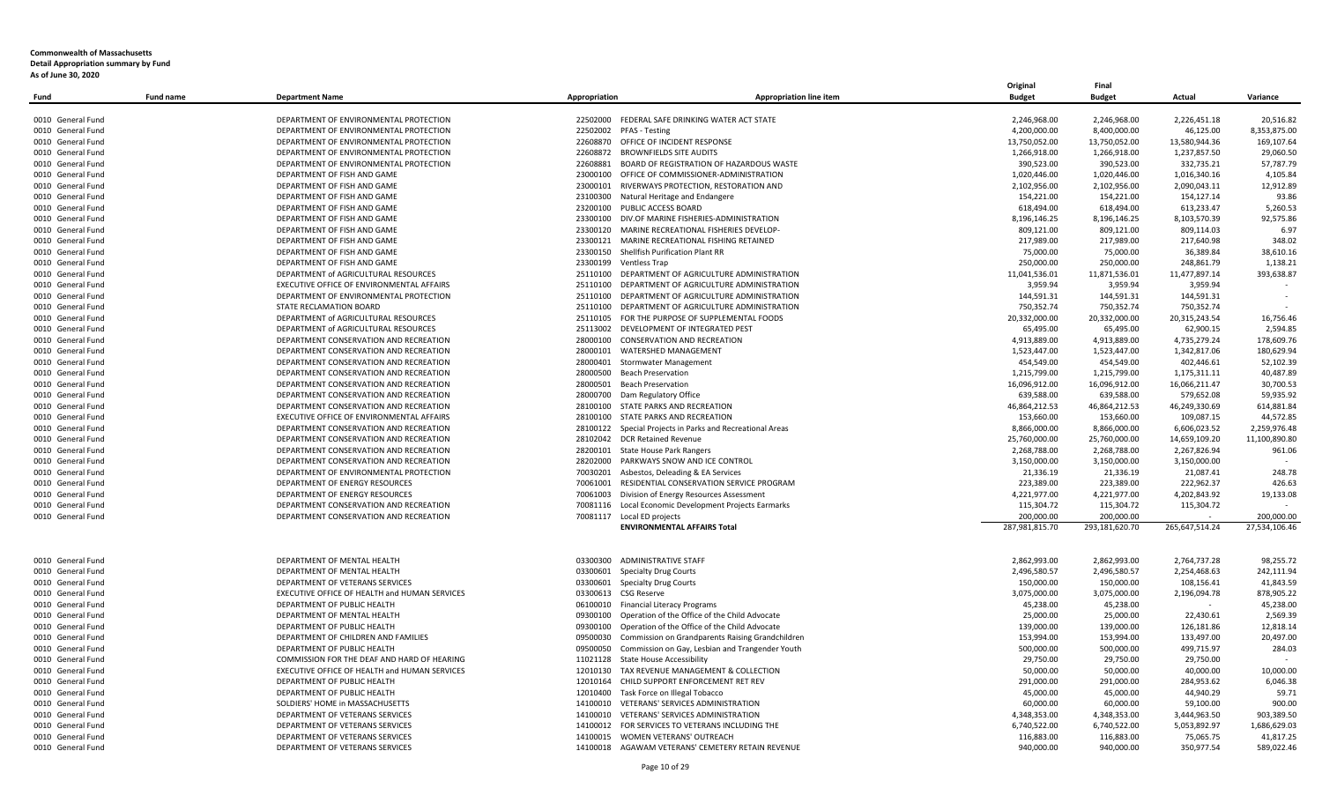|                   |                  |                                               |                                            |                                                           | Original       | Final          |                |               |
|-------------------|------------------|-----------------------------------------------|--------------------------------------------|-----------------------------------------------------------|----------------|----------------|----------------|---------------|
| Fund              | <b>Fund name</b> | <b>Department Name</b>                        | Appropriation                              | <b>Appropriation line item</b>                            | <b>Budget</b>  | <b>Budget</b>  | Actual         | Variance      |
|                   |                  |                                               |                                            |                                                           |                |                |                |               |
| 0010 General Fund |                  | DEPARTMENT OF ENVIRONMENTAL PROTECTION        |                                            | 22502000 FEDERAL SAFE DRINKING WATER ACT STATE            | 2,246,968.00   | 2,246,968.00   | 2,226,451.18   | 20,516.82     |
| 0010 General Fund |                  | DEPARTMENT OF ENVIRONMENTAL PROTECTION        | 22502002 PFAS - Testing                    |                                                           | 4,200,000.00   | 8,400,000.00   | 46,125.00      | 8,353,875.00  |
| 0010 General Fund |                  | DEPARTMENT OF ENVIRONMENTAL PROTECTION        | 22608870 OFFICE OF INCIDENT RESPONSE       |                                                           | 13,750,052.00  | 13,750,052.00  | 13,580,944.36  | 169,107.64    |
| 0010 General Fund |                  | DEPARTMENT OF ENVIRONMENTAL PROTECTION        | 22608872 BROWNFIELDS SITE AUDITS           |                                                           | 1,266,918.00   | 1,266,918.00   | 1,237,857.50   | 29,060.50     |
| 0010 General Fund |                  | DEPARTMENT OF ENVIRONMENTAL PROTECTION        |                                            | 22608881 BOARD OF REGISTRATION OF HAZARDOUS WASTE         | 390,523.00     | 390,523.00     | 332,735.21     | 57,787.79     |
| 0010 General Fund |                  | DEPARTMENT OF FISH AND GAME                   |                                            | 23000100 OFFICE OF COMMISSIONER-ADMINISTRATION            | 1,020,446.00   | 1,020,446.00   | 1,016,340.16   | 4,105.84      |
| 0010 General Fund |                  | DEPARTMENT OF FISH AND GAME                   |                                            | 23000101 RIVERWAYS PROTECTION, RESTORATION AND            | 2,102,956.00   | 2,102,956.00   | 2,090,043.11   | 12,912.89     |
| 0010 General Fund |                  | DEPARTMENT OF FISH AND GAME                   | 23100300 Natural Heritage and Endangere    |                                                           | 154,221.00     | 154,221.00     | 154,127.14     | 93.86         |
| 0010 General Fund |                  | DEPARTMENT OF FISH AND GAME                   | 23200100 PUBLIC ACCESS BOARD               |                                                           | 618.494.00     | 618.494.00     | 613.233.47     | 5,260.53      |
| 0010 General Fund |                  | DEPARTMENT OF FISH AND GAME                   |                                            | 23300100 DIV.OF MARINE FISHERIES-ADMINISTRATION           | 8,196,146.25   | 8,196,146.25   | 8,103,570.39   | 92,575.86     |
| 0010 General Fund |                  | DEPARTMENT OF FISH AND GAME                   |                                            | 23300120 MARINE RECREATIONAL FISHERIES DEVELOP            | 809,121.00     | 809,121.00     | 809,114.03     | 6.97          |
| 0010 General Fund |                  | DEPARTMENT OF FISH AND GAME                   | 23300121                                   | MARINE RECREATIONAL FISHING RETAINED                      | 217,989.00     | 217,989.00     | 217,640.98     | 348.02        |
| 0010 General Fund |                  | DEPARTMENT OF FISH AND GAME                   | 23300150 Shellfish Purification Plant RR   |                                                           | 75,000.00      | 75,000.00      | 36,389.84      | 38,610.16     |
| 0010 General Fund |                  | DEPARTMENT OF FISH AND GAME                   | 23300199 Ventless Trap                     |                                                           | 250,000.00     | 250,000.00     | 248,861.79     | 1,138.21      |
| 0010 General Fund |                  | DEPARTMENT of AGRICULTURAL RESOURCES          |                                            | 25110100 DEPARTMENT OF AGRICULTURE ADMINISTRATION         | 11,041,536.01  | 11,871,536.01  | 11,477,897.14  | 393,638.87    |
|                   |                  | EXECUTIVE OFFICE OF ENVIRONMENTAL AFFAIRS     |                                            | DEPARTMENT OF AGRICULTURE ADMINISTRATION                  |                |                |                |               |
| 0010 General Fund |                  |                                               | 25110100                                   |                                                           | 3,959.94       | 3,959.94       | 3,959.94       |               |
| 0010 General Fund |                  | DEPARTMENT OF ENVIRONMENTAL PROTECTION        |                                            | 25110100 DEPARTMENT OF AGRICULTURE ADMINISTRATION         | 144,591.31     | 144,591.31     | 144,591.31     |               |
| 0010 General Fund |                  | STATE RECLAMATION BOARD                       |                                            | 25110100 DEPARTMENT OF AGRICULTURE ADMINISTRATION         | 750,352.74     | 750,352.74     | 750,352.74     |               |
| 0010 General Fund |                  | DEPARTMENT of AGRICULTURAL RESOURCES          |                                            | 25110105 FOR THE PURPOSE OF SUPPLEMENTAL FOODS            | 20,332,000.00  | 20,332,000.00  | 20,315,243.54  | 16.756.46     |
| 0010 General Fund |                  | DEPARTMENT of AGRICULTURAL RESOURCES          | 25113002                                   | DEVELOPMENT OF INTEGRATED PEST                            | 65,495.00      | 65,495.00      | 62,900.15      | 2,594.85      |
| 0010 General Fund |                  | DEPARTMENT CONSERVATION AND RECREATION        | 28000100 CONSERVATION AND RECREATION       |                                                           | 4,913,889.00   | 4,913,889.00   | 4,735,279.24   | 178,609.76    |
| 0010 General Fund |                  | DEPARTMENT CONSERVATION AND RECREATION        | 28000101 WATERSHED MANAGEMENT              |                                                           | 1,523,447.00   | 1,523,447.00   | 1,342,817.06   | 180,629.94    |
| 0010 General Fund |                  | DEPARTMENT CONSERVATION AND RECREATION        | 28000401 Stormwater Management             |                                                           | 454,549.00     | 454,549.00     | 402,446.61     | 52,102.39     |
| 0010 General Fund |                  | DEPARTMENT CONSERVATION AND RECREATION        | 28000500 Beach Preservation                |                                                           | 1,215,799.00   | 1,215,799.00   | 1,175,311.11   | 40,487.89     |
| 0010 General Fund |                  | DEPARTMENT CONSERVATION AND RECREATION        | 28000501<br><b>Beach Preservation</b>      |                                                           | 16,096,912.00  | 16,096,912.00  | 16,066,211.47  | 30,700.53     |
| 0010 General Fund |                  | DEPARTMENT CONSERVATION AND RECREATION        | 28000700 Dam Regulatory Office             |                                                           | 639,588.00     | 639,588.00     | 579,652.08     | 59,935.92     |
| 0010 General Fund |                  | DEPARTMENT CONSERVATION AND RECREATION        | 28100100 STATE PARKS AND RECREATION        |                                                           | 46,864,212.53  | 46,864,212.53  | 46,249,330.69  | 614,881.84    |
| 0010 General Fund |                  | EXECUTIVE OFFICE OF ENVIRONMENTAL AFFAIRS     | 28100100 STATE PARKS AND RECREATION        |                                                           | 153,660.00     | 153,660.00     | 109,087.15     | 44,572.85     |
| 0010 General Fund |                  | DEPARTMENT CONSERVATION AND RECREATION        |                                            | 28100122 Special Projects in Parks and Recreational Areas | 8,866,000.00   | 8,866,000.00   | 6,606,023.52   | 2,259,976.48  |
| 0010 General Fund |                  | DEPARTMENT CONSERVATION AND RECREATION        | 28102042 DCR Retained Revenue              |                                                           | 25,760,000.00  | 25,760,000.00  | 14,659,109.20  | 11,100,890.80 |
| 0010 General Fund |                  | DEPARTMENT CONSERVATION AND RECREATION        | 28200101 State House Park Rangers          |                                                           | 2,268,788.00   | 2,268,788.00   | 2,267,826.94   | 961.06        |
| 0010 General Fund |                  | DEPARTMENT CONSERVATION AND RECREATION        |                                            | 28202000 PARKWAYS SNOW AND ICE CONTROL                    | 3,150,000.00   | 3,150,000.00   | 3,150,000.00   |               |
| 0010 General Fund |                  | DEPARTMENT OF ENVIRONMENTAL PROTECTION        | 70030201 Asbestos, Deleading & EA Services |                                                           | 21,336.19      | 21,336.19      | 21,087.41      | 248.78        |
| 0010 General Fund |                  | DEPARTMENT OF ENERGY RESOURCES                |                                            | 70061001 RESIDENTIAL CONSERVATION SERVICE PROGRAM         | 223,389.00     | 223,389.00     | 222,962.37     | 426.63        |
| 0010 General Fund |                  | DEPARTMENT OF ENERGY RESOURCES                |                                            | 70061003 Division of Energy Resources Assessment          | 4,221,977.00   | 4,221,977.00   | 4,202,843.92   | 19,133.08     |
| 0010 General Fund |                  | DEPARTMENT CONSERVATION AND RECREATION        |                                            | 70081116 Local Economic Development Projects Earmarks     | 115,304.72     | 115,304.72     | 115,304.72     |               |
| 0010 General Fund |                  | DEPARTMENT CONSERVATION AND RECREATION        | 70081117 Local ED projects                 |                                                           | 200.000.00     | 200.000.00     |                | 200.000.00    |
|                   |                  |                                               |                                            | <b>ENVIRONMENTAL AFFAIRS Total</b>                        | 287,981,815.70 | 293,181,620.70 | 265,647,514.24 | 27,534,106.46 |
|                   |                  |                                               |                                            |                                                           |                |                |                |               |
|                   |                  |                                               |                                            |                                                           |                |                |                |               |
| 0010 General Fund |                  | DEPARTMENT OF MENTAL HEALTH                   | 03300300 ADMINISTRATIVE STAFF              |                                                           | 2,862,993.00   | 2,862,993.00   | 2,764,737.28   | 98,255.72     |
| 0010 General Fund |                  | DEPARTMENT OF MENTAL HEALTH                   | 03300601<br><b>Specialty Drug Courts</b>   |                                                           | 2,496,580.57   | 2,496,580.57   | 2,254,468.63   | 242,111.94    |
| 0010 General Fund |                  | DEPARTMENT OF VETERANS SERVICES               | 03300601<br><b>Specialty Drug Courts</b>   |                                                           | 150,000.00     | 150,000.00     | 108,156.41     | 41,843.59     |
| 0010 General Fund |                  | EXECUTIVE OFFICE OF HEALTH and HUMAN SERVICES | 03300613 CSG Reserve                       |                                                           | 3,075,000.00   | 3,075,000.00   | 2,196,094.78   | 878,905.22    |
| 0010 General Fund |                  | DEPARTMENT OF PUBLIC HEALTH                   | 06100010 Financial Literacy Programs       |                                                           | 45,238.00      | 45,238.00      |                | 45,238.00     |
| 0010 General Fund |                  | DEPARTMENT OF MENTAL HEALTH                   |                                            | 09300100 Operation of the Office of the Child Advocate    | 25,000.00      | 25,000.00      | 22,430.61      | 2,569.39      |
| 0010 General Fund |                  | DEPARTMENT OF PUBLIC HEALTH                   |                                            | 09300100 Operation of the Office of the Child Advocate    | 139.000.00     | 139.000.00     | 126.181.86     | 12.818.14     |
| 0010 General Fund |                  | DEPARTMENT OF CHILDREN AND FAMILIES           | 09500030                                   | Commission on Grandparents Raising Grandchildren          | 153,994.00     | 153,994.00     | 133,497.00     | 20,497.00     |
| 0010 General Fund |                  | DEPARTMENT OF PUBLIC HEALTH                   |                                            | 09500050 Commission on Gay, Lesbian and Trangender Youth  | 500,000.00     | 500,000.00     | 499,715.97     | 284.03        |
| 0010 General Fund |                  | COMMISSION FOR THE DEAF AND HARD OF HEARING   |                                            |                                                           | 29,750.00      |                | 29,750.00      |               |
|                   |                  |                                               | 11021128 State House Accessibility         |                                                           |                | 29,750.00      |                |               |
| 0010 General Fund |                  | EXECUTIVE OFFICE OF HEALTH and HUMAN SERVICES |                                            | 12010130 TAX REVENUE MANAGEMENT & COLLECTION              | 50,000.00      | 50,000.00      | 40,000.00      | 10,000.00     |
| 0010 General Fund |                  | DEPARTMENT OF PUBLIC HEALTH                   | 12010164                                   | CHILD SUPPORT ENFORCEMENT RET REV                         | 291,000.00     | 291,000.00     | 284,953.62     | 6,046.38      |
| 0010 General Fund |                  | DEPARTMENT OF PUBLIC HEALTH                   | 12010400 Task Force on Illegal Tobacco     |                                                           | 45,000.00      | 45,000.00      | 44,940.29      | 59.71         |
| 0010 General Fund |                  | SOLDIERS' HOME in MASSACHUSETTS               |                                            | 14100010 VETERANS' SERVICES ADMINISTRATION                | 60,000.00      | 60,000.00      | 59,100.00      | 900.00        |
| 0010 General Fund |                  | DEPARTMENT OF VETERANS SERVICES               |                                            | 14100010 VETERANS' SERVICES ADMINISTRATION                | 4,348,353.00   | 4,348,353.00   | 3,444,963.50   | 903,389.50    |
| 0010 General Fund |                  | DEPARTMENT OF VETERANS SERVICES               | 14100012                                   | FOR SERVICES TO VETERANS INCLUDING THE                    | 6,740,522.00   | 6,740,522.00   | 5,053,892.97   | 1,686,629.03  |
| 0010 General Fund |                  | DEPARTMENT OF VETERANS SERVICES               | 14100015 WOMEN VETERANS' OUTREACH          |                                                           | 116,883.00     | 116,883.00     | 75,065.75      | 41,817.25     |
| 0010 General Fund |                  | DEPARTMENT OF VETERANS SERVICES               |                                            | 14100018 AGAWAM VETERANS' CEMETERY RETAIN REVENUE         | 940.000.00     | 940.000.00     | 350.977.54     | 589.022.46    |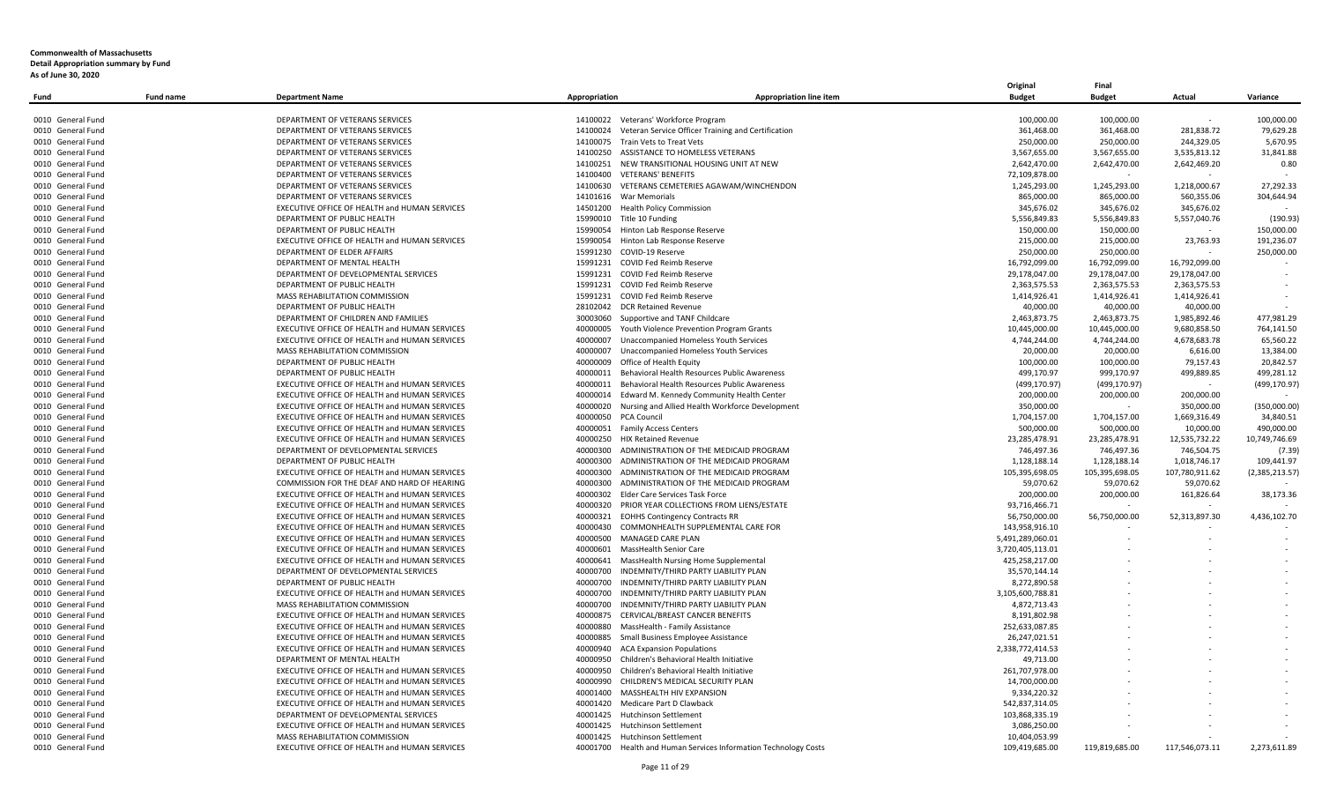|                   |                  |                                                      |                                          |                                                                 | Original         | Final          |                |                |
|-------------------|------------------|------------------------------------------------------|------------------------------------------|-----------------------------------------------------------------|------------------|----------------|----------------|----------------|
| Fund              | <b>Fund name</b> | <b>Department Name</b>                               | Appropriation                            | <b>Appropriation line item</b>                                  | <b>Budget</b>    | <b>Budget</b>  | Actual         | Variance       |
|                   |                  |                                                      |                                          |                                                                 |                  |                |                |                |
| 0010 General Fund |                  | DEPARTMENT OF VETERANS SERVICES                      | 14100022 Veterans' Workforce Program     |                                                                 | 100,000.00       | 100,000.00     | $\sim$         | 100,000.00     |
| 0010 General Fund |                  | DEPARTMENT OF VETERANS SERVICES                      |                                          | 14100024 Veteran Service Officer Training and Certification     | 361,468.00       | 361,468.00     | 281,838.72     | 79,629.28      |
| 0010 General Fund |                  | DEPARTMENT OF VETERANS SERVICES                      | 14100075 Train Vets to Treat Vets        |                                                                 | 250,000.00       | 250,000.00     | 244,329.05     | 5,670.95       |
| 0010 General Fund |                  | DEPARTMENT OF VETERANS SERVICES                      |                                          | 14100250 ASSISTANCE TO HOMELESS VETERANS                        | 3,567,655.00     | 3,567,655.00   | 3,535,813.12   | 31,841.88      |
| 0010 General Fund |                  | DEPARTMENT OF VETERANS SERVICES                      |                                          | 14100251 NEW TRANSITIONAL HOUSING UNIT AT NEW                   | 2,642,470.00     | 2,642,470.00   | 2,642,469.20   | 0.80           |
| 0010 General Fund |                  | DEPARTMENT OF VETERANS SERVICES                      | 14100400 VETERANS' BENEFITS              |                                                                 | 72,109,878.00    | $\sim$         |                |                |
| 0010 General Fund |                  | DEPARTMENT OF VETERANS SERVICES                      |                                          | 14100630 VETERANS CEMETERIES AGAWAM/WINCHENDON                  | 1,245,293.00     | 1,245,293.00   | 1,218,000.67   | 27,292.33      |
| 0010 General Fund |                  | DEPARTMENT OF VETERANS SERVICES                      | 14101616 War Memorials                   |                                                                 | 865,000.00       | 865,000.00     | 560,355.06     | 304.644.94     |
| 0010 General Fund |                  | EXECUTIVE OFFICE OF HEALTH and HUMAN SERVICES        | 14501200 Health Policy Commission        |                                                                 | 345.676.02       | 345.676.02     | 345.676.02     |                |
| 0010 General Fund |                  | DEPARTMENT OF PUBLIC HEALTH                          | 15990010 Title 10 Funding                |                                                                 | 5,556,849.83     | 5,556,849.83   | 5,557,040.76   | (190.93)       |
| 0010 General Fund |                  | DEPARTMENT OF PUBLIC HEALTH                          | 15990054 Hinton Lab Response Reserve     |                                                                 | 150,000.00       | 150,000.00     |                | 150,000.00     |
| 0010 General Fund |                  | EXECUTIVE OFFICE OF HEALTH and HUMAN SERVICES        | 15990054                                 | Hinton Lab Response Reserve                                     | 215,000.00       | 215,000.00     | 23,763.93      | 191,236.07     |
| 0010 General Fund |                  | DEPARTMENT OF ELDER AFFAIRS                          | 15991230 COVID-19 Reserve                |                                                                 | 250,000.00       | 250,000.00     |                | 250,000.00     |
| 0010 General Fund |                  | DEPARTMENT OF MENTAL HEALTH                          | 15991231 COVID Fed Reimb Reserve         |                                                                 | 16,792,099.00    | 16,792,099.00  | 16,792,099.00  |                |
| 0010 General Fund |                  | DEPARTMENT OF DEVELOPMENTAL SERVICES                 | 15991231 COVID Fed Reimb Reserve         |                                                                 | 29,178,047.00    | 29,178,047.00  | 29,178,047.00  |                |
| 0010 General Fund |                  | DEPARTMENT OF PUBLIC HEALTH                          | 15991231 COVID Fed Reimb Reserve         |                                                                 | 2,363,575.53     | 2,363,575.53   | 2,363,575.53   |                |
| 0010 General Fund |                  | MASS REHABILITATION COMMISSION                       | 15991231 COVID Fed Reimb Reserve         |                                                                 | 1,414,926.41     | 1,414,926.41   | 1,414,926.41   |                |
| 0010 General Fund |                  | DEPARTMENT OF PUBLIC HEALTH                          | 28102042 DCR Retained Revenue            |                                                                 | 40,000.00        | 40,000.00      | 40,000.00      |                |
| 0010 General Fund |                  | DEPARTMENT OF CHILDREN AND FAMILIES                  | 30003060 Supportive and TANF Childcare   |                                                                 | 2,463,873.75     | 2,463,873.75   | 1,985,892.46   | 477.981.29     |
| 0010 General Fund |                  | EXECUTIVE OFFICE OF HEALTH and HUMAN SERVICES        |                                          | 40000005 Youth Violence Prevention Program Grants               | 10,445,000.00    | 10,445,000.00  | 9,680,858.50   | 764,141.50     |
| 0010 General Fund |                  | EXECUTIVE OFFICE OF HEALTH and HUMAN SERVICES        | 40000007                                 | Unaccompanied Homeless Youth Services                           | 4,744,244.00     | 4,744,244.00   | 4,678,683.78   | 65,560.22      |
|                   |                  | MASS REHABILITATION COMMISSION                       |                                          | 40000007 Unaccompanied Homeless Youth Services                  | 20,000.00        | 20,000.00      |                | 13,384.00      |
| 0010 General Fund |                  |                                                      |                                          |                                                                 |                  |                | 6,616.00       |                |
| 0010 General Fund |                  | DEPARTMENT OF PUBLIC HEALTH                          | 40000009<br>Office of Health Equity      |                                                                 | 100,000.00       | 100,000.00     | 79,157.43      | 20,842.57      |
| 0010 General Fund |                  | DEPARTMENT OF PUBLIC HEALTH                          |                                          | 40000011 Behavioral Health Resources Public Awareness           | 499,170.97       | 999,170.97     | 499,889.85     | 499,281.12     |
| 0010 General Fund |                  | EXECUTIVE OFFICE OF HEALTH and HUMAN SERVICES        |                                          | 40000011 Behavioral Health Resources Public Awareness           | (499, 170.97)    | (499, 170.97)  | $\sim$         | (499, 170.97)  |
| 0010 General Fund |                  | EXECUTIVE OFFICE OF HEALTH and HUMAN SERVICES        |                                          | 40000014 Edward M. Kennedy Community Health Center              | 200,000.00       | 200,000.00     | 200,000.00     |                |
| 0010 General Fund |                  | <b>EXECUTIVE OFFICE OF HEALTH and HUMAN SERVICES</b> |                                          | 40000020 Nursing and Allied Health Workforce Development        | 350,000.00       |                | 350,000.00     | (350,000.00)   |
| 0010 General Fund |                  | EXECUTIVE OFFICE OF HEALTH and HUMAN SERVICES        | 40000050 PCA Council                     |                                                                 | 1,704,157.00     | 1,704,157.00   | 1,669,316.49   | 34,840.51      |
| 0010 General Fund |                  | EXECUTIVE OFFICE OF HEALTH and HUMAN SERVICES        | 40000051 Family Access Centers           |                                                                 | 500,000.00       | 500,000.00     | 10,000.00      | 490,000.00     |
| 0010 General Fund |                  | EXECUTIVE OFFICE OF HEALTH and HUMAN SERVICES        | 40000250 HIX Retained Revenue            |                                                                 | 23,285,478.91    | 23,285,478.91  | 12,535,732.22  | 10,749,746.69  |
| 0010 General Fund |                  | DEPARTMENT OF DEVELOPMENTAL SERVICES                 |                                          | 40000300 ADMINISTRATION OF THE MEDICAID PROGRAM                 | 746,497.36       | 746,497.36     | 746,504.75     | (7.39)         |
| 0010 General Fund |                  | DEPARTMENT OF PUBLIC HEALTH                          | 40000300                                 | ADMINISTRATION OF THE MEDICAID PROGRAM                          | 1,128,188.14     | 1,128,188.14   | 1,018,746.17   | 109,441.97     |
| 0010 General Fund |                  | EXECUTIVE OFFICE OF HEALTH and HUMAN SERVICES        |                                          | 40000300 ADMINISTRATION OF THE MEDICAID PROGRAM                 | 105,395,698.05   | 105,395,698.05 | 107,780,911.62 | (2,385,213.57) |
| 0010 General Fund |                  | COMMISSION FOR THE DEAF AND HARD OF HEARING          | 40000300                                 | ADMINISTRATION OF THE MEDICAID PROGRAM                          | 59,070.62        | 59,070.62      | 59,070.62      |                |
| 0010 General Fund |                  | EXECUTIVE OFFICE OF HEALTH and HUMAN SERVICES        | 40000302 Elder Care Services Task Force  |                                                                 | 200,000.00       | 200,000.00     | 161,826.64     | 38,173.36      |
| 0010 General Fund |                  | EXECUTIVE OFFICE OF HEALTH and HUMAN SERVICES        |                                          | 40000320 PRIOR YEAR COLLECTIONS FROM LIENS/ESTATE               | 93,716,466.71    |                |                |                |
| 0010 General Fund |                  | EXECUTIVE OFFICE OF HEALTH and HUMAN SERVICES        | 40000321 EOHHS Contingency Contracts RR  |                                                                 | 56,750,000.00    | 56,750,000.00  | 52,313,897.30  | 4,436,102.70   |
| 0010 General Fund |                  | EXECUTIVE OFFICE OF HEALTH and HUMAN SERVICES        |                                          | 40000430 COMMONHEALTH SUPPLEMENTAL CARE FOR                     | 143,958,916.10   |                |                |                |
| 0010 General Fund |                  | EXECUTIVE OFFICE OF HEALTH and HUMAN SERVICES        | 40000500 MANAGED CARE PLAN               |                                                                 | 5,491,289,060.01 |                |                |                |
| 0010 General Fund |                  | EXECUTIVE OFFICE OF HEALTH and HUMAN SERVICES        | 40000601 MassHealth Senior Care          |                                                                 | 3,720,405,113.01 |                |                |                |
| 0010 General Fund |                  | EXECUTIVE OFFICE OF HEALTH and HUMAN SERVICES        |                                          | 40000641 MassHealth Nursing Home Supplemental                   | 425,258,217.00   |                |                |                |
| 0010 General Fund |                  | DEPARTMENT OF DEVELOPMENTAL SERVICES                 |                                          | 40000700 INDEMNITY/THIRD PARTY LIABILITY PLAN                   | 35,570,144.14    |                |                |                |
| 0010 General Fund |                  | DEPARTMENT OF PUBLIC HEALTH                          |                                          | 40000700 INDEMNITY/THIRD PARTY LIABILITY PLAN                   | 8,272,890.58     |                |                |                |
| 0010 General Fund |                  | EXECUTIVE OFFICE OF HEALTH and HUMAN SERVICES        |                                          | 40000700 INDEMNITY/THIRD PARTY LIABILITY PLAN                   | 3,105,600,788.81 |                |                |                |
| 0010 General Fund |                  | MASS REHABILITATION COMMISSION                       |                                          | 40000700 INDEMNITY/THIRD PARTY LIABILITY PLAN                   | 4,872,713.43     |                |                |                |
| 0010 General Fund |                  | EXECUTIVE OFFICE OF HEALTH and HUMAN SERVICES        |                                          | 40000875 CERVICAL/BREAST CANCER BENEFITS                        | 8,191,802.98     |                |                |                |
| 0010 General Fund |                  | EXECUTIVE OFFICE OF HEALTH and HUMAN SERVICES        |                                          |                                                                 | 252.633.087.85   |                |                |                |
|                   |                  |                                                      | 40000880 MassHealth - Family Assistance  |                                                                 |                  |                |                |                |
| 0010 General Fund |                  | EXECUTIVE OFFICE OF HEALTH and HUMAN SERVICES        |                                          | 40000885 Small Business Employee Assistance                     | 26,247,021.51    |                |                |                |
| 0010 General Fund |                  | EXECUTIVE OFFICE OF HEALTH and HUMAN SERVICES        | 40000940 ACA Expansion Populations       |                                                                 | 2,338,772,414.53 |                |                |                |
| 0010 General Fund |                  | DEPARTMENT OF MENTAL HEALTH                          |                                          | 40000950 Children's Behavioral Health Initiative                | 49,713.00        |                |                |                |
| 0010 General Fund |                  | EXECUTIVE OFFICE OF HEALTH and HUMAN SERVICES        |                                          | 40000950 Children's Behavioral Health Initiative                | 261,707,978.00   |                |                |                |
| 0010 General Fund |                  | EXECUTIVE OFFICE OF HEALTH and HUMAN SERVICES        | 40000990                                 | CHILDREN'S MEDICAL SECURITY PLAN                                | 14,700,000.00    |                |                |                |
| 0010 General Fund |                  | EXECUTIVE OFFICE OF HEALTH and HUMAN SERVICES        | 40001400 MASSHEALTH HIV EXPANSION        |                                                                 | 9,334,220.32     |                |                |                |
| 0010 General Fund |                  | EXECUTIVE OFFICE OF HEALTH and HUMAN SERVICES        | 40001420 Medicare Part D Clawback        |                                                                 | 542,837,314.05   |                |                |                |
| 0010 General Fund |                  | DEPARTMENT OF DEVELOPMENTAL SERVICES                 | 40001425 Hutchinson Settlement           |                                                                 | 103,868,335.19   |                |                |                |
| 0010 General Fund |                  | <b>EXECUTIVE OFFICE OF HEALTH and HUMAN SERVICES</b> | 40001425<br><b>Hutchinson Settlement</b> |                                                                 | 3,086,250.00     |                |                |                |
| 0010 General Fund |                  | MASS REHABILITATION COMMISSION                       | 40001425 Hutchinson Settlement           |                                                                 | 10,404,053.99    |                |                |                |
| 0010 General Fund |                  | EXECUTIVE OFFICE OF HEALTH and HUMAN SERVICES        |                                          | 40001700 Health and Human Services Information Technology Costs | 109,419,685.00   | 119.819.685.00 | 117.546.073.11 | 2.273.611.89   |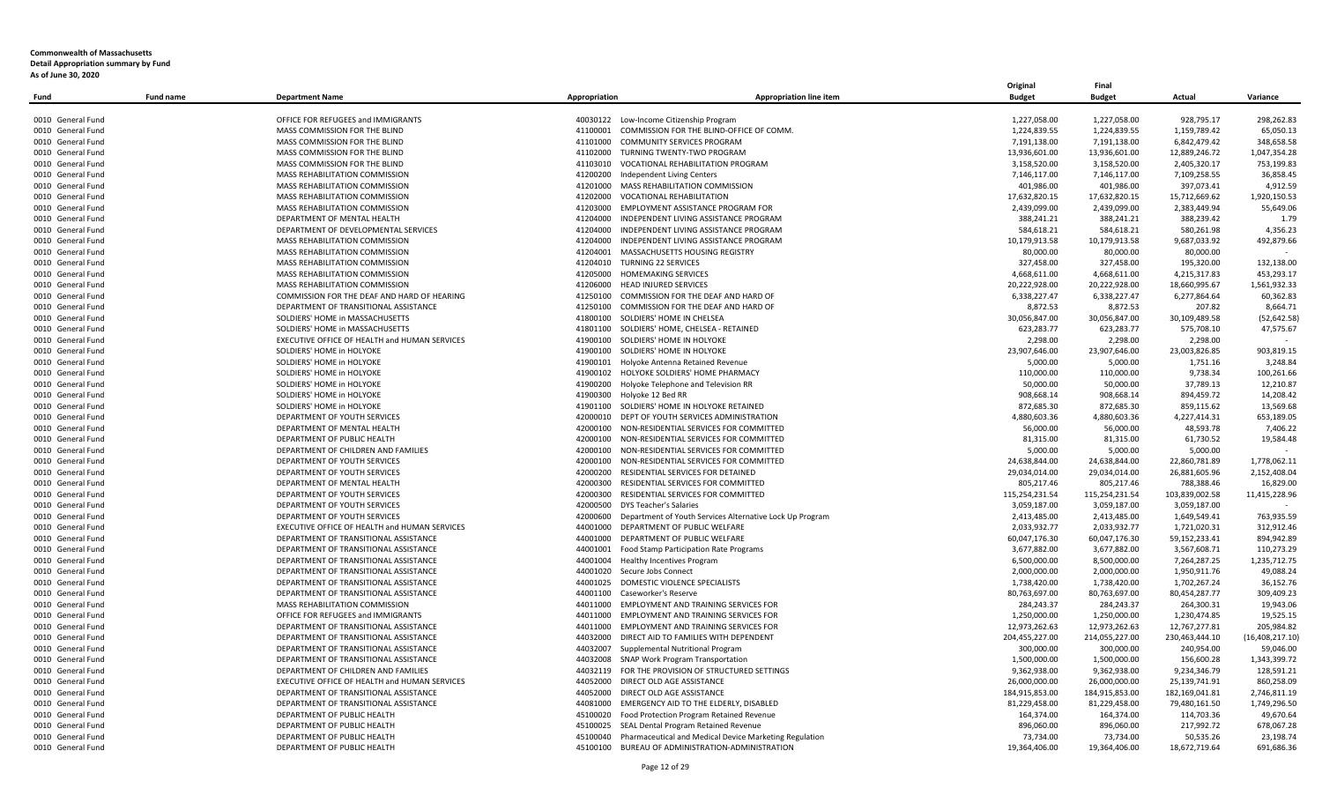|                   |                  |                                               |                                 |                                                                 | Original       | Final          |                |                   |
|-------------------|------------------|-----------------------------------------------|---------------------------------|-----------------------------------------------------------------|----------------|----------------|----------------|-------------------|
| Fund              | <b>Fund name</b> | <b>Department Name</b>                        | <b>Appropriation</b>            | <b>Appropriation line item</b>                                  | <b>Budget</b>  | <b>Budget</b>  | Actual         | Variance          |
|                   |                  |                                               |                                 |                                                                 |                |                |                |                   |
| 0010 General Fund |                  | OFFICE FOR REFUGEES and IMMIGRANTS            |                                 | 40030122 Low-Income Citizenship Program                         | 1,227,058.00   | 1,227,058.00   | 928,795.17     | 298,262.83        |
| 0010 General Fund |                  | MASS COMMISSION FOR THE BLIND                 | 41100001                        | COMMISSION FOR THE BLIND-OFFICE OF COMM                         | 1,224,839.55   | 1,224,839.55   | 1,159,789.42   | 65,050.13         |
| 0010 General Fund |                  | MASS COMMISSION FOR THE BLIND                 | 41101000                        | COMMUNITY SERVICES PROGRAM                                      | 7,191,138.00   | 7,191,138.00   | 6,842,479.42   | 348,658.58        |
| 0010 General Fund |                  | MASS COMMISSION FOR THE BLIND                 |                                 | 41102000 TURNING TWENTY-TWO PROGRAM                             | 13,936,601.00  | 13,936,601.00  | 12,889,246.72  | 1,047,354.28      |
| 0010 General Fund |                  | MASS COMMISSION FOR THE BLIND                 |                                 | 41103010 VOCATIONAL REHABILITATION PROGRAM                      | 3,158,520.00   | 3,158,520.00   | 2,405,320.17   | 753,199.83        |
| 0010 General Fund |                  | MASS REHABILITATION COMMISSION                |                                 | 41200200 Independent Living Centers                             | 7,146,117.00   | 7,146,117.00   | 7,109,258.55   | 36,858.45         |
| 0010 General Fund |                  | MASS REHABILITATION COMMISSION                |                                 | 41201000 MASS REHABILITATION COMMISSION                         | 401,986.00     | 401,986.00     | 397,073.41     | 4,912.59          |
| 0010 General Fund |                  | MASS REHABILITATION COMMISSION                |                                 | 41202000 VOCATIONAL REHABILITATION                              | 17,632,820.15  | 17,632,820.15  | 15,712,669.62  | 1,920,150.53      |
| 0010 General Fund |                  | <b>MASS REHABILITATION COMMISSION</b>         |                                 | 41203000 EMPLOYMENT ASSISTANCE PROGRAM FOR                      | 2,439,099.00   | 2,439,099.00   | 2,383,449.94   | 55,649.06         |
| 0010 General Fund |                  | DEPARTMENT OF MENTAL HEALTH                   |                                 | 41204000 INDEPENDENT LIVING ASSISTANCE PROGRAM                  |                |                |                | 1.79              |
|                   |                  |                                               |                                 |                                                                 | 388,241.21     | 388,241.21     | 388,239.42     |                   |
| 0010 General Fund |                  | DEPARTMENT OF DEVELOPMENTAL SERVICES          | 41204000                        | INDEPENDENT LIVING ASSISTANCE PROGRAM                           | 584,618.21     | 584,618.21     | 580,261.98     | 4,356.23          |
| 0010 General Fund |                  | <b>MASS REHABILITATION COMMISSION</b>         |                                 | 41204000 INDEPENDENT LIVING ASSISTANCE PROGRAM                  | 10,179,913.58  | 10,179,913.58  | 9,687,033.92   | 492.879.66        |
| 0010 General Fund |                  | MASS REHABILITATION COMMISSION                |                                 | 41204001 MASSACHUSETTS HOUSING REGISTRY                         | 80,000.00      | 80,000.00      | 80,000.00      |                   |
| 0010 General Fund |                  | MASS REHABILITATION COMMISSION                | 41204010 TURNING 22 SERVICES    |                                                                 | 327,458.00     | 327,458.00     | 195,320.00     | 132,138.00        |
| 0010 General Fund |                  | MASS REHABILITATION COMMISSION                | 41205000 HOMEMAKING SERVICES    |                                                                 | 4,668,611.00   | 4,668,611.00   | 4,215,317.83   | 453,293.17        |
| 0010 General Fund |                  | MASS REHABILITATION COMMISSION                | 41206000 HEAD INJURED SERVICES  |                                                                 | 20,222,928.00  | 20,222,928.00  | 18,660,995.67  | 1,561,932.33      |
| 0010 General Fund |                  | COMMISSION FOR THE DEAF AND HARD OF HEARING   |                                 | 41250100 COMMISSION FOR THE DEAF AND HARD OF                    | 6,338,227.47   | 6,338,227.47   | 6,277,864.64   | 60,362.83         |
| 0010 General Fund |                  | DEPARTMENT OF TRANSITIONAL ASSISTANCE         | 41250100                        | COMMISSION FOR THE DEAF AND HARD OF                             | 8,872.53       | 8,872.53       | 207.82         | 8,664.71          |
| 0010 General Fund |                  | SOLDIERS' HOME in MASSACHUSETTS               |                                 | 41800100 SOLDIERS' HOME IN CHELSEA                              | 30,056,847.00  | 30,056,847.00  | 30,109,489.58  | (52, 642.58)      |
| 0010 General Fund |                  | SOLDIERS' HOME in MASSACHUSETTS               |                                 | 41801100 SOLDIERS' HOME, CHELSEA - RETAINED                     | 623,283.77     | 623,283.77     | 575,708.10     | 47,575.67         |
| 0010 General Fund |                  | EXECUTIVE OFFICE OF HEALTH and HUMAN SERVICES |                                 | 41900100 SOLDIERS' HOME IN HOLYOKE                              | 2,298.00       | 2,298.00       | 2,298.00       |                   |
| 0010 General Fund |                  | SOLDIERS' HOME in HOLYOKE                     |                                 | 41900100 SOLDIERS' HOME IN HOLYOKE                              | 23,907,646.00  | 23,907,646.00  | 23,003,826.85  | 903,819.15        |
| 0010 General Fund |                  | SOLDIERS' HOME in HOLYOKE                     |                                 | 41900101 Holyoke Antenna Retained Revenue                       | 5,000.00       | 5,000.00       | 1,751.16       | 3.248.84          |
| 0010 General Fund |                  | SOLDIERS' HOME in HOLYOKE                     | 41900102                        | HOLYOKE SOLDIERS' HOME PHARMACY                                 | 110.000.00     | 110,000.00     | 9,738.34       | 100,261.66        |
| 0010 General Fund |                  | SOLDIERS' HOME in HOLYOKE                     |                                 | 41900200 Holyoke Telephone and Television RR                    | 50,000.00      | 50,000.00      | 37,789.13      | 12,210.87         |
| 0010 General Fund |                  | SOLDIERS' HOME in HOLYOKE                     | 41900300 Holyoke 12 Bed RR      |                                                                 | 908,668.14     | 908,668.14     | 894,459.72     | 14,208.42         |
| 0010 General Fund |                  | SOLDIERS' HOME in HOLYOKE                     |                                 | 41901100 SOLDIERS' HOME IN HOLYOKE RETAINED                     | 872,685.30     | 872,685.30     | 859,115.62     | 13,569.68         |
| 0010 General Fund |                  | DEPARTMENT OF YOUTH SERVICES                  |                                 | 42000010 DEPT OF YOUTH SERVICES ADMINISTRATION                  | 4,880,603.36   | 4,880,603.36   | 4,227,414.31   | 653,189.05        |
| 0010 General Fund |                  | DEPARTMENT OF MENTAL HEALTH                   | 42000100                        | NON-RESIDENTIAL SERVICES FOR COMMITTED                          | 56,000.00      | 56,000.00      | 48,593.78      | 7,406.22          |
|                   |                  | DEPARTMENT OF PUBLIC HEALTH                   |                                 |                                                                 |                |                |                | 19,584.48         |
| 0010 General Fund |                  |                                               |                                 | 42000100 NON-RESIDENTIAL SERVICES FOR COMMITTED                 | 81,315.00      | 81,315.00      | 61,730.52      |                   |
| 0010 General Fund |                  | DEPARTMENT OF CHILDREN AND FAMILIES           |                                 | 42000100 NON-RESIDENTIAL SERVICES FOR COMMITTED                 | 5,000.00       | 5,000.00       | 5,000.00       |                   |
| 0010 General Fund |                  | DEPARTMENT OF YOUTH SERVICES                  |                                 | 42000100 NON-RESIDENTIAL SERVICES FOR COMMITTED                 | 24,638,844.00  | 24,638,844.00  | 22,860,781.89  | 1,778,062.11      |
| 0010 General Fund |                  | DEPARTMENT OF YOUTH SERVICES                  |                                 | 42000200 RESIDENTIAL SERVICES FOR DETAINED                      | 29,034,014.00  | 29,034,014.00  | 26,881,605.96  | 2,152,408.04      |
| 0010 General Fund |                  | DEPARTMENT OF MENTAL HEALTH                   |                                 | 42000300 RESIDENTIAL SERVICES FOR COMMITTED                     | 805,217.46     | 805,217.46     | 788,388.46     | 16,829.00         |
| 0010 General Fund |                  | DEPARTMENT OF YOUTH SERVICES                  |                                 | 42000300 RESIDENTIAL SERVICES FOR COMMITTED                     | 115,254,231.54 | 115,254,231.54 | 103,839,002.58 | 11,415,228.96     |
| 0010 General Fund |                  | DEPARTMENT OF YOUTH SERVICES                  | 42000500 DYS Teacher's Salaries |                                                                 | 3,059,187.00   | 3,059,187.00   | 3,059,187.00   |                   |
| 0010 General Fund |                  | DEPARTMENT OF YOUTH SERVICES                  | 42000600                        | Department of Youth Services Alternative Lock Up Program        | 2,413,485.00   | 2,413,485.00   | 1,649,549.41   | 763,935.59        |
| 0010 General Fund |                  | EXECUTIVE OFFICE OF HEALTH and HUMAN SERVICES |                                 | 44001000 DEPARTMENT OF PUBLIC WELFARE                           | 2,033,932.77   | 2,033,932.77   | 1,721,020.31   | 312,912.46        |
| 0010 General Fund |                  | DEPARTMENT OF TRANSITIONAL ASSISTANCE         |                                 | 44001000 DEPARTMENT OF PUBLIC WELFARE                           | 60,047,176.30  | 60,047,176.30  | 59,152,233.41  | 894,942.89        |
| 0010 General Fund |                  | DEPARTMENT OF TRANSITIONAL ASSISTANCE         | 44001001                        | Food Stamp Participation Rate Programs                          | 3,677,882.00   | 3,677,882.00   | 3,567,608.71   | 110,273.29        |
| 0010 General Fund |                  | DEPARTMENT OF TRANSITIONAL ASSISTANCE         | 44001004                        | <b>Healthy Incentives Program</b>                               | 6,500,000.00   | 8,500,000.00   | 7,264,287.25   | 1,235,712.75      |
| 0010 General Fund |                  | DEPARTMENT OF TRANSITIONAL ASSISTANCE         | 44001020                        | Secure Jobs Connect                                             | 2,000,000.00   | 2,000,000.00   | 1,950,911.76   | 49,088.24         |
| 0010 General Fund |                  | DEPARTMENT OF TRANSITIONAL ASSISTANCE         |                                 | 44001025 DOMESTIC VIOLENCE SPECIALISTS                          | 1,738,420.00   | 1,738,420.00   | 1,702,267.24   | 36,152.76         |
| 0010 General Fund |                  | DEPARTMENT OF TRANSITIONAL ASSISTANCE         | 44001100                        | Caseworker's Reserve                                            | 80,763,697.00  | 80,763,697.00  | 80,454,287.77  | 309,409.23        |
| 0010 General Fund |                  | MASS REHABILITATION COMMISSION                |                                 | 44011000 EMPLOYMENT AND TRAINING SERVICES FOR                   | 284,243.37     | 284,243.37     | 264,300.31     | 19,943.06         |
| 0010 General Fund |                  | OFFICE FOR REFUGEES and IMMIGRANTS            | 44011000                        | EMPLOYMENT AND TRAINING SERVICES FOR                            | 1,250,000.00   | 1,250,000.00   | 1,230,474.85   | 19,525.15         |
| 0010 General Fund |                  | DEPARTMENT OF TRANSITIONAL ASSISTANCE         | 44011000                        | EMPLOYMENT AND TRAINING SERVICES FOR                            | 12,973,262.63  | 12,973,262.63  | 12,767,277.81  | 205,984.82        |
| 0010 General Fund |                  | DEPARTMENT OF TRANSITIONAL ASSISTANCE         |                                 | 44032000 DIRECT AID TO FAMILIES WITH DEPENDENT                  | 204,455,227.00 | 214,055,227.00 | 230,463,444.10 | (16, 408, 217.10) |
| 0010 General Fund |                  | DEPARTMENT OF TRANSITIONAL ASSISTANCE         |                                 | 44032007 Supplemental Nutritional Program                       | 300,000.00     | 300,000.00     | 240,954.00     | 59,046.00         |
|                   |                  |                                               |                                 |                                                                 |                |                |                |                   |
| 0010 General Fund |                  | DEPARTMENT OF TRANSITIONAL ASSISTANCE         | 44032008                        | SNAP Work Program Transportation                                | 1,500,000.00   | 1,500,000.00   | 156,600.28     | 1,343,399.72      |
| 0010 General Fund |                  | DEPARTMENT OF CHILDREN AND FAMILIES           | 44032119                        | FOR THE PROVISION OF STRUCTURED SETTINGS                        | 9,362,938.00   | 9,362,938.00   | 9,234,346.79   | 128,591.21        |
| 0010 General Fund |                  | EXECUTIVE OFFICE OF HEALTH and HUMAN SERVICES |                                 | 44052000 DIRECT OLD AGE ASSISTANCE                              | 26,000,000.00  | 26,000,000.00  | 25,139,741.91  | 860,258.09        |
| 0010 General Fund |                  | DEPARTMENT OF TRANSITIONAL ASSISTANCE         |                                 | 44052000 DIRECT OLD AGE ASSISTANCE                              | 184,915,853.00 | 184,915,853.00 | 182,169,041.81 | 2,746,811.19      |
| 0010 General Fund |                  | DEPARTMENT OF TRANSITIONAL ASSISTANCE         |                                 | 44081000 EMERGENCY AID TO THE ELDERLY, DISABLED                 | 81,229,458.00  | 81,229,458.00  | 79,480,161.50  | 1,749,296.50      |
| 0010 General Fund |                  | DEPARTMENT OF PUBLIC HEALTH                   | 45100020                        | Food Protection Program Retained Revenue                        | 164,374.00     | 164,374.00     | 114,703.36     | 49,670.64         |
| 0010 General Fund |                  | DEPARTMENT OF PUBLIC HEALTH                   | 45100025                        | SEAL Dental Program Retained Revenue                            | 896,060.00     | 896,060.00     | 217,992.72     | 678,067.28        |
| 0010 General Fund |                  | DEPARTMENT OF PUBLIC HEALTH                   |                                 | 45100040 Pharmaceutical and Medical Device Marketing Regulation | 73,734.00      | 73,734.00      | 50,535.26      | 23,198.74         |
| 0010 General Fund |                  | DEPARTMENT OF PUBLIC HEALTH                   |                                 | 45100100 BUREAU OF ADMINISTRATION-ADMINISTRATION                | 19.364.406.00  | 19,364,406.00  | 18,672,719.64  | 691.686.36        |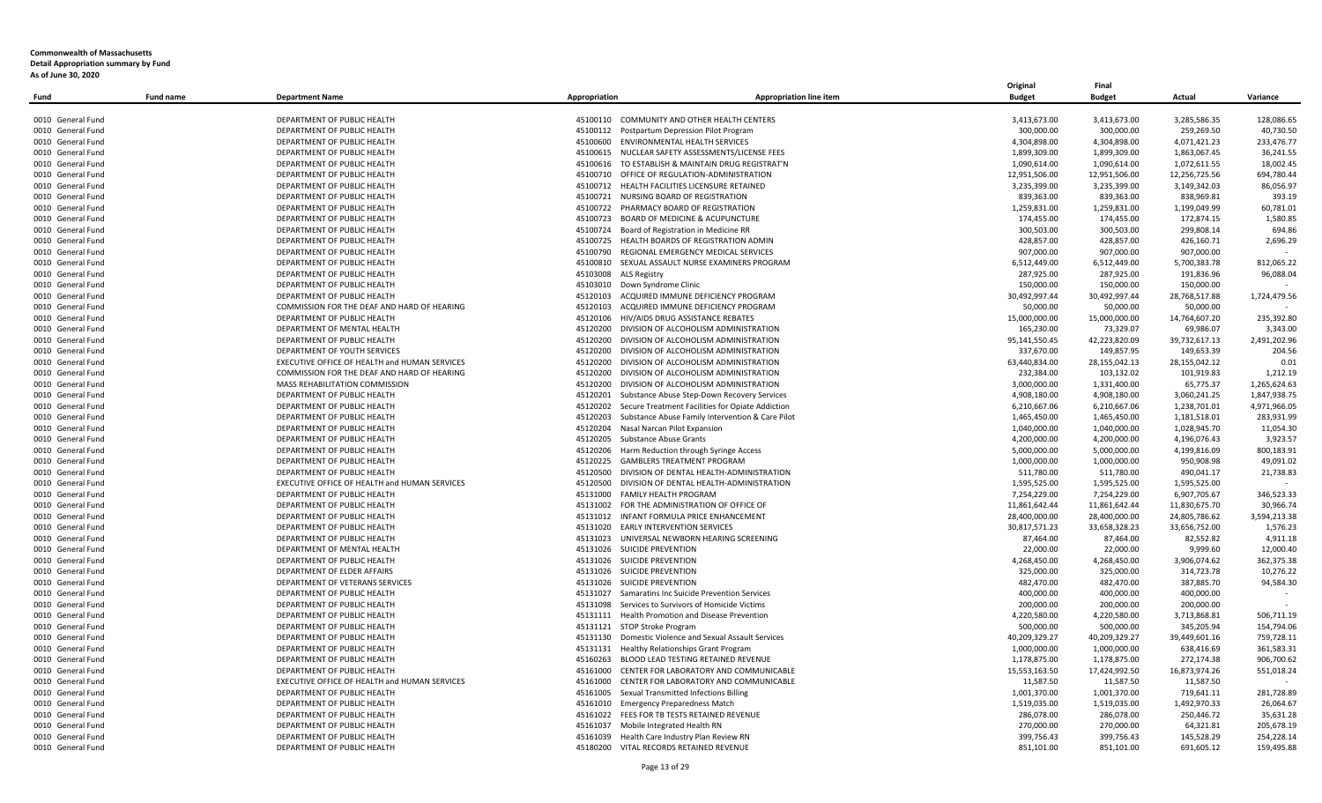| Fund              | <b>Fund name</b> | <b>Department Name</b>                        | Appropriation                                      | <b>Appropriation line item</b>                            | Original<br><b>Budget</b> | Final<br><b>Budget</b> | Actual        | Variance     |
|-------------------|------------------|-----------------------------------------------|----------------------------------------------------|-----------------------------------------------------------|---------------------------|------------------------|---------------|--------------|
|                   |                  |                                               |                                                    |                                                           |                           |                        |               |              |
| 0010 General Fund |                  | DEPARTMENT OF PUBLIC HEALTH                   | 45100110 COMMUNITY AND OTHER HEALTH CENTERS        |                                                           | 3,413,673.00              | 3,413,673.00           | 3,285,586.35  | 128,086.65   |
| 0010 General Fund |                  | DEPARTMENT OF PUBLIC HEALTH                   | 45100112 Postpartum Depression Pilot Program       |                                                           | 300,000.00                | 300,000.00             | 259,269.50    | 40,730.50    |
| 0010 General Fund |                  | DEPARTMENT OF PUBLIC HEALTH                   | 45100600 ENVIRONMENTAL HEALTH SERVICES             |                                                           | 4,304,898.00              | 4,304,898.00           | 4,071,421.23  | 233,476.77   |
| 0010 General Fund |                  | DEPARTMENT OF PUBLIC HEALTH                   |                                                    | 45100615 NUCLEAR SAFETY ASSESSMENTS/LICENSE FEES          | 1,899,309.00              | 1,899,309.00           | 1,863,067.45  | 36,241.55    |
| 0010 General Fund |                  | DEPARTMENT OF PUBLIC HEALTH                   |                                                    | 45100616 TO ESTABLISH & MAINTAIN DRUG REGISTRAT'N         | 1,090,614.00              | 1,090,614.00           | 1,072,611.55  | 18,002.45    |
| 0010 General Fund |                  | DEPARTMENT OF PUBLIC HEALTH                   | 45100710 OFFICE OF REGULATION-ADMINISTRATION       |                                                           | 12,951,506.00             | 12,951,506.00          | 12,256,725.56 | 694,780.44   |
| 0010 General Fund |                  | DEPARTMENT OF PUBLIC HEALTH                   | 45100712 HEALTH FACILITIES LICENSURE RETAINED      |                                                           | 3,235,399.00              | 3,235,399.00           | 3,149,342.03  | 86,056.97    |
| 0010 General Fund |                  | DEPARTMENT OF PUBLIC HEALTH                   | 45100721 NURSING BOARD OF REGISTRATION             |                                                           | 839,363.00                | 839,363.00             | 838,969.81    | 393.19       |
| 0010 General Fund |                  | DEPARTMENT OF PUBLIC HEALTH                   | 45100722 PHARMACY BOARD OF REGISTRATION            |                                                           | 1,259,831.00              | 1,259,831.00           | 1,199,049.99  | 60,781.01    |
| 0010 General Fund |                  | DEPARTMENT OF PUBLIC HEALTH                   | 45100723 BOARD OF MEDICINE & ACUPUNCTURE           |                                                           | 174,455.00                | 174,455.00             | 172,874.15    | 1,580.85     |
| 0010 General Fund |                  | DEPARTMENT OF PUBLIC HEALTH                   | 45100724 Board of Registration in Medicine RR      |                                                           | 300,503.00                | 300,503.00             | 299,808.14    | 694.86       |
| 0010 General Fund |                  | DEPARTMENT OF PUBLIC HEALTH                   | 45100725 HEALTH BOARDS OF REGISTRATION ADMIN       |                                                           | 428,857.00                | 428,857.00             | 426,160.71    | 2,696.29     |
| 0010 General Fund |                  | DEPARTMENT OF PUBLIC HEALTH                   | 45100790 REGIONAL EMERGENCY MEDICAL SERVICES       |                                                           | 907,000.00                | 907,000.00             | 907,000.00    |              |
| 0010 General Fund |                  | DEPARTMENT OF PUBLIC HEALTH                   |                                                    | 45100810 SEXUAL ASSAULT NURSE EXAMINERS PROGRAM           | 6,512,449.00              | 6,512,449.00           | 5,700,383.78  | 812,065.22   |
| 0010 General Fund |                  | DEPARTMENT OF PUBLIC HEALTH                   | 45103008 ALS Registry                              |                                                           | 287,925.00                | 287,925.00             | 191,836.96    | 96,088.04    |
| 0010 General Fund |                  | DEPARTMENT OF PUBLIC HEALTH                   | 45103010 Down Syndrome Clinic                      |                                                           | 150,000.00                | 150,000.00             | 150,000.00    |              |
| 0010 General Fund |                  | DEPARTMENT OF PUBLIC HEALTH                   | 45120103 ACQUIRED IMMUNE DEFICIENCY PROGRAM        |                                                           | 30,492,997.44             | 30,492,997.44          | 28,768,517.88 | 1,724,479.56 |
| 0010 General Fund |                  | COMMISSION FOR THE DEAF AND HARD OF HEARING   | 45120103 ACQUIRED IMMUNE DEFICIENCY PROGRAM        |                                                           | 50,000.00                 | 50,000.00              | 50,000.00     |              |
| 0010 General Fund |                  | DEPARTMENT OF PUBLIC HEALTH                   | 45120106 HIV/AIDS DRUG ASSISTANCE REBATES          |                                                           | 15,000,000.00             | 15,000,000.00          | 14,764,607.20 | 235.392.80   |
| 0010 General Fund |                  | DEPARTMENT OF MENTAL HEALTH                   | 45120200 DIVISION OF ALCOHOLISM ADMINISTRATION     |                                                           | 165,230.00                | 73,329.07              | 69,986.07     | 3,343.00     |
| 0010 General Fund |                  | DEPARTMENT OF PUBLIC HEALTH                   | 45120200                                           | DIVISION OF ALCOHOLISM ADMINISTRATION                     | 95,141,550.45             | 42,223,820.09          | 39,732,617.13 | 2,491,202.96 |
| 0010 General Fund |                  | DEPARTMENT OF YOUTH SERVICES                  | 45120200                                           | DIVISION OF ALCOHOLISM ADMINISTRATION                     | 337,670.00                | 149,857.95             | 149,653.39    | 204.56       |
| 0010 General Fund |                  | EXECUTIVE OFFICE OF HEALTH and HUMAN SERVICES | 45120200 DIVISION OF ALCOHOLISM ADMINISTRATION     |                                                           | 63,440,834.00             | 28,155,042.13          | 28,155,042.12 | 0.01         |
| 0010 General Fund |                  | COMMISSION FOR THE DEAF AND HARD OF HEARING   | 45120200                                           | DIVISION OF ALCOHOLISM ADMINISTRATION                     | 232,384.00                | 103,132.02             | 101,919.83    | 1,212.19     |
| 0010 General Fund |                  | MASS REHABILITATION COMMISSION                | 45120200 DIVISION OF ALCOHOLISM ADMINISTRATION     |                                                           | 3,000,000.00              | 1,331,400.00           | 65,775.37     | 1,265,624.63 |
| 0010 General Fund |                  | DEPARTMENT OF PUBLIC HEALTH                   | 45120201                                           | Substance Abuse Step-Down Recovery Services               | 4,908,180.00              | 4,908,180.00           | 3,060,241.25  | 1,847,938.75 |
| 0010 General Fund |                  | DEPARTMENT OF PUBLIC HEALTH                   |                                                    | 45120202 Secure Treatment Facilities for Opiate Addiction | 6,210,667.06              | 6,210,667.06           | 1,238,701.01  | 4,971,966.05 |
| 0010 General Fund |                  | DEPARTMENT OF PUBLIC HEALTH                   | 45120203                                           | Substance Abuse Family Intervention & Care Pilot          | 1,465,450.00              | 1,465,450.00           | 1,181,518.01  | 283,931.99   |
| 0010 General Fund |                  | DEPARTMENT OF PUBLIC HEALTH                   | Nasal Narcan Pilot Expansion<br>45120204           |                                                           | 1,040,000.00              | 1,040,000.00           | 1,028,945.70  | 11,054.30    |
| 0010 General Fund |                  | DEPARTMENT OF PUBLIC HEALTH                   | 45120205<br><b>Substance Abuse Grants</b>          |                                                           | 4,200,000.00              | 4,200,000.00           | 4,196,076.43  | 3,923.57     |
| 0010 General Fund |                  | DEPARTMENT OF PUBLIC HEALTH                   | 45120206                                           | Harm Reduction through Syringe Access                     | 5,000,000.00              | 5,000,000.00           | 4,199,816.09  | 800,183.91   |
| 0010 General Fund |                  | DEPARTMENT OF PUBLIC HEALTH                   | 45120225                                           | <b>GAMBLERS TREATMENT PROGRAM</b>                         | 1,000,000.00              | 1,000,000.00           | 950,908.98    | 49,091.02    |
| 0010 General Fund |                  | DEPARTMENT OF PUBLIC HEALTH                   | 45120500                                           | DIVISION OF DENTAL HEALTH-ADMINISTRATION                  | 511,780.00                | 511,780.00             | 490,041.17    | 21,738.83    |
| 0010 General Fund |                  | EXECUTIVE OFFICE OF HEALTH and HUMAN SERVICES |                                                    | 45120500 DIVISION OF DENTAL HEALTH-ADMINISTRATION         | 1,595,525.00              | 1,595,525.00           | 1,595,525.00  |              |
| 0010 General Fund |                  | DEPARTMENT OF PUBLIC HEALTH                   | 45131000 FAMILY HEALTH PROGRAM                     |                                                           | 7,254,229.00              | 7,254,229.00           | 6,907,705.67  | 346,523.33   |
| 0010 General Fund |                  | DEPARTMENT OF PUBLIC HEALTH                   | 45131002 FOR THE ADMINISTRATION OF OFFICE OF       |                                                           | 11,861,642.44             | 11,861,642.44          | 11,830,675.70 | 30,966.74    |
| 0010 General Fund |                  | DEPARTMENT OF PUBLIC HEALTH                   | 45131012 INFANT FORMULA PRICE ENHANCEMENT          |                                                           | 28,400,000.00             | 28,400,000.00          | 24,805,786.62 | 3,594,213.38 |
| 0010 General Fund |                  | DEPARTMENT OF PUBLIC HEALTH                   | 45131020 EARLY INTERVENTION SERVICES               |                                                           | 30,817,571.23             | 33,658,328.23          | 33,656,752.00 | 1,576.23     |
| 0010 General Fund |                  | DEPARTMENT OF PUBLIC HEALTH                   | 45131023 UNIVERSAL NEWBORN HEARING SCREENING       |                                                           | 87.464.00                 | 87,464.00              | 82.552.82     | 4.911.18     |
| 0010 General Fund |                  | DEPARTMENT OF MENTAL HEALTH                   | 45131026 SUICIDE PREVENTION                        |                                                           | 22,000.00                 | 22,000.00              | 9,999.60      | 12,000.40    |
| 0010 General Fund |                  | DEPARTMENT OF PUBLIC HEALTH                   | 45131026 SUICIDE PREVENTION                        |                                                           | 4,268,450.00              | 4,268,450.00           | 3,906,074.62  | 362,375.38   |
| 0010 General Fund |                  | DEPARTMENT OF ELDER AFFAIRS                   | 45131026 SUICIDE PREVENTION                        |                                                           | 325,000.00                | 325,000.00             | 314,723.78    | 10,276.22    |
| 0010 General Fund |                  | DEPARTMENT OF VETERANS SERVICES               | 45131026 SUICIDE PREVENTION                        |                                                           | 482,470.00                | 482,470.00             | 387,885.70    | 94,584.30    |
| 0010 General Fund |                  | DEPARTMENT OF PUBLIC HEALTH                   | 45131027                                           | Samaratins Inc Suicide Prevention Services                | 400,000.00                | 400,000.00             | 400,000.00    |              |
| 0010 General Fund |                  | DEPARTMENT OF PUBLIC HEALTH                   | 45131098 Services to Survivors of Homicide Victims |                                                           | 200,000.00                | 200,000.00             | 200,000.00    |              |
| 0010 General Fund |                  | DEPARTMENT OF PUBLIC HEALTH                   | 45131111                                           | Health Promotion and Disease Prevention                   | 4,220,580.00              | 4,220,580.00           | 3,713,868.81  | 506,711.19   |
| 0010 General Fund |                  | DEPARTMENT OF PUBLIC HEALTH                   | 45131121 STOP Stroke Program                       |                                                           | 500,000.00                | 500,000.00             | 345,205.94    | 154,794.06   |
| 0010 General Fund |                  | DEPARTMENT OF PUBLIC HEALTH                   |                                                    | 45131130 Domestic Violence and Sexual Assault Services    | 40,209,329.27             | 40,209,329.27          | 39,449,601.16 | 759,728.11   |
| 0010 General Fund |                  | DEPARTMENT OF PUBLIC HEALTH                   | 45131131 Healthy Relationships Grant Program       |                                                           | 1,000,000.00              | 1,000,000.00           | 638,416.69    | 361,583.31   |
| 0010 General Fund |                  | DEPARTMENT OF PUBLIC HEALTH                   | 45160263 BLOOD LEAD TESTING RETAINED REVENUE       |                                                           | 1,178,875.00              | 1,178,875.00           | 272,174.38    | 906,700.62   |
| 0010 General Fund |                  | DEPARTMENT OF PUBLIC HEALTH                   | 45161000                                           | CENTER FOR LABORATORY AND COMMUNICABLE                    | 15,553,163.50             | 17,424,992.50          | 16,873,974.26 | 551,018.24   |
| 0010 General Fund |                  | EXECUTIVE OFFICE OF HEALTH and HUMAN SERVICES |                                                    | 45161000 CENTER FOR LABORATORY AND COMMUNICABLE           | 11,587.50                 | 11,587.50              | 11,587.50     |              |
| 0010 General Fund |                  | DEPARTMENT OF PUBLIC HEALTH                   | 45161005 Sexual Transmitted Infections Billing     |                                                           | 1,001,370.00              | 1,001,370.00           | 719,641.11    | 281,728.89   |
| 0010 General Fund |                  | DEPARTMENT OF PUBLIC HEALTH                   | 45161010 Emergency Preparedness Match              |                                                           | 1,519,035.00              | 1,519,035.00           | 1,492,970.33  | 26,064.67    |
| 0010 General Fund |                  | DEPARTMENT OF PUBLIC HEALTH                   | 45161022                                           | FEES FOR TB TESTS RETAINED REVENUE                        | 286,078.00                | 286,078.00             | 250,446.72    | 35,631.28    |
| 0010 General Fund |                  | DEPARTMENT OF PUBLIC HEALTH                   | Mobile Integrated Health RN<br>45161037            |                                                           | 270,000.00                | 270,000.00             | 64,321.81     | 205,678.19   |
| 0010 General Fund |                  | DEPARTMENT OF PUBLIC HEALTH                   | 45161039 Health Care Industry Plan Review RN       |                                                           | 399,756.43                | 399,756.43             | 145,528.29    | 254,228.14   |
| 0010 General Fund |                  | DEPARTMENT OF PUBLIC HEALTH                   | 45180200 VITAL RECORDS RETAINED REVENUE            |                                                           | 851,101.00                | 851.101.00             | 691,605.12    | 159.495.88   |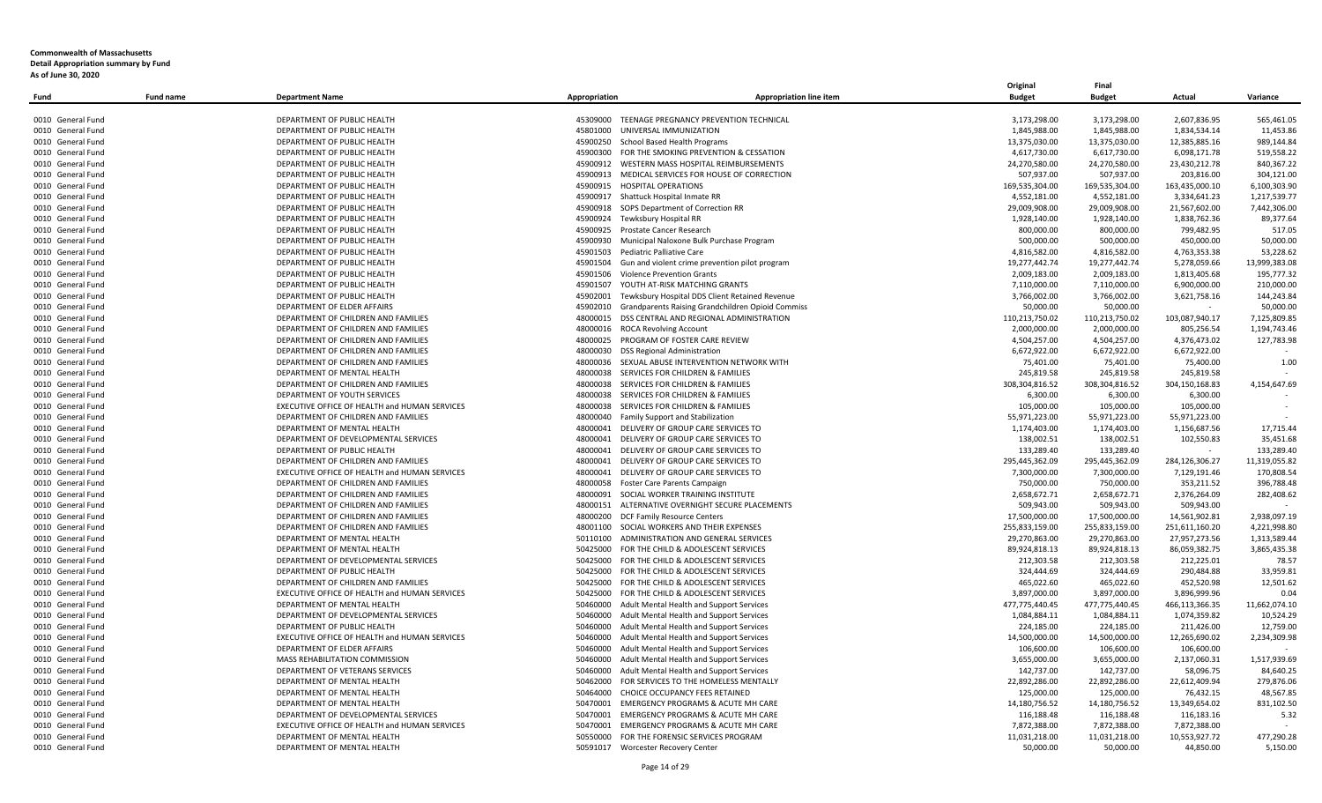|                   |                  |                                                                                      |                                       |                                                                                            | Original                       | Final          |                |                             |
|-------------------|------------------|--------------------------------------------------------------------------------------|---------------------------------------|--------------------------------------------------------------------------------------------|--------------------------------|----------------|----------------|-----------------------------|
| Fund              | <b>Fund name</b> | <b>Department Name</b>                                                               | Appropriation                         | <b>Appropriation line item</b>                                                             | <b>Budget</b>                  | <b>Budget</b>  | Actual         | Variance                    |
|                   |                  |                                                                                      |                                       |                                                                                            |                                |                |                |                             |
| 0010 General Fund |                  | DEPARTMENT OF PUBLIC HEALTH                                                          |                                       | 45309000 TEENAGE PREGNANCY PREVENTION TECHNICAL                                            | 3,173,298.00                   | 3,173,298.00   | 2,607,836.95   | 565,461.05                  |
| 0010 General Fund |                  | DEPARTMENT OF PUBLIC HEALTH                                                          | 45801000 UNIVERSAL IMMUNIZATION       |                                                                                            | 1,845,988.00                   | 1,845,988.00   | 1,834,534.14   | 11,453.86                   |
| 0010 General Fund |                  | DEPARTMENT OF PUBLIC HEALTH                                                          | 45900250 School Based Health Programs |                                                                                            | 13,375,030.00                  | 13,375,030.00  | 12,385,885.16  | 989,144.84                  |
| 0010 General Fund |                  | DEPARTMENT OF PUBLIC HEALTH                                                          |                                       | 45900300 FOR THE SMOKING PREVENTION & CESSATION                                            | 4,617,730.00                   | 6,617,730.00   | 6,098,171.78   | 519,558.22                  |
| 0010 General Fund |                  | DEPARTMENT OF PUBLIC HEALTH                                                          |                                       | 45900912 WESTERN MASS HOSPITAL REIMBURSEMENTS                                              | 24,270,580.00                  | 24,270,580.00  | 23,430,212.78  | 840,367.22                  |
| 0010 General Fund |                  | DEPARTMENT OF PUBLIC HEALTH                                                          |                                       | 45900913 MEDICAL SERVICES FOR HOUSE OF CORRECTION                                          | 507,937.00                     | 507,937.00     | 203,816.00     | 304,121.00                  |
| 0010 General Fund |                  | DEPARTMENT OF PUBLIC HEALTH                                                          | 45900915 HOSPITAL OPERATIONS          |                                                                                            | 169,535,304.00                 | 169,535,304.00 | 163,435,000.10 | 6,100,303.90                |
| 0010 General Fund |                  | DEPARTMENT OF PUBLIC HEALTH                                                          | 45900917 Shattuck Hospital Inmate RR  |                                                                                            | 4,552,181.00                   | 4,552,181.00   | 3,334,641.23   | 1,217,539.77                |
| 0010 General Fund |                  | DEPARTMENT OF PUBLIC HEALTH                                                          |                                       | 45900918 SOPS Department of Correction RR                                                  | 29,009,908.00                  | 29,009,908.00  | 21,567,602.00  | 7,442,306.00                |
| 0010 General Fund |                  | DEPARTMENT OF PUBLIC HEALTH                                                          | 45900924 Tewksbury Hospital RR        |                                                                                            | 1,928,140.00                   | 1,928,140.00   | 1,838,762.36   | 89,377.64                   |
| 0010 General Fund |                  | DEPARTMENT OF PUBLIC HEALTH                                                          | 45900925 Prostate Cancer Research     |                                                                                            | 800,000.00                     | 800,000.00     | 799,482.95     | 517.05                      |
| 0010 General Fund |                  | DEPARTMENT OF PUBLIC HEALTH                                                          | 45900930                              | Municipal Naloxone Bulk Purchase Program                                                   | 500,000.00                     | 500,000.00     | 450,000.00     | 50,000.00                   |
| 0010 General Fund |                  | DEPARTMENT OF PUBLIC HEALTH                                                          | 45901503                              | Pediatric Palliative Care                                                                  | 4,816,582.00                   | 4,816,582.00   | 4,763,353.38   | 53,228.62                   |
| 0010 General Fund |                  | DEPARTMENT OF PUBLIC HEALTH                                                          | 45901504                              | Gun and violent crime prevention pilot program                                             | 19,277,442.74                  | 19,277,442.74  | 5,278,059.66   | 13,999,383.08               |
| 0010 General Fund |                  | DEPARTMENT OF PUBLIC HEALTH                                                          | 45901506                              | <b>Violence Prevention Grants</b>                                                          | 2,009,183.00                   | 2,009,183.00   | 1,813,405.68   | 195,777.32                  |
| 0010 General Fund |                  | DEPARTMENT OF PUBLIC HEALTH                                                          |                                       | 45901507 YOUTH AT-RISK MATCHING GRANTS                                                     | 7,110,000.00                   | 7,110,000.00   | 6,900,000.00   | 210,000.00                  |
| 0010 General Fund |                  | DEPARTMENT OF PUBLIC HEALTH                                                          |                                       | 45902001 Tewksbury Hospital DDS Client Retained Revenue                                    | 3,766,002.00                   | 3,766,002.00   | 3,621,758.16   | 144,243.84                  |
| 0010 General Fund |                  | DEPARTMENT OF ELDER AFFAIRS                                                          |                                       | 45902010 Grandparents Raising Grandchildren Opioid Commiss                                 | 50,000.00                      | 50,000.00      |                | 50,000.00                   |
| 0010 General Fund |                  | DEPARTMENT OF CHILDREN AND FAMILIES                                                  |                                       | 48000015 DSS CENTRAL AND REGIONAL ADMINISTRATION                                           | 110,213,750.02                 | 110,213,750.02 | 103,087,940.17 | 7,125,809.85                |
| 0010 General Fund |                  | DEPARTMENT OF CHILDREN AND FAMILIES                                                  | 48000016 ROCA Revolving Account       |                                                                                            | 2,000,000.00                   | 2,000,000.00   | 805,256.54     | 1,194,743.46                |
| 0010 General Fund |                  | DEPARTMENT OF CHILDREN AND FAMILIES                                                  |                                       | 48000025 PROGRAM OF FOSTER CARE REVIEW                                                     | 4,504,257.00                   | 4,504,257.00   | 4,376,473.02   | 127,783.98                  |
| 0010 General Fund |                  | DEPARTMENT OF CHILDREN AND FAMILIES                                                  | 48000030 DSS Regional Administration  |                                                                                            | 6,672,922.00                   | 6,672,922.00   | 6,672,922.00   |                             |
| 0010 General Fund |                  | DEPARTMENT OF CHILDREN AND FAMILIES                                                  |                                       | 48000036 SEXUAL ABUSE INTERVENTION NETWORK WITH                                            | 75,401.00                      | 75,401.00      | 75,400.00      | 1.00                        |
| 0010 General Fund |                  | DEPARTMENT OF MENTAL HEALTH                                                          |                                       | 48000038 SERVICES FOR CHILDREN & FAMILIES                                                  | 245,819.58                     | 245,819.58     | 245,819.58     |                             |
| 0010 General Fund |                  | DEPARTMENT OF CHILDREN AND FAMILIES                                                  | 48000038                              | SERVICES FOR CHILDREN & FAMILIES                                                           | 308,304,816.52                 | 308,304,816.52 | 304,150,168.83 | 4,154,647.69                |
| 0010 General Fund |                  | DEPARTMENT OF YOUTH SERVICES                                                         |                                       | 48000038 SERVICES FOR CHILDREN & FAMILIES                                                  | 6,300.00                       | 6,300.00       | 6,300.00       |                             |
| 0010 General Fund |                  | EXECUTIVE OFFICE OF HEALTH and HUMAN SERVICES                                        |                                       | 48000038 SERVICES FOR CHILDREN & FAMILIES                                                  | 105,000.00                     | 105,000.00     | 105,000.00     |                             |
| 0010 General Fund |                  | DEPARTMENT OF CHILDREN AND FAMILIES                                                  |                                       | 48000040 Family Support and Stabilization                                                  | 55,971,223.00                  | 55,971,223.00  | 55,971,223.00  |                             |
| 0010 General Fund |                  | DEPARTMENT OF MENTAL HEALTH                                                          | 48000041                              | DELIVERY OF GROUP CARE SERVICES TO                                                         | 1,174,403.00                   | 1,174,403.00   | 1,156,687.56   | 17,715.44                   |
| 0010 General Fund |                  | DEPARTMENT OF DEVELOPMENTAL SERVICES                                                 |                                       | 48000041 DELIVERY OF GROUP CARE SERVICES TO                                                | 138,002.51                     | 138,002.51     | 102,550.83     | 35,451.68                   |
| 0010 General Fund |                  | DEPARTMENT OF PUBLIC HEALTH                                                          |                                       | 48000041 DELIVERY OF GROUP CARE SERVICES TO                                                | 133,289.40                     | 133,289.40     |                | 133,289.40                  |
| 0010 General Fund |                  |                                                                                      |                                       |                                                                                            |                                |                |                |                             |
| 0010 General Fund |                  | DEPARTMENT OF CHILDREN AND FAMILIES<br>EXECUTIVE OFFICE OF HEALTH and HUMAN SERVICES |                                       | 48000041 DELIVERY OF GROUP CARE SERVICES TO<br>48000041 DELIVERY OF GROUP CARE SERVICES TO | 295,445,362.09<br>7,300,000.00 | 295,445,362.09 | 284,126,306.27 | 11,319,055.82<br>170.808.54 |
|                   |                  | DEPARTMENT OF CHILDREN AND FAMILIES                                                  |                                       |                                                                                            |                                | 7,300,000.00   | 7,129,191.46   |                             |
| 0010 General Fund |                  |                                                                                      | 48000058 Foster Care Parents Campaign |                                                                                            | 750,000.00                     | 750,000.00     | 353,211.52     | 396,788.48                  |
| 0010 General Fund |                  | DEPARTMENT OF CHILDREN AND FAMILIES                                                  |                                       | 48000091 SOCIAL WORKER TRAINING INSTITUTE                                                  | 2,658,672.71                   | 2,658,672.71   | 2,376,264.09   | 282,408.62                  |
| 0010 General Fund |                  | DEPARTMENT OF CHILDREN AND FAMILIES                                                  |                                       | 48000151 ALTERNATIVE OVERNIGHT SECURE PLACEMENTS                                           | 509,943.00                     | 509,943.00     | 509,943.00     |                             |
| 0010 General Fund |                  | DEPARTMENT OF CHILDREN AND FAMILIES                                                  | 48000200 DCF Family Resource Centers  |                                                                                            | 17,500,000.00                  | 17,500,000.00  | 14,561,902.81  | 2,938,097.19                |
| 0010 General Fund |                  | DEPARTMENT OF CHILDREN AND FAMILIES                                                  | 48001100                              | SOCIAL WORKERS AND THEIR EXPENSES                                                          | 255,833,159.00                 | 255,833,159.00 | 251,611,160.20 | 4,221,998.80                |
| 0010 General Fund |                  | DEPARTMENT OF MENTAL HEALTH                                                          |                                       | 50110100 ADMINISTRATION AND GENERAL SERVICES                                               | 29,270,863.00                  | 29,270,863.00  | 27,957,273.56  | 1,313,589.44                |
| 0010 General Fund |                  | DEPARTMENT OF MENTAL HEALTH                                                          |                                       | 50425000 FOR THE CHILD & ADOLESCENT SERVICES                                               | 89,924,818.13                  | 89,924,818.13  | 86,059,382.75  | 3,865,435.38                |
| 0010 General Fund |                  | DEPARTMENT OF DEVELOPMENTAL SERVICES                                                 |                                       | 50425000 FOR THE CHILD & ADOLESCENT SERVICES                                               | 212,303.58                     | 212,303.58     | 212,225.01     | 78.57                       |
| 0010 General Fund |                  | DEPARTMENT OF PUBLIC HEALTH                                                          |                                       | 50425000 FOR THE CHILD & ADOLESCENT SERVICES                                               | 324,444.69                     | 324,444.69     | 290,484.88     | 33,959.81                   |
| 0010 General Fund |                  | DEPARTMENT OF CHILDREN AND FAMILIES                                                  |                                       | 50425000 FOR THE CHILD & ADOLESCENT SERVICES                                               | 465,022.60                     | 465,022.60     | 452,520.98     | 12,501.62                   |
| 0010 General Fund |                  | EXECUTIVE OFFICE OF HEALTH and HUMAN SERVICES                                        |                                       | 50425000 FOR THE CHILD & ADOLESCENT SERVICES                                               | 3,897,000.00                   | 3,897,000.00   | 3,896,999.96   | 0.04                        |
| 0010 General Fund |                  | DEPARTMENT OF MENTAL HEALTH                                                          |                                       | 50460000 Adult Mental Health and Support Services                                          | 477,775,440.45                 | 477,775,440.45 | 466,113,366.35 | 11,662,074.10               |
| 0010 General Fund |                  | DEPARTMENT OF DEVELOPMENTAL SERVICES                                                 | 50460000                              | Adult Mental Health and Support Services                                                   | 1,084,884.11                   | 1,084,884.11   | 1,074,359.82   | 10.524.29                   |
| 0010 General Fund |                  | DEPARTMENT OF PUBLIC HEALTH                                                          | 50460000                              | Adult Mental Health and Support Services                                                   | 224,185.00                     | 224,185.00     | 211,426.00     | 12,759.00                   |
| 0010 General Fund |                  | EXECUTIVE OFFICE OF HEALTH and HUMAN SERVICES                                        | 50460000                              | Adult Mental Health and Support Services                                                   | 14,500,000.00                  | 14,500,000.00  | 12,265,690.02  | 2,234,309.98                |
| 0010 General Fund |                  | DEPARTMENT OF ELDER AFFAIRS                                                          | 50460000                              | Adult Mental Health and Support Services                                                   | 106,600.00                     | 106,600.00     | 106,600.00     |                             |
| 0010 General Fund |                  | MASS REHABILITATION COMMISSION                                                       | 50460000                              | Adult Mental Health and Support Services                                                   | 3,655,000.00                   | 3,655,000.00   | 2,137,060.31   | 1,517,939.69                |
| 0010 General Fund |                  | DEPARTMENT OF VETERANS SERVICES                                                      | 50460000                              | Adult Mental Health and Support Services                                                   | 142,737.00                     | 142,737.00     | 58,096.75      | 84,640.25                   |
| 0010 General Fund |                  | DEPARTMENT OF MENTAL HEALTH                                                          |                                       | 50462000 FOR SERVICES TO THE HOMELESS MENTALLY                                             | 22,892,286.00                  | 22,892,286.00  | 22,612,409.94  | 279,876.06                  |
| 0010 General Fund |                  | DEPARTMENT OF MENTAL HEALTH                                                          |                                       | 50464000 CHOICE OCCUPANCY FEES RETAINED                                                    | 125,000.00                     | 125,000.00     | 76,432.15      | 48,567.85                   |
| 0010 General Fund |                  | DEPARTMENT OF MENTAL HEALTH                                                          | 50470001                              | <b>EMERGENCY PROGRAMS &amp; ACUTE MH CARE</b>                                              | 14,180,756.52                  | 14,180,756.52  | 13,349,654.02  | 831,102.50                  |
| 0010 General Fund |                  | DEPARTMENT OF DEVELOPMENTAL SERVICES                                                 | 50470001                              | <b>EMERGENCY PROGRAMS &amp; ACUTE MH CARE</b>                                              | 116,188.48                     | 116,188.48     | 116,183.16     | 5.32                        |
| 0010 General Fund |                  | EXECUTIVE OFFICE OF HEALTH and HUMAN SERVICES                                        | 50470001                              | <b>EMERGENCY PROGRAMS &amp; ACUTE MH CARE</b>                                              | 7,872,388.00                   | 7,872,388.00   | 7,872,388.00   |                             |
| 0010 General Fund |                  | DEPARTMENT OF MENTAL HEALTH                                                          |                                       | 50550000 FOR THE FORENSIC SERVICES PROGRAM                                                 | 11,031,218.00                  | 11,031,218.00  | 10.553.927.72  | 477.290.28                  |
| 0010 General Fund |                  | DEPARTMENT OF MENTAL HEALTH                                                          | 50591017 Worcester Recovery Center    |                                                                                            | 50,000.00                      | 50.000.00      | 44.850.00      | 5,150.00                    |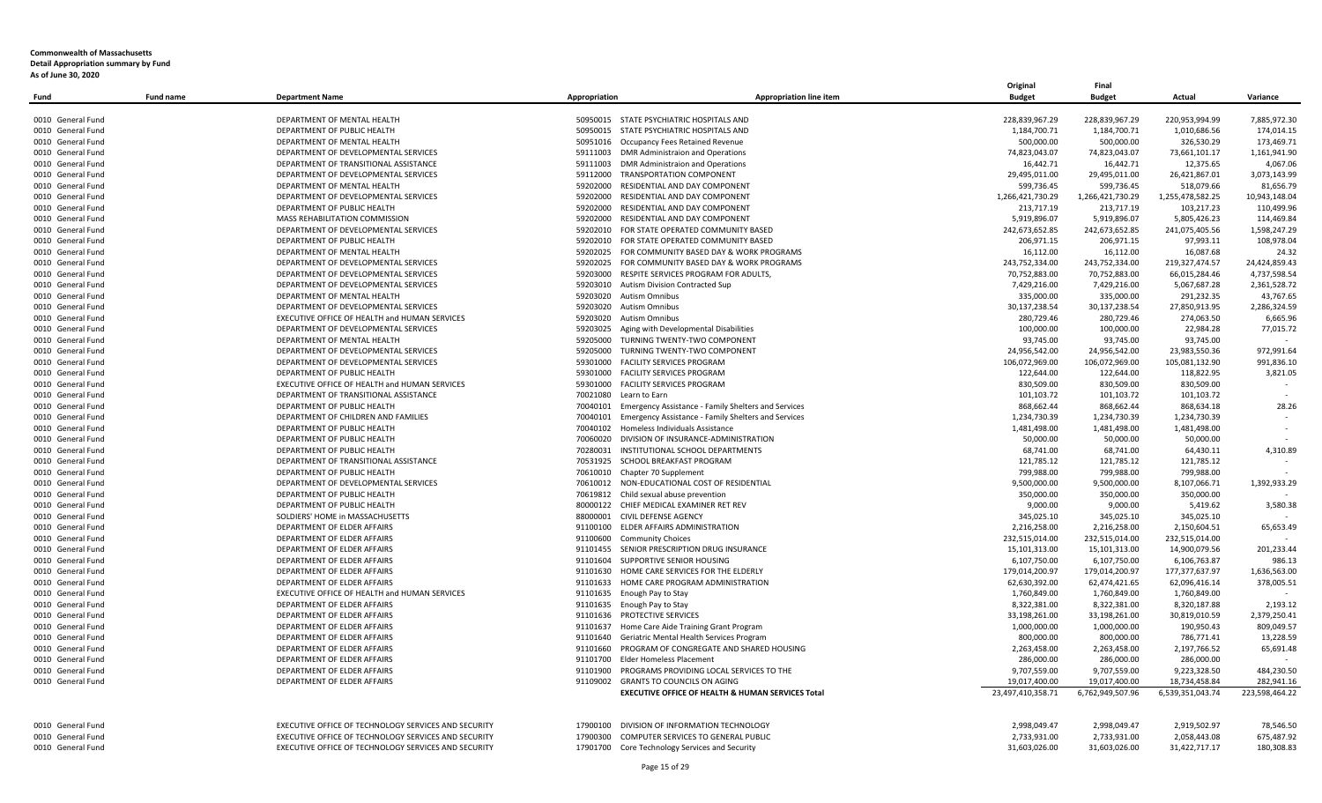|                   |                  |                                                      |               |                                                            | Original          | Final            |                  |                |
|-------------------|------------------|------------------------------------------------------|---------------|------------------------------------------------------------|-------------------|------------------|------------------|----------------|
| Fund              | <b>Fund name</b> | <b>Department Name</b>                               | Appropriation | <b>Appropriation line item</b>                             | <b>Budget</b>     | <b>Budget</b>    | Actual           | Variance       |
|                   |                  |                                                      |               |                                                            |                   |                  |                  |                |
| 0010 General Fund |                  | DEPARTMENT OF MENTAL HEALTH                          |               | 50950015 STATE PSYCHIATRIC HOSPITALS AND                   | 228,839,967.29    | 228,839,967.29   | 220,953,994.99   | 7,885,972.30   |
| 0010 General Fund |                  | DEPARTMENT OF PUBLIC HEALTH                          |               | 50950015 STATE PSYCHIATRIC HOSPITALS AND                   | 1,184,700.71      | 1,184,700.71     | 1,010,686.56     | 174,014.15     |
| 0010 General Fund |                  | DEPARTMENT OF MENTAL HEALTH                          |               | 50951016 Occupancy Fees Retained Revenue                   | 500,000.00        | 500,000.00       | 326,530.29       | 173,469.71     |
| 0010 General Fund |                  | DEPARTMENT OF DEVELOPMENTAL SERVICES                 |               | 59111003 DMR Administraion and Operations                  | 74,823,043.07     | 74,823,043.07    | 73,661,101.17    | 1,161,941.90   |
| 0010 General Fund |                  | DEPARTMENT OF TRANSITIONAL ASSISTANCE                |               | 59111003 DMR Administraion and Operations                  | 16,442.71         | 16,442.71        | 12.375.65        | 4,067.06       |
| 0010 General Fund |                  | DEPARTMENT OF DEVELOPMENTAL SERVICES                 |               | 59112000 TRANSPORTATION COMPONENT                          | 29,495,011.00     | 29,495,011.00    | 26,421,867.01    | 3,073,143.99   |
| 0010 General Fund |                  | DEPARTMENT OF MENTAL HEALTH                          | 59202000      | RESIDENTIAL AND DAY COMPONENT                              | 599,736.45        | 599,736.45       | 518,079.66       | 81,656.79      |
| 0010 General Fund |                  | DEPARTMENT OF DEVELOPMENTAL SERVICES                 | 59202000      | RESIDENTIAL AND DAY COMPONENT                              | 1,266,421,730.29  | 1,266,421,730.29 | 1,255,478,582.25 | 10,943,148.04  |
| 0010 General Fund |                  | DEPARTMENT OF PUBLIC HEALTH                          | 59202000      | RESIDENTIAL AND DAY COMPONENT                              | 213,717.19        | 213,717.19       | 103,217.23       | 110,499.96     |
| 0010 General Fund |                  | MASS REHABILITATION COMMISSION                       | 59202000      | RESIDENTIAL AND DAY COMPONENT                              | 5,919,896.07      | 5,919,896.07     | 5,805,426.23     | 114,469.84     |
| 0010 General Fund |                  | DEPARTMENT OF DEVELOPMENTAL SERVICES                 |               | 59202010 FOR STATE OPERATED COMMUNITY BASED                | 242,673,652.85    | 242,673,652.85   | 241,075,405.56   | 1,598,247.29   |
| 0010 General Fund |                  | DEPARTMENT OF PUBLIC HEALTH                          | 59202010      | FOR STATE OPERATED COMMUNITY BASED                         | 206,971.15        | 206,971.15       | 97,993.11        | 108,978.04     |
| 0010 General Fund |                  | DEPARTMENT OF MENTAL HEALTH                          | 59202025      | FOR COMMUNITY BASED DAY & WORK PROGRAMS                    | 16,112.00         | 16,112.00        | 16,087.68        | 24.32          |
| 0010 General Fund |                  | DEPARTMENT OF DEVELOPMENTAL SERVICES                 |               | 59202025 FOR COMMUNITY BASED DAY & WORK PROGRAMS           | 243,752,334.00    | 243,752,334.00   | 219,327,474.57   | 24,424,859.43  |
| 0010 General Fund |                  | DEPARTMENT OF DEVELOPMENTAL SERVICES                 | 59203000      | RESPITE SERVICES PROGRAM FOR ADULTS,                       | 70,752,883.00     | 70,752,883.00    | 66,015,284.46    | 4,737,598.54   |
| 0010 General Fund |                  | DEPARTMENT OF DEVELOPMENTAL SERVICES                 |               | 59203010 Autism Division Contracted Sup                    | 7,429,216.00      | 7,429,216.00     | 5,067,687.28     | 2,361,528.72   |
| 0010 General Fund |                  | DEPARTMENT OF MENTAL HEALTH                          | 59203020      | <b>Autism Omnibus</b>                                      | 335,000.00        | 335,000.00       | 291,232.35       | 43,767.65      |
| 0010 General Fund |                  | DEPARTMENT OF DEVELOPMENTAL SERVICES                 |               | 59203020 Autism Omnibus                                    | 30,137,238.54     | 30,137,238.54    | 27,850,913.95    | 2,286,324.59   |
| 0010 General Fund |                  | EXECUTIVE OFFICE OF HEALTH and HUMAN SERVICES        |               | 59203020 Autism Omnibus                                    | 280,729.46        | 280,729.46       | 274,063.50       | 6,665.96       |
| 0010 General Fund |                  | DEPARTMENT OF DEVELOPMENTAL SERVICES                 | 59203025      | Aging with Developmental Disabilities                      | 100,000.00        | 100,000.00       | 22,984.28        | 77,015.72      |
| 0010 General Fund |                  | DEPARTMENT OF MENTAL HEALTH                          | 59205000      | TURNING TWENTY-TWO COMPONENT                               | 93,745.00         | 93,745.00        | 93,745.00        | $\sim$         |
| 0010 General Fund |                  | DEPARTMENT OF DEVELOPMENTAL SERVICES                 | 59205000      | TURNING TWENTY-TWO COMPONENT                               | 24,956,542.00     | 24,956,542.00    | 23,983,550.36    | 972,991.64     |
| 0010 General Fund |                  | DEPARTMENT OF DEVELOPMENTAL SERVICES                 |               | 59301000 FACILITY SERVICES PROGRAM                         | 106,072,969.00    | 106,072,969.00   | 105,081,132.90   | 991,836.10     |
| 0010 General Fund |                  | DEPARTMENT OF PUBLIC HEALTH                          | 59301000      | <b>FACILITY SERVICES PROGRAM</b>                           | 122,644.00        | 122,644.00       | 118,822.95       | 3,821.05       |
| 0010 General Fund |                  | EXECUTIVE OFFICE OF HEALTH and HUMAN SERVICES        |               | 59301000 FACILITY SERVICES PROGRAM                         | 830,509.00        | 830,509.00       | 830,509.00       |                |
| 0010 General Fund |                  | DEPARTMENT OF TRANSITIONAL ASSISTANCE                | 70021080      | Learn to Earn                                              | 101,103.72        | 101,103.72       | 101,103.72       |                |
| 0010 General Fund |                  | DEPARTMENT OF PUBLIC HEALTH                          | 70040101      | <b>Emergency Assistance - Family Shelters and Services</b> | 868,662.44        | 868,662.44       | 868,634.18       | 28.26          |
| 0010 General Fund |                  | DEPARTMENT OF CHILDREN AND FAMILIES                  | 70040101      | <b>Emergency Assistance - Family Shelters and Services</b> | 1,234,730.39      | 1,234,730.39     | 1,234,730.39     |                |
| 0010 General Fund |                  | DEPARTMENT OF PUBLIC HEALTH                          | 70040102      | Homeless Individuals Assistance                            | 1,481,498.00      | 1,481,498.00     | 1,481,498.00     |                |
| 0010 General Fund |                  | DEPARTMENT OF PUBLIC HEALTH                          |               | 70060020 DIVISION OF INSURANCE-ADMINISTRATION              | 50,000.00         | 50,000.00        | 50,000.00        |                |
| 0010 General Fund |                  | DEPARTMENT OF PUBLIC HEALTH                          | 70280031      | INSTITUTIONAL SCHOOL DEPARTMENTS                           | 68,741.00         | 68,741.00        | 64,430.11        | 4,310.89       |
| 0010 General Fund |                  | DEPARTMENT OF TRANSITIONAL ASSISTANCE                |               | 70531925 SCHOOL BREAKFAST PROGRAM                          | 121,785.12        | 121,785.12       | 121,785.12       |                |
| 0010 General Fund |                  | DEPARTMENT OF PUBLIC HEALTH                          |               | 70610010 Chapter 70 Supplement                             | 799,988.00        | 799,988.00       | 799,988.00       |                |
| 0010 General Fund |                  | DEPARTMENT OF DEVELOPMENTAL SERVICES                 | 70610012      | NON-EDUCATIONAL COST OF RESIDENTIAL                        | 9,500,000.00      | 9,500,000.00     | 8,107,066.71     | 1,392,933.29   |
| 0010 General Fund |                  | DEPARTMENT OF PUBLIC HEALTH                          |               | 70619812 Child sexual abuse prevention                     | 350,000.00        | 350,000.00       | 350,000.00       |                |
| 0010 General Fund |                  | DEPARTMENT OF PUBLIC HEALTH                          |               | 80000122 CHIEF MEDICAL EXAMINER RET REV                    | 9,000.00          | 9,000.00         | 5,419.62         | 3,580.38       |
| 0010 General Fund |                  | SOLDIERS' HOME in MASSACHUSETTS                      |               | 88000001 CIVIL DEFENSE AGENCY                              | 345,025.10        | 345,025.10       | 345,025.10       |                |
| 0010 General Fund |                  | DEPARTMENT OF ELDER AFFAIRS                          |               | 91100100 ELDER AFFAIRS ADMINISTRATION                      | 2,216,258.00      | 2,216,258.00     | 2,150,604.51     | 65,653.49      |
| 0010 General Fund |                  | DEPARTMENT OF ELDER AFFAIRS                          |               | 91100600 Community Choices                                 | 232,515,014.00    | 232,515,014.00   | 232,515,014.00   |                |
| 0010 General Fund |                  | DEPARTMENT OF ELDER AFFAIRS                          |               | 91101455 SENIOR PRESCRIPTION DRUG INSURANCE                | 15,101,313.00     | 15,101,313.00    | 14,900,079.56    | 201,233.44     |
| 0010 General Fund |                  | DEPARTMENT OF ELDER AFFAIRS                          |               | 91101604 SUPPORTIVE SENIOR HOUSING                         | 6,107,750.00      | 6,107,750.00     | 6,106,763.87     | 986.13         |
| 0010 General Fund |                  | DEPARTMENT OF ELDER AFFAIRS                          | 91101630      | HOME CARE SERVICES FOR THE ELDERLY                         | 179,014,200.97    | 179,014,200.97   | 177,377,637.97   | 1,636,563.00   |
| 0010 General Fund |                  | DEPARTMENT OF ELDER AFFAIRS                          |               | 91101633 HOME CARE PROGRAM ADMINISTRATION                  | 62,630,392.00     | 62,474,421.65    | 62,096,416.14    | 378,005.51     |
| 0010 General Fund |                  | EXECUTIVE OFFICE OF HEALTH and HUMAN SERVICES        |               | 91101635 Enough Pay to Stay                                | 1,760,849.00      | 1,760,849.00     | 1,760,849.00     |                |
| 0010 General Fund |                  | DEPARTMENT OF ELDER AFFAIRS                          |               | 91101635 Enough Pay to Stay                                | 8,322,381.00      | 8,322,381.00     | 8,320,187.88     | 2,193.12       |
| 0010 General Fund |                  | DEPARTMENT OF ELDER AFFAIRS                          | 91101636      | PROTECTIVE SERVICES                                        | 33,198,261.00     | 33,198,261.00    | 30,819,010.59    | 2,379,250.41   |
| 0010 General Fund |                  | DEPARTMENT OF ELDER AFFAIRS                          | 91101637      | Home Care Aide Training Grant Program                      | 1,000,000.00      | 1,000,000.00     | 190,950.43       | 809,049.57     |
| 0010 General Fund |                  | DEPARTMENT OF ELDER AFFAIRS                          | 91101640      | Geriatric Mental Health Services Program                   | 800,000.00        | 800,000.00       | 786,771.41       | 13,228.59      |
| 0010 General Fund |                  | DEPARTMENT OF ELDER AFFAIRS                          |               | 91101660 PROGRAM OF CONGREGATE AND SHARED HOUSING          | 2,263,458.00      | 2,263,458.00     | 2,197,766.52     | 65,691.48      |
| 0010 General Fund |                  | DEPARTMENT OF ELDER AFFAIRS                          | 91101700      | <b>Elder Homeless Placement</b>                            | 286,000.00        | 286,000.00       | 286,000.00       |                |
| 0010 General Fund |                  | DEPARTMENT OF ELDER AFFAIRS                          | 91101900      | PROGRAMS PROVIDING LOCAL SERVICES TO THE                   | 9,707,559.00      | 9,707,559.00     | 9,223,328.50     | 484,230.50     |
| 0010 General Fund |                  | DEPARTMENT OF ELDER AFFAIRS                          |               | 91109002 GRANTS TO COUNCILS ON AGING                       | 19,017,400.00     | 19,017,400.00    | 18,734,458.84    | 282.941.16     |
|                   |                  |                                                      |               | EXECUTIVE OFFICE OF HEALTH & HUMAN SERVICES Total          | 23,497,410,358.71 | 6,762,949,507.96 | 6,539,351,043.74 | 223,598,464.22 |
|                   |                  |                                                      |               |                                                            |                   |                  |                  |                |
| 0010 General Fund |                  | EXECUTIVE OFFICE OF TECHNOLOGY SERVICES AND SECURITY | 17900100      | DIVISION OF INFORMATION TECHNOLOGY                         | 2,998,049.47      | 2,998,049.47     | 2,919,502.97     | 78,546.50      |
| 0010 General Fund |                  | EXECUTIVE OFFICE OF TECHNOLOGY SERVICES AND SECURITY | 17900300      | COMPUTER SERVICES TO GENERAL PUBLIC                        | 2,733,931.00      | 2,733,931.00     | 2,058,443.08     | 675,487.92     |
| 0010 General Fund |                  | EXECUTIVE OFFICE OF TECHNOLOGY SERVICES AND SECURITY |               | 17901700 Core Technology Services and Security             | 31,603,026.00     | 31,603,026.00    | 31,422,717.17    | 180,308.83     |
|                   |                  |                                                      |               |                                                            |                   |                  |                  |                |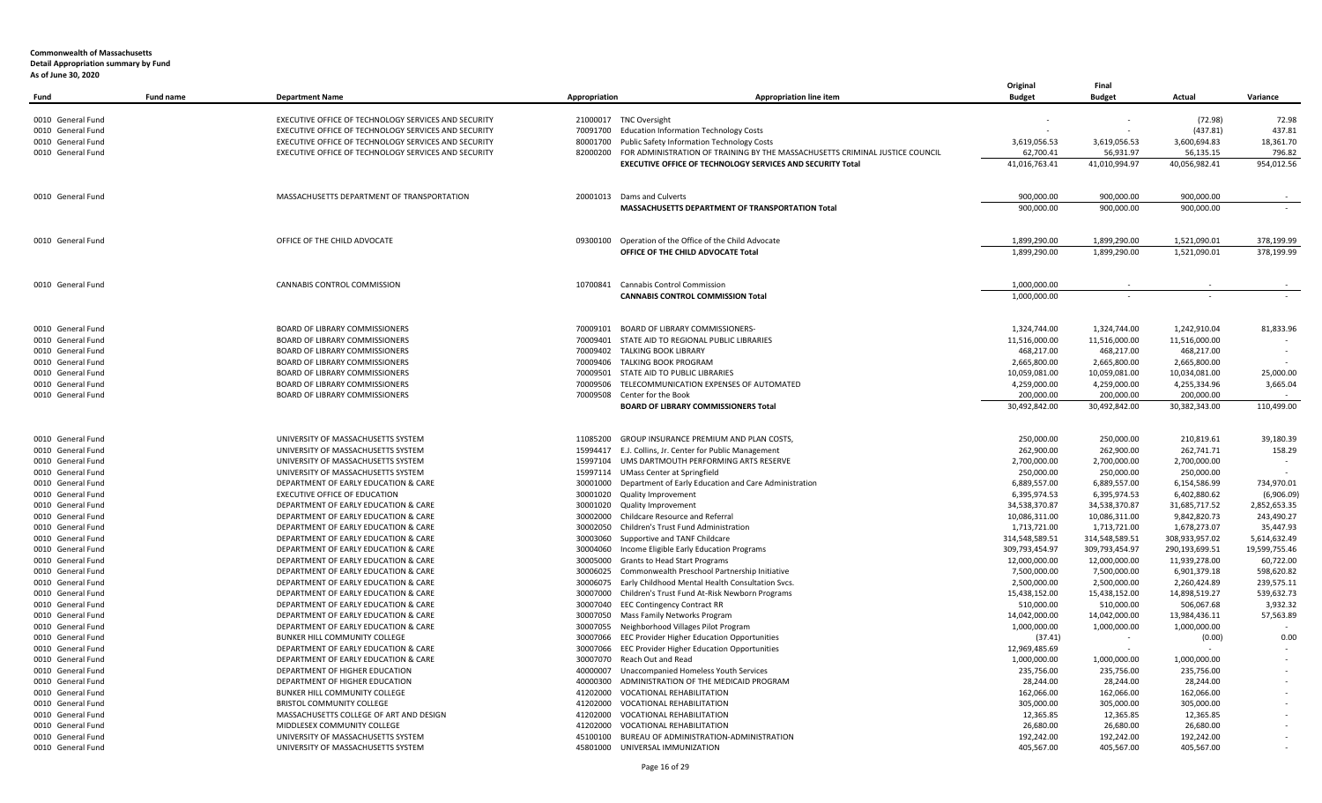| Fund                                   | <b>Fund name</b> | <b>Department Name</b>                                                       | Appropriation        | <b>Appropriation line item</b>                                               | Original<br><b>Budget</b>        | Final<br><b>Budget</b>           | Actual                           | Variance                      |
|----------------------------------------|------------------|------------------------------------------------------------------------------|----------------------|------------------------------------------------------------------------------|----------------------------------|----------------------------------|----------------------------------|-------------------------------|
| 0010 General Fund                      |                  | EXECUTIVE OFFICE OF TECHNOLOGY SERVICES AND SECURITY                         |                      | 21000017 TNC Oversight                                                       |                                  |                                  | (72.98)                          | 72.98                         |
| 0010 General Fund                      |                  | EXECUTIVE OFFICE OF TECHNOLOGY SERVICES AND SECURITY                         |                      | 70091700 Education Information Technology Costs                              |                                  |                                  | (437.81)                         | 437.81                        |
| 0010 General Fund                      |                  | EXECUTIVE OFFICE OF TECHNOLOGY SERVICES AND SECURITY                         |                      | 80001700 Public Safety Information Technology Costs                          | 3,619,056.53                     | 3,619,056.53                     | 3,600,694.83                     | 18,361.70                     |
| 0010 General Fund                      |                  | EXECUTIVE OFFICE OF TECHNOLOGY SERVICES AND SECURITY                         | 82000200             | FOR ADMINISTRATION OF TRAINING BY THE MASSACHUSETTS CRIMINAL JUSTICE COUNCIL | 62,700.41                        | 56,931.97                        | 56,135.15                        | 796.82                        |
|                                        |                  |                                                                              |                      | EXECUTIVE OFFICE OF TECHNOLOGY SERVICES AND SECURITY Total                   | 41,016,763.41                    | 41,010,994.97                    | 40,056,982.41                    | 954,012.56                    |
| 0010 General Fund                      |                  | MASSACHUSETTS DEPARTMENT OF TRANSPORTATION                                   |                      | 20001013 Dams and Culverts                                                   | 900.000.00                       | 900.000.00                       | 900.000.00                       |                               |
|                                        |                  |                                                                              |                      | MASSACHUSETTS DEPARTMENT OF TRANSPORTATION Total                             | 900,000.00                       | 900,000.00                       | 900,000.00                       |                               |
| 0010 General Fund                      |                  | OFFICE OF THE CHILD ADVOCATE                                                 | 09300100             | Operation of the Office of the Child Advocate                                | 1,899,290.00                     | 1,899,290.00                     | 1,521,090.01                     | 378,199.99                    |
|                                        |                  |                                                                              |                      | OFFICE OF THE CHILD ADVOCATE Total                                           | 1,899,290.00                     | 1,899,290.00                     | 1,521,090.01                     | 378,199.99                    |
| 0010 General Fund                      |                  | CANNABIS CONTROL COMMISSION                                                  |                      | 10700841 Cannabis Control Commission                                         | 1.000.000.00                     |                                  |                                  |                               |
|                                        |                  |                                                                              |                      | <b>CANNABIS CONTROL COMMISSION Total</b>                                     | 1,000,000.00                     |                                  |                                  |                               |
| 0010 General Fund                      |                  | BOARD OF LIBRARY COMMISSIONERS                                               | 70009101             | <b>BOARD OF LIBRARY COMMISSIONERS-</b>                                       | 1,324,744.00                     | 1,324,744.00                     | 1,242,910.04                     | 81,833.96                     |
| 0010 General Fund                      |                  | <b>BOARD OF LIBRARY COMMISSIONERS</b>                                        | 70009401             | STATE AID TO REGIONAL PUBLIC LIBRARIES                                       | 11,516,000.00                    | 11,516,000.00                    | 11,516,000.00                    |                               |
| 0010 General Fund                      |                  | BOARD OF LIBRARY COMMISSIONERS                                               |                      | 70009402 TALKING BOOK LIBRARY                                                | 468,217.00                       | 468,217.00                       | 468,217.00                       |                               |
| 0010 General Fund                      |                  | BOARD OF LIBRARY COMMISSIONERS                                               |                      | 70009406 TALKING BOOK PROGRAM                                                | 2,665,800.00                     | 2,665,800.00                     | 2,665,800.00                     |                               |
| 0010 General Fund                      |                  | <b>BOARD OF LIBRARY COMMISSIONERS</b>                                        | 70009501             | STATE AID TO PUBLIC LIBRARIES                                                | 10,059,081.00                    | 10,059,081.00                    | 10,034,081.00                    | 25.000.00                     |
| 0010 General Fund                      |                  | BOARD OF LIBRARY COMMISSIONERS                                               | 70009506             | TELECOMMUNICATION EXPENSES OF AUTOMATED                                      | 4,259,000.00                     | 4,259,000.00                     | 4,255,334.96                     | 3,665.04                      |
| 0010 General Fund                      |                  | <b>BOARD OF LIBRARY COMMISSIONERS</b>                                        | 70009508             | Center for the Book<br><b>BOARD OF LIBRARY COMMISSIONERS Total</b>           | 200,000.00<br>30,492,842.00      | 200,000.00<br>30,492,842.00      | 200,000.00<br>30,382,343.00      | 110,499.00                    |
|                                        |                  |                                                                              |                      |                                                                              |                                  |                                  |                                  |                               |
| 0010 General Fund                      |                  | UNIVERSITY OF MASSACHUSETTS SYSTEM                                           | 11085200             | <b>GROUP INSURANCE PREMIUM AND PLAN COSTS.</b>                               | 250,000.00                       | 250,000.00                       | 210,819.61                       | 39,180.39                     |
| 0010 General Fund                      |                  | UNIVERSITY OF MASSACHUSETTS SYSTEM                                           |                      | 15994417 E.J. Collins, Jr. Center for Public Management                      | 262,900.00                       | 262,900.00                       | 262,741.71                       | 158.29                        |
| 0010 General Fund                      |                  | UNIVERSITY OF MASSACHUSETTS SYSTEM                                           | 15997104             | UMS DARTMOUTH PERFORMING ARTS RESERVE                                        | 2,700,000.00                     | 2,700,000.00                     | 2,700,000.00                     |                               |
| 0010 General Fund                      |                  | UNIVERSITY OF MASSACHUSETTS SYSTEM                                           |                      | 15997114 UMass Center at Springfield                                         | 250,000.00                       | 250,000.00                       | 250,000.00                       |                               |
| 0010 General Fund                      |                  | DEPARTMENT OF EARLY EDUCATION & CARE                                         | 30001000             | Department of Early Education and Care Administration                        | 6,889,557.00                     | 6,889,557.00                     | 6,154,586.99                     | 734,970.01                    |
| 0010 General Fund                      |                  | EXECUTIVE OFFICE OF EDUCATION                                                | 30001020             | <b>Quality Improvement</b>                                                   | 6,395,974.53                     | 6,395,974.53                     | 6,402,880.62                     | (6,906.09)                    |
| 0010 General Fund                      |                  | DEPARTMENT OF EARLY EDUCATION & CARE                                         | 30001020             | Quality Improvement                                                          | 34,538,370.87                    | 34,538,370.87                    | 31,685,717.52                    | 2,852,653.35                  |
| 0010 General Fund                      |                  | DEPARTMENT OF EARLY EDUCATION & CARE                                         | 30002000             | Childcare Resource and Referral                                              | 10,086,311.00                    | 10,086,311.00                    | 9,842,820.73                     | 243,490.27                    |
| 0010 General Fund<br>0010 General Fund |                  | DEPARTMENT OF EARLY EDUCATION & CARE<br>DEPARTMENT OF EARLY EDUCATION & CARE | 30002050             | Children's Trust Fund Administration<br>Supportive and TANF Childcare        | 1,713,721.00                     | 1,713,721.00                     | 1,678,273.07                     | 35,447.93                     |
| 0010 General Fund                      |                  | DEPARTMENT OF EARLY EDUCATION & CARE                                         | 30003060<br>30004060 | Income Eligible Early Education Programs                                     | 314,548,589.51<br>309,793,454.97 | 314,548,589.51<br>309,793,454.97 | 308,933,957.02<br>290,193,699.51 | 5,614,632.49<br>19,599,755.46 |
| 0010 General Fund                      |                  | DEPARTMENT OF EARLY EDUCATION & CARE                                         | 30005000             | Grants to Head Start Programs                                                | 12,000,000.00                    | 12,000,000.00                    | 11,939,278.00                    | 60,722.00                     |
| 0010 General Fund                      |                  | DEPARTMENT OF EARLY EDUCATION & CARE                                         | 30006025             | Commonwealth Preschool Partnership Initiative                                | 7,500,000.00                     | 7,500,000.00                     | 6,901,379.18                     | 598,620.82                    |
| 0010 General Fund                      |                  | DEPARTMENT OF EARLY EDUCATION & CARE                                         | 30006075             | Early Childhood Mental Health Consultation Svcs.                             | 2,500,000.00                     | 2,500,000.00                     | 2,260,424.89                     | 239,575.11                    |
| 0010 General Fund                      |                  | DEPARTMENT OF EARLY EDUCATION & CARE                                         | 30007000             | Children's Trust Fund At-Risk Newborn Programs                               | 15,438,152.00                    | 15,438,152.00                    | 14,898,519.27                    | 539,632.73                    |
| 0010 General Fund                      |                  | DEPARTMENT OF EARLY EDUCATION & CARE                                         | 30007040             | <b>EEC Contingency Contract RR</b>                                           | 510,000.00                       | 510,000.00                       | 506,067.68                       | 3,932.32                      |
| 0010 General Fund                      |                  | DEPARTMENT OF EARLY EDUCATION & CARE                                         | 30007050             | Mass Family Networks Program                                                 | 14,042,000.00                    | 14,042,000.00                    | 13,984,436.11                    | 57,563.89                     |
| 0010 General Fund                      |                  | DEPARTMENT OF EARLY EDUCATION & CARE                                         | 30007055             | Neighborhood Villages Pilot Program                                          | 1,000,000.00                     | 1,000,000.00                     | 1,000,000.00                     |                               |
| 0010 General Fund                      |                  | BUNKER HILL COMMUNITY COLLEGE                                                | 30007066             | EEC Provider Higher Education Opportunities                                  | (37.41)                          | $\sim$ $-$                       | (0.00)                           | 0.00                          |
| 0010 General Fund                      |                  | DEPARTMENT OF EARLY EDUCATION & CARE                                         |                      | 30007066 EEC Provider Higher Education Opportunities                         | 12,969,485.69                    |                                  |                                  |                               |
| 0010 General Fund                      |                  | DEPARTMENT OF EARLY EDUCATION & CARE                                         |                      | 30007070 Reach Out and Read                                                  | 1,000,000.00                     | 1,000,000.00                     | 1,000,000.00                     |                               |
| 0010 General Fund                      |                  | DEPARTMENT OF HIGHER EDUCATION                                               | 40000007             | Unaccompanied Homeless Youth Services                                        | 235,756.00                       | 235,756.00                       | 235,756.00                       |                               |
| 0010 General Fund                      |                  | DEPARTMENT OF HIGHER EDUCATION                                               | 40000300             | ADMINISTRATION OF THE MEDICAID PROGRAM                                       | 28,244.00                        | 28,244.00                        | 28,244.00                        |                               |
| 0010 General Fund                      |                  | BUNKER HILL COMMUNITY COLLEGE                                                | 41202000             | <b>VOCATIONAL REHABILITATION</b>                                             | 162,066.00                       | 162,066.00                       | 162,066.00                       |                               |
| 0010 General Fund                      |                  | <b>BRISTOL COMMUNITY COLLEGE</b>                                             | 41202000             | <b>VOCATIONAL REHABILITATION</b>                                             | 305,000.00                       | 305,000.00                       | 305,000.00                       |                               |
| 0010 General Fund                      |                  | MASSACHUSETTS COLLEGE OF ART AND DESIGN                                      | 41202000             | <b>VOCATIONAL REHABILITATION</b>                                             | 12,365.85                        | 12,365.85                        | 12,365.85                        |                               |
| 0010 General Fund                      |                  | MIDDLESEX COMMUNITY COLLEGE                                                  | 41202000             | <b>VOCATIONAL REHABILITATION</b>                                             | 26,680.00                        | 26,680.00                        | 26,680.00                        |                               |
| 0010 General Fund                      |                  | UNIVERSITY OF MASSACHUSETTS SYSTEM                                           |                      | 45100100 BUREAU OF ADMINISTRATION-ADMINISTRATION                             | 192,242.00                       | 192,242.00                       | 192,242.00                       |                               |
| 0010 General Fund                      |                  | UNIVERSITY OF MASSACHUSETTS SYSTEM                                           |                      | 45801000 UNIVERSAL IMMUNIZATION                                              | 405,567.00                       | 405,567.00                       | 405,567.00                       |                               |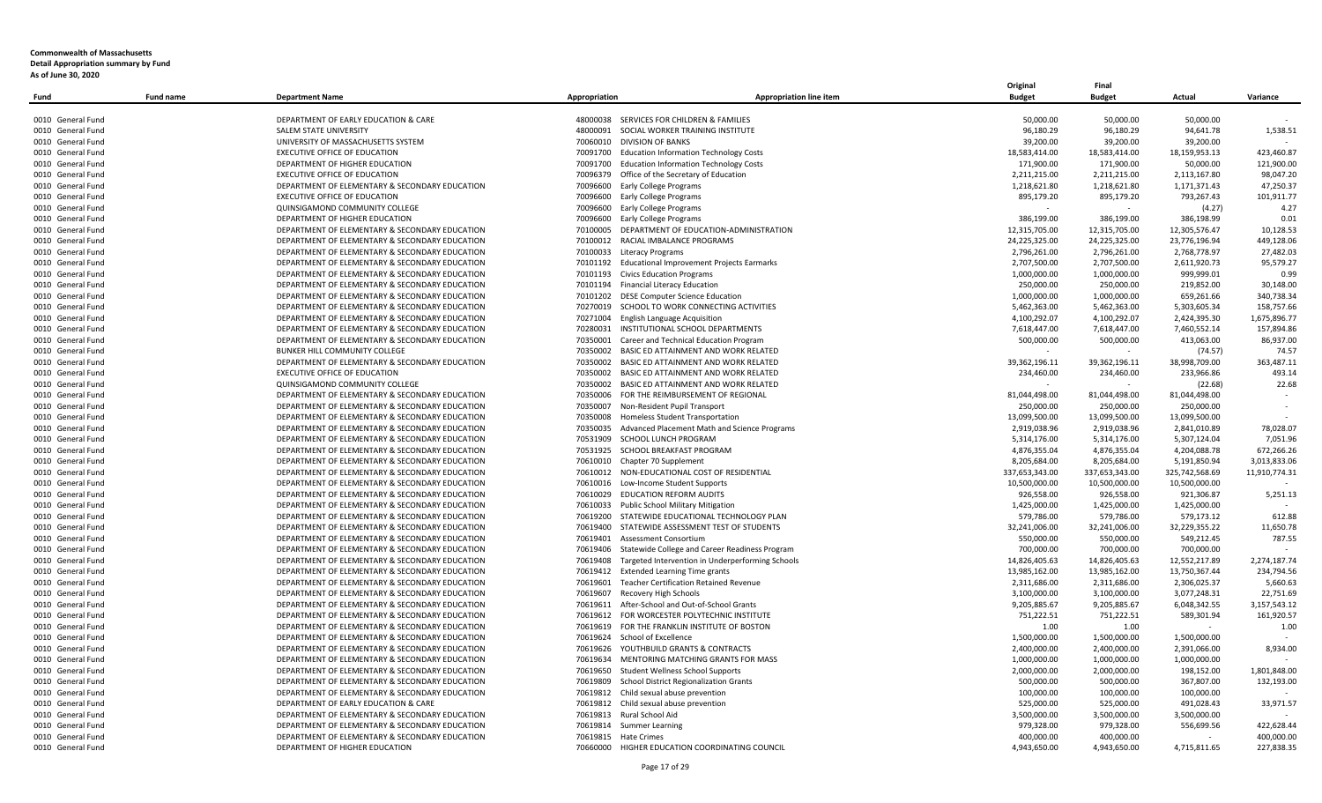|                                        |                  |                                                                                                  |                                                                     |                                                       | Original                 | Final                      |                            |                          |
|----------------------------------------|------------------|--------------------------------------------------------------------------------------------------|---------------------------------------------------------------------|-------------------------------------------------------|--------------------------|----------------------------|----------------------------|--------------------------|
| Fund                                   | <b>Fund name</b> | <b>Department Name</b>                                                                           | Appropriation                                                       | <b>Appropriation line item</b>                        | <b>Budget</b>            | <b>Budget</b>              | Actual                     | Variance                 |
|                                        |                  |                                                                                                  |                                                                     |                                                       |                          |                            |                            |                          |
| 0010 General Fund                      |                  | DEPARTMENT OF EARLY EDUCATION & CARE                                                             | 48000091                                                            | 48000038 SERVICES FOR CHILDREN & FAMILIES             | 50,000.00<br>96,180.29   | 50,000.00                  | 50,000.00<br>94,641.78     |                          |
| 0010 General Fund<br>0010 General Fund |                  | SALEM STATE UNIVERSITY<br>UNIVERSITY OF MASSACHUSETTS SYSTEM                                     | 70060010 DIVISION OF BANKS                                          | SOCIAL WORKER TRAINING INSTITUTE                      | 39,200.00                | 96,180.29<br>39,200.00     | 39,200.00                  | 1,538.51                 |
| 0010 General Fund                      |                  | EXECUTIVE OFFICE OF EDUCATION                                                                    |                                                                     | 70091700 Education Information Technology Costs       | 18,583,414.00            | 18,583,414.00              | 18,159,953.13              | 423,460.87               |
| 0010 General Fund                      |                  | DEPARTMENT OF HIGHER EDUCATION                                                                   |                                                                     | 70091700 Education Information Technology Costs       | 171,900.00               | 171,900.00                 | 50,000.00                  | 121,900.00               |
| 0010 General Fund                      |                  | <b>EXECUTIVE OFFICE OF EDUCATION</b>                                                             | 70096379 Office of the Secretary of Education                       |                                                       | 2,211,215.00             | 2,211,215.00               | 2,113,167.80               | 98,047.20                |
| 0010 General Fund                      |                  | DEPARTMENT OF ELEMENTARY & SECONDARY EDUCATION                                                   | 70096600 Early College Programs                                     |                                                       | 1,218,621.80             | 1,218,621.80               | 1,171,371.43               | 47,250.37                |
| 0010 General Fund                      |                  | EXECUTIVE OFFICE OF EDUCATION                                                                    | 70096600 Early College Programs                                     |                                                       | 895,179.20               | 895,179.20                 | 793,267.43                 | 101,911.77               |
| 0010 General Fund                      |                  | QUINSIGAMOND COMMUNITY COLLEGE                                                                   | 70096600 Early College Programs                                     |                                                       |                          |                            | (4.27)                     | 4.27                     |
| 0010 General Fund                      |                  | DEPARTMENT OF HIGHER EDUCATION                                                                   | 70096600 Early College Programs                                     |                                                       | 386,199.00               | 386,199.00                 | 386,198.99                 | 0.01                     |
| 0010 General Fund                      |                  | DEPARTMENT OF ELEMENTARY & SECONDARY EDUCATION                                                   |                                                                     | 70100005 DEPARTMENT OF EDUCATION-ADMINISTRATION       | 12,315,705.00            | 12,315,705.00              | 12,305,576.47              | 10,128.53                |
| 0010 General Fund                      |                  | DEPARTMENT OF ELEMENTARY & SECONDARY EDUCATION                                                   | 70100012                                                            | RACIAL IMBALANCE PROGRAMS                             | 24,225,325.00            | 24,225,325.00              | 23,776,196.94              | 449,128.06               |
| 0010 General Fund                      |                  | DEPARTMENT OF ELEMENTARY & SECONDARY EDUCATION                                                   | 70100033<br>Literacy Programs                                       |                                                       | 2,796,261.00             | 2,796,261.00               | 2,768,778.97               | 27,482.03                |
| 0010 General Fund                      |                  | DEPARTMENT OF ELEMENTARY & SECONDARY EDUCATION                                                   | 70101192                                                            | Educational Improvement Projects Earmarks             | 2,707,500.00             | 2,707,500.00               | 2,611,920.73               | 95,579.27                |
| 0010 General Fund                      |                  | DEPARTMENT OF ELEMENTARY & SECONDARY EDUCATION                                                   | 70101193 Civics Education Programs                                  |                                                       | 1,000,000.00             | 1,000,000.00               | 999,999.01                 | 0.99                     |
| 0010 General Fund                      |                  | DEPARTMENT OF ELEMENTARY & SECONDARY EDUCATION                                                   | 70101194 Financial Literacy Education                               |                                                       | 250,000.00               | 250,000.00                 | 219,852.00                 | 30,148.00                |
| 0010 General Fund                      |                  | DEPARTMENT OF ELEMENTARY & SECONDARY EDUCATION                                                   | 70101202                                                            | <b>DESE Computer Science Education</b>                | 1,000,000.00             | 1,000,000.00               | 659,261.66                 | 340,738.34               |
| 0010 General Fund                      |                  | DEPARTMENT OF ELEMENTARY & SECONDARY EDUCATION                                                   |                                                                     | 70270019 SCHOOL TO WORK CONNECTING ACTIVITIES         | 5,462,363.00             | 5,462,363.00               | 5,303,605.34               | 158,757.66               |
| 0010 General Fund                      |                  | DEPARTMENT OF ELEMENTARY & SECONDARY EDUCATION                                                   | 70271004                                                            | <b>English Language Acquisition</b>                   | 4,100,292.07             | 4,100,292.07               | 2,424,395.30               | 1,675,896.77             |
| 0010 General Fund                      |                  | DEPARTMENT OF ELEMENTARY & SECONDARY EDUCATION                                                   |                                                                     | 70280031 INSTITUTIONAL SCHOOL DEPARTMENTS             | 7,618,447.00             | 7,618,447.00               | 7,460,552.14               | 157,894.86               |
| 0010 General Fund                      |                  | DEPARTMENT OF ELEMENTARY & SECONDARY EDUCATION                                                   |                                                                     | 70350001 Career and Technical Education Program       | 500,000.00               | 500,000.00                 | 413,063.00                 | 86,937.00                |
| 0010 General Fund                      |                  | BUNKER HILL COMMUNITY COLLEGE                                                                    |                                                                     | 70350002 BASIC ED ATTAINMENT AND WORK RELATED         |                          |                            | (74.57)                    | 74.57                    |
| 0010 General Fund                      |                  | DEPARTMENT OF ELEMENTARY & SECONDARY EDUCATION                                                   |                                                                     | 70350002 BASIC ED ATTAINMENT AND WORK RELATED         | 39,362,196.11            | 39,362,196.11              | 38,998,709.00              | 363,487.11               |
| 0010 General Fund                      |                  | <b>EXECUTIVE OFFICE OF EDUCATION</b>                                                             |                                                                     | 70350002 BASIC ED ATTAINMENT AND WORK RELATED         | 234,460.00               | 234,460.00                 | 233,966.86                 | 493.14                   |
| 0010 General Fund                      |                  | QUINSIGAMOND COMMUNITY COLLEGE                                                                   |                                                                     | 70350002 BASIC ED ATTAINMENT AND WORK RELATED         |                          |                            | (22.68)                    | 22.68                    |
| 0010 General Fund                      |                  | DEPARTMENT OF ELEMENTARY & SECONDARY EDUCATION                                                   |                                                                     | 70350006 FOR THE REIMBURSEMENT OF REGIONAL            | 81,044,498.00            | 81,044,498.00              | 81,044,498.00              |                          |
| 0010 General Fund                      |                  | DEPARTMENT OF ELEMENTARY & SECONDARY EDUCATION                                                   | 70350007 Non-Resident Pupil Transport                               |                                                       | 250,000.00               | 250,000.00                 | 250,000.00                 |                          |
| 0010 General Fund                      |                  | DEPARTMENT OF ELEMENTARY & SECONDARY EDUCATION                                                   | 70350008 Homeless Student Transportation                            |                                                       | 13,099,500.00            | 13,099,500.00              | 13,099,500.00              |                          |
| 0010 General Fund                      |                  | DEPARTMENT OF ELEMENTARY & SECONDARY EDUCATION                                                   |                                                                     | 70350035 Advanced Placement Math and Science Programs | 2,919,038.96             | 2,919,038.96               | 2,841,010.89               | 78,028.07                |
| 0010 General Fund                      |                  | DEPARTMENT OF ELEMENTARY & SECONDARY EDUCATION                                                   | 70531909 SCHOOL LUNCH PROGRAM                                       |                                                       | 5,314,176.00             | 5,314,176.00               | 5,307,124.04               | 7,051.96                 |
| 0010 General Fund                      |                  | DEPARTMENT OF ELEMENTARY & SECONDARY EDUCATION                                                   | 70531925 SCHOOL BREAKFAST PROGRAM                                   |                                                       | 4,876,355.04             | 4,876,355.04               | 4,204,088.78               | 672,266.26               |
| 0010 General Fund                      |                  | DEPARTMENT OF ELEMENTARY & SECONDARY EDUCATION                                                   | 70610010 Chapter 70 Supplement                                      |                                                       | 8,205,684.00             | 8,205,684.00               | 5,191,850.94               | 3.013.833.06             |
| 0010 General Fund                      |                  | DEPARTMENT OF ELEMENTARY & SECONDARY EDUCATION                                                   |                                                                     | 70610012 NON-EDUCATIONAL COST OF RESIDENTIAL          | 337,653,343.00           | 337,653,343.00             | 325,742,568.69             | 11,910,774.31            |
| 0010 General Fund                      |                  | DEPARTMENT OF ELEMENTARY & SECONDARY EDUCATION                                                   | 70610016 Low-Income Student Supports                                |                                                       | 10,500,000.00            | 10,500,000.00              | 10,500,000.00              |                          |
| 0010 General Fund                      |                  | DEPARTMENT OF ELEMENTARY & SECONDARY EDUCATION                                                   | 70610029 EDUCATION REFORM AUDITS                                    |                                                       | 926,558.00               | 926,558.00                 | 921,306.87                 | 5,251.13                 |
| 0010 General Fund                      |                  | DEPARTMENT OF ELEMENTARY & SECONDARY EDUCATION                                                   | 70610033 Public School Military Mitigation                          |                                                       | 1,425,000.00             | 1,425,000.00               | 1,425,000.00               |                          |
| 0010 General Fund                      |                  | DEPARTMENT OF ELEMENTARY & SECONDARY EDUCATION                                                   |                                                                     | 70619200 STATEWIDE EDUCATIONAL TECHNOLOGY PLAN        | 579,786.00               | 579,786.00                 | 579,173.12                 | 612.88                   |
| 0010 General Fund                      |                  | DEPARTMENT OF ELEMENTARY & SECONDARY EDUCATION                                                   |                                                                     | 70619400 STATEWIDE ASSESSMENT TEST OF STUDENTS        | 32,241,006.00            | 32,241,006.00              | 32,229,355.22              | 11,650.78                |
| 0010 General Fund                      |                  | DEPARTMENT OF ELEMENTARY & SECONDARY EDUCATION                                                   | 70619401<br>Assessment Consortium                                   |                                                       | 550,000.00               | 550,000.00                 | 549,212.45                 | 787.55                   |
| 0010 General Fund                      |                  | DEPARTMENT OF ELEMENTARY & SECONDARY EDUCATION                                                   | 70619406                                                            | Statewide College and Career Readiness Program        | 700,000.00               | 700,000.00                 | 700,000.00                 |                          |
| 0010 General Fund                      |                  | DEPARTMENT OF ELEMENTARY & SECONDARY EDUCATION                                                   | 70619408                                                            | Targeted Intervention in Underperforming Schools      | 14,826,405.63            | 14,826,405.63              | 12,552,217.89              | 2.274.187.74             |
| 0010 General Fund                      |                  | DEPARTMENT OF ELEMENTARY & SECONDARY EDUCATION                                                   | 70619412 Extended Learning Time grants                              |                                                       | 13,985,162.00            | 13,985,162.00              | 13,750,367.44              | 234,794.56               |
| 0010 General Fund                      |                  | DEPARTMENT OF ELEMENTARY & SECONDARY EDUCATION                                                   |                                                                     | 70619601 Teacher Certification Retained Revenue       | 2,311,686.00             | 2,311,686.00               | 2,306,025.37               | 5,660.63                 |
| 0010 General Fund                      |                  | DEPARTMENT OF ELEMENTARY & SECONDARY EDUCATION                                                   | 70619607<br>Recovery High Schools                                   |                                                       | 3,100,000.00             | 3,100,000.00               | 3,077,248.31               | 22,751.69                |
| 0010 General Fund                      |                  | DEPARTMENT OF ELEMENTARY & SECONDARY EDUCATION                                                   |                                                                     | 70619611 After-School and Out-of-School Grants        | 9,205,885.67             | 9,205,885.67               | 6,048,342.55               | 3,157,543.12             |
| 0010 General Fund                      |                  | DEPARTMENT OF ELEMENTARY & SECONDARY EDUCATION                                                   |                                                                     | 70619612 FOR WORCESTER POLYTECHNIC INSTITUTE          | 751,222.51               | 751,222.51                 | 589,301.94                 | 161,920.57               |
| 0010 General Fund                      |                  | DEPARTMENT OF ELEMENTARY & SECONDARY EDUCATION                                                   |                                                                     | 70619619 FOR THE FRANKLIN INSTITUTE OF BOSTON         | 1.00                     | 1.00                       | $\sim$                     | 1.00                     |
| 0010 General Fund                      |                  | DEPARTMENT OF ELEMENTARY & SECONDARY EDUCATION                                                   | 70619624 School of Excellence                                       |                                                       | 1,500,000.00             | 1,500,000.00               | 1,500,000.00               |                          |
| 0010 General Fund                      |                  | DEPARTMENT OF ELEMENTARY & SECONDARY EDUCATION                                                   | 70619626 YOUTHBUILD GRANTS & CONTRACTS                              |                                                       | 2,400,000.00             | 2,400,000.00               | 2,391,066.00               | 8.934.00                 |
| 0010 General Fund                      |                  | DEPARTMENT OF ELEMENTARY & SECONDARY EDUCATION                                                   |                                                                     | 70619634 MENTORING MATCHING GRANTS FOR MASS           | 1,000,000.00             | 1,000,000.00               | 1,000,000.00               |                          |
| 0010 General Fund                      |                  | DEPARTMENT OF ELEMENTARY & SECONDARY EDUCATION                                                   | 70619650 Student Wellness School Supports                           |                                                       | 2,000,000.00             | 2,000,000.00               | 198,152.00                 | 1,801,848.00             |
| 0010 General Fund                      |                  | DEPARTMENT OF ELEMENTARY & SECONDARY EDUCATION                                                   | 70619809                                                            | School District Regionalization Grants                | 500,000.00               | 500,000.00                 | 367,807.00                 | 132,193.00               |
| 0010 General Fund                      |                  | DEPARTMENT OF ELEMENTARY & SECONDARY EDUCATION                                                   | 70619812                                                            | Child sexual abuse prevention                         | 100,000.00               | 100,000.00                 | 100,000.00                 |                          |
| 0010 General Fund                      |                  | DEPARTMENT OF EARLY EDUCATION & CARE<br>DEPARTMENT OF ELEMENTARY & SECONDARY EDUCATION           | 70619812 Child sexual abuse prevention<br>70619813 Rural School Aid |                                                       | 525,000.00               | 525,000.00<br>3,500,000.00 | 491,028.43<br>3,500,000.00 | 33,971.57                |
| 0010 General Fund                      |                  |                                                                                                  |                                                                     |                                                       | 3,500,000.00             |                            |                            |                          |
| 0010 General Fund<br>0010 General Fund |                  | DEPARTMENT OF ELEMENTARY & SECONDARY EDUCATION<br>DEPARTMENT OF ELEMENTARY & SECONDARY EDUCATION | 70619814 Summer Learning<br>70619815 Hate Crimes                    |                                                       | 979,328.00<br>400.000.00 | 979,328.00<br>400.000.00   | 556,699.56                 | 422,628.44<br>400.000.00 |
| 0010 General Fund                      |                  | DEPARTMENT OF HIGHER EDUCATION                                                                   |                                                                     | 70660000 HIGHER EDUCATION COORDINATING COUNCIL        | 4,943,650.00             | 4,943,650.00               | 4,715,811.65               | 227,838.35               |
|                                        |                  |                                                                                                  |                                                                     |                                                       |                          |                            |                            |                          |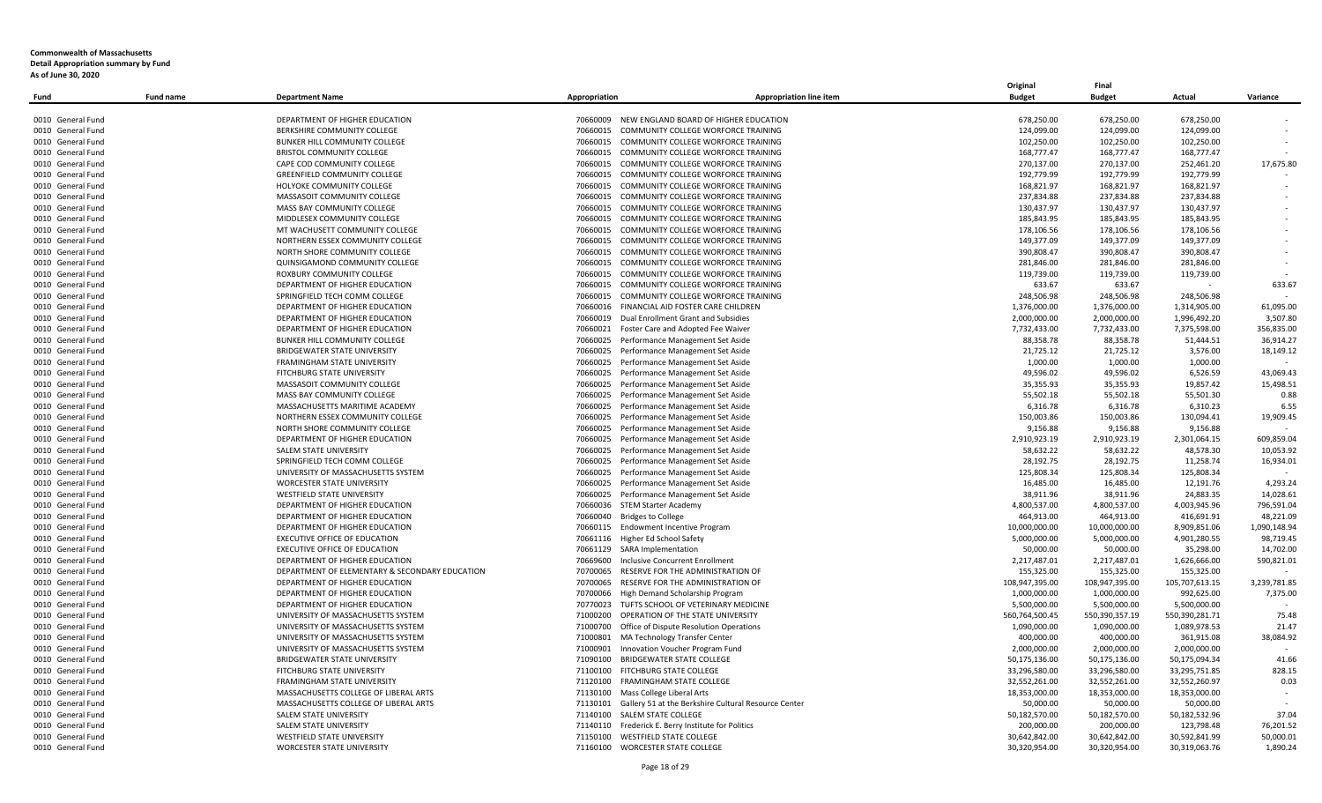|                   |                  |                                                |                                  |                                                               | Original       | Final          |                |              |
|-------------------|------------------|------------------------------------------------|----------------------------------|---------------------------------------------------------------|----------------|----------------|----------------|--------------|
| Fund              | <b>Fund name</b> | <b>Department Name</b>                         | Appropriation                    | <b>Appropriation line item</b>                                | <b>Budget</b>  | <b>Budget</b>  | Actual         | Variance     |
|                   |                  |                                                |                                  |                                                               |                |                |                |              |
| 0010 General Fund |                  | DEPARTMENT OF HIGHER EDUCATION                 | 70660009                         | NEW ENGLAND BOARD OF HIGHER EDUCATION                         | 678,250.00     | 678,250.00     | 678,250.00     |              |
| 0010 General Fund |                  | BERKSHIRE COMMUNITY COLLEGE                    | 70660015                         | COMMUNITY COLLEGE WORFORCE TRAINING                           | 124,099.00     | 124,099.00     | 124,099.00     |              |
| 0010 General Fund |                  | BUNKER HILL COMMUNITY COLLEGE                  | 70660015                         | COMMUNITY COLLEGE WORFORCE TRAINING                           | 102,250.00     | 102,250.00     | 102,250.00     |              |
| 0010 General Fund |                  | <b>BRISTOL COMMUNITY COLLEGE</b>               |                                  | 70660015 COMMUNITY COLLEGE WORFORCE TRAINING                  | 168,777.47     | 168,777.47     | 168,777.47     |              |
| 0010 General Fund |                  | CAPE COD COMMUNITY COLLEGE                     | 70660015                         | COMMUNITY COLLEGE WORFORCE TRAINING                           | 270,137.00     | 270,137.00     | 252,461.20     | 17,675.80    |
| 0010 General Fund |                  | <b>GREENFIELD COMMUNITY COLLEGE</b>            | 70660015                         | COMMUNITY COLLEGE WORFORCE TRAINING                           | 192,779.99     | 192,779.99     | 192,779.99     |              |
| 0010 General Fund |                  | HOLYOKE COMMUNITY COLLEGE                      | 70660015                         | COMMUNITY COLLEGE WORFORCE TRAINING                           | 168,821.97     | 168,821.97     | 168,821.97     |              |
| 0010 General Fund |                  | MASSASOIT COMMUNITY COLLEGE                    | 70660015                         | COMMUNITY COLLEGE WORFORCE TRAINING                           | 237,834.88     | 237,834.88     | 237,834.88     |              |
| 0010 General Fund |                  | <b>MASS BAY COMMUNITY COLLEGE</b>              | 70660015                         | COMMUNITY COLLEGE WORFORCE TRAINING                           | 130.437.97     | 130.437.97     | 130.437.97     |              |
| 0010 General Fund |                  | MIDDLESEX COMMUNITY COLLEGE                    | 70660015                         | COMMUNITY COLLEGE WORFORCE TRAINING                           | 185,843.95     | 185,843.95     | 185,843.95     |              |
| 0010 General Fund |                  | MT WACHUSETT COMMUNITY COLLEGE                 | 70660015                         | COMMUNITY COLLEGE WORFORCE TRAINING                           | 178,106.56     | 178,106.56     | 178,106.56     |              |
| 0010 General Fund |                  | NORTHERN ESSEX COMMUNITY COLLEGE               | 70660015                         | COMMUNITY COLLEGE WORFORCE TRAINING                           | 149,377.09     | 149,377.09     | 149,377.09     |              |
| 0010 General Fund |                  | NORTH SHORE COMMUNITY COLLEGE                  | 70660015                         | COMMUNITY COLLEGE WORFORCE TRAINING                           | 390,808.47     | 390,808.47     | 390,808.47     |              |
| 0010 General Fund |                  | QUINSIGAMOND COMMUNITY COLLEGE                 | 70660015                         | COMMUNITY COLLEGE WORFORCE TRAINING                           | 281,846.00     | 281,846.00     | 281,846.00     |              |
| 0010 General Fund |                  | ROXBURY COMMUNITY COLLEGE                      |                                  | 70660015 COMMUNITY COLLEGE WORFORCE TRAINING                  | 119,739.00     | 119,739.00     | 119,739.00     |              |
| 0010 General Fund |                  | DEPARTMENT OF HIGHER EDUCATION                 | 70660015                         | COMMUNITY COLLEGE WORFORCE TRAINING                           | 633.67         | 633.67         |                | 633.67       |
| 0010 General Fund |                  | SPRINGFIELD TECH COMM COLLEGE                  | 70660015                         | COMMUNITY COLLEGE WORFORCE TRAINING                           | 248,506.98     | 248,506.98     | 248,506.98     |              |
| 0010 General Fund |                  | DEPARTMENT OF HIGHER EDUCATION                 | 70660016                         | FINANCIAL AID FOSTER CARE CHILDREN                            | 1,376,000.00   | 1,376,000.00   | 1,314,905.00   | 61,095.00    |
| 0010 General Fund |                  | DEPARTMENT OF HIGHER EDUCATION                 | 70660019                         | Dual Enrollment Grant and Subsidies                           | 2,000,000.00   | 2,000,000.00   | 1,996,492.20   | 3,507.80     |
| 0010 General Fund |                  | DEPARTMENT OF HIGHER EDUCATION                 | 70660021                         | Foster Care and Adopted Fee Waiver                            | 7,732,433.00   | 7,732,433.00   | 7,375,598.00   | 356,835.00   |
| 0010 General Fund |                  | BUNKER HILL COMMUNITY COLLEGE                  | 70660025                         | Performance Management Set Aside                              | 88,358.78      | 88,358.78      | 51,444.51      | 36,914.27    |
| 0010 General Fund |                  | BRIDGEWATER STATE UNIVERSITY                   | 70660025                         | Performance Management Set Aside                              | 21,725.12      | 21,725.12      | 3,576.00       | 18,149.12    |
| 0010 General Fund |                  | FRAMINGHAM STATE UNIVERSITY                    | 70660025                         | Performance Management Set Aside                              | 1,000.00       | 1,000.00       | 1,000.00       |              |
| 0010 General Fund |                  | FITCHBURG STATE UNIVERSITY                     |                                  | 70660025 Performance Management Set Aside                     | 49,596.02      | 49,596.02      | 6,526.59       | 43,069.43    |
| 0010 General Fund |                  | MASSASOIT COMMUNITY COLLEGE                    | 70660025                         | Performance Management Set Aside                              | 35,355.93      | 35,355.93      | 19,857.42      | 15,498.51    |
| 0010 General Fund |                  | MASS BAY COMMUNITY COLLEGE                     | 70660025                         | Performance Management Set Aside                              | 55,502.18      | 55,502.18      | 55,501.30      | 0.88         |
| 0010 General Fund |                  | MASSACHUSETTS MARITIME ACADEMY                 | 70660025                         | Performance Management Set Aside                              | 6.316.78       | 6,316.78       | 6.310.23       | 6.55         |
| 0010 General Fund |                  | NORTHERN ESSEX COMMUNITY COLLEGE               | 70660025                         | Performance Management Set Aside                              | 150,003.86     | 150,003.86     | 130,094.41     | 19,909.45    |
| 0010 General Fund |                  | NORTH SHORE COMMUNITY COLLEGE                  | 70660025                         | Performance Management Set Aside                              | 9,156.88       | 9,156.88       | 9,156.88       |              |
| 0010 General Fund |                  | DEPARTMENT OF HIGHER EDUCATION                 | 70660025                         | Performance Management Set Aside                              | 2,910,923.19   | 2,910,923.19   | 2,301,064.15   | 609,859.04   |
| 0010 General Fund |                  | <b>SALEM STATE UNIVERSITY</b>                  | 70660025                         | Performance Management Set Aside                              | 58,632.22      | 58,632.22      | 48,578.30      | 10,053.92    |
| 0010 General Fund |                  | SPRINGFIELD TECH COMM COLLEGE                  | 70660025                         | Performance Management Set Aside                              | 28,192.75      | 28,192.75      | 11,258.74      | 16,934.01    |
| 0010 General Fund |                  | UNIVERSITY OF MASSACHUSETTS SYSTEM             |                                  | 70660025 Performance Management Set Aside                     | 125,808.34     | 125,808.34     | 125,808.34     |              |
| 0010 General Fund |                  | <b>WORCESTER STATE UNIVERSITY</b>              | 70660025                         | Performance Management Set Aside                              | 16,485.00      | 16,485.00      | 12,191.76      | 4,293.24     |
| 0010 General Fund |                  | <b>WESTFIELD STATE UNIVERSITY</b>              |                                  | 70660025 Performance Management Set Aside                     | 38,911.96      | 38,911.96      | 24,883.35      | 14,028.61    |
| 0010 General Fund |                  | DEPARTMENT OF HIGHER EDUCATION                 | 70660036 STEM Starter Academy    |                                                               | 4,800,537.00   | 4,800,537.00   | 4,003,945.96   | 796,591.04   |
| 0010 General Fund |                  | DEPARTMENT OF HIGHER EDUCATION                 | 70660040 Bridges to College      |                                                               | 464,913.00     | 464,913.00     | 416,691.91     | 48,221.09    |
| 0010 General Fund |                  | DEPARTMENT OF HIGHER EDUCATION                 |                                  | 70660115 Endowment Incentive Program                          | 10,000,000.00  | 10,000,000.00  | 8,909,851.06   | 1,090,148.94 |
| 0010 General Fund |                  | EXECUTIVE OFFICE OF EDUCATION                  | 70661116 Higher Ed School Safety |                                                               | 5,000,000.00   | 5,000,000.00   | 4,901,280.55   | 98,719.45    |
| 0010 General Fund |                  | EXECUTIVE OFFICE OF EDUCATION                  | 70661129 SARA Implementation     |                                                               | 50,000.00      | 50,000.00      | 35,298.00      | 14,702.00    |
| 0010 General Fund |                  | DEPARTMENT OF HIGHER EDUCATION                 | 70669600                         | Inclusive Concurrent Enrollment                               | 2,217,487.01   | 2,217,487.01   | 1,626,666.00   | 590,821.01   |
| 0010 General Fund |                  | DEPARTMENT OF ELEMENTARY & SECONDARY EDUCATION | 70700065                         | RESERVE FOR THE ADMINISTRATION OF                             | 155,325.00     | 155,325.00     | 155,325.00     | $\sim$       |
| 0010 General Fund |                  | DEPARTMENT OF HIGHER EDUCATION                 | 70700065                         | RESERVE FOR THE ADMINISTRATION OF                             | 108,947,395.00 | 108,947,395.00 | 105,707,613.15 | 3,239,781.85 |
| 0010 General Fund |                  | DEPARTMENT OF HIGHER EDUCATION                 | 70700066                         | High Demand Scholarship Program                               | 1,000,000.00   | 1,000,000.00   | 992,625.00     | 7,375.00     |
| 0010 General Fund |                  | DEPARTMENT OF HIGHER EDUCATION                 |                                  | 70770023 TUFTS SCHOOL OF VETERINARY MEDICINE                  | 5,500,000.00   | 5,500,000.00   | 5,500,000.00   |              |
| 0010 General Fund |                  | UNIVERSITY OF MASSACHUSETTS SYSTEM             |                                  | 71000200 OPERATION OF THE STATE UNIVERSITY                    | 560,764,500.45 | 550,390,357.19 | 550,390,281.71 | 75.48        |
| 0010 General Fund |                  | UNIVERSITY OF MASSACHUSETTS SYSTEM             | 71000700                         | Office of Dispute Resolution Operations                       | 1,090,000.00   | 1,090,000.00   | 1,089,978.53   | 21.47        |
| 0010 General Fund |                  | UNIVERSITY OF MASSACHUSETTS SYSTEM             | 71000801                         | MA Technology Transfer Center                                 | 400,000.00     | 400,000.00     | 361,915.08     | 38,084.92    |
| 0010 General Fund |                  | UNIVERSITY OF MASSACHUSETTS SYSTEM             |                                  | 71000901 Innovation Voucher Program Fund                      | 2,000,000.00   | 2,000,000.00   | 2,000,000.00   |              |
| 0010 General Fund |                  | BRIDGEWATER STATE UNIVERSITY                   | 71090100                         | <b>BRIDGEWATER STATE COLLEGE</b>                              | 50,175,136.00  | 50,175,136.00  | 50,175,094.34  | 41.66        |
| 0010 General Fund |                  | FITCHBURG STATE UNIVERSITY                     |                                  | 71100100 FITCHBURG STATE COLLEGE                              | 33,296,580.00  | 33,296,580.00  | 33,295,751.85  | 828.15       |
| 0010 General Fund |                  | <b>FRAMINGHAM STATE UNIVERSITY</b>             | 71120100                         | FRAMINGHAM STATE COLLEGE                                      | 32,552,261.00  | 32,552,261.00  | 32,552,260.97  | 0.03         |
| 0010 General Fund |                  | MASSACHUSETTS COLLEGE OF LIBERAL ARTS          |                                  | 71130100 Mass College Liberal Arts                            | 18,353,000.00  | 18,353,000.00  | 18,353,000.00  | $\sim$       |
| 0010 General Fund |                  | MASSACHUSETTS COLLEGE OF LIBERAL ARTS          |                                  | 71130101 Gallery 51 at the Berkshire Cultural Resource Center | 50,000.00      | 50,000.00      | 50.000.00      |              |
| 0010 General Fund |                  | SALEM STATE UNIVERSITY                         | 71140100 SALEM STATE COLLEGE     |                                                               | 50,182,570.00  | 50,182,570.00  | 50,182,532.96  | 37.04        |
| 0010 General Fund |                  | SALEM STATE UNIVERSITY                         | 71140110                         | Frederick E. Berry Institute for Politics                     | 200,000.00     | 200,000.00     | 123,798.48     | 76,201.52    |
| 0010 General Fund |                  | <b>WESTFIELD STATE UNIVERSITY</b>              |                                  | 71150100 WESTFIELD STATE COLLEGE                              | 30,642,842.00  | 30,642,842.00  | 30,592,841.99  | 50,000.01    |
| 0010 General Fund |                  | <b>WORCESTER STATE UNIVERSITY</b>              |                                  | 71160100 WORCESTER STATE COLLEGE                              | 30,320,954.00  | 30,320,954.00  | 30,319,063.76  | 1,890.24     |
|                   |                  |                                                |                                  |                                                               |                |                |                |              |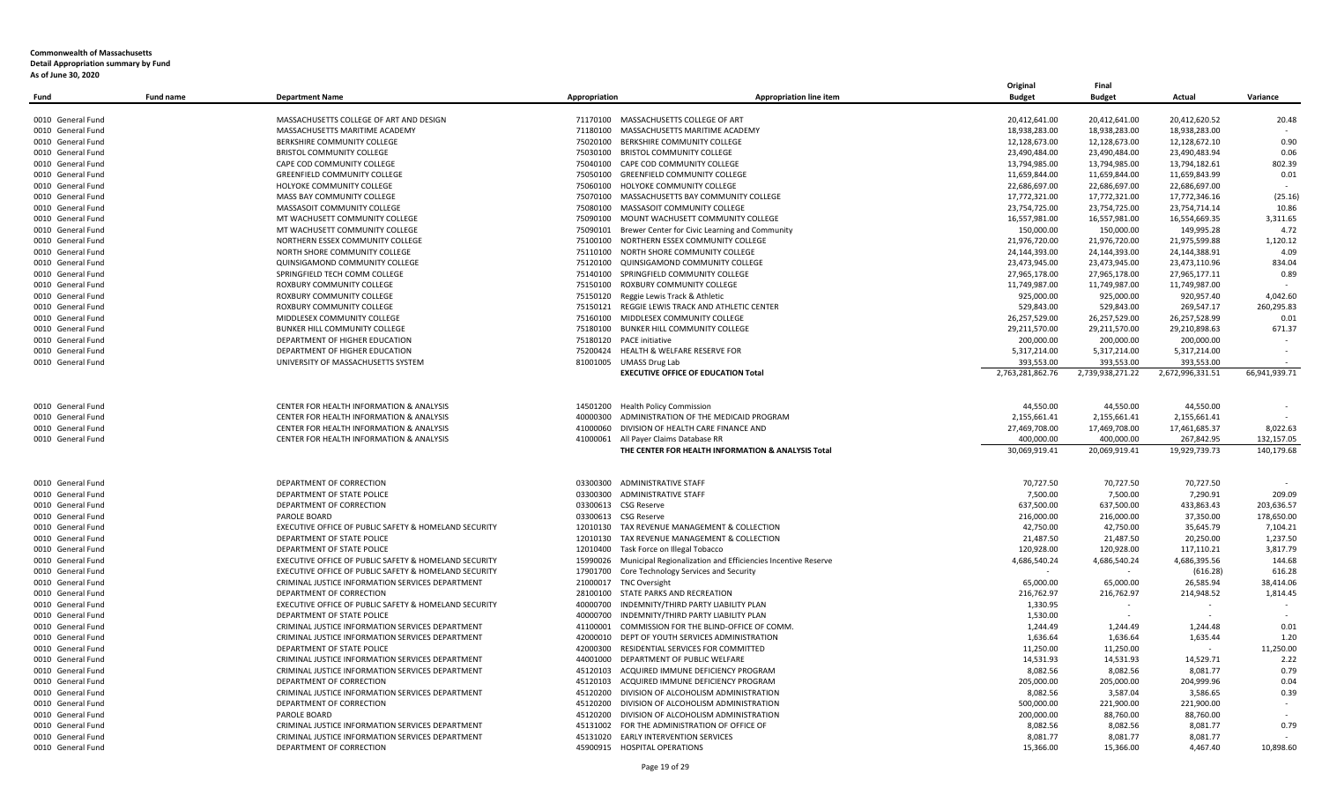| 0010 General Fund<br>MASSACHUSETTS COLLEGE OF ART AND DESIGN<br>71170100 MASSACHUSETTS COLLEGE OF ART<br>20,412,641.00<br>20,412,641.00<br>20,412,620.52<br>20.48<br>18,938,283.00<br>0010 General Fund<br>MASSACHUSETTS MARITIME ACADEMY<br>71180100 MASSACHUSETTS MARITIME ACADEMY<br>18,938,283.00<br>18,938,283.00<br>BERKSHIRE COMMUNITY COLLEGE<br>12,128,673.00<br>0010 General Fund<br>75020100 BERKSHIRE COMMUNITY COLLEGE<br>12,128,673.00<br>12,128,672.10<br>0.90<br>23,490,484.00<br>0.06<br>0010 General Fund<br>BRISTOL COMMUNITY COLLEGE<br>75030100 BRISTOL COMMUNITY COLLEGE<br>23,490,484.00<br>23,490,483.94<br>CAPE COD COMMUNITY COLLEGE<br>75040100 CAPE COD COMMUNITY COLLEGE<br>13,794,985.00<br>13,794,985.00<br>13,794,182.61<br>802.39<br>0010 General Fund<br>0010 General Fund<br><b>GREENFIELD COMMUNITY COLLEGE</b><br>75050100 GREENFIELD COMMUNITY COLLEGE<br>11,659,844.00<br>11,659,844.00<br>11,659,843.99<br>0.01<br>22,686,697.00<br>22,686,697.00<br>0010 General Fund<br>HOLYOKE COMMUNITY COLLEGE<br>75060100 HOLYOKE COMMUNITY COLLEGE<br>22,686,697.00<br>0010 General Fund<br>MASS BAY COMMUNITY COLLEGE<br>75070100 MASSACHUSETTS BAY COMMUNITY COLLEGE<br>17,772,321.00<br>17,772,321.00<br>17,772,346.16<br>(25.16)<br>0010 General Fund<br>MASSASOIT COMMUNITY COLLEGE<br>75080100 MASSASOIT COMMUNITY COLLEGE<br>23,754,725.00<br>23,754,725.00<br>23,754,714.14<br>10.86<br>75090100 MOUNT WACHUSETT COMMUNITY COLLEGE<br>0010 General Fund<br>MT WACHUSETT COMMUNITY COLLEGE<br>16,557,981.00<br>16,557,981.00<br>16,554,669.35<br>3,311.65<br>MT WACHUSETT COMMUNITY COLLEGE<br>150,000.00<br>149,995.28<br>4.72<br>0010 General Fund<br>75090101 Brewer Center for Civic Learning and Community<br>150,000.00<br>1,120.12<br>NORTHERN ESSEX COMMUNITY COLLEGE<br>75100100 NORTHERN ESSEX COMMUNITY COLLEGE<br>21,976,720.00<br>21,976,720.00<br>21,975,599.88<br>0010 General Fund<br>NORTH SHORE COMMUNITY COLLEGE<br>75110100 NORTH SHORE COMMUNITY COLLEGE<br>24,144,393.00<br>24,144,393.00<br>4.09<br>0010 General Fund<br>24,144,388.91<br>QUINSIGAMOND COMMUNITY COLLEGE<br>75120100 QUINSIGAMOND COMMUNITY COLLEGE<br>23,473,945.00<br>23,473,945.00<br>23,473,110.96<br>834.04<br>0010 General Fund<br>0010 General Fund<br>SPRINGFIELD TECH COMM COLLEGE<br>75140100 SPRINGFIELD COMMUNITY COLLEGE<br>27,965,178.00<br>27,965,178.00<br>27,965,177.11<br>0.89<br>0010 General Fund<br>ROXBURY COMMUNITY COLLEGE<br>75150100 ROXBURY COMMUNITY COLLEGE<br>11,749,987.00<br>11,749,987.00<br>11,749,987.00<br>ROXBURY COMMUNITY COLLEGE<br>925,000.00<br>920,957.40<br>4,042.60<br>0010 General Fund<br>75150120 Reggie Lewis Track & Athletic<br>925,000.00<br>260,295.83<br>0010 General Fund<br>ROXBURY COMMUNITY COLLEGE<br>75150121 REGGIE LEWIS TRACK AND ATHLETIC CENTER<br>529,843.00<br>529,843.00<br>269,547.17<br>0010 General Fund<br>MIDDLESEX COMMUNITY COLLEGE<br>75160100 MIDDLESEX COMMUNITY COLLEGE<br>26,257,529.00<br>26,257,529.00<br>26,257,528.99<br>0.01<br>29,211,570.00<br>0010 General Fund<br>BUNKER HILL COMMUNITY COLLEGE<br>75180100 BUNKER HILL COMMUNITY COLLEGE<br>29,211,570.00<br>29,210,898.63<br>671.37<br>200,000.00<br>0010 General Fund<br>DEPARTMENT OF HIGHER EDUCATION<br>75180120 PACE initiative<br>200,000.00<br>200,000.00<br>5,317,214.00<br>0010 General Fund<br>DEPARTMENT OF HIGHER EDUCATION<br>75200424 HEALTH & WELFARE RESERVE FOR<br>5,317,214.00<br>5,317,214.00<br>0010 General Fund<br>UNIVERSITY OF MASSACHUSETTS SYSTEM<br>81001005 UMASS Drug Lab<br>393,553.00<br>393,553.00<br>393,553.00<br>2,763,281,862.76<br><b>EXECUTIVE OFFICE OF EDUCATION Total</b><br>2,739,938,271.22<br>2,672,996,331.51<br>66.941.939.71<br>0010 General Fund<br>CENTER FOR HEALTH INFORMATION & ANALYSIS<br>14501200 Health Policy Commission<br>44,550.00<br>44,550.00<br>44,550.00<br>40000300 ADMINISTRATION OF THE MEDICAID PROGRAM<br>2,155,661.41<br>2,155,661.41<br>0010 General Fund<br>CENTER FOR HEALTH INFORMATION & ANALYSIS<br>2,155,661.41<br>CENTER FOR HEALTH INFORMATION & ANALYSIS<br>41000060 DIVISION OF HEALTH CARE FINANCE AND<br>27,469,708.00<br>17,469,708.00<br>17,461,685.37<br>8,022.63<br>0010 General Fund<br>CENTER FOR HEALTH INFORMATION & ANALYSIS<br>41000061 All Payer Claims Database RR<br>400,000.00<br>400,000.00<br>267,842.95<br>132,157.05<br>0010 General Fund<br>19,929,739.73<br>140,179.68<br>THE CENTER FOR HEALTH INFORMATION & ANALYSIS Total<br>30,069,919.41<br>20,069,919.41<br>0010 General Fund<br>DEPARTMENT OF CORRECTION<br>03300300 ADMINISTRATIVE STAFF<br>70,727.50<br>70,727.50<br>70,727.50<br>DEPARTMENT OF STATE POLICE<br>03300300 ADMINISTRATIVE STAFF<br>7,500.00<br>7,500.00<br>7,290.91<br>209.09<br>0010 General Fund<br>0010 General Fund<br>DEPARTMENT OF CORRECTION<br>03300613 CSG Reserve<br>637,500.00<br>637,500.00<br>433,863.43<br>203,636.57<br>0010 General Fund<br>PAROLE BOARD<br>03300613 CSG Reserve<br>216,000.00<br>216,000.00<br>37,350.00<br>178,650.00<br>12010130 TAX REVENUE MANAGEMENT & COLLECTION<br>42,750.00<br>0010 General Fund<br>EXECUTIVE OFFICE OF PUBLIC SAFETY & HOMELAND SECURITY<br>42,750.00<br>35,645.79<br>7,104.21<br>12010130 TAX REVENUE MANAGEMENT & COLLECTION<br>1,237.50<br>DEPARTMENT OF STATE POLICE<br>21,487.50<br>21,487.50<br>20,250.00<br>0010 General Fund<br>120,928.00<br>0010 General Fund<br>DEPARTMENT OF STATE POLICE<br>12010400 Task Force on Illegal Tobacco<br>120,928.00<br>117,110.21<br>3,817.79<br>4,686,540.24<br>4,686,395.56<br>144.68<br>EXECUTIVE OFFICE OF PUBLIC SAFETY & HOMELAND SECURITY<br>15990026 Municipal Regionalization and Efficiencies Incentive Reserve<br>4,686,540.24<br>0010 General Fund<br>0010 General Fund<br>EXECUTIVE OFFICE OF PUBLIC SAFETY & HOMELAND SECURITY<br>17901700 Core Technology Services and Security<br>(616.28)<br>616.28<br>CRIMINAL JUSTICE INFORMATION SERVICES DEPARTMENT<br>65,000.00<br>26,585.94<br>38,414.06<br>0010 General Fund<br>21000017 TNC Oversight<br>65,000.00<br>DEPARTMENT OF CORRECTION<br>28100100 STATE PARKS AND RECREATION<br>216,762.97<br>216,762.97<br>214,948.52<br>1,814.45<br>0010 General Fund<br>0010 General Fund<br>EXECUTIVE OFFICE OF PUBLIC SAFETY & HOMELAND SECURITY<br>40000700 INDEMNITY/THIRD PARTY LIABILITY PLAN<br>1,330.95<br>$\overline{\phantom{a}}$<br>0010 General Fund<br>DEPARTMENT OF STATE POLICE<br>40000700 INDEMNITY/THIRD PARTY LIABILITY PLAN<br>1,530.00<br>CRIMINAL JUSTICE INFORMATION SERVICES DEPARTMENT<br>COMMISSION FOR THE BLIND-OFFICE OF COMM.<br>1,244.49<br>0010 General Fund<br>41100001<br>1,244.49<br>1,244.48<br>0.01<br>CRIMINAL JUSTICE INFORMATION SERVICES DEPARTMENT<br>42000010 DEPT OF YOUTH SERVICES ADMINISTRATION<br>1,636.64<br>1,636.64<br>1,635.44<br>1.20<br>0010 General Fund<br>11,250.00<br>42000300 RESIDENTIAL SERVICES FOR COMMITTED<br>11,250.00<br>0010 General Fund<br>DEPARTMENT OF STATE POLICE<br>11,250.00<br>$\sim$<br>44001000 DEPARTMENT OF PUBLIC WELFARE<br>14,531.93<br>14,529.71<br>2.22<br>0010 General Fund<br>CRIMINAL JUSTICE INFORMATION SERVICES DEPARTMENT<br>14,531.93<br>CRIMINAL JUSTICE INFORMATION SERVICES DEPARTMENT<br>45120103<br>ACQUIRED IMMUNE DEFICIENCY PROGRAM<br>8,082.56<br>8,082.56<br>8,081.77<br>0.79<br>0010 General Fund<br>205,000.00<br>0.04<br>0010 General Fund<br>DEPARTMENT OF CORRECTION<br>45120103<br>ACQUIRED IMMUNE DEFICIENCY PROGRAM<br>205,000.00<br>204,999.96<br>CRIMINAL JUSTICE INFORMATION SERVICES DEPARTMENT<br>45120200 DIVISION OF ALCOHOLISM ADMINISTRATION<br>8,082.56<br>3,587.04<br>3,586.65<br>0.39<br>0010 General Fund<br>0010 General Fund<br>DEPARTMENT OF CORRECTION<br>45120200 DIVISION OF ALCOHOLISM ADMINISTRATION<br>500,000.00<br>221,900.00<br>221,900.00<br>0010 General Fund<br>PAROLE BOARD<br>45120200<br>DIVISION OF ALCOHOLISM ADMINISTRATION<br>200,000.00<br>88,760.00<br>88,760.00<br>0010 General Fund<br>CRIMINAL JUSTICE INFORMATION SERVICES DEPARTMENT<br>45131002<br>FOR THE ADMINISTRATION OF OFFICE OF<br>8,082.56<br>8,082.56<br>8,081.77<br>0.79<br>CRIMINAL JUSTICE INFORMATION SERVICES DEPARTMENT<br>45131020 EARLY INTERVENTION SERVICES<br>0010 General Fund<br>8,081.77<br>8,081.77<br>8,081.77<br>DEPARTMENT OF CORRECTION<br>45900915 HOSPITAL OPERATIONS<br>15,366.00<br>10,898.60<br>0010 General Fund<br>15,366.00<br>4,467.40 | <b>Fund name</b><br>Fund | <b>Department Name</b> | Appropriation | <b>Appropriation line item</b> | Original<br><b>Budget</b> | Final<br><b>Budget</b> | Actual | Variance |
|-------------------------------------------------------------------------------------------------------------------------------------------------------------------------------------------------------------------------------------------------------------------------------------------------------------------------------------------------------------------------------------------------------------------------------------------------------------------------------------------------------------------------------------------------------------------------------------------------------------------------------------------------------------------------------------------------------------------------------------------------------------------------------------------------------------------------------------------------------------------------------------------------------------------------------------------------------------------------------------------------------------------------------------------------------------------------------------------------------------------------------------------------------------------------------------------------------------------------------------------------------------------------------------------------------------------------------------------------------------------------------------------------------------------------------------------------------------------------------------------------------------------------------------------------------------------------------------------------------------------------------------------------------------------------------------------------------------------------------------------------------------------------------------------------------------------------------------------------------------------------------------------------------------------------------------------------------------------------------------------------------------------------------------------------------------------------------------------------------------------------------------------------------------------------------------------------------------------------------------------------------------------------------------------------------------------------------------------------------------------------------------------------------------------------------------------------------------------------------------------------------------------------------------------------------------------------------------------------------------------------------------------------------------------------------------------------------------------------------------------------------------------------------------------------------------------------------------------------------------------------------------------------------------------------------------------------------------------------------------------------------------------------------------------------------------------------------------------------------------------------------------------------------------------------------------------------------------------------------------------------------------------------------------------------------------------------------------------------------------------------------------------------------------------------------------------------------------------------------------------------------------------------------------------------------------------------------------------------------------------------------------------------------------------------------------------------------------------------------------------------------------------------------------------------------------------------------------------------------------------------------------------------------------------------------------------------------------------------------------------------------------------------------------------------------------------------------------------------------------------------------------------------------------------------------------------------------------------------------------------------------------------------------------------------------------------------------------------------------------------------------------------------------------------------------------------------------------------------------------------------------------------------------------------------------------------------------------------------------------------------------------------------------------------------------------------------------------------------------------------------------------------------------------------------------------------------------------------------------------------------------------------------------------------------------------------------------------------------------------------------------------------------------------------------------------------------------------------------------------------------------------------------------------------------------------------------------------------------------------------------------------------------------------------------------------------------------------------------------------------------------------------------------------------------------------------------------------------------------------------------------------------------------------------------------------------------------------------------------------------------------------------------------------------------------------------------------------------------------------------------------------------------------------------------------------------------------------------------------------------------------------------------------------------------------------------------------------------------------------------------------------------------------------------------------------------------------------------------------------------------------------------------------------------------------------------------------------------------------------------------------------------------------------------------------------------------------------------------------------------------------------------------------------------------------------------------------------------------------------------------------------------------------------------------------------------------------------------------------------------------------------------------------------------------------------------------------------------------------------------------------------------------------------------------------------------------------------------------------------------------------------------------------------------------------------------------------------------------------------------------------------------------------------------------------------------------------------------------------------------------------------------------------------------------------------------------------------------------------------------------------------------------------------------------------------------------------------------------------------------------------------------------------------------------------------------------------------------------------------------------------------------------------------------------------------------------------------------------------------------------------------------------------------------------------------------------------------------------------------------------------------------------------------------------------------------------------------------------------------------------------------------------------------------------------------------------------------------------------------------------------------------------------------------------------------------------------------------------------------------------------------------------------------------------------------------------------------------------------------------------------------------------------------------------------------------------------------------------------------------------------------------------------------------------------------------------------|--------------------------|------------------------|---------------|--------------------------------|---------------------------|------------------------|--------|----------|
|                                                                                                                                                                                                                                                                                                                                                                                                                                                                                                                                                                                                                                                                                                                                                                                                                                                                                                                                                                                                                                                                                                                                                                                                                                                                                                                                                                                                                                                                                                                                                                                                                                                                                                                                                                                                                                                                                                                                                                                                                                                                                                                                                                                                                                                                                                                                                                                                                                                                                                                                                                                                                                                                                                                                                                                                                                                                                                                                                                                                                                                                                                                                                                                                                                                                                                                                                                                                                                                                                                                                                                                                                                                                                                                                                                                                                                                                                                                                                                                                                                                                                                                                                                                                                                                                                                                                                                                                                                                                                                                                                                                                                                                                                                                                                                                                                                                                                                                                                                                                                                                                                                                                                                                                                                                                                                                                                                                                                                                                                                                                                                                                                                                                                                                                                                                                                                                                                                                                                                                                                                                                                                                                                                                                                                                                                                                                                                                                                                                                                                                                                                                                                                                                                                                                                                                                                                                                                                                                                                                                                                                                                                                                                                                                                                                                                                                                                                                                                                                                                                                                                                                                                                                                                                                                                                                                                                                                                                                                                                                                                                                                                                                                                                                                                                                                                                                                                                                                                                                       |                          |                        |               |                                |                           |                        |        |          |
|                                                                                                                                                                                                                                                                                                                                                                                                                                                                                                                                                                                                                                                                                                                                                                                                                                                                                                                                                                                                                                                                                                                                                                                                                                                                                                                                                                                                                                                                                                                                                                                                                                                                                                                                                                                                                                                                                                                                                                                                                                                                                                                                                                                                                                                                                                                                                                                                                                                                                                                                                                                                                                                                                                                                                                                                                                                                                                                                                                                                                                                                                                                                                                                                                                                                                                                                                                                                                                                                                                                                                                                                                                                                                                                                                                                                                                                                                                                                                                                                                                                                                                                                                                                                                                                                                                                                                                                                                                                                                                                                                                                                                                                                                                                                                                                                                                                                                                                                                                                                                                                                                                                                                                                                                                                                                                                                                                                                                                                                                                                                                                                                                                                                                                                                                                                                                                                                                                                                                                                                                                                                                                                                                                                                                                                                                                                                                                                                                                                                                                                                                                                                                                                                                                                                                                                                                                                                                                                                                                                                                                                                                                                                                                                                                                                                                                                                                                                                                                                                                                                                                                                                                                                                                                                                                                                                                                                                                                                                                                                                                                                                                                                                                                                                                                                                                                                                                                                                                                                       |                          |                        |               |                                |                           |                        |        |          |
|                                                                                                                                                                                                                                                                                                                                                                                                                                                                                                                                                                                                                                                                                                                                                                                                                                                                                                                                                                                                                                                                                                                                                                                                                                                                                                                                                                                                                                                                                                                                                                                                                                                                                                                                                                                                                                                                                                                                                                                                                                                                                                                                                                                                                                                                                                                                                                                                                                                                                                                                                                                                                                                                                                                                                                                                                                                                                                                                                                                                                                                                                                                                                                                                                                                                                                                                                                                                                                                                                                                                                                                                                                                                                                                                                                                                                                                                                                                                                                                                                                                                                                                                                                                                                                                                                                                                                                                                                                                                                                                                                                                                                                                                                                                                                                                                                                                                                                                                                                                                                                                                                                                                                                                                                                                                                                                                                                                                                                                                                                                                                                                                                                                                                                                                                                                                                                                                                                                                                                                                                                                                                                                                                                                                                                                                                                                                                                                                                                                                                                                                                                                                                                                                                                                                                                                                                                                                                                                                                                                                                                                                                                                                                                                                                                                                                                                                                                                                                                                                                                                                                                                                                                                                                                                                                                                                                                                                                                                                                                                                                                                                                                                                                                                                                                                                                                                                                                                                                                                       |                          |                        |               |                                |                           |                        |        |          |
|                                                                                                                                                                                                                                                                                                                                                                                                                                                                                                                                                                                                                                                                                                                                                                                                                                                                                                                                                                                                                                                                                                                                                                                                                                                                                                                                                                                                                                                                                                                                                                                                                                                                                                                                                                                                                                                                                                                                                                                                                                                                                                                                                                                                                                                                                                                                                                                                                                                                                                                                                                                                                                                                                                                                                                                                                                                                                                                                                                                                                                                                                                                                                                                                                                                                                                                                                                                                                                                                                                                                                                                                                                                                                                                                                                                                                                                                                                                                                                                                                                                                                                                                                                                                                                                                                                                                                                                                                                                                                                                                                                                                                                                                                                                                                                                                                                                                                                                                                                                                                                                                                                                                                                                                                                                                                                                                                                                                                                                                                                                                                                                                                                                                                                                                                                                                                                                                                                                                                                                                                                                                                                                                                                                                                                                                                                                                                                                                                                                                                                                                                                                                                                                                                                                                                                                                                                                                                                                                                                                                                                                                                                                                                                                                                                                                                                                                                                                                                                                                                                                                                                                                                                                                                                                                                                                                                                                                                                                                                                                                                                                                                                                                                                                                                                                                                                                                                                                                                                                       |                          |                        |               |                                |                           |                        |        |          |
|                                                                                                                                                                                                                                                                                                                                                                                                                                                                                                                                                                                                                                                                                                                                                                                                                                                                                                                                                                                                                                                                                                                                                                                                                                                                                                                                                                                                                                                                                                                                                                                                                                                                                                                                                                                                                                                                                                                                                                                                                                                                                                                                                                                                                                                                                                                                                                                                                                                                                                                                                                                                                                                                                                                                                                                                                                                                                                                                                                                                                                                                                                                                                                                                                                                                                                                                                                                                                                                                                                                                                                                                                                                                                                                                                                                                                                                                                                                                                                                                                                                                                                                                                                                                                                                                                                                                                                                                                                                                                                                                                                                                                                                                                                                                                                                                                                                                                                                                                                                                                                                                                                                                                                                                                                                                                                                                                                                                                                                                                                                                                                                                                                                                                                                                                                                                                                                                                                                                                                                                                                                                                                                                                                                                                                                                                                                                                                                                                                                                                                                                                                                                                                                                                                                                                                                                                                                                                                                                                                                                                                                                                                                                                                                                                                                                                                                                                                                                                                                                                                                                                                                                                                                                                                                                                                                                                                                                                                                                                                                                                                                                                                                                                                                                                                                                                                                                                                                                                                                       |                          |                        |               |                                |                           |                        |        |          |
|                                                                                                                                                                                                                                                                                                                                                                                                                                                                                                                                                                                                                                                                                                                                                                                                                                                                                                                                                                                                                                                                                                                                                                                                                                                                                                                                                                                                                                                                                                                                                                                                                                                                                                                                                                                                                                                                                                                                                                                                                                                                                                                                                                                                                                                                                                                                                                                                                                                                                                                                                                                                                                                                                                                                                                                                                                                                                                                                                                                                                                                                                                                                                                                                                                                                                                                                                                                                                                                                                                                                                                                                                                                                                                                                                                                                                                                                                                                                                                                                                                                                                                                                                                                                                                                                                                                                                                                                                                                                                                                                                                                                                                                                                                                                                                                                                                                                                                                                                                                                                                                                                                                                                                                                                                                                                                                                                                                                                                                                                                                                                                                                                                                                                                                                                                                                                                                                                                                                                                                                                                                                                                                                                                                                                                                                                                                                                                                                                                                                                                                                                                                                                                                                                                                                                                                                                                                                                                                                                                                                                                                                                                                                                                                                                                                                                                                                                                                                                                                                                                                                                                                                                                                                                                                                                                                                                                                                                                                                                                                                                                                                                                                                                                                                                                                                                                                                                                                                                                                       |                          |                        |               |                                |                           |                        |        |          |
|                                                                                                                                                                                                                                                                                                                                                                                                                                                                                                                                                                                                                                                                                                                                                                                                                                                                                                                                                                                                                                                                                                                                                                                                                                                                                                                                                                                                                                                                                                                                                                                                                                                                                                                                                                                                                                                                                                                                                                                                                                                                                                                                                                                                                                                                                                                                                                                                                                                                                                                                                                                                                                                                                                                                                                                                                                                                                                                                                                                                                                                                                                                                                                                                                                                                                                                                                                                                                                                                                                                                                                                                                                                                                                                                                                                                                                                                                                                                                                                                                                                                                                                                                                                                                                                                                                                                                                                                                                                                                                                                                                                                                                                                                                                                                                                                                                                                                                                                                                                                                                                                                                                                                                                                                                                                                                                                                                                                                                                                                                                                                                                                                                                                                                                                                                                                                                                                                                                                                                                                                                                                                                                                                                                                                                                                                                                                                                                                                                                                                                                                                                                                                                                                                                                                                                                                                                                                                                                                                                                                                                                                                                                                                                                                                                                                                                                                                                                                                                                                                                                                                                                                                                                                                                                                                                                                                                                                                                                                                                                                                                                                                                                                                                                                                                                                                                                                                                                                                                                       |                          |                        |               |                                |                           |                        |        |          |
|                                                                                                                                                                                                                                                                                                                                                                                                                                                                                                                                                                                                                                                                                                                                                                                                                                                                                                                                                                                                                                                                                                                                                                                                                                                                                                                                                                                                                                                                                                                                                                                                                                                                                                                                                                                                                                                                                                                                                                                                                                                                                                                                                                                                                                                                                                                                                                                                                                                                                                                                                                                                                                                                                                                                                                                                                                                                                                                                                                                                                                                                                                                                                                                                                                                                                                                                                                                                                                                                                                                                                                                                                                                                                                                                                                                                                                                                                                                                                                                                                                                                                                                                                                                                                                                                                                                                                                                                                                                                                                                                                                                                                                                                                                                                                                                                                                                                                                                                                                                                                                                                                                                                                                                                                                                                                                                                                                                                                                                                                                                                                                                                                                                                                                                                                                                                                                                                                                                                                                                                                                                                                                                                                                                                                                                                                                                                                                                                                                                                                                                                                                                                                                                                                                                                                                                                                                                                                                                                                                                                                                                                                                                                                                                                                                                                                                                                                                                                                                                                                                                                                                                                                                                                                                                                                                                                                                                                                                                                                                                                                                                                                                                                                                                                                                                                                                                                                                                                                                                       |                          |                        |               |                                |                           |                        |        |          |
|                                                                                                                                                                                                                                                                                                                                                                                                                                                                                                                                                                                                                                                                                                                                                                                                                                                                                                                                                                                                                                                                                                                                                                                                                                                                                                                                                                                                                                                                                                                                                                                                                                                                                                                                                                                                                                                                                                                                                                                                                                                                                                                                                                                                                                                                                                                                                                                                                                                                                                                                                                                                                                                                                                                                                                                                                                                                                                                                                                                                                                                                                                                                                                                                                                                                                                                                                                                                                                                                                                                                                                                                                                                                                                                                                                                                                                                                                                                                                                                                                                                                                                                                                                                                                                                                                                                                                                                                                                                                                                                                                                                                                                                                                                                                                                                                                                                                                                                                                                                                                                                                                                                                                                                                                                                                                                                                                                                                                                                                                                                                                                                                                                                                                                                                                                                                                                                                                                                                                                                                                                                                                                                                                                                                                                                                                                                                                                                                                                                                                                                                                                                                                                                                                                                                                                                                                                                                                                                                                                                                                                                                                                                                                                                                                                                                                                                                                                                                                                                                                                                                                                                                                                                                                                                                                                                                                                                                                                                                                                                                                                                                                                                                                                                                                                                                                                                                                                                                                                                       |                          |                        |               |                                |                           |                        |        |          |
|                                                                                                                                                                                                                                                                                                                                                                                                                                                                                                                                                                                                                                                                                                                                                                                                                                                                                                                                                                                                                                                                                                                                                                                                                                                                                                                                                                                                                                                                                                                                                                                                                                                                                                                                                                                                                                                                                                                                                                                                                                                                                                                                                                                                                                                                                                                                                                                                                                                                                                                                                                                                                                                                                                                                                                                                                                                                                                                                                                                                                                                                                                                                                                                                                                                                                                                                                                                                                                                                                                                                                                                                                                                                                                                                                                                                                                                                                                                                                                                                                                                                                                                                                                                                                                                                                                                                                                                                                                                                                                                                                                                                                                                                                                                                                                                                                                                                                                                                                                                                                                                                                                                                                                                                                                                                                                                                                                                                                                                                                                                                                                                                                                                                                                                                                                                                                                                                                                                                                                                                                                                                                                                                                                                                                                                                                                                                                                                                                                                                                                                                                                                                                                                                                                                                                                                                                                                                                                                                                                                                                                                                                                                                                                                                                                                                                                                                                                                                                                                                                                                                                                                                                                                                                                                                                                                                                                                                                                                                                                                                                                                                                                                                                                                                                                                                                                                                                                                                                                                       |                          |                        |               |                                |                           |                        |        |          |
|                                                                                                                                                                                                                                                                                                                                                                                                                                                                                                                                                                                                                                                                                                                                                                                                                                                                                                                                                                                                                                                                                                                                                                                                                                                                                                                                                                                                                                                                                                                                                                                                                                                                                                                                                                                                                                                                                                                                                                                                                                                                                                                                                                                                                                                                                                                                                                                                                                                                                                                                                                                                                                                                                                                                                                                                                                                                                                                                                                                                                                                                                                                                                                                                                                                                                                                                                                                                                                                                                                                                                                                                                                                                                                                                                                                                                                                                                                                                                                                                                                                                                                                                                                                                                                                                                                                                                                                                                                                                                                                                                                                                                                                                                                                                                                                                                                                                                                                                                                                                                                                                                                                                                                                                                                                                                                                                                                                                                                                                                                                                                                                                                                                                                                                                                                                                                                                                                                                                                                                                                                                                                                                                                                                                                                                                                                                                                                                                                                                                                                                                                                                                                                                                                                                                                                                                                                                                                                                                                                                                                                                                                                                                                                                                                                                                                                                                                                                                                                                                                                                                                                                                                                                                                                                                                                                                                                                                                                                                                                                                                                                                                                                                                                                                                                                                                                                                                                                                                                                       |                          |                        |               |                                |                           |                        |        |          |
|                                                                                                                                                                                                                                                                                                                                                                                                                                                                                                                                                                                                                                                                                                                                                                                                                                                                                                                                                                                                                                                                                                                                                                                                                                                                                                                                                                                                                                                                                                                                                                                                                                                                                                                                                                                                                                                                                                                                                                                                                                                                                                                                                                                                                                                                                                                                                                                                                                                                                                                                                                                                                                                                                                                                                                                                                                                                                                                                                                                                                                                                                                                                                                                                                                                                                                                                                                                                                                                                                                                                                                                                                                                                                                                                                                                                                                                                                                                                                                                                                                                                                                                                                                                                                                                                                                                                                                                                                                                                                                                                                                                                                                                                                                                                                                                                                                                                                                                                                                                                                                                                                                                                                                                                                                                                                                                                                                                                                                                                                                                                                                                                                                                                                                                                                                                                                                                                                                                                                                                                                                                                                                                                                                                                                                                                                                                                                                                                                                                                                                                                                                                                                                                                                                                                                                                                                                                                                                                                                                                                                                                                                                                                                                                                                                                                                                                                                                                                                                                                                                                                                                                                                                                                                                                                                                                                                                                                                                                                                                                                                                                                                                                                                                                                                                                                                                                                                                                                                                                       |                          |                        |               |                                |                           |                        |        |          |
|                                                                                                                                                                                                                                                                                                                                                                                                                                                                                                                                                                                                                                                                                                                                                                                                                                                                                                                                                                                                                                                                                                                                                                                                                                                                                                                                                                                                                                                                                                                                                                                                                                                                                                                                                                                                                                                                                                                                                                                                                                                                                                                                                                                                                                                                                                                                                                                                                                                                                                                                                                                                                                                                                                                                                                                                                                                                                                                                                                                                                                                                                                                                                                                                                                                                                                                                                                                                                                                                                                                                                                                                                                                                                                                                                                                                                                                                                                                                                                                                                                                                                                                                                                                                                                                                                                                                                                                                                                                                                                                                                                                                                                                                                                                                                                                                                                                                                                                                                                                                                                                                                                                                                                                                                                                                                                                                                                                                                                                                                                                                                                                                                                                                                                                                                                                                                                                                                                                                                                                                                                                                                                                                                                                                                                                                                                                                                                                                                                                                                                                                                                                                                                                                                                                                                                                                                                                                                                                                                                                                                                                                                                                                                                                                                                                                                                                                                                                                                                                                                                                                                                                                                                                                                                                                                                                                                                                                                                                                                                                                                                                                                                                                                                                                                                                                                                                                                                                                                                                       |                          |                        |               |                                |                           |                        |        |          |
|                                                                                                                                                                                                                                                                                                                                                                                                                                                                                                                                                                                                                                                                                                                                                                                                                                                                                                                                                                                                                                                                                                                                                                                                                                                                                                                                                                                                                                                                                                                                                                                                                                                                                                                                                                                                                                                                                                                                                                                                                                                                                                                                                                                                                                                                                                                                                                                                                                                                                                                                                                                                                                                                                                                                                                                                                                                                                                                                                                                                                                                                                                                                                                                                                                                                                                                                                                                                                                                                                                                                                                                                                                                                                                                                                                                                                                                                                                                                                                                                                                                                                                                                                                                                                                                                                                                                                                                                                                                                                                                                                                                                                                                                                                                                                                                                                                                                                                                                                                                                                                                                                                                                                                                                                                                                                                                                                                                                                                                                                                                                                                                                                                                                                                                                                                                                                                                                                                                                                                                                                                                                                                                                                                                                                                                                                                                                                                                                                                                                                                                                                                                                                                                                                                                                                                                                                                                                                                                                                                                                                                                                                                                                                                                                                                                                                                                                                                                                                                                                                                                                                                                                                                                                                                                                                                                                                                                                                                                                                                                                                                                                                                                                                                                                                                                                                                                                                                                                                                                       |                          |                        |               |                                |                           |                        |        |          |
|                                                                                                                                                                                                                                                                                                                                                                                                                                                                                                                                                                                                                                                                                                                                                                                                                                                                                                                                                                                                                                                                                                                                                                                                                                                                                                                                                                                                                                                                                                                                                                                                                                                                                                                                                                                                                                                                                                                                                                                                                                                                                                                                                                                                                                                                                                                                                                                                                                                                                                                                                                                                                                                                                                                                                                                                                                                                                                                                                                                                                                                                                                                                                                                                                                                                                                                                                                                                                                                                                                                                                                                                                                                                                                                                                                                                                                                                                                                                                                                                                                                                                                                                                                                                                                                                                                                                                                                                                                                                                                                                                                                                                                                                                                                                                                                                                                                                                                                                                                                                                                                                                                                                                                                                                                                                                                                                                                                                                                                                                                                                                                                                                                                                                                                                                                                                                                                                                                                                                                                                                                                                                                                                                                                                                                                                                                                                                                                                                                                                                                                                                                                                                                                                                                                                                                                                                                                                                                                                                                                                                                                                                                                                                                                                                                                                                                                                                                                                                                                                                                                                                                                                                                                                                                                                                                                                                                                                                                                                                                                                                                                                                                                                                                                                                                                                                                                                                                                                                                                       |                          |                        |               |                                |                           |                        |        |          |
|                                                                                                                                                                                                                                                                                                                                                                                                                                                                                                                                                                                                                                                                                                                                                                                                                                                                                                                                                                                                                                                                                                                                                                                                                                                                                                                                                                                                                                                                                                                                                                                                                                                                                                                                                                                                                                                                                                                                                                                                                                                                                                                                                                                                                                                                                                                                                                                                                                                                                                                                                                                                                                                                                                                                                                                                                                                                                                                                                                                                                                                                                                                                                                                                                                                                                                                                                                                                                                                                                                                                                                                                                                                                                                                                                                                                                                                                                                                                                                                                                                                                                                                                                                                                                                                                                                                                                                                                                                                                                                                                                                                                                                                                                                                                                                                                                                                                                                                                                                                                                                                                                                                                                                                                                                                                                                                                                                                                                                                                                                                                                                                                                                                                                                                                                                                                                                                                                                                                                                                                                                                                                                                                                                                                                                                                                                                                                                                                                                                                                                                                                                                                                                                                                                                                                                                                                                                                                                                                                                                                                                                                                                                                                                                                                                                                                                                                                                                                                                                                                                                                                                                                                                                                                                                                                                                                                                                                                                                                                                                                                                                                                                                                                                                                                                                                                                                                                                                                                                                       |                          |                        |               |                                |                           |                        |        |          |
|                                                                                                                                                                                                                                                                                                                                                                                                                                                                                                                                                                                                                                                                                                                                                                                                                                                                                                                                                                                                                                                                                                                                                                                                                                                                                                                                                                                                                                                                                                                                                                                                                                                                                                                                                                                                                                                                                                                                                                                                                                                                                                                                                                                                                                                                                                                                                                                                                                                                                                                                                                                                                                                                                                                                                                                                                                                                                                                                                                                                                                                                                                                                                                                                                                                                                                                                                                                                                                                                                                                                                                                                                                                                                                                                                                                                                                                                                                                                                                                                                                                                                                                                                                                                                                                                                                                                                                                                                                                                                                                                                                                                                                                                                                                                                                                                                                                                                                                                                                                                                                                                                                                                                                                                                                                                                                                                                                                                                                                                                                                                                                                                                                                                                                                                                                                                                                                                                                                                                                                                                                                                                                                                                                                                                                                                                                                                                                                                                                                                                                                                                                                                                                                                                                                                                                                                                                                                                                                                                                                                                                                                                                                                                                                                                                                                                                                                                                                                                                                                                                                                                                                                                                                                                                                                                                                                                                                                                                                                                                                                                                                                                                                                                                                                                                                                                                                                                                                                                                                       |                          |                        |               |                                |                           |                        |        |          |
|                                                                                                                                                                                                                                                                                                                                                                                                                                                                                                                                                                                                                                                                                                                                                                                                                                                                                                                                                                                                                                                                                                                                                                                                                                                                                                                                                                                                                                                                                                                                                                                                                                                                                                                                                                                                                                                                                                                                                                                                                                                                                                                                                                                                                                                                                                                                                                                                                                                                                                                                                                                                                                                                                                                                                                                                                                                                                                                                                                                                                                                                                                                                                                                                                                                                                                                                                                                                                                                                                                                                                                                                                                                                                                                                                                                                                                                                                                                                                                                                                                                                                                                                                                                                                                                                                                                                                                                                                                                                                                                                                                                                                                                                                                                                                                                                                                                                                                                                                                                                                                                                                                                                                                                                                                                                                                                                                                                                                                                                                                                                                                                                                                                                                                                                                                                                                                                                                                                                                                                                                                                                                                                                                                                                                                                                                                                                                                                                                                                                                                                                                                                                                                                                                                                                                                                                                                                                                                                                                                                                                                                                                                                                                                                                                                                                                                                                                                                                                                                                                                                                                                                                                                                                                                                                                                                                                                                                                                                                                                                                                                                                                                                                                                                                                                                                                                                                                                                                                                                       |                          |                        |               |                                |                           |                        |        |          |
|                                                                                                                                                                                                                                                                                                                                                                                                                                                                                                                                                                                                                                                                                                                                                                                                                                                                                                                                                                                                                                                                                                                                                                                                                                                                                                                                                                                                                                                                                                                                                                                                                                                                                                                                                                                                                                                                                                                                                                                                                                                                                                                                                                                                                                                                                                                                                                                                                                                                                                                                                                                                                                                                                                                                                                                                                                                                                                                                                                                                                                                                                                                                                                                                                                                                                                                                                                                                                                                                                                                                                                                                                                                                                                                                                                                                                                                                                                                                                                                                                                                                                                                                                                                                                                                                                                                                                                                                                                                                                                                                                                                                                                                                                                                                                                                                                                                                                                                                                                                                                                                                                                                                                                                                                                                                                                                                                                                                                                                                                                                                                                                                                                                                                                                                                                                                                                                                                                                                                                                                                                                                                                                                                                                                                                                                                                                                                                                                                                                                                                                                                                                                                                                                                                                                                                                                                                                                                                                                                                                                                                                                                                                                                                                                                                                                                                                                                                                                                                                                                                                                                                                                                                                                                                                                                                                                                                                                                                                                                                                                                                                                                                                                                                                                                                                                                                                                                                                                                                                       |                          |                        |               |                                |                           |                        |        |          |
|                                                                                                                                                                                                                                                                                                                                                                                                                                                                                                                                                                                                                                                                                                                                                                                                                                                                                                                                                                                                                                                                                                                                                                                                                                                                                                                                                                                                                                                                                                                                                                                                                                                                                                                                                                                                                                                                                                                                                                                                                                                                                                                                                                                                                                                                                                                                                                                                                                                                                                                                                                                                                                                                                                                                                                                                                                                                                                                                                                                                                                                                                                                                                                                                                                                                                                                                                                                                                                                                                                                                                                                                                                                                                                                                                                                                                                                                                                                                                                                                                                                                                                                                                                                                                                                                                                                                                                                                                                                                                                                                                                                                                                                                                                                                                                                                                                                                                                                                                                                                                                                                                                                                                                                                                                                                                                                                                                                                                                                                                                                                                                                                                                                                                                                                                                                                                                                                                                                                                                                                                                                                                                                                                                                                                                                                                                                                                                                                                                                                                                                                                                                                                                                                                                                                                                                                                                                                                                                                                                                                                                                                                                                                                                                                                                                                                                                                                                                                                                                                                                                                                                                                                                                                                                                                                                                                                                                                                                                                                                                                                                                                                                                                                                                                                                                                                                                                                                                                                                                       |                          |                        |               |                                |                           |                        |        |          |
|                                                                                                                                                                                                                                                                                                                                                                                                                                                                                                                                                                                                                                                                                                                                                                                                                                                                                                                                                                                                                                                                                                                                                                                                                                                                                                                                                                                                                                                                                                                                                                                                                                                                                                                                                                                                                                                                                                                                                                                                                                                                                                                                                                                                                                                                                                                                                                                                                                                                                                                                                                                                                                                                                                                                                                                                                                                                                                                                                                                                                                                                                                                                                                                                                                                                                                                                                                                                                                                                                                                                                                                                                                                                                                                                                                                                                                                                                                                                                                                                                                                                                                                                                                                                                                                                                                                                                                                                                                                                                                                                                                                                                                                                                                                                                                                                                                                                                                                                                                                                                                                                                                                                                                                                                                                                                                                                                                                                                                                                                                                                                                                                                                                                                                                                                                                                                                                                                                                                                                                                                                                                                                                                                                                                                                                                                                                                                                                                                                                                                                                                                                                                                                                                                                                                                                                                                                                                                                                                                                                                                                                                                                                                                                                                                                                                                                                                                                                                                                                                                                                                                                                                                                                                                                                                                                                                                                                                                                                                                                                                                                                                                                                                                                                                                                                                                                                                                                                                                                                       |                          |                        |               |                                |                           |                        |        |          |
|                                                                                                                                                                                                                                                                                                                                                                                                                                                                                                                                                                                                                                                                                                                                                                                                                                                                                                                                                                                                                                                                                                                                                                                                                                                                                                                                                                                                                                                                                                                                                                                                                                                                                                                                                                                                                                                                                                                                                                                                                                                                                                                                                                                                                                                                                                                                                                                                                                                                                                                                                                                                                                                                                                                                                                                                                                                                                                                                                                                                                                                                                                                                                                                                                                                                                                                                                                                                                                                                                                                                                                                                                                                                                                                                                                                                                                                                                                                                                                                                                                                                                                                                                                                                                                                                                                                                                                                                                                                                                                                                                                                                                                                                                                                                                                                                                                                                                                                                                                                                                                                                                                                                                                                                                                                                                                                                                                                                                                                                                                                                                                                                                                                                                                                                                                                                                                                                                                                                                                                                                                                                                                                                                                                                                                                                                                                                                                                                                                                                                                                                                                                                                                                                                                                                                                                                                                                                                                                                                                                                                                                                                                                                                                                                                                                                                                                                                                                                                                                                                                                                                                                                                                                                                                                                                                                                                                                                                                                                                                                                                                                                                                                                                                                                                                                                                                                                                                                                                                                       |                          |                        |               |                                |                           |                        |        |          |
|                                                                                                                                                                                                                                                                                                                                                                                                                                                                                                                                                                                                                                                                                                                                                                                                                                                                                                                                                                                                                                                                                                                                                                                                                                                                                                                                                                                                                                                                                                                                                                                                                                                                                                                                                                                                                                                                                                                                                                                                                                                                                                                                                                                                                                                                                                                                                                                                                                                                                                                                                                                                                                                                                                                                                                                                                                                                                                                                                                                                                                                                                                                                                                                                                                                                                                                                                                                                                                                                                                                                                                                                                                                                                                                                                                                                                                                                                                                                                                                                                                                                                                                                                                                                                                                                                                                                                                                                                                                                                                                                                                                                                                                                                                                                                                                                                                                                                                                                                                                                                                                                                                                                                                                                                                                                                                                                                                                                                                                                                                                                                                                                                                                                                                                                                                                                                                                                                                                                                                                                                                                                                                                                                                                                                                                                                                                                                                                                                                                                                                                                                                                                                                                                                                                                                                                                                                                                                                                                                                                                                                                                                                                                                                                                                                                                                                                                                                                                                                                                                                                                                                                                                                                                                                                                                                                                                                                                                                                                                                                                                                                                                                                                                                                                                                                                                                                                                                                                                                                       |                          |                        |               |                                |                           |                        |        |          |
|                                                                                                                                                                                                                                                                                                                                                                                                                                                                                                                                                                                                                                                                                                                                                                                                                                                                                                                                                                                                                                                                                                                                                                                                                                                                                                                                                                                                                                                                                                                                                                                                                                                                                                                                                                                                                                                                                                                                                                                                                                                                                                                                                                                                                                                                                                                                                                                                                                                                                                                                                                                                                                                                                                                                                                                                                                                                                                                                                                                                                                                                                                                                                                                                                                                                                                                                                                                                                                                                                                                                                                                                                                                                                                                                                                                                                                                                                                                                                                                                                                                                                                                                                                                                                                                                                                                                                                                                                                                                                                                                                                                                                                                                                                                                                                                                                                                                                                                                                                                                                                                                                                                                                                                                                                                                                                                                                                                                                                                                                                                                                                                                                                                                                                                                                                                                                                                                                                                                                                                                                                                                                                                                                                                                                                                                                                                                                                                                                                                                                                                                                                                                                                                                                                                                                                                                                                                                                                                                                                                                                                                                                                                                                                                                                                                                                                                                                                                                                                                                                                                                                                                                                                                                                                                                                                                                                                                                                                                                                                                                                                                                                                                                                                                                                                                                                                                                                                                                                                                       |                          |                        |               |                                |                           |                        |        |          |
|                                                                                                                                                                                                                                                                                                                                                                                                                                                                                                                                                                                                                                                                                                                                                                                                                                                                                                                                                                                                                                                                                                                                                                                                                                                                                                                                                                                                                                                                                                                                                                                                                                                                                                                                                                                                                                                                                                                                                                                                                                                                                                                                                                                                                                                                                                                                                                                                                                                                                                                                                                                                                                                                                                                                                                                                                                                                                                                                                                                                                                                                                                                                                                                                                                                                                                                                                                                                                                                                                                                                                                                                                                                                                                                                                                                                                                                                                                                                                                                                                                                                                                                                                                                                                                                                                                                                                                                                                                                                                                                                                                                                                                                                                                                                                                                                                                                                                                                                                                                                                                                                                                                                                                                                                                                                                                                                                                                                                                                                                                                                                                                                                                                                                                                                                                                                                                                                                                                                                                                                                                                                                                                                                                                                                                                                                                                                                                                                                                                                                                                                                                                                                                                                                                                                                                                                                                                                                                                                                                                                                                                                                                                                                                                                                                                                                                                                                                                                                                                                                                                                                                                                                                                                                                                                                                                                                                                                                                                                                                                                                                                                                                                                                                                                                                                                                                                                                                                                                                                       |                          |                        |               |                                |                           |                        |        |          |
|                                                                                                                                                                                                                                                                                                                                                                                                                                                                                                                                                                                                                                                                                                                                                                                                                                                                                                                                                                                                                                                                                                                                                                                                                                                                                                                                                                                                                                                                                                                                                                                                                                                                                                                                                                                                                                                                                                                                                                                                                                                                                                                                                                                                                                                                                                                                                                                                                                                                                                                                                                                                                                                                                                                                                                                                                                                                                                                                                                                                                                                                                                                                                                                                                                                                                                                                                                                                                                                                                                                                                                                                                                                                                                                                                                                                                                                                                                                                                                                                                                                                                                                                                                                                                                                                                                                                                                                                                                                                                                                                                                                                                                                                                                                                                                                                                                                                                                                                                                                                                                                                                                                                                                                                                                                                                                                                                                                                                                                                                                                                                                                                                                                                                                                                                                                                                                                                                                                                                                                                                                                                                                                                                                                                                                                                                                                                                                                                                                                                                                                                                                                                                                                                                                                                                                                                                                                                                                                                                                                                                                                                                                                                                                                                                                                                                                                                                                                                                                                                                                                                                                                                                                                                                                                                                                                                                                                                                                                                                                                                                                                                                                                                                                                                                                                                                                                                                                                                                                                       |                          |                        |               |                                |                           |                        |        |          |
|                                                                                                                                                                                                                                                                                                                                                                                                                                                                                                                                                                                                                                                                                                                                                                                                                                                                                                                                                                                                                                                                                                                                                                                                                                                                                                                                                                                                                                                                                                                                                                                                                                                                                                                                                                                                                                                                                                                                                                                                                                                                                                                                                                                                                                                                                                                                                                                                                                                                                                                                                                                                                                                                                                                                                                                                                                                                                                                                                                                                                                                                                                                                                                                                                                                                                                                                                                                                                                                                                                                                                                                                                                                                                                                                                                                                                                                                                                                                                                                                                                                                                                                                                                                                                                                                                                                                                                                                                                                                                                                                                                                                                                                                                                                                                                                                                                                                                                                                                                                                                                                                                                                                                                                                                                                                                                                                                                                                                                                                                                                                                                                                                                                                                                                                                                                                                                                                                                                                                                                                                                                                                                                                                                                                                                                                                                                                                                                                                                                                                                                                                                                                                                                                                                                                                                                                                                                                                                                                                                                                                                                                                                                                                                                                                                                                                                                                                                                                                                                                                                                                                                                                                                                                                                                                                                                                                                                                                                                                                                                                                                                                                                                                                                                                                                                                                                                                                                                                                                                       |                          |                        |               |                                |                           |                        |        |          |
|                                                                                                                                                                                                                                                                                                                                                                                                                                                                                                                                                                                                                                                                                                                                                                                                                                                                                                                                                                                                                                                                                                                                                                                                                                                                                                                                                                                                                                                                                                                                                                                                                                                                                                                                                                                                                                                                                                                                                                                                                                                                                                                                                                                                                                                                                                                                                                                                                                                                                                                                                                                                                                                                                                                                                                                                                                                                                                                                                                                                                                                                                                                                                                                                                                                                                                                                                                                                                                                                                                                                                                                                                                                                                                                                                                                                                                                                                                                                                                                                                                                                                                                                                                                                                                                                                                                                                                                                                                                                                                                                                                                                                                                                                                                                                                                                                                                                                                                                                                                                                                                                                                                                                                                                                                                                                                                                                                                                                                                                                                                                                                                                                                                                                                                                                                                                                                                                                                                                                                                                                                                                                                                                                                                                                                                                                                                                                                                                                                                                                                                                                                                                                                                                                                                                                                                                                                                                                                                                                                                                                                                                                                                                                                                                                                                                                                                                                                                                                                                                                                                                                                                                                                                                                                                                                                                                                                                                                                                                                                                                                                                                                                                                                                                                                                                                                                                                                                                                                                                       |                          |                        |               |                                |                           |                        |        |          |
|                                                                                                                                                                                                                                                                                                                                                                                                                                                                                                                                                                                                                                                                                                                                                                                                                                                                                                                                                                                                                                                                                                                                                                                                                                                                                                                                                                                                                                                                                                                                                                                                                                                                                                                                                                                                                                                                                                                                                                                                                                                                                                                                                                                                                                                                                                                                                                                                                                                                                                                                                                                                                                                                                                                                                                                                                                                                                                                                                                                                                                                                                                                                                                                                                                                                                                                                                                                                                                                                                                                                                                                                                                                                                                                                                                                                                                                                                                                                                                                                                                                                                                                                                                                                                                                                                                                                                                                                                                                                                                                                                                                                                                                                                                                                                                                                                                                                                                                                                                                                                                                                                                                                                                                                                                                                                                                                                                                                                                                                                                                                                                                                                                                                                                                                                                                                                                                                                                                                                                                                                                                                                                                                                                                                                                                                                                                                                                                                                                                                                                                                                                                                                                                                                                                                                                                                                                                                                                                                                                                                                                                                                                                                                                                                                                                                                                                                                                                                                                                                                                                                                                                                                                                                                                                                                                                                                                                                                                                                                                                                                                                                                                                                                                                                                                                                                                                                                                                                                                                       |                          |                        |               |                                |                           |                        |        |          |
|                                                                                                                                                                                                                                                                                                                                                                                                                                                                                                                                                                                                                                                                                                                                                                                                                                                                                                                                                                                                                                                                                                                                                                                                                                                                                                                                                                                                                                                                                                                                                                                                                                                                                                                                                                                                                                                                                                                                                                                                                                                                                                                                                                                                                                                                                                                                                                                                                                                                                                                                                                                                                                                                                                                                                                                                                                                                                                                                                                                                                                                                                                                                                                                                                                                                                                                                                                                                                                                                                                                                                                                                                                                                                                                                                                                                                                                                                                                                                                                                                                                                                                                                                                                                                                                                                                                                                                                                                                                                                                                                                                                                                                                                                                                                                                                                                                                                                                                                                                                                                                                                                                                                                                                                                                                                                                                                                                                                                                                                                                                                                                                                                                                                                                                                                                                                                                                                                                                                                                                                                                                                                                                                                                                                                                                                                                                                                                                                                                                                                                                                                                                                                                                                                                                                                                                                                                                                                                                                                                                                                                                                                                                                                                                                                                                                                                                                                                                                                                                                                                                                                                                                                                                                                                                                                                                                                                                                                                                                                                                                                                                                                                                                                                                                                                                                                                                                                                                                                                                       |                          |                        |               |                                |                           |                        |        |          |
|                                                                                                                                                                                                                                                                                                                                                                                                                                                                                                                                                                                                                                                                                                                                                                                                                                                                                                                                                                                                                                                                                                                                                                                                                                                                                                                                                                                                                                                                                                                                                                                                                                                                                                                                                                                                                                                                                                                                                                                                                                                                                                                                                                                                                                                                                                                                                                                                                                                                                                                                                                                                                                                                                                                                                                                                                                                                                                                                                                                                                                                                                                                                                                                                                                                                                                                                                                                                                                                                                                                                                                                                                                                                                                                                                                                                                                                                                                                                                                                                                                                                                                                                                                                                                                                                                                                                                                                                                                                                                                                                                                                                                                                                                                                                                                                                                                                                                                                                                                                                                                                                                                                                                                                                                                                                                                                                                                                                                                                                                                                                                                                                                                                                                                                                                                                                                                                                                                                                                                                                                                                                                                                                                                                                                                                                                                                                                                                                                                                                                                                                                                                                                                                                                                                                                                                                                                                                                                                                                                                                                                                                                                                                                                                                                                                                                                                                                                                                                                                                                                                                                                                                                                                                                                                                                                                                                                                                                                                                                                                                                                                                                                                                                                                                                                                                                                                                                                                                                                                       |                          |                        |               |                                |                           |                        |        |          |
|                                                                                                                                                                                                                                                                                                                                                                                                                                                                                                                                                                                                                                                                                                                                                                                                                                                                                                                                                                                                                                                                                                                                                                                                                                                                                                                                                                                                                                                                                                                                                                                                                                                                                                                                                                                                                                                                                                                                                                                                                                                                                                                                                                                                                                                                                                                                                                                                                                                                                                                                                                                                                                                                                                                                                                                                                                                                                                                                                                                                                                                                                                                                                                                                                                                                                                                                                                                                                                                                                                                                                                                                                                                                                                                                                                                                                                                                                                                                                                                                                                                                                                                                                                                                                                                                                                                                                                                                                                                                                                                                                                                                                                                                                                                                                                                                                                                                                                                                                                                                                                                                                                                                                                                                                                                                                                                                                                                                                                                                                                                                                                                                                                                                                                                                                                                                                                                                                                                                                                                                                                                                                                                                                                                                                                                                                                                                                                                                                                                                                                                                                                                                                                                                                                                                                                                                                                                                                                                                                                                                                                                                                                                                                                                                                                                                                                                                                                                                                                                                                                                                                                                                                                                                                                                                                                                                                                                                                                                                                                                                                                                                                                                                                                                                                                                                                                                                                                                                                                                       |                          |                        |               |                                |                           |                        |        |          |
|                                                                                                                                                                                                                                                                                                                                                                                                                                                                                                                                                                                                                                                                                                                                                                                                                                                                                                                                                                                                                                                                                                                                                                                                                                                                                                                                                                                                                                                                                                                                                                                                                                                                                                                                                                                                                                                                                                                                                                                                                                                                                                                                                                                                                                                                                                                                                                                                                                                                                                                                                                                                                                                                                                                                                                                                                                                                                                                                                                                                                                                                                                                                                                                                                                                                                                                                                                                                                                                                                                                                                                                                                                                                                                                                                                                                                                                                                                                                                                                                                                                                                                                                                                                                                                                                                                                                                                                                                                                                                                                                                                                                                                                                                                                                                                                                                                                                                                                                                                                                                                                                                                                                                                                                                                                                                                                                                                                                                                                                                                                                                                                                                                                                                                                                                                                                                                                                                                                                                                                                                                                                                                                                                                                                                                                                                                                                                                                                                                                                                                                                                                                                                                                                                                                                                                                                                                                                                                                                                                                                                                                                                                                                                                                                                                                                                                                                                                                                                                                                                                                                                                                                                                                                                                                                                                                                                                                                                                                                                                                                                                                                                                                                                                                                                                                                                                                                                                                                                                                       |                          |                        |               |                                |                           |                        |        |          |
|                                                                                                                                                                                                                                                                                                                                                                                                                                                                                                                                                                                                                                                                                                                                                                                                                                                                                                                                                                                                                                                                                                                                                                                                                                                                                                                                                                                                                                                                                                                                                                                                                                                                                                                                                                                                                                                                                                                                                                                                                                                                                                                                                                                                                                                                                                                                                                                                                                                                                                                                                                                                                                                                                                                                                                                                                                                                                                                                                                                                                                                                                                                                                                                                                                                                                                                                                                                                                                                                                                                                                                                                                                                                                                                                                                                                                                                                                                                                                                                                                                                                                                                                                                                                                                                                                                                                                                                                                                                                                                                                                                                                                                                                                                                                                                                                                                                                                                                                                                                                                                                                                                                                                                                                                                                                                                                                                                                                                                                                                                                                                                                                                                                                                                                                                                                                                                                                                                                                                                                                                                                                                                                                                                                                                                                                                                                                                                                                                                                                                                                                                                                                                                                                                                                                                                                                                                                                                                                                                                                                                                                                                                                                                                                                                                                                                                                                                                                                                                                                                                                                                                                                                                                                                                                                                                                                                                                                                                                                                                                                                                                                                                                                                                                                                                                                                                                                                                                                                                                       |                          |                        |               |                                |                           |                        |        |          |
|                                                                                                                                                                                                                                                                                                                                                                                                                                                                                                                                                                                                                                                                                                                                                                                                                                                                                                                                                                                                                                                                                                                                                                                                                                                                                                                                                                                                                                                                                                                                                                                                                                                                                                                                                                                                                                                                                                                                                                                                                                                                                                                                                                                                                                                                                                                                                                                                                                                                                                                                                                                                                                                                                                                                                                                                                                                                                                                                                                                                                                                                                                                                                                                                                                                                                                                                                                                                                                                                                                                                                                                                                                                                                                                                                                                                                                                                                                                                                                                                                                                                                                                                                                                                                                                                                                                                                                                                                                                                                                                                                                                                                                                                                                                                                                                                                                                                                                                                                                                                                                                                                                                                                                                                                                                                                                                                                                                                                                                                                                                                                                                                                                                                                                                                                                                                                                                                                                                                                                                                                                                                                                                                                                                                                                                                                                                                                                                                                                                                                                                                                                                                                                                                                                                                                                                                                                                                                                                                                                                                                                                                                                                                                                                                                                                                                                                                                                                                                                                                                                                                                                                                                                                                                                                                                                                                                                                                                                                                                                                                                                                                                                                                                                                                                                                                                                                                                                                                                                                       |                          |                        |               |                                |                           |                        |        |          |
|                                                                                                                                                                                                                                                                                                                                                                                                                                                                                                                                                                                                                                                                                                                                                                                                                                                                                                                                                                                                                                                                                                                                                                                                                                                                                                                                                                                                                                                                                                                                                                                                                                                                                                                                                                                                                                                                                                                                                                                                                                                                                                                                                                                                                                                                                                                                                                                                                                                                                                                                                                                                                                                                                                                                                                                                                                                                                                                                                                                                                                                                                                                                                                                                                                                                                                                                                                                                                                                                                                                                                                                                                                                                                                                                                                                                                                                                                                                                                                                                                                                                                                                                                                                                                                                                                                                                                                                                                                                                                                                                                                                                                                                                                                                                                                                                                                                                                                                                                                                                                                                                                                                                                                                                                                                                                                                                                                                                                                                                                                                                                                                                                                                                                                                                                                                                                                                                                                                                                                                                                                                                                                                                                                                                                                                                                                                                                                                                                                                                                                                                                                                                                                                                                                                                                                                                                                                                                                                                                                                                                                                                                                                                                                                                                                                                                                                                                                                                                                                                                                                                                                                                                                                                                                                                                                                                                                                                                                                                                                                                                                                                                                                                                                                                                                                                                                                                                                                                                                                       |                          |                        |               |                                |                           |                        |        |          |
|                                                                                                                                                                                                                                                                                                                                                                                                                                                                                                                                                                                                                                                                                                                                                                                                                                                                                                                                                                                                                                                                                                                                                                                                                                                                                                                                                                                                                                                                                                                                                                                                                                                                                                                                                                                                                                                                                                                                                                                                                                                                                                                                                                                                                                                                                                                                                                                                                                                                                                                                                                                                                                                                                                                                                                                                                                                                                                                                                                                                                                                                                                                                                                                                                                                                                                                                                                                                                                                                                                                                                                                                                                                                                                                                                                                                                                                                                                                                                                                                                                                                                                                                                                                                                                                                                                                                                                                                                                                                                                                                                                                                                                                                                                                                                                                                                                                                                                                                                                                                                                                                                                                                                                                                                                                                                                                                                                                                                                                                                                                                                                                                                                                                                                                                                                                                                                                                                                                                                                                                                                                                                                                                                                                                                                                                                                                                                                                                                                                                                                                                                                                                                                                                                                                                                                                                                                                                                                                                                                                                                                                                                                                                                                                                                                                                                                                                                                                                                                                                                                                                                                                                                                                                                                                                                                                                                                                                                                                                                                                                                                                                                                                                                                                                                                                                                                                                                                                                                                                       |                          |                        |               |                                |                           |                        |        |          |
|                                                                                                                                                                                                                                                                                                                                                                                                                                                                                                                                                                                                                                                                                                                                                                                                                                                                                                                                                                                                                                                                                                                                                                                                                                                                                                                                                                                                                                                                                                                                                                                                                                                                                                                                                                                                                                                                                                                                                                                                                                                                                                                                                                                                                                                                                                                                                                                                                                                                                                                                                                                                                                                                                                                                                                                                                                                                                                                                                                                                                                                                                                                                                                                                                                                                                                                                                                                                                                                                                                                                                                                                                                                                                                                                                                                                                                                                                                                                                                                                                                                                                                                                                                                                                                                                                                                                                                                                                                                                                                                                                                                                                                                                                                                                                                                                                                                                                                                                                                                                                                                                                                                                                                                                                                                                                                                                                                                                                                                                                                                                                                                                                                                                                                                                                                                                                                                                                                                                                                                                                                                                                                                                                                                                                                                                                                                                                                                                                                                                                                                                                                                                                                                                                                                                                                                                                                                                                                                                                                                                                                                                                                                                                                                                                                                                                                                                                                                                                                                                                                                                                                                                                                                                                                                                                                                                                                                                                                                                                                                                                                                                                                                                                                                                                                                                                                                                                                                                                                                       |                          |                        |               |                                |                           |                        |        |          |
|                                                                                                                                                                                                                                                                                                                                                                                                                                                                                                                                                                                                                                                                                                                                                                                                                                                                                                                                                                                                                                                                                                                                                                                                                                                                                                                                                                                                                                                                                                                                                                                                                                                                                                                                                                                                                                                                                                                                                                                                                                                                                                                                                                                                                                                                                                                                                                                                                                                                                                                                                                                                                                                                                                                                                                                                                                                                                                                                                                                                                                                                                                                                                                                                                                                                                                                                                                                                                                                                                                                                                                                                                                                                                                                                                                                                                                                                                                                                                                                                                                                                                                                                                                                                                                                                                                                                                                                                                                                                                                                                                                                                                                                                                                                                                                                                                                                                                                                                                                                                                                                                                                                                                                                                                                                                                                                                                                                                                                                                                                                                                                                                                                                                                                                                                                                                                                                                                                                                                                                                                                                                                                                                                                                                                                                                                                                                                                                                                                                                                                                                                                                                                                                                                                                                                                                                                                                                                                                                                                                                                                                                                                                                                                                                                                                                                                                                                                                                                                                                                                                                                                                                                                                                                                                                                                                                                                                                                                                                                                                                                                                                                                                                                                                                                                                                                                                                                                                                                                                       |                          |                        |               |                                |                           |                        |        |          |
|                                                                                                                                                                                                                                                                                                                                                                                                                                                                                                                                                                                                                                                                                                                                                                                                                                                                                                                                                                                                                                                                                                                                                                                                                                                                                                                                                                                                                                                                                                                                                                                                                                                                                                                                                                                                                                                                                                                                                                                                                                                                                                                                                                                                                                                                                                                                                                                                                                                                                                                                                                                                                                                                                                                                                                                                                                                                                                                                                                                                                                                                                                                                                                                                                                                                                                                                                                                                                                                                                                                                                                                                                                                                                                                                                                                                                                                                                                                                                                                                                                                                                                                                                                                                                                                                                                                                                                                                                                                                                                                                                                                                                                                                                                                                                                                                                                                                                                                                                                                                                                                                                                                                                                                                                                                                                                                                                                                                                                                                                                                                                                                                                                                                                                                                                                                                                                                                                                                                                                                                                                                                                                                                                                                                                                                                                                                                                                                                                                                                                                                                                                                                                                                                                                                                                                                                                                                                                                                                                                                                                                                                                                                                                                                                                                                                                                                                                                                                                                                                                                                                                                                                                                                                                                                                                                                                                                                                                                                                                                                                                                                                                                                                                                                                                                                                                                                                                                                                                                                       |                          |                        |               |                                |                           |                        |        |          |
|                                                                                                                                                                                                                                                                                                                                                                                                                                                                                                                                                                                                                                                                                                                                                                                                                                                                                                                                                                                                                                                                                                                                                                                                                                                                                                                                                                                                                                                                                                                                                                                                                                                                                                                                                                                                                                                                                                                                                                                                                                                                                                                                                                                                                                                                                                                                                                                                                                                                                                                                                                                                                                                                                                                                                                                                                                                                                                                                                                                                                                                                                                                                                                                                                                                                                                                                                                                                                                                                                                                                                                                                                                                                                                                                                                                                                                                                                                                                                                                                                                                                                                                                                                                                                                                                                                                                                                                                                                                                                                                                                                                                                                                                                                                                                                                                                                                                                                                                                                                                                                                                                                                                                                                                                                                                                                                                                                                                                                                                                                                                                                                                                                                                                                                                                                                                                                                                                                                                                                                                                                                                                                                                                                                                                                                                                                                                                                                                                                                                                                                                                                                                                                                                                                                                                                                                                                                                                                                                                                                                                                                                                                                                                                                                                                                                                                                                                                                                                                                                                                                                                                                                                                                                                                                                                                                                                                                                                                                                                                                                                                                                                                                                                                                                                                                                                                                                                                                                                                                       |                          |                        |               |                                |                           |                        |        |          |
|                                                                                                                                                                                                                                                                                                                                                                                                                                                                                                                                                                                                                                                                                                                                                                                                                                                                                                                                                                                                                                                                                                                                                                                                                                                                                                                                                                                                                                                                                                                                                                                                                                                                                                                                                                                                                                                                                                                                                                                                                                                                                                                                                                                                                                                                                                                                                                                                                                                                                                                                                                                                                                                                                                                                                                                                                                                                                                                                                                                                                                                                                                                                                                                                                                                                                                                                                                                                                                                                                                                                                                                                                                                                                                                                                                                                                                                                                                                                                                                                                                                                                                                                                                                                                                                                                                                                                                                                                                                                                                                                                                                                                                                                                                                                                                                                                                                                                                                                                                                                                                                                                                                                                                                                                                                                                                                                                                                                                                                                                                                                                                                                                                                                                                                                                                                                                                                                                                                                                                                                                                                                                                                                                                                                                                                                                                                                                                                                                                                                                                                                                                                                                                                                                                                                                                                                                                                                                                                                                                                                                                                                                                                                                                                                                                                                                                                                                                                                                                                                                                                                                                                                                                                                                                                                                                                                                                                                                                                                                                                                                                                                                                                                                                                                                                                                                                                                                                                                                                                       |                          |                        |               |                                |                           |                        |        |          |
|                                                                                                                                                                                                                                                                                                                                                                                                                                                                                                                                                                                                                                                                                                                                                                                                                                                                                                                                                                                                                                                                                                                                                                                                                                                                                                                                                                                                                                                                                                                                                                                                                                                                                                                                                                                                                                                                                                                                                                                                                                                                                                                                                                                                                                                                                                                                                                                                                                                                                                                                                                                                                                                                                                                                                                                                                                                                                                                                                                                                                                                                                                                                                                                                                                                                                                                                                                                                                                                                                                                                                                                                                                                                                                                                                                                                                                                                                                                                                                                                                                                                                                                                                                                                                                                                                                                                                                                                                                                                                                                                                                                                                                                                                                                                                                                                                                                                                                                                                                                                                                                                                                                                                                                                                                                                                                                                                                                                                                                                                                                                                                                                                                                                                                                                                                                                                                                                                                                                                                                                                                                                                                                                                                                                                                                                                                                                                                                                                                                                                                                                                                                                                                                                                                                                                                                                                                                                                                                                                                                                                                                                                                                                                                                                                                                                                                                                                                                                                                                                                                                                                                                                                                                                                                                                                                                                                                                                                                                                                                                                                                                                                                                                                                                                                                                                                                                                                                                                                                                       |                          |                        |               |                                |                           |                        |        |          |
|                                                                                                                                                                                                                                                                                                                                                                                                                                                                                                                                                                                                                                                                                                                                                                                                                                                                                                                                                                                                                                                                                                                                                                                                                                                                                                                                                                                                                                                                                                                                                                                                                                                                                                                                                                                                                                                                                                                                                                                                                                                                                                                                                                                                                                                                                                                                                                                                                                                                                                                                                                                                                                                                                                                                                                                                                                                                                                                                                                                                                                                                                                                                                                                                                                                                                                                                                                                                                                                                                                                                                                                                                                                                                                                                                                                                                                                                                                                                                                                                                                                                                                                                                                                                                                                                                                                                                                                                                                                                                                                                                                                                                                                                                                                                                                                                                                                                                                                                                                                                                                                                                                                                                                                                                                                                                                                                                                                                                                                                                                                                                                                                                                                                                                                                                                                                                                                                                                                                                                                                                                                                                                                                                                                                                                                                                                                                                                                                                                                                                                                                                                                                                                                                                                                                                                                                                                                                                                                                                                                                                                                                                                                                                                                                                                                                                                                                                                                                                                                                                                                                                                                                                                                                                                                                                                                                                                                                                                                                                                                                                                                                                                                                                                                                                                                                                                                                                                                                                                                       |                          |                        |               |                                |                           |                        |        |          |
|                                                                                                                                                                                                                                                                                                                                                                                                                                                                                                                                                                                                                                                                                                                                                                                                                                                                                                                                                                                                                                                                                                                                                                                                                                                                                                                                                                                                                                                                                                                                                                                                                                                                                                                                                                                                                                                                                                                                                                                                                                                                                                                                                                                                                                                                                                                                                                                                                                                                                                                                                                                                                                                                                                                                                                                                                                                                                                                                                                                                                                                                                                                                                                                                                                                                                                                                                                                                                                                                                                                                                                                                                                                                                                                                                                                                                                                                                                                                                                                                                                                                                                                                                                                                                                                                                                                                                                                                                                                                                                                                                                                                                                                                                                                                                                                                                                                                                                                                                                                                                                                                                                                                                                                                                                                                                                                                                                                                                                                                                                                                                                                                                                                                                                                                                                                                                                                                                                                                                                                                                                                                                                                                                                                                                                                                                                                                                                                                                                                                                                                                                                                                                                                                                                                                                                                                                                                                                                                                                                                                                                                                                                                                                                                                                                                                                                                                                                                                                                                                                                                                                                                                                                                                                                                                                                                                                                                                                                                                                                                                                                                                                                                                                                                                                                                                                                                                                                                                                                                       |                          |                        |               |                                |                           |                        |        |          |
|                                                                                                                                                                                                                                                                                                                                                                                                                                                                                                                                                                                                                                                                                                                                                                                                                                                                                                                                                                                                                                                                                                                                                                                                                                                                                                                                                                                                                                                                                                                                                                                                                                                                                                                                                                                                                                                                                                                                                                                                                                                                                                                                                                                                                                                                                                                                                                                                                                                                                                                                                                                                                                                                                                                                                                                                                                                                                                                                                                                                                                                                                                                                                                                                                                                                                                                                                                                                                                                                                                                                                                                                                                                                                                                                                                                                                                                                                                                                                                                                                                                                                                                                                                                                                                                                                                                                                                                                                                                                                                                                                                                                                                                                                                                                                                                                                                                                                                                                                                                                                                                                                                                                                                                                                                                                                                                                                                                                                                                                                                                                                                                                                                                                                                                                                                                                                                                                                                                                                                                                                                                                                                                                                                                                                                                                                                                                                                                                                                                                                                                                                                                                                                                                                                                                                                                                                                                                                                                                                                                                                                                                                                                                                                                                                                                                                                                                                                                                                                                                                                                                                                                                                                                                                                                                                                                                                                                                                                                                                                                                                                                                                                                                                                                                                                                                                                                                                                                                                                                       |                          |                        |               |                                |                           |                        |        |          |
|                                                                                                                                                                                                                                                                                                                                                                                                                                                                                                                                                                                                                                                                                                                                                                                                                                                                                                                                                                                                                                                                                                                                                                                                                                                                                                                                                                                                                                                                                                                                                                                                                                                                                                                                                                                                                                                                                                                                                                                                                                                                                                                                                                                                                                                                                                                                                                                                                                                                                                                                                                                                                                                                                                                                                                                                                                                                                                                                                                                                                                                                                                                                                                                                                                                                                                                                                                                                                                                                                                                                                                                                                                                                                                                                                                                                                                                                                                                                                                                                                                                                                                                                                                                                                                                                                                                                                                                                                                                                                                                                                                                                                                                                                                                                                                                                                                                                                                                                                                                                                                                                                                                                                                                                                                                                                                                                                                                                                                                                                                                                                                                                                                                                                                                                                                                                                                                                                                                                                                                                                                                                                                                                                                                                                                                                                                                                                                                                                                                                                                                                                                                                                                                                                                                                                                                                                                                                                                                                                                                                                                                                                                                                                                                                                                                                                                                                                                                                                                                                                                                                                                                                                                                                                                                                                                                                                                                                                                                                                                                                                                                                                                                                                                                                                                                                                                                                                                                                                                                       |                          |                        |               |                                |                           |                        |        |          |
|                                                                                                                                                                                                                                                                                                                                                                                                                                                                                                                                                                                                                                                                                                                                                                                                                                                                                                                                                                                                                                                                                                                                                                                                                                                                                                                                                                                                                                                                                                                                                                                                                                                                                                                                                                                                                                                                                                                                                                                                                                                                                                                                                                                                                                                                                                                                                                                                                                                                                                                                                                                                                                                                                                                                                                                                                                                                                                                                                                                                                                                                                                                                                                                                                                                                                                                                                                                                                                                                                                                                                                                                                                                                                                                                                                                                                                                                                                                                                                                                                                                                                                                                                                                                                                                                                                                                                                                                                                                                                                                                                                                                                                                                                                                                                                                                                                                                                                                                                                                                                                                                                                                                                                                                                                                                                                                                                                                                                                                                                                                                                                                                                                                                                                                                                                                                                                                                                                                                                                                                                                                                                                                                                                                                                                                                                                                                                                                                                                                                                                                                                                                                                                                                                                                                                                                                                                                                                                                                                                                                                                                                                                                                                                                                                                                                                                                                                                                                                                                                                                                                                                                                                                                                                                                                                                                                                                                                                                                                                                                                                                                                                                                                                                                                                                                                                                                                                                                                                                                       |                          |                        |               |                                |                           |                        |        |          |
|                                                                                                                                                                                                                                                                                                                                                                                                                                                                                                                                                                                                                                                                                                                                                                                                                                                                                                                                                                                                                                                                                                                                                                                                                                                                                                                                                                                                                                                                                                                                                                                                                                                                                                                                                                                                                                                                                                                                                                                                                                                                                                                                                                                                                                                                                                                                                                                                                                                                                                                                                                                                                                                                                                                                                                                                                                                                                                                                                                                                                                                                                                                                                                                                                                                                                                                                                                                                                                                                                                                                                                                                                                                                                                                                                                                                                                                                                                                                                                                                                                                                                                                                                                                                                                                                                                                                                                                                                                                                                                                                                                                                                                                                                                                                                                                                                                                                                                                                                                                                                                                                                                                                                                                                                                                                                                                                                                                                                                                                                                                                                                                                                                                                                                                                                                                                                                                                                                                                                                                                                                                                                                                                                                                                                                                                                                                                                                                                                                                                                                                                                                                                                                                                                                                                                                                                                                                                                                                                                                                                                                                                                                                                                                                                                                                                                                                                                                                                                                                                                                                                                                                                                                                                                                                                                                                                                                                                                                                                                                                                                                                                                                                                                                                                                                                                                                                                                                                                                                                       |                          |                        |               |                                |                           |                        |        |          |
|                                                                                                                                                                                                                                                                                                                                                                                                                                                                                                                                                                                                                                                                                                                                                                                                                                                                                                                                                                                                                                                                                                                                                                                                                                                                                                                                                                                                                                                                                                                                                                                                                                                                                                                                                                                                                                                                                                                                                                                                                                                                                                                                                                                                                                                                                                                                                                                                                                                                                                                                                                                                                                                                                                                                                                                                                                                                                                                                                                                                                                                                                                                                                                                                                                                                                                                                                                                                                                                                                                                                                                                                                                                                                                                                                                                                                                                                                                                                                                                                                                                                                                                                                                                                                                                                                                                                                                                                                                                                                                                                                                                                                                                                                                                                                                                                                                                                                                                                                                                                                                                                                                                                                                                                                                                                                                                                                                                                                                                                                                                                                                                                                                                                                                                                                                                                                                                                                                                                                                                                                                                                                                                                                                                                                                                                                                                                                                                                                                                                                                                                                                                                                                                                                                                                                                                                                                                                                                                                                                                                                                                                                                                                                                                                                                                                                                                                                                                                                                                                                                                                                                                                                                                                                                                                                                                                                                                                                                                                                                                                                                                                                                                                                                                                                                                                                                                                                                                                                                                       |                          |                        |               |                                |                           |                        |        |          |
|                                                                                                                                                                                                                                                                                                                                                                                                                                                                                                                                                                                                                                                                                                                                                                                                                                                                                                                                                                                                                                                                                                                                                                                                                                                                                                                                                                                                                                                                                                                                                                                                                                                                                                                                                                                                                                                                                                                                                                                                                                                                                                                                                                                                                                                                                                                                                                                                                                                                                                                                                                                                                                                                                                                                                                                                                                                                                                                                                                                                                                                                                                                                                                                                                                                                                                                                                                                                                                                                                                                                                                                                                                                                                                                                                                                                                                                                                                                                                                                                                                                                                                                                                                                                                                                                                                                                                                                                                                                                                                                                                                                                                                                                                                                                                                                                                                                                                                                                                                                                                                                                                                                                                                                                                                                                                                                                                                                                                                                                                                                                                                                                                                                                                                                                                                                                                                                                                                                                                                                                                                                                                                                                                                                                                                                                                                                                                                                                                                                                                                                                                                                                                                                                                                                                                                                                                                                                                                                                                                                                                                                                                                                                                                                                                                                                                                                                                                                                                                                                                                                                                                                                                                                                                                                                                                                                                                                                                                                                                                                                                                                                                                                                                                                                                                                                                                                                                                                                                                                       |                          |                        |               |                                |                           |                        |        |          |
|                                                                                                                                                                                                                                                                                                                                                                                                                                                                                                                                                                                                                                                                                                                                                                                                                                                                                                                                                                                                                                                                                                                                                                                                                                                                                                                                                                                                                                                                                                                                                                                                                                                                                                                                                                                                                                                                                                                                                                                                                                                                                                                                                                                                                                                                                                                                                                                                                                                                                                                                                                                                                                                                                                                                                                                                                                                                                                                                                                                                                                                                                                                                                                                                                                                                                                                                                                                                                                                                                                                                                                                                                                                                                                                                                                                                                                                                                                                                                                                                                                                                                                                                                                                                                                                                                                                                                                                                                                                                                                                                                                                                                                                                                                                                                                                                                                                                                                                                                                                                                                                                                                                                                                                                                                                                                                                                                                                                                                                                                                                                                                                                                                                                                                                                                                                                                                                                                                                                                                                                                                                                                                                                                                                                                                                                                                                                                                                                                                                                                                                                                                                                                                                                                                                                                                                                                                                                                                                                                                                                                                                                                                                                                                                                                                                                                                                                                                                                                                                                                                                                                                                                                                                                                                                                                                                                                                                                                                                                                                                                                                                                                                                                                                                                                                                                                                                                                                                                                                                       |                          |                        |               |                                |                           |                        |        |          |
|                                                                                                                                                                                                                                                                                                                                                                                                                                                                                                                                                                                                                                                                                                                                                                                                                                                                                                                                                                                                                                                                                                                                                                                                                                                                                                                                                                                                                                                                                                                                                                                                                                                                                                                                                                                                                                                                                                                                                                                                                                                                                                                                                                                                                                                                                                                                                                                                                                                                                                                                                                                                                                                                                                                                                                                                                                                                                                                                                                                                                                                                                                                                                                                                                                                                                                                                                                                                                                                                                                                                                                                                                                                                                                                                                                                                                                                                                                                                                                                                                                                                                                                                                                                                                                                                                                                                                                                                                                                                                                                                                                                                                                                                                                                                                                                                                                                                                                                                                                                                                                                                                                                                                                                                                                                                                                                                                                                                                                                                                                                                                                                                                                                                                                                                                                                                                                                                                                                                                                                                                                                                                                                                                                                                                                                                                                                                                                                                                                                                                                                                                                                                                                                                                                                                                                                                                                                                                                                                                                                                                                                                                                                                                                                                                                                                                                                                                                                                                                                                                                                                                                                                                                                                                                                                                                                                                                                                                                                                                                                                                                                                                                                                                                                                                                                                                                                                                                                                                                                       |                          |                        |               |                                |                           |                        |        |          |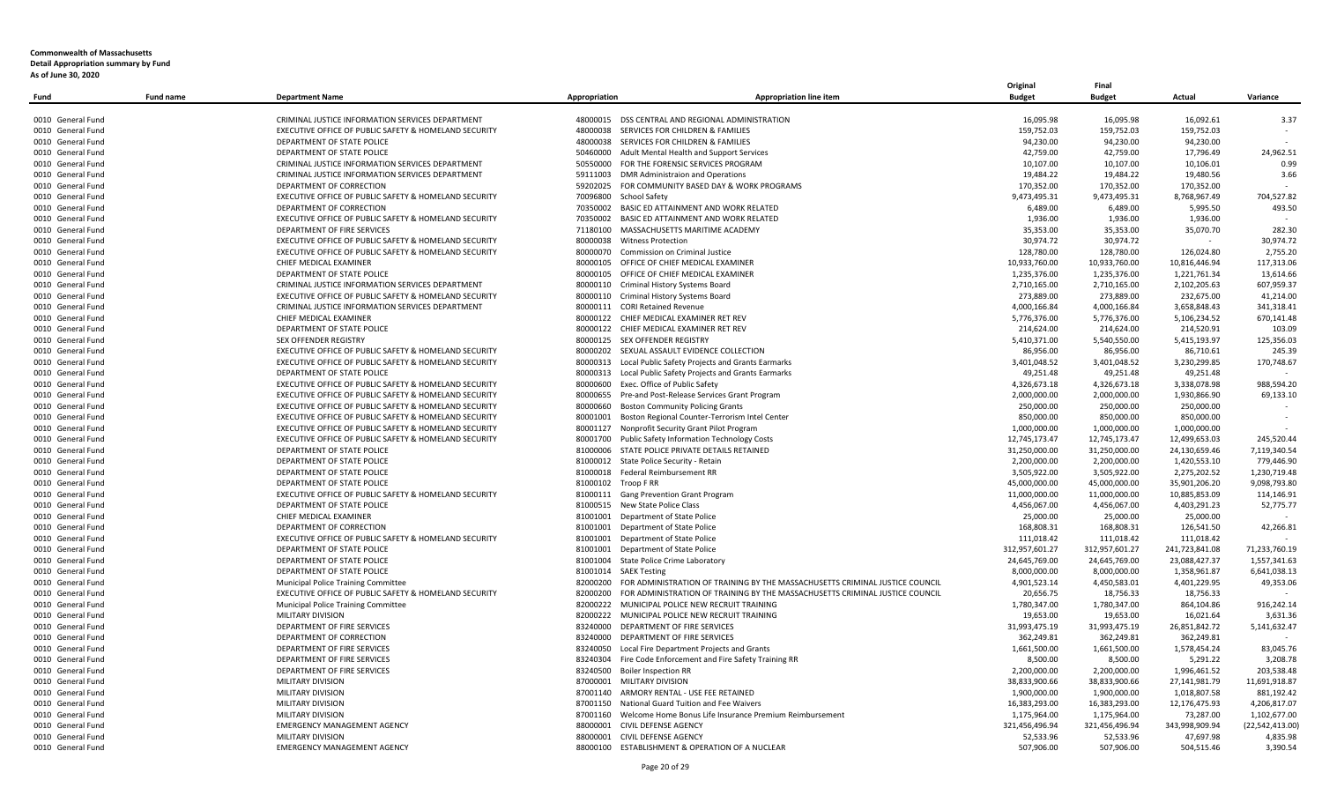| Fund              | <b>Fund name</b> | <b>Department Name</b>                                | Appropriation          | <b>Appropriation line item</b>                                                        | <b>Budget</b>  | <b>Budget</b>  | Actual         | Variance        |
|-------------------|------------------|-------------------------------------------------------|------------------------|---------------------------------------------------------------------------------------|----------------|----------------|----------------|-----------------|
|                   |                  |                                                       |                        |                                                                                       |                |                |                |                 |
| 0010 General Fund |                  | CRIMINAL JUSTICE INFORMATION SERVICES DEPARTMENT      |                        | 48000015 DSS CENTRAL AND REGIONAL ADMINISTRATION                                      | 16,095.98      | 16,095.98      | 16,092.61      | 3.37            |
| 0010 General Fund |                  | EXECUTIVE OFFICE OF PUBLIC SAFETY & HOMELAND SECURITY |                        | 48000038 SERVICES FOR CHILDREN & FAMILIES                                             | 159,752.03     | 159,752.03     | 159,752.03     |                 |
| 0010 General Fund |                  | DEPARTMENT OF STATE POLICE                            |                        | 48000038 SERVICES FOR CHILDREN & FAMILIES                                             | 94,230.00      | 94,230.00      | 94,230.00      |                 |
| 0010 General Fund |                  | DEPARTMENT OF STATE POLICE                            |                        | 50460000 Adult Mental Health and Support Services                                     | 42,759.00      | 42,759.00      | 17,796.49      | 24,962.51       |
| 0010 General Fund |                  | CRIMINAL JUSTICE INFORMATION SERVICES DEPARTMENT      |                        | 50550000 FOR THE FORENSIC SERVICES PROGRAM                                            | 10,107.00      | 10,107.00      | 10,106.01      | 0.99            |
| 0010 General Fund |                  | CRIMINAL JUSTICE INFORMATION SERVICES DEPARTMENT      |                        | 59111003 DMR Administraion and Operations                                             | 19,484.22      | 19,484.22      | 19,480.56      | 3.66            |
| 0010 General Fund |                  | DEPARTMENT OF CORRECTION                              | 59202025               | FOR COMMUNITY BASED DAY & WORK PROGRAMS                                               | 170,352.00     | 170,352.00     | 170,352.00     |                 |
| 0010 General Fund |                  | EXECUTIVE OFFICE OF PUBLIC SAFETY & HOMELAND SECURITY | 70096800 School Safety |                                                                                       | 9,473,495.31   | 9,473,495.31   | 8,768,967.49   | 704,527.82      |
| 0010 General Fund |                  | DEPARTMENT OF CORRECTION                              |                        | 70350002 BASIC ED ATTAINMENT AND WORK RELATED                                         | 6,489.00       | 6,489.00       | 5,995.50       | 493.50          |
| 0010 General Fund |                  | EXECUTIVE OFFICE OF PUBLIC SAFETY & HOMELAND SECURITY |                        | 70350002 BASIC ED ATTAINMENT AND WORK RELATED                                         | 1,936.00       | 1,936.00       | 1,936.00       | $\sim$          |
| 0010 General Fund |                  | DEPARTMENT OF FIRE SERVICES                           |                        | 71180100 MASSACHUSETTS MARITIME ACADEMY                                               | 35,353.00      | 35,353.00      | 35,070.70      | 282.30          |
| 0010 General Fund |                  | EXECUTIVE OFFICE OF PUBLIC SAFETY & HOMELAND SECURITY | 80000038               | <b>Witness Protection</b>                                                             | 30,974.72      | 30,974.72      |                | 30,974.72       |
| 0010 General Fund |                  | EXECUTIVE OFFICE OF PUBLIC SAFETY & HOMELAND SECURITY |                        | 80000070 Commission on Criminal Justice                                               | 128,780.00     | 128,780.00     | 126,024.80     | 2,755.20        |
| 0010 General Fund |                  | CHIEF MEDICAL EXAMINER                                |                        | 80000105 OFFICE OF CHIEF MEDICAL EXAMINER                                             | 10,933,760.00  | 10,933,760.00  | 10,816,446.94  | 117,313.06      |
| 0010 General Fund |                  | DEPARTMENT OF STATE POLICE                            | 80000105               | OFFICE OF CHIEF MEDICAL EXAMINER                                                      | 1,235,376.00   | 1,235,376.00   | 1,221,761.34   | 13,614.66       |
| 0010 General Fund |                  | CRIMINAL JUSTICE INFORMATION SERVICES DEPARTMENT      |                        | 80000110 Criminal History Systems Board                                               | 2,710,165.00   | 2,710,165.00   | 2,102,205.63   | 607,959.37      |
| 0010 General Fund |                  | EXECUTIVE OFFICE OF PUBLIC SAFETY & HOMELAND SECURITY |                        | 80000110 Criminal History Systems Board                                               | 273,889.00     | 273,889.00     | 232,675.00     | 41,214.00       |
| 0010 General Fund |                  | CRIMINAL JUSTICE INFORMATION SERVICES DEPARTMENT      |                        | 80000111 CORI Retained Revenue                                                        | 4,000,166.84   | 4,000,166.84   | 3,658,848.43   | 341,318.41      |
| 0010 General Fund |                  | CHIEF MEDICAL EXAMINER                                |                        | 80000122 CHIEF MEDICAL EXAMINER RET REV                                               | 5,776,376.00   | 5,776,376.00   | 5,106,234.52   | 670,141.48      |
| 0010 General Fund |                  | DEPARTMENT OF STATE POLICE                            |                        | 80000122 CHIEF MEDICAL EXAMINER RET REV                                               | 214,624.00     | 214,624.00     | 214,520.91     | 103.09          |
| 0010 General Fund |                  | <b>SEX OFFENDER REGISTRY</b>                          |                        | 80000125 SEX OFFENDER REGISTRY                                                        | 5,410,371.00   | 5,540,550.00   | 5,415,193.97   | 125,356.03      |
| 0010 General Fund |                  | EXECUTIVE OFFICE OF PUBLIC SAFETY & HOMELAND SECURITY |                        | 80000202 SEXUAL ASSAULT EVIDENCE COLLECTION                                           | 86,956.00      | 86,956.00      | 86,710.61      | 245.39          |
| 0010 General Fund |                  | EXECUTIVE OFFICE OF PUBLIC SAFETY & HOMELAND SECURITY |                        | 80000313 Local Public Safety Projects and Grants Earmarks                             | 3,401,048.52   | 3,401,048.52   | 3,230,299.85   | 170,748.67      |
| 0010 General Fund |                  | DEPARTMENT OF STATE POLICE                            | 80000313               | Local Public Safety Projects and Grants Earmarks                                      | 49,251.48      | 49,251.48      | 49,251.48      |                 |
| 0010 General Fund |                  | EXECUTIVE OFFICE OF PUBLIC SAFETY & HOMELAND SECURITY |                        | 80000600 Exec. Office of Public Safety                                                | 4,326,673.18   | 4,326,673.18   | 3.338.078.98   | 988,594.20      |
| 0010 General Fund |                  | EXECUTIVE OFFICE OF PUBLIC SAFETY & HOMELAND SECURITY |                        | 80000655 Pre-and Post-Release Services Grant Program                                  | 2,000,000.00   | 2,000,000.00   | 1,930,866.90   | 69,133.10       |
| 0010 General Fund |                  | EXECUTIVE OFFICE OF PUBLIC SAFETY & HOMELAND SECURITY |                        | 80000660 Boston Community Policing Grants                                             | 250.000.00     | 250.000.00     | 250.000.00     |                 |
| 0010 General Fund |                  | EXECUTIVE OFFICE OF PUBLIC SAFETY & HOMELAND SECURITY |                        | 80001001 Boston Regional Counter-Terrorism Intel Center                               | 850,000.00     | 850,000.00     | 850,000.00     |                 |
| 0010 General Fund |                  | EXECUTIVE OFFICE OF PUBLIC SAFETY & HOMELAND SECURITY |                        | 80001127 Nonprofit Security Grant Pilot Program                                       | 1,000,000.00   | 1.000.000.00   | 1.000.000.00   |                 |
| 0010 General Fund |                  |                                                       |                        |                                                                                       |                |                |                | 245,520.44      |
|                   |                  | EXECUTIVE OFFICE OF PUBLIC SAFETY & HOMELAND SECURITY |                        | 80001700 Public Safety Information Technology Costs                                   | 12,745,173.47  | 12,745,173.47  | 12,499,653.03  |                 |
| 0010 General Fund |                  | DEPARTMENT OF STATE POLICE                            |                        | 81000006 STATE POLICE PRIVATE DETAILS RETAINED                                        | 31,250,000.00  | 31,250,000.00  | 24,130,659.46  | 7.119.340.54    |
| 0010 General Fund |                  | DEPARTMENT OF STATE POLICE                            |                        | 81000012 State Police Security - Retain                                               | 2,200,000.00   | 2,200,000.00   | 1,420,553.10   | 779,446.90      |
| 0010 General Fund |                  | DEPARTMENT OF STATE POLICE                            |                        | 81000018 Federal Reimbursement RR                                                     | 3,505,922.00   | 3,505,922.00   | 2,275,202.52   | 1,230,719.48    |
| 0010 General Fund |                  | DEPARTMENT OF STATE POLICE                            | 81000102 Troop F RR    |                                                                                       | 45,000,000.00  | 45,000,000.00  | 35,901,206.20  | 9,098,793.80    |
| 0010 General Fund |                  | EXECUTIVE OFFICE OF PUBLIC SAFETY & HOMELAND SECURITY |                        | 81000111 Gang Prevention Grant Program                                                | 11,000,000.00  | 11,000,000.00  | 10,885,853.09  | 114,146.91      |
| 0010 General Fund |                  | DEPARTMENT OF STATE POLICE                            |                        | 81000515 New State Police Class                                                       | 4,456,067.00   | 4,456,067.00   | 4,403,291.23   | 52,775.77       |
| 0010 General Fund |                  | CHIEF MEDICAL EXAMINER                                |                        | 81001001 Department of State Police                                                   | 25,000.00      | 25,000.00      | 25,000.00      |                 |
| 0010 General Fund |                  | DEPARTMENT OF CORRECTION                              |                        | 81001001 Department of State Police                                                   | 168,808.31     | 168,808.31     | 126,541.50     | 42,266.81       |
| 0010 General Fund |                  | EXECUTIVE OFFICE OF PUBLIC SAFETY & HOMELAND SECURITY |                        | 81001001 Department of State Police                                                   | 111,018.42     | 111,018.42     | 111,018.42     |                 |
| 0010 General Fund |                  | DEPARTMENT OF STATE POLICE                            | 81001001               | Department of State Police                                                            | 312,957,601.27 | 312,957,601.27 | 241,723,841.08 | 71,233,760.19   |
| 0010 General Fund |                  | DEPARTMENT OF STATE POLICE                            |                        | 81001004 State Police Crime Laboratory                                                | 24,645,769.00  | 24,645,769.00  | 23,088,427.37  | 1,557,341.63    |
| 0010 General Fund |                  | DEPARTMENT OF STATE POLICE                            | 81001014 SAEK Testing  |                                                                                       | 8,000,000.00   | 8,000,000.00   | 1,358,961.87   | 6,641,038.13    |
| 0010 General Fund |                  | Municipal Police Training Committee                   |                        | 82000200 FOR ADMINISTRATION OF TRAINING BY THE MASSACHUSETTS CRIMINAL JUSTICE COUNCIL | 4,901,523.14   | 4,450,583.01   | 4,401,229.95   | 49,353.06       |
| 0010 General Fund |                  | EXECUTIVE OFFICE OF PUBLIC SAFETY & HOMELAND SECURITY | 82000200               | FOR ADMINISTRATION OF TRAINING BY THE MASSACHUSETTS CRIMINAL JUSTICE COUNCIL          | 20,656.75      | 18,756.33      | 18,756.33      |                 |
| 0010 General Fund |                  | Municipal Police Training Committee                   |                        | 82000222 MUNICIPAL POLICE NEW RECRUIT TRAINING                                        | 1,780,347.00   | 1,780,347.00   | 864,104.86     | 916,242.14      |
| 0010 General Fund |                  | <b>MILITARY DIVISION</b>                              |                        | 82000222 MUNICIPAL POLICE NEW RECRUIT TRAINING                                        | 19,653.00      | 19,653.00      | 16,021.64      | 3,631.36        |
| 0010 General Fund |                  | DEPARTMENT OF FIRE SERVICES                           |                        | 83240000 DEPARTMENT OF FIRE SERVICES                                                  | 31,993,475.19  | 31,993,475.19  | 26,851,842.72  | 5,141,632.47    |
| 0010 General Fund |                  | DEPARTMENT OF CORRECTION                              |                        | 83240000 DEPARTMENT OF FIRE SERVICES                                                  | 362,249.81     | 362,249.81     | 362,249.81     |                 |
| 0010 General Fund |                  | DEPARTMENT OF FIRE SERVICES                           |                        | 83240050 Local Fire Department Projects and Grants                                    | 1,661,500.00   | 1,661,500.00   | 1,578,454.24   | 83,045.76       |
| 0010 General Fund |                  | DEPARTMENT OF FIRE SERVICES                           |                        | 83240304 Fire Code Enforcement and Fire Safety Training RR                            | 8,500.00       | 8,500.00       | 5,291.22       | 3,208.78        |
| 0010 General Fund |                  | DEPARTMENT OF FIRE SERVICES                           |                        | 83240500 Boiler Inspection RR                                                         | 2,200,000.00   | 2,200,000.00   | 1,996,461.52   | 203,538.48      |
| 0010 General Fund |                  | MILITARY DIVISION                                     |                        | 87000001 MILITARY DIVISION                                                            | 38,833,900.66  | 38,833,900.66  | 27,141,981.79  | 11,691,918.87   |
| 0010 General Fund |                  | MILITARY DIVISION                                     |                        | 87001140 ARMORY RENTAL - USE FEE RETAINED                                             | 1,900,000.00   | 1,900,000.00   | 1,018,807.58   | 881,192.42      |
| 0010 General Fund |                  | MILITARY DIVISION                                     |                        | 87001150 National Guard Tuition and Fee Waivers                                       | 16,383,293.00  | 16,383,293.00  | 12,176,475.93  | 4,206,817.07    |
| 0010 General Fund |                  | MILITARY DIVISION                                     |                        | 87001160 Welcome Home Bonus Life Insurance Premium Reimbursement                      | 1,175,964.00   | 1,175,964.00   | 73,287.00      | 1,102,677.00    |
| 0010 General Fund |                  | <b>EMERGENCY MANAGEMENT AGENCY</b>                    | 88000001               | CIVIL DEFENSE AGENCY                                                                  | 321,456,496.94 | 321,456,496.94 | 343,998,909.94 | (22,542,413.00) |
| 0010 General Fund |                  | MILITARY DIVISION                                     |                        | 88000001 CIVIL DEFENSE AGENCY                                                         | 52,533.96      | 52,533.96      | 47,697.98      | 4,835.98        |
| 0010 General Fund |                  | <b>EMERGENCY MANAGEMENT AGENCY</b>                    |                        | 88000100 ESTABLISHMENT & OPERATION OF A NUCLEAR                                       | 507,906.00     | 507,906.00     | 504,515.46     | 3,390.54        |

**Original Final**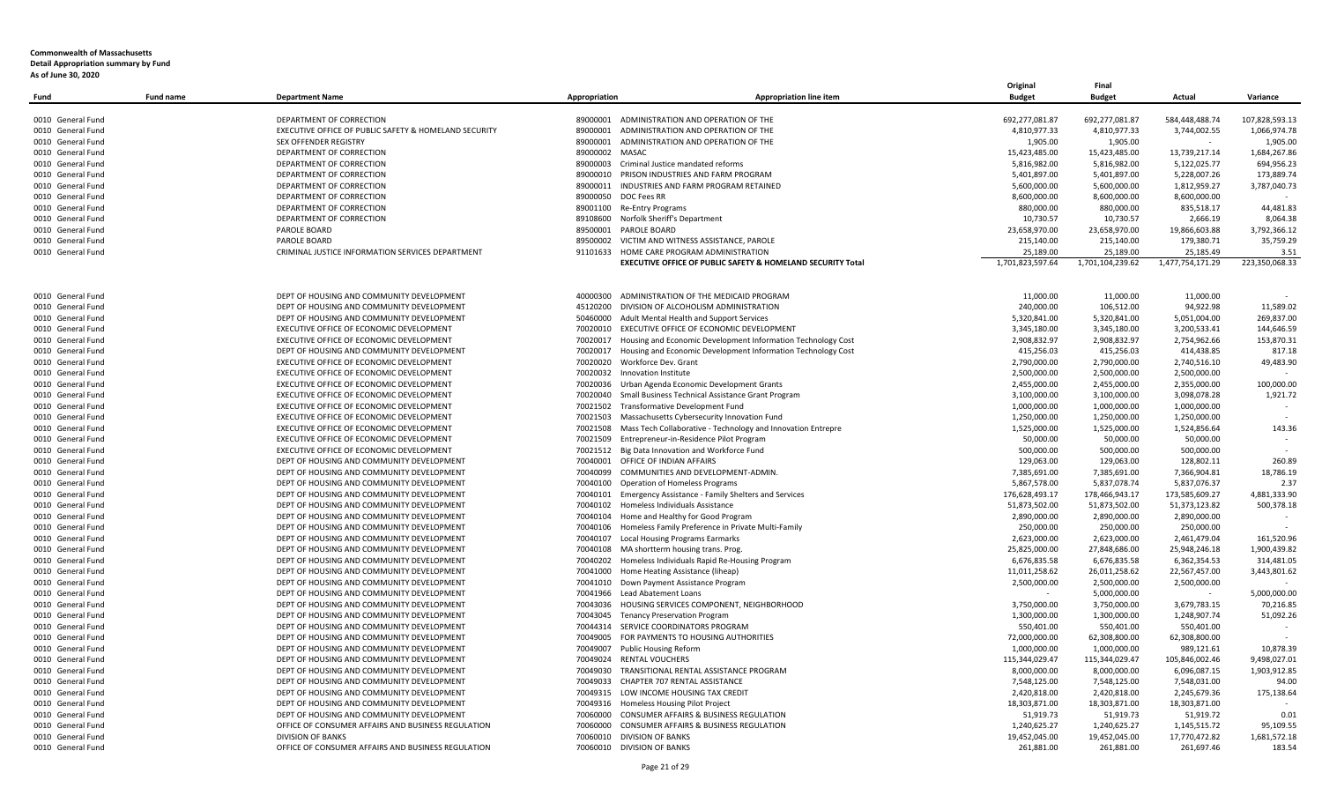|                   |                  |                                                       |                |                                                              | Original                     | Final            |                  |                |
|-------------------|------------------|-------------------------------------------------------|----------------|--------------------------------------------------------------|------------------------------|------------------|------------------|----------------|
| Fund              | <b>Fund name</b> | <b>Department Name</b>                                | Appropriation  | <b>Appropriation line item</b>                               | <b>Budget</b>                | <b>Budget</b>    | Actual           | Variance       |
|                   |                  |                                                       |                |                                                              |                              |                  |                  |                |
| 0010 General Fund |                  | DEPARTMENT OF CORRECTION                              | 89000001       | ADMINISTRATION AND OPERATION OF THE                          | 692,277,081.87               | 692,277,081.87   | 584,448,488.74   | 107,828,593.13 |
| 0010 General Fund |                  | EXECUTIVE OFFICE OF PUBLIC SAFETY & HOMELAND SECURITY | 89000001       | ADMINISTRATION AND OPERATION OF THE                          | 4,810,977.33                 | 4,810,977.33     | 3,744,002.55     | 1,066,974.78   |
| 0010 General Fund |                  | SEX OFFENDER REGISTRY                                 | 89000001       | ADMINISTRATION AND OPERATION OF THE                          | 1,905.00                     | 1,905.00         |                  | 1,905.00       |
| 0010 General Fund |                  | DEPARTMENT OF CORRECTION                              | 89000002 MASAC |                                                              | 15,423,485.00                | 15.423.485.00    | 13.739.217.14    | 1.684.267.86   |
| 0010 General Fund |                  | DEPARTMENT OF CORRECTION                              | 89000003       | Criminal Justice mandated reforms                            | 5,816,982.00                 | 5,816,982.00     | 5,122,025.77     | 694,956.23     |
| 0010 General Fund |                  | DEPARTMENT OF CORRECTION                              | 89000010       | PRISON INDUSTRIES AND FARM PROGRAM                           | 5,401,897.00                 | 5,401,897.00     | 5,228,007.26     | 173,889.74     |
| 0010 General Fund |                  | DEPARTMENT OF CORRECTION                              | 89000011       | INDUSTRIES AND FARM PROGRAM RETAINED                         | 5,600,000.00                 | 5,600,000.00     | 1,812,959.27     | 3,787,040.73   |
| 0010 General Fund |                  | DEPARTMENT OF CORRECTION                              | 89000050       | DOC Fees RR                                                  | 8,600,000.00                 | 8,600,000.00     | 8,600,000.00     |                |
| 0010 General Fund |                  | DEPARTMENT OF CORRECTION                              | 89001100       | Re-Entry Programs                                            | 880,000.00                   | 880,000.00       | 835,518.17       | 44,481.83      |
| 0010 General Fund |                  | DEPARTMENT OF CORRECTION                              | 89108600       | Norfolk Sheriff's Department                                 | 10,730.57                    | 10,730.57        | 2,666.19         | 8,064.38       |
| 0010 General Fund |                  | PAROLE BOARD                                          | 89500001       | PAROLE BOARD                                                 | 23,658,970.00                | 23,658,970.00    | 19,866,603.88    | 3,792,366.12   |
| 0010 General Fund |                  | PAROLE BOARD                                          | 89500002       | VICTIM AND WITNESS ASSISTANCE, PAROLE                        | 215,140.00                   | 215,140.00       | 179,380.71       | 35,759.29      |
| 0010 General Fund |                  | CRIMINAL JUSTICE INFORMATION SERVICES DEPARTMENT      | 91101633       | HOME CARE PROGRAM ADMINISTRATION                             | 25,189.00                    | 25,189.00        | 25,185.49        | 3.51           |
|                   |                  |                                                       |                | EXECUTIVE OFFICE OF PUBLIC SAFETY & HOMELAND SECURITY Total  | 1,701,823,597.64             | 1,701,104,239.62 | 1,477,754,171.29 | 223,350,068.33 |
|                   |                  |                                                       |                |                                                              |                              |                  |                  |                |
| 0010 General Fund |                  | DEPT OF HOUSING AND COMMUNITY DEVELOPMENT             | 40000300       | ADMINISTRATION OF THE MEDICAID PROGRAM                       | 11,000.00                    | 11,000.00        | 11,000.00        |                |
| 0010 General Fund |                  | DEPT OF HOUSING AND COMMUNITY DEVELOPMENT             | 45120200       | DIVISION OF ALCOHOLISM ADMINISTRATION                        | 240,000.00                   | 106,512.00       | 94,922.98        | 11,589.02      |
| 0010 General Fund |                  | DEPT OF HOUSING AND COMMUNITY DEVELOPMENT             | 50460000       | Adult Mental Health and Support Services                     | 5,320,841.00                 | 5,320,841.00     | 5,051,004.00     | 269,837.00     |
| 0010 General Fund |                  | EXECUTIVE OFFICE OF ECONOMIC DEVELOPMENT              | 70020010       | EXECUTIVE OFFICE OF ECONOMIC DEVELOPMENT                     | 3,345,180.00                 | 3,345,180.00     | 3,200,533.41     | 144,646.59     |
| 0010 General Fund |                  | EXECUTIVE OFFICE OF ECONOMIC DEVELOPMENT              | 70020017       | Housing and Economic Development Information Technology Cost | 2,908,832.97                 | 2,908,832.97     | 2,754,962.66     | 153,870.31     |
| 0010 General Fund |                  | DEPT OF HOUSING AND COMMUNITY DEVELOPMENT             | 70020017       | Housing and Economic Development Information Technology Cost | 415,256.03                   | 415,256.03       | 414.438.85       | 817.18         |
| 0010 General Fund |                  | EXECUTIVE OFFICE OF ECONOMIC DEVELOPMENT              | 70020020       | Workforce Dev. Grant                                         | 2,790,000.00                 | 2,790,000.00     | 2,740,516.10     | 49,483.90      |
| 0010 General Fund |                  | EXECUTIVE OFFICE OF ECONOMIC DEVELOPMENT              | 70020032       | Innovation Institute                                         | 2,500,000.00                 | 2,500,000.00     | 2,500,000.00     |                |
| 0010 General Fund |                  | EXECUTIVE OFFICE OF ECONOMIC DEVELOPMENT              | 70020036       | Urban Agenda Economic Development Grants                     | 2,455,000.00                 | 2,455,000.00     | 2,355,000.00     | 100,000.00     |
|                   |                  | EXECUTIVE OFFICE OF ECONOMIC DEVELOPMENT              | 70020040       |                                                              | 3,100,000.00                 |                  |                  | 1,921.72       |
| 0010 General Fund |                  |                                                       |                | Small Business Technical Assistance Grant Program            |                              | 3,100,000.00     | 3,098,078.28     |                |
| 0010 General Fund |                  | EXECUTIVE OFFICE OF ECONOMIC DEVELOPMENT              | 70021502       | Transformative Development Fund                              | 1,000,000.00<br>1,250,000.00 | 1,000,000.00     | 1,000,000.00     |                |
| 0010 General Fund |                  | EXECUTIVE OFFICE OF ECONOMIC DEVELOPMENT              | 70021503       | Massachusetts Cybersecurity Innovation Fund                  |                              | 1,250,000.00     | 1,250,000.00     |                |
| 0010 General Fund |                  | EXECUTIVE OFFICE OF ECONOMIC DEVELOPMENT              | 70021508       | Mass Tech Collaborative - Technology and Innovation Entrepre | 1,525,000.00                 | 1,525,000.00     | 1,524,856.64     | 143.36         |
| 0010 General Fund |                  | EXECUTIVE OFFICE OF ECONOMIC DEVELOPMENT              | 70021509       | Entrepreneur-in-Residence Pilot Program                      | 50,000.00                    | 50,000.00        | 50,000.00        |                |
| 0010 General Fund |                  | EXECUTIVE OFFICE OF ECONOMIC DEVELOPMENT              | 70021512       | Big Data Innovation and Workforce Fund                       | 500,000.00                   | 500,000.00       | 500,000.00       |                |
| 0010 General Fund |                  | DEPT OF HOUSING AND COMMUNITY DEVELOPMENT             | 70040001       | OFFICE OF INDIAN AFFAIRS                                     | 129,063.00                   | 129,063.00       | 128,802.11       | 260.89         |
| 0010 General Fund |                  | DEPT OF HOUSING AND COMMUNITY DEVELOPMENT             | 70040099       | COMMUNITIES AND DEVELOPMENT-ADMIN.                           | 7,385,691.00                 | 7,385,691.00     | 7,366,904.81     | 18,786.19      |
| 0010 General Fund |                  | DEPT OF HOUSING AND COMMUNITY DEVELOPMENT             | 70040100       | <b>Operation of Homeless Programs</b>                        | 5,867,578.00                 | 5,837,078.74     | 5,837,076.37     | 2.37           |
| 0010 General Fund |                  | DEPT OF HOUSING AND COMMUNITY DEVELOPMENT             | 70040101       | <b>Emergency Assistance - Family Shelters and Services</b>   | 176,628,493.17               | 178,466,943.17   | 173,585,609.27   | 4,881,333.90   |
| 0010 General Fund |                  | DEPT OF HOUSING AND COMMUNITY DEVELOPMENT             | 70040102       | Homeless Individuals Assistance                              | 51,873,502.00                | 51,873,502.00    | 51,373,123.82    | 500,378.18     |
| 0010 General Fund |                  | DEPT OF HOUSING AND COMMUNITY DEVELOPMENT             | 70040104       | Home and Healthy for Good Program                            | 2,890,000.00                 | 2,890,000.00     | 2,890,000.00     |                |
| 0010 General Fund |                  | DEPT OF HOUSING AND COMMUNITY DEVELOPMENT             | 70040106       | Homeless Family Preference in Private Multi-Family           | 250,000.00                   | 250,000.00       | 250,000.00       |                |
| 0010 General Fund |                  | DEPT OF HOUSING AND COMMUNITY DEVELOPMENT             | 70040107       | <b>Local Housing Programs Earmarks</b>                       | 2,623,000.00                 | 2,623,000.00     | 2,461,479.04     | 161,520.96     |
| 0010 General Fund |                  | DEPT OF HOUSING AND COMMUNITY DEVELOPMENT             | 70040108       | MA shortterm housing trans. Prog.                            | 25,825,000.00                | 27,848,686.00    | 25,948,246.18    | 1,900,439.82   |
| 0010 General Fund |                  | DEPT OF HOUSING AND COMMUNITY DEVELOPMENT             | 70040202       | Homeless Individuals Rapid Re-Housing Program                | 6,676,835.58                 | 6,676,835.58     | 6,362,354.53     | 314,481.05     |
| 0010 General Fund |                  | DEPT OF HOUSING AND COMMUNITY DEVELOPMENT             | 70041000       | Home Heating Assistance (liheap)                             | 11,011,258.62                | 26,011,258.62    | 22,567,457.00    | 3,443,801.62   |
| 0010 General Fund |                  | DEPT OF HOUSING AND COMMUNITY DEVELOPMENT             | 70041010       | Down Payment Assistance Program                              | 2,500,000.00                 | 2,500,000.00     | 2,500,000.00     |                |
| 0010 General Fund |                  | DEPT OF HOUSING AND COMMUNITY DEVELOPMENT             | 70041966       | Lead Abatement Loans                                         |                              | 5,000,000.00     |                  | 5,000,000.00   |
| 0010 General Fund |                  | DEPT OF HOUSING AND COMMUNITY DEVELOPMENT             | 70043036       | HOUSING SERVICES COMPONENT, NEIGHBORHOOD                     | 3,750,000.00                 | 3,750,000.00     | 3,679,783.15     | 70,216.85      |
| 0010 General Fund |                  | DEPT OF HOUSING AND COMMUNITY DEVELOPMENT             | 70043045       | <b>Tenancy Preservation Program</b>                          | 1,300,000.00                 | 1,300,000.00     | 1,248,907.74     | 51,092.26      |
| 0010 General Fund |                  | DEPT OF HOUSING AND COMMUNITY DEVELOPMENT             | 70044314       | SERVICE COORDINATORS PROGRAM                                 | 550,401.00                   | 550,401.00       | 550,401.00       |                |
| 0010 General Fund |                  | DEPT OF HOUSING AND COMMUNITY DEVELOPMENT             | 70049005       | FOR PAYMENTS TO HOUSING AUTHORITIES                          | 72,000,000.00                | 62,308,800.00    | 62,308,800.00    |                |
| 0010 General Fund |                  | DEPT OF HOUSING AND COMMUNITY DEVELOPMENT             |                | 70049007 Public Housing Reform                               | 1,000,000.00                 | 1,000,000.00     | 989,121.61       | 10.878.39      |
| 0010 General Fund |                  | DEPT OF HOUSING AND COMMUNITY DEVELOPMENT             |                | 70049024 RENTAL VOUCHERS                                     | 115,344,029.47               | 115,344,029.47   | 105,846,002.46   | 9,498,027.01   |
| 0010 General Fund |                  | DEPT OF HOUSING AND COMMUNITY DEVELOPMENT             | 70049030       | TRANSITIONAL RENTAL ASSISTANCE PROGRAM                       | 8,000,000.00                 | 8,000,000.00     | 6,096,087.15     | 1,903,912.85   |
| 0010 General Fund |                  | DEPT OF HOUSING AND COMMUNITY DEVELOPMENT             | 70049033       | CHAPTER 707 RENTAL ASSISTANCE                                | 7,548,125.00                 | 7,548,125.00     | 7,548,031.00     | 94.00          |
| 0010 General Fund |                  | DEPT OF HOUSING AND COMMUNITY DEVELOPMENT             |                | 70049315 LOW INCOME HOUSING TAX CREDIT                       | 2,420,818.00                 | 2,420,818.00     | 2,245,679.36     | 175,138.64     |
| 0010 General Fund |                  | DEPT OF HOUSING AND COMMUNITY DEVELOPMENT             | 70049316       | Homeless Housing Pilot Project                               | 18,303,871.00                | 18,303,871.00    | 18,303,871.00    |                |
| 0010 General Fund |                  | DEPT OF HOUSING AND COMMUNITY DEVELOPMENT             | 70060000       | CONSUMER AFFAIRS & BUSINESS REGULATION                       | 51,919.73                    | 51,919.73        | 51,919.72        | 0.01           |
| 0010 General Fund |                  | OFFICE OF CONSUMER AFFAIRS AND BUSINESS REGULATION    | 70060000       | CONSUMER AFFAIRS & BUSINESS REGULATION                       | 1,240,625.27                 | 1,240,625.27     | 1,145,515.72     | 95,109.55      |
| 0010 General Fund |                  | <b>DIVISION OF BANKS</b>                              | 70060010       | <b>DIVISION OF BANKS</b>                                     | 19,452,045.00                | 19,452,045.00    | 17,770,472.82    | 1,681,572.18   |
|                   |                  | OFFICE OF CONSUMER AFFAIRS AND BUSINESS REGULATION    |                |                                                              |                              |                  |                  |                |
| 0010 General Fund |                  |                                                       |                | 70060010 DIVISION OF BANKS                                   | 261,881.00                   | 261,881.00       | 261.697.46       | 183.54         |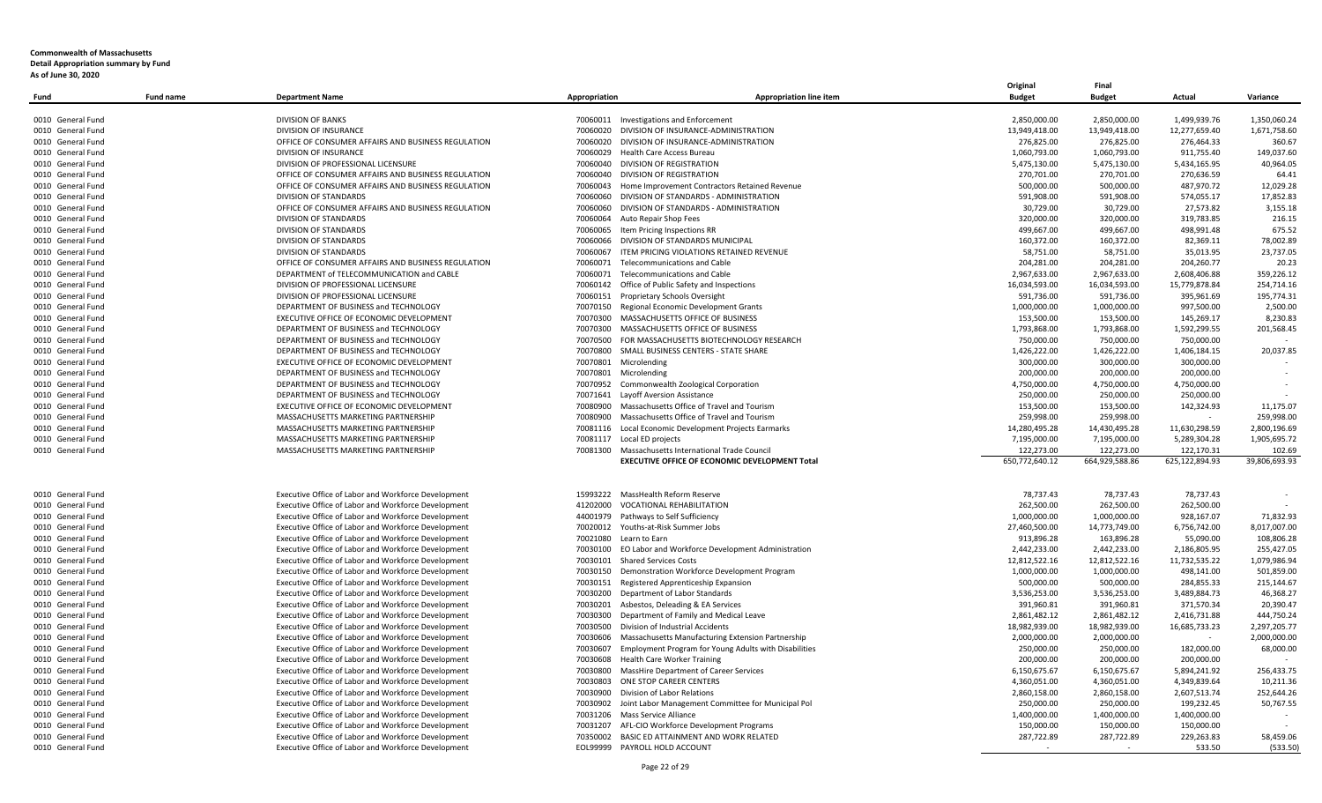|                   |                  |                                                     |                            |                                                       | Original       | Final          |                |               |
|-------------------|------------------|-----------------------------------------------------|----------------------------|-------------------------------------------------------|----------------|----------------|----------------|---------------|
| Fund              | <b>Fund name</b> | <b>Department Name</b>                              | Appropriation              | Appropriation line item                               | <b>Budget</b>  | <b>Budget</b>  | Actual         | Variance      |
|                   |                  |                                                     |                            |                                                       |                |                |                |               |
| 0010 General Fund |                  | <b>DIVISION OF BANKS</b>                            | 70060011                   | <b>Investigations and Enforcement</b>                 | 2,850,000.00   | 2,850,000.00   | 1,499,939.76   | 1,350,060.24  |
| 0010 General Fund |                  | DIVISION OF INSURANCE                               | 70060020                   | DIVISION OF INSURANCE-ADMINISTRATION                  | 13,949,418.00  | 13,949,418.00  | 12,277,659.40  | 1,671,758.60  |
| 0010 General Fund |                  | OFFICE OF CONSUMER AFFAIRS AND BUSINESS REGULATION  | 70060020                   | DIVISION OF INSURANCE-ADMINISTRATION                  | 276,825.00     | 276,825.00     | 276,464.33     | 360.67        |
| 0010 General Fund |                  | DIVISION OF INSURANCE                               | 70060029                   | Health Care Access Bureau                             | 1,060,793.00   | 1,060,793.00   | 911,755.40     | 149,037.60    |
| 0010 General Fund |                  | DIVISION OF PROFESSIONAL LICENSURE                  | 70060040                   | DIVISION OF REGISTRATION                              | 5,475,130.00   | 5,475,130.00   | 5,434,165.95   | 40,964.05     |
| 0010 General Fund |                  | OFFICE OF CONSUMER AFFAIRS AND BUSINESS REGULATION  | 70060040                   | DIVISION OF REGISTRATION                              | 270,701.00     | 270,701.00     | 270,636.59     | 64.41         |
| 0010 General Fund |                  | OFFICE OF CONSUMER AFFAIRS AND BUSINESS REGULATION  | 70060043                   | Home Improvement Contractors Retained Revenue         | 500.000.00     | 500.000.00     | 487.970.72     | 12.029.28     |
| 0010 General Fund |                  | DIVISION OF STANDARDS                               | 70060060                   | DIVISION OF STANDARDS - ADMINISTRATION                | 591,908.00     | 591,908.00     | 574,055.17     | 17,852.83     |
| 0010 General Fund |                  | OFFICE OF CONSUMER AFFAIRS AND BUSINESS REGULATION  | 70060060                   | DIVISION OF STANDARDS - ADMINISTRATION                | 30,729.00      | 30,729.00      | 27,573.82      | 3,155.18      |
| 0010 General Fund |                  | DIVISION OF STANDARDS                               | 70060064                   | Auto Repair Shop Fees                                 | 320,000.00     | 320,000.00     | 319,783.85     | 216.15        |
| 0010 General Fund |                  | DIVISION OF STANDARDS                               | 70060065                   | Item Pricing Inspections RR                           | 499,667.00     | 499,667.00     | 498,991.48     | 675.52        |
| 0010 General Fund |                  | DIVISION OF STANDARDS                               | 70060066                   | DIVISION OF STANDARDS MUNICIPAL                       | 160,372.00     | 160,372.00     | 82,369.11      | 78,002.89     |
| 0010 General Fund |                  | DIVISION OF STANDARDS                               | 70060067                   | ITEM PRICING VIOLATIONS RETAINED REVENUE              | 58,751.00      | 58,751.00      | 35,013.95      | 23,737.05     |
| 0010 General Fund |                  | OFFICE OF CONSUMER AFFAIRS AND BUSINESS REGULATION  | 70060071                   | Telecommunications and Cable                          | 204,281.00     | 204,281.00     | 204,260.77     | 20.23         |
| 0010 General Fund |                  | DEPARTMENT of TELECOMMUNICATION and CABLE           | 70060071                   | Telecommunications and Cable                          | 2,967,633.00   | 2,967,633.00   | 2,608,406.88   | 359,226.12    |
| 0010 General Fund |                  | DIVISION OF PROFESSIONAL LICENSURE                  | 70060142                   | Office of Public Safety and Inspections               | 16,034,593.00  | 16,034,593.00  | 15,779,878.84  | 254.714.16    |
| 0010 General Fund |                  | DIVISION OF PROFESSIONAL LICENSURE                  | 70060151                   | Proprietary Schools Oversight                         | 591,736.00     | 591,736.00     | 395,961.69     | 195,774.31    |
|                   |                  | DEPARTMENT OF BUSINESS and TECHNOLOGY               | 70070150                   | Regional Economic Development Grants                  | 1,000,000.00   | 1,000,000.00   | 997,500.00     | 2,500.00      |
| 0010 General Fund |                  |                                                     |                            | MASSACHUSETTS OFFICE OF BUSINESS                      |                |                |                |               |
| 0010 General Fund |                  | EXECUTIVE OFFICE OF ECONOMIC DEVELOPMENT            | 70070300                   |                                                       | 153,500.00     | 153,500.00     | 145,269.17     | 8,230.83      |
| 0010 General Fund |                  | DEPARTMENT OF BUSINESS and TECHNOLOGY               | 70070300                   | MASSACHUSETTS OFFICE OF BUSINESS                      | 1,793,868.00   | 1,793,868.00   | 1,592,299.55   | 201,568.45    |
| 0010 General Fund |                  | DEPARTMENT OF BUSINESS and TECHNOLOGY               | 70070500                   | FOR MASSACHUSETTS BIOTECHNOLOGY RESEARCH              | 750,000.00     | 750,000.00     | 750,000.00     |               |
| 0010 General Fund |                  | DEPARTMENT OF BUSINESS and TECHNOLOGY               | 70070800                   | SMALL BUSINESS CENTERS - STATE SHARE                  | 1,426,222.00   | 1,426,222.00   | 1,406,184.15   | 20,037.85     |
| 0010 General Fund |                  | EXECUTIVE OFFICE OF ECONOMIC DEVELOPMENT            | 70070801                   | Microlending                                          | 300,000.00     | 300,000.00     | 300,000.00     |               |
| 0010 General Fund |                  | DEPARTMENT OF BUSINESS and TECHNOLOGY               | 70070801 Microlending      |                                                       | 200,000.00     | 200,000.00     | 200,000.00     |               |
| 0010 General Fund |                  | DEPARTMENT OF BUSINESS and TECHNOLOGY               | 70070952                   | Commonwealth Zoological Corporation                   | 4,750,000.00   | 4,750,000.00   | 4,750,000.00   |               |
| 0010 General Fund |                  | DEPARTMENT OF BUSINESS and TECHNOLOGY               | 70071641                   | Layoff Aversion Assistance                            | 250,000.00     | 250,000.00     | 250,000.00     |               |
| 0010 General Fund |                  | EXECUTIVE OFFICE OF ECONOMIC DEVELOPMENT            | 70080900                   | Massachusetts Office of Travel and Tourism            | 153,500.00     | 153,500.00     | 142,324.93     | 11,175.07     |
| 0010 General Fund |                  | MASSACHUSETTS MARKETING PARTNERSHIP                 | 70080900                   | Massachusetts Office of Travel and Tourism            | 259,998.00     | 259,998.00     |                | 259,998.00    |
| 0010 General Fund |                  | MASSACHUSETTS MARKETING PARTNERSHIP                 | 70081116                   | Local Economic Development Projects Earmarks          | 14,280,495.28  | 14,430,495.28  | 11,630,298.59  | 2,800,196.69  |
| 0010 General Fund |                  | MASSACHUSETTS MARKETING PARTNERSHIP                 | 70081117 Local ED projects |                                                       | 7,195,000.00   | 7,195,000.00   | 5,289,304.28   | 1,905,695.72  |
| 0010 General Fund |                  | MASSACHUSETTS MARKETING PARTNERSHIP                 | 70081300                   | Massachusetts International Trade Council             | 122,273.00     | 122,273.00     | 122,170.31     | 102.69        |
|                   |                  |                                                     |                            | EXECUTIVE OFFICE OF ECONOMIC DEVELOPMENT Total        | 650,772,640.12 | 664,929,588.86 | 625,122,894.93 | 39,806,693.93 |
|                   |                  |                                                     |                            |                                                       |                |                |                |               |
|                   |                  |                                                     |                            |                                                       |                |                |                |               |
| 0010 General Fund |                  | Executive Office of Labor and Workforce Development | 15993222                   | MassHealth Reform Reserve                             | 78,737.43      | 78,737.43      | 78,737.43      |               |
| 0010 General Fund |                  | Executive Office of Labor and Workforce Development | 41202000                   | <b>VOCATIONAL REHABILITATION</b>                      | 262,500.00     | 262,500.00     | 262,500.00     |               |
| 0010 General Fund |                  | Executive Office of Labor and Workforce Development | 44001979                   | Pathways to Self Sufficiency                          | 1,000,000.00   | 1,000,000.00   | 928,167.07     | 71,832.93     |
| 0010 General Fund |                  | Executive Office of Labor and Workforce Development | 70020012                   | Youths-at-Risk Summer Jobs                            | 27,460,500.00  | 14,773,749.00  | 6,756,742.00   | 8,017,007.00  |
| 0010 General Fund |                  | Executive Office of Labor and Workforce Development | 70021080                   | Learn to Earn                                         | 913,896.28     | 163,896.28     | 55,090.00      | 108,806.28    |
| 0010 General Fund |                  | Executive Office of Labor and Workforce Development | 70030100                   | EO Labor and Workforce Development Administration     | 2,442,233.00   | 2,442,233.00   | 2,186,805.95   | 255,427.05    |
| 0010 General Fund |                  | Executive Office of Labor and Workforce Development | 70030101                   | <b>Shared Services Costs</b>                          | 12,812,522.16  | 12,812,522.16  | 11,732,535.22  | 1,079,986.94  |
| 0010 General Fund |                  | Executive Office of Labor and Workforce Development | 70030150                   | Demonstration Workforce Development Program           | 1,000,000.00   | 1,000,000.00   | 498,141.00     | 501,859.00    |
| 0010 General Fund |                  | Executive Office of Labor and Workforce Development | 70030151                   | Registered Apprenticeship Expansion                   | 500,000.00     | 500,000.00     | 284,855.33     | 215,144.67    |
| 0010 General Fund |                  | Executive Office of Labor and Workforce Development | 70030200                   | Department of Labor Standards                         | 3,536,253.00   | 3,536,253.00   | 3,489,884.73   | 46,368.27     |
| 0010 General Fund |                  | Executive Office of Labor and Workforce Development | 70030201                   | Asbestos, Deleading & EA Services                     | 391,960.81     | 391,960.81     | 371,570.34     | 20,390.47     |
| 0010 General Fund |                  | Executive Office of Labor and Workforce Development | 70030300                   | Department of Family and Medical Leave                | 2,861,482.12   | 2,861,482.12   | 2,416,731.88   | 444,750.24    |
| 0010 General Fund |                  | Executive Office of Labor and Workforce Development | 70030500                   | Division of Industrial Accidents                      | 18,982,939.00  | 18,982,939.00  | 16,685,733.23  | 2,297,205.77  |
| 0010 General Fund |                  | Executive Office of Labor and Workforce Development | 70030606                   | Massachusetts Manufacturing Extension Partnership     | 2,000,000.00   | 2,000,000.00   |                | 2,000,000.00  |
| 0010 General Fund |                  | Executive Office of Labor and Workforce Development | 70030607                   | Employment Program for Young Adults with Disabilities | 250,000.00     | 250,000.00     | 182,000.00     | 68,000.00     |
| 0010 General Fund |                  | Executive Office of Labor and Workforce Development | 70030608                   | <b>Health Care Worker Training</b>                    | 200,000.00     | 200,000.00     | 200,000.00     |               |
|                   |                  | Executive Office of Labor and Workforce Development |                            | MassHire Department of Career Services                | 6,150,675.67   |                |                | 256,433.75    |
| 0010 General Fund |                  |                                                     | 70030800                   |                                                       |                | 6,150,675.67   | 5,894,241.92   |               |
| 0010 General Fund |                  | Executive Office of Labor and Workforce Development | 70030803                   | ONE STOP CAREER CENTERS                               | 4,360,051.00   | 4,360,051.00   | 4,349,839.64   | 10,211.36     |
| 0010 General Fund |                  | Executive Office of Labor and Workforce Development | 70030900                   | Division of Labor Relations                           | 2,860,158.00   | 2,860,158.00   | 2,607,513.74   | 252,644.26    |
| 0010 General Fund |                  | Executive Office of Labor and Workforce Development | 70030902                   | Joint Labor Management Committee for Municipal Pol    | 250,000.00     | 250,000.00     | 199,232.45     | 50,767.55     |
| 0010 General Fund |                  | Executive Office of Labor and Workforce Development | 70031206                   | Mass Service Alliance                                 | 1,400,000.00   | 1,400,000.00   | 1,400,000.00   |               |
| 0010 General Fund |                  | Executive Office of Labor and Workforce Development | 70031207                   | AFL-CIO Workforce Development Programs                | 150,000.00     | 150,000.00     | 150,000.00     |               |
| 0010 General Fund |                  | Executive Office of Labor and Workforce Development | 70350002                   | BASIC ED ATTAINMENT AND WORK RELATED                  | 287,722.89     | 287,722.89     | 229,263.83     | 58,459.06     |
| 0010 General Fund |                  | Executive Office of Labor and Workforce Development |                            | EOL99999 PAYROLL HOLD ACCOUNT                         |                |                | 533.50         | (533.50)      |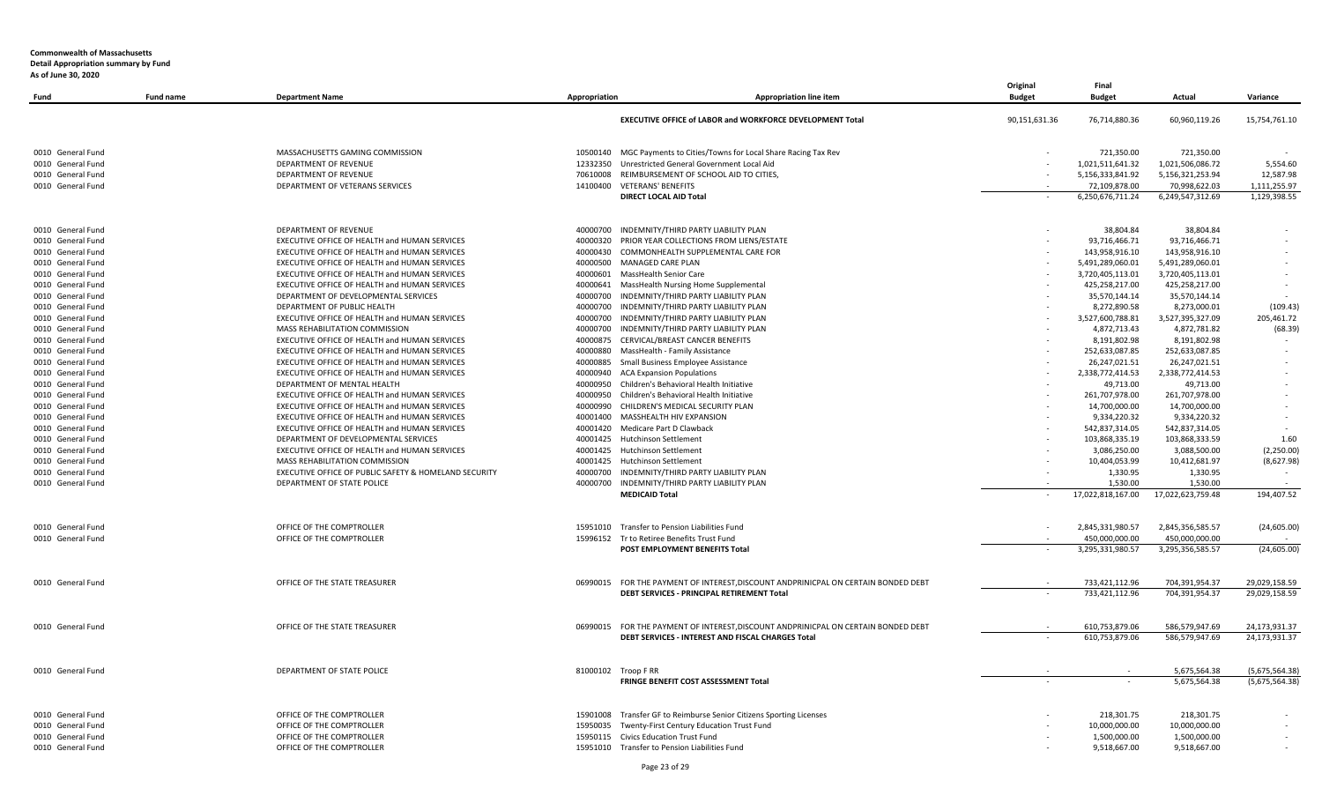| Fund              | <b>Fund name</b> | <b>Department Name</b>                                | Appropriation | <b>Appropriation line item</b>                                                     | Original<br><b>Budget</b> | Final<br><b>Budget</b> | Actual            | Variance       |
|-------------------|------------------|-------------------------------------------------------|---------------|------------------------------------------------------------------------------------|---------------------------|------------------------|-------------------|----------------|
|                   |                  |                                                       |               | EXECUTIVE OFFICE of LABOR and WORKFORCE DEVELOPMENT Total                          | 90,151,631.36             | 76,714,880.36          | 60,960,119.26     | 15,754,761.10  |
| 0010 General Fund |                  | MASSACHUSETTS GAMING COMMISSION                       |               | 10500140 MGC Payments to Cities/Towns for Local Share Racing Tax Rev               |                           | 721.350.00             | 721.350.00        |                |
| 0010 General Fund |                  | DEPARTMENT OF REVENUE                                 | 12332350      | Unrestricted General Government Local Aid                                          |                           | 1,021,511,641.32       | 1,021,506,086.72  | 5,554.60       |
| 0010 General Fund |                  | DEPARTMENT OF REVENUE                                 | 70610008      | REIMBURSEMENT OF SCHOOL AID TO CITIES,                                             |                           | 5,156,333,841.92       | 5,156,321,253.94  | 12,587.98      |
| 0010 General Fund |                  | DEPARTMENT OF VETERANS SERVICES                       | 14100400      | <b>VETERANS' BENEFITS</b>                                                          |                           | 72,109,878.00          | 70,998,622.03     | 1,111,255.97   |
|                   |                  |                                                       |               | DIRECT LOCAL AID Total                                                             |                           | 6,250,676,711.24       | 6,249,547,312.69  | 1,129,398.55   |
| 0010 General Fund |                  | DEPARTMENT OF REVENUE                                 | 40000700      | INDEMNITY/THIRD PARTY LIABILITY PLAN                                               |                           | 38,804.84              | 38,804.84         |                |
| 0010 General Fund |                  | EXECUTIVE OFFICE OF HEALTH and HUMAN SERVICES         | 40000320      | PRIOR YEAR COLLECTIONS FROM LIENS/ESTATE                                           |                           | 93,716,466.71          | 93,716,466.71     |                |
| 0010 General Fund |                  | EXECUTIVE OFFICE OF HEALTH and HUMAN SERVICES         | 40000430      | COMMONHEALTH SUPPLEMENTAL CARE FOR                                                 |                           | 143,958,916.10         | 143,958,916.10    |                |
| 0010 General Fund |                  | EXECUTIVE OFFICE OF HEALTH and HUMAN SERVICES         | 40000500      | MANAGED CARE PLAN                                                                  |                           | 5,491,289,060.01       | 5,491,289,060.01  |                |
| 0010 General Fund |                  | EXECUTIVE OFFICE OF HEALTH and HUMAN SERVICES         | 40000601      | MassHealth Senior Care                                                             |                           | 3,720,405,113.01       | 3,720,405,113.01  |                |
| 0010 General Fund |                  | EXECUTIVE OFFICE OF HEALTH and HUMAN SERVICES         | 40000641      | MassHealth Nursing Home Supplemental                                               |                           | 425,258,217.00         | 425,258,217.00    |                |
| 0010 General Fund |                  | DEPARTMENT OF DEVELOPMENTAL SERVICES                  | 40000700      | INDEMNITY/THIRD PARTY LIABILITY PLAN                                               |                           | 35,570,144.14          | 35,570,144.14     |                |
| 0010 General Fund |                  | DEPARTMENT OF PUBLIC HEALTH                           |               | 40000700 INDEMNITY/THIRD PARTY LIABILITY PLAN                                      |                           | 8,272,890.58           | 8,273,000.01      | (109.43)       |
| 0010 General Fund |                  | EXECUTIVE OFFICE OF HEALTH and HUMAN SERVICES         | 40000700      | INDEMNITY/THIRD PARTY LIABILITY PLAN                                               |                           | 3,527,600,788.81       | 3,527,395,327.09  | 205,461.72     |
| 0010 General Fund |                  | MASS REHABILITATION COMMISSION                        | 40000700      | INDEMNITY/THIRD PARTY LIABILITY PLAN                                               |                           | 4,872,713.43           | 4,872,781.82      | (68.39)        |
| 0010 General Fund |                  | EXECUTIVE OFFICE OF HEALTH and HUMAN SERVICES         | 40000875      | CERVICAL/BREAST CANCER BENEFITS                                                    |                           | 8,191,802.98           | 8,191,802.98      |                |
| 0010 General Fund |                  | EXECUTIVE OFFICE OF HEALTH and HUMAN SERVICES         | 40000880      | MassHealth - Family Assistance                                                     |                           | 252,633,087.85         | 252,633,087.85    |                |
| 0010 General Fund |                  | EXECUTIVE OFFICE OF HEALTH and HUMAN SERVICES         | 40000885      | Small Business Employee Assistance                                                 |                           | 26,247,021.51          | 26,247,021.51     |                |
| 0010 General Fund |                  | EXECUTIVE OFFICE OF HEALTH and HUMAN SERVICES         | 40000940      | <b>ACA Expansion Populations</b>                                                   |                           | 2,338,772,414.53       | 2,338,772,414.53  |                |
| 0010 General Fund |                  | DEPARTMENT OF MENTAL HEALTH                           | 40000950      | Children's Behavioral Health Initiative                                            |                           | 49,713.00              | 49,713.00         |                |
| 0010 General Fund |                  | EXECUTIVE OFFICE OF HEALTH and HUMAN SERVICES         | 40000950      | Children's Behavioral Health Initiative                                            |                           | 261,707,978.00         | 261,707,978.00    |                |
| 0010 General Fund |                  | EXECUTIVE OFFICE OF HEALTH and HUMAN SERVICES         | 40000990      | CHILDREN'S MEDICAL SECURITY PLAN                                                   |                           | 14,700,000.00          | 14,700,000.00     |                |
| 0010 General Fund |                  | EXECUTIVE OFFICE OF HEALTH and HUMAN SERVICES         | 40001400      | MASSHEALTH HIV EXPANSION                                                           |                           | 9,334,220.32           | 9,334,220.32      |                |
| 0010 General Fund |                  | EXECUTIVE OFFICE OF HEALTH and HUMAN SERVICES         | 40001420      | Medicare Part D Clawback                                                           |                           | 542,837,314.05         | 542,837,314.05    |                |
| 0010 General Fund |                  | DEPARTMENT OF DEVELOPMENTAL SERVICES                  | 40001425      | Hutchinson Settlement                                                              |                           | 103,868,335.19         | 103,868,333.59    | 1.60           |
| 0010 General Fund |                  | EXECUTIVE OFFICE OF HEALTH and HUMAN SERVICES         |               | 40001425 Hutchinson Settlement                                                     |                           | 3,086,250.00           | 3,088,500.00      | (2,250.00)     |
| 0010 General Fund |                  | MASS REHABILITATION COMMISSION                        |               | 40001425 Hutchinson Settlement                                                     |                           | 10,404,053.99          | 10,412,681.97     | (8,627.98)     |
| 0010 General Fund |                  | EXECUTIVE OFFICE OF PUBLIC SAFETY & HOMELAND SECURITY | 40000700      | INDEMNITY/THIRD PARTY LIABILITY PLAN                                               |                           | 1,330.95               | 1,330.95          |                |
| 0010 General Fund |                  | DEPARTMENT OF STATE POLICE                            |               | 40000700 INDEMNITY/THIRD PARTY LIABILITY PLAN                                      |                           | 1,530.00               | 1,530.00          |                |
|                   |                  |                                                       |               | <b>MEDICAID Total</b>                                                              |                           | 17,022,818,167.00      | 17,022,623,759.48 | 194,407.52     |
| 0010 General Fund |                  | OFFICE OF THE COMPTROLLER                             |               | 15951010 Transfer to Pension Liabilities Fund                                      |                           | 2,845,331,980.57       | 2,845,356,585.57  | (24, 605.00)   |
| 0010 General Fund |                  | OFFICE OF THE COMPTROLLER                             |               | 15996152 Tr to Retiree Benefits Trust Fund                                         |                           | 450.000.000.00         | 450.000.000.00    |                |
|                   |                  |                                                       |               | POST EMPLOYMENT BENEFITS Total                                                     |                           | 3,295,331,980.57       | 3,295,356,585.57  | (24, 605.00)   |
| 0010 General Fund |                  | OFFICE OF THE STATE TREASURER                         |               | 06990015 FOR THE PAYMENT OF INTEREST, DISCOUNT ANDPRINICPAL ON CERTAIN BONDED DEBT |                           | 733,421,112.96         | 704,391,954.37    | 29,029,158.59  |
|                   |                  |                                                       |               | DEBT SERVICES - PRINCIPAL RETIREMENT Total                                         |                           | 733,421,112.96         | 704,391,954.37    | 29,029,158.59  |
| 0010 General Fund |                  | OFFICE OF THE STATE TREASURER                         | 06990015      | FOR THE PAYMENT OF INTEREST, DISCOUNT ANDPRINICPAL ON CERTAIN BONDED DEBT          |                           | 610,753,879.06         | 586,579,947.69    | 24,173,931.37  |
|                   |                  |                                                       |               | DEBT SERVICES - INTEREST AND FISCAL CHARGES Total                                  |                           | 610,753,879.06         | 586,579,947.69    | 24,173,931.37  |
| 0010 General Fund |                  | DEPARTMENT OF STATE POLICE                            |               | 81000102 Troop F RR                                                                |                           |                        | 5,675,564.38      | (5,675,564.38) |
|                   |                  |                                                       |               | FRINGE BENEFIT COST ASSESSMENT Total                                               |                           |                        | 5,675,564.38      | (5,675,564.38) |
| 0010 General Fund |                  | OFFICE OF THE COMPTROLLER                             | 15901008      | Transfer GF to Reimburse Senior Citizens Sporting Licenses                         |                           | 218,301.75             | 218,301.75        |                |
| 0010 General Fund |                  | OFFICE OF THE COMPTROLLER                             | 15950035      | Twenty-First Century Education Trust Fund                                          |                           | 10,000,000.00          | 10,000,000.00     |                |
| 0010 General Fund |                  | OFFICE OF THE COMPTROLLER                             |               | 15950115 Civics Education Trust Fund                                               |                           | 1,500,000.00           | 1,500,000.00      |                |
| 0010 General Fund |                  | OFFICE OF THE COMPTROLLER                             |               | 15951010 Transfer to Pension Liabilities Fund                                      |                           | 9,518,667.00           | 9,518,667.00      |                |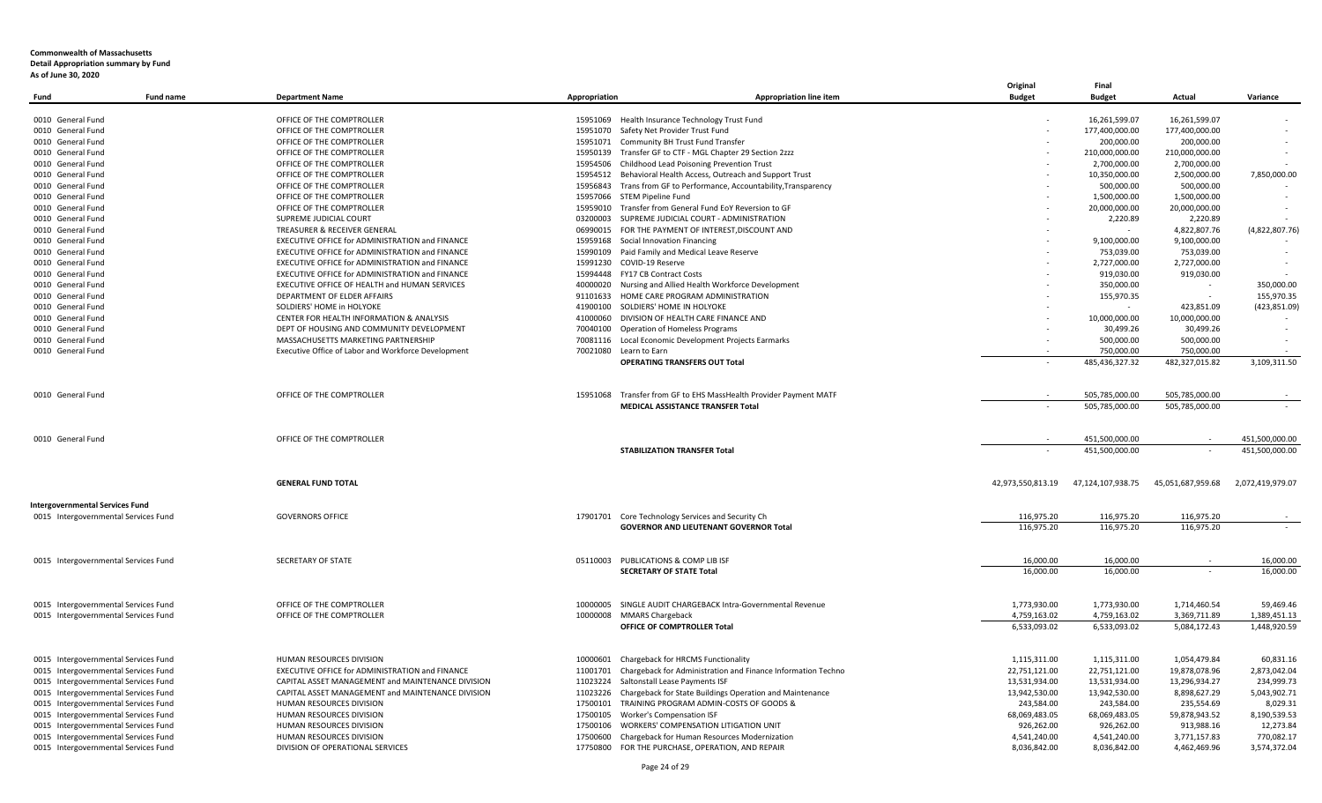|                                        |                  |                                                     |               |                                                              | Original          | Final             |                   |                  |
|----------------------------------------|------------------|-----------------------------------------------------|---------------|--------------------------------------------------------------|-------------------|-------------------|-------------------|------------------|
| Fund                                   | <b>Fund name</b> | <b>Department Name</b>                              | Appropriation | Appropriation line item                                      | <b>Budget</b>     | <b>Budget</b>     | Actual            | Variance         |
| 0010 General Fund                      |                  | OFFICE OF THE COMPTROLLER                           | 15951069      | Health Insurance Technology Trust Fund                       |                   | 16,261,599.07     | 16,261,599.07     |                  |
| 0010 General Fund                      |                  | OFFICE OF THE COMPTROLLER                           | 15951070      | Safety Net Provider Trust Fund                               |                   | 177,400,000.00    | 177,400,000.00    |                  |
| 0010 General Fund                      |                  | OFFICE OF THE COMPTROLLER                           |               | 15951071 Community BH Trust Fund Transfer                    |                   | 200,000.00        | 200,000.00        |                  |
| 0010 General Fund                      |                  | OFFICE OF THE COMPTROLLER                           | 15950139      | Transfer GF to CTF - MGL Chapter 29 Section 2zzz             |                   | 210,000,000.00    | 210,000,000.00    |                  |
| 0010 General Fund                      |                  | OFFICE OF THE COMPTROLLER                           | 15954506      | Childhood Lead Poisoning Prevention Trust                    |                   | 2,700,000.00      | 2,700,000.00      |                  |
| 0010 General Fund                      |                  | OFFICE OF THE COMPTROLLER                           | 15954512      | Behavioral Health Access, Outreach and Support Trust         |                   | 10,350,000.00     | 2,500,000.00      | 7,850,000.00     |
| 0010 General Fund                      |                  | OFFICE OF THE COMPTROLLER                           | 15956843      | Trans from GF to Performance, Accountability, Transparency   |                   | 500,000.00        | 500,000.00        |                  |
| 0010 General Fund                      |                  | OFFICE OF THE COMPTROLLER                           | 15957066      | STEM Pipeline Fund                                           |                   | 1,500,000.00      | 1,500,000.00      |                  |
| 0010 General Fund                      |                  | OFFICE OF THE COMPTROLLER                           | 15959010      | Transfer from General Fund EoY Reversion to GF               |                   | 20,000,000.00     | 20,000,000.00     |                  |
| 0010 General Fund                      |                  | SUPREME JUDICIAL COURT                              | 03200003      | SUPREME JUDICIAL COURT - ADMINISTRATION                      |                   | 2,220.89          | 2,220.89          |                  |
| 0010 General Fund                      |                  | TREASURER & RECEIVER GENERAL                        | 06990015      | FOR THE PAYMENT OF INTEREST, DISCOUNT AND                    |                   |                   | 4,822,807.76      | (4,822,807.76)   |
| 0010 General Fund                      |                  | EXECUTIVE OFFICE for ADMINISTRATION and FINANCE     | 15959168      | Social Innovation Financing                                  |                   | 9,100,000.00      | 9,100,000.00      |                  |
| 0010 General Fund                      |                  | EXECUTIVE OFFICE for ADMINISTRATION and FINANCE     | 15990109      | Paid Family and Medical Leave Reserve                        |                   | 753,039.00        | 753,039.00        |                  |
| 0010 General Fund                      |                  | EXECUTIVE OFFICE for ADMINISTRATION and FINANCE     |               | 15991230 COVID-19 Reserve                                    |                   | 2,727,000.00      | 2,727,000.00      |                  |
| 0010 General Fund                      |                  | EXECUTIVE OFFICE for ADMINISTRATION and FINANCE     |               | 15994448 FY17 CB Contract Costs                              |                   | 919,030.00        | 919,030.00        |                  |
| 0010 General Fund                      |                  | EXECUTIVE OFFICE OF HEALTH and HUMAN SERVICES       | 40000020      | Nursing and Allied Health Workforce Development              |                   | 350,000.00        |                   | 350,000.00       |
| 0010 General Fund                      |                  | DEPARTMENT OF ELDER AFFAIRS                         |               | 91101633 HOME CARE PROGRAM ADMINISTRATION                    |                   | 155,970.35        |                   | 155,970.35       |
| 0010 General Fund                      |                  | SOLDIERS' HOME in HOLYOKE                           |               | 41900100 SOLDIERS' HOME IN HOLYOKE                           |                   |                   | 423,851.09        | (423, 851.09)    |
| 0010 General Fund                      |                  | CENTER FOR HEALTH INFORMATION & ANALYSIS            | 41000060      | DIVISION OF HEALTH CARE FINANCE AND                          |                   | 10,000,000.00     | 10,000,000.00     |                  |
| 0010 General Fund                      |                  | DEPT OF HOUSING AND COMMUNITY DEVELOPMENT           | 70040100      | <b>Operation of Homeless Programs</b>                        |                   | 30,499.26         | 30,499.26         |                  |
| 0010 General Fund                      |                  | MASSACHUSETTS MARKETING PARTNERSHIP                 | 70081116      | Local Economic Development Projects Earmarks                 |                   | 500,000.00        | 500,000.00        |                  |
| 0010 General Fund                      |                  | Executive Office of Labor and Workforce Development | 70021080      | Learn to Earn                                                |                   | 750,000.00        | 750,000.00        |                  |
|                                        |                  |                                                     |               | <b>OPERATING TRANSFERS OUT Total</b>                         |                   | 485,436,327.32    | 482,327,015.82    | 3,109,311.50     |
|                                        |                  |                                                     |               |                                                              |                   |                   |                   |                  |
| 0010 General Fund                      |                  | OFFICE OF THE COMPTROLLER                           | 15951068      | Transfer from GF to EHS MassHealth Provider Payment MATF     |                   | 505.785.000.00    | 505.785.000.00    |                  |
|                                        |                  |                                                     |               | MEDICAL ASSISTANCE TRANSFER Total                            |                   | 505,785,000.00    | 505,785,000.00    |                  |
|                                        |                  |                                                     |               |                                                              |                   |                   |                   |                  |
| 0010 General Fund                      |                  | OFFICE OF THE COMPTROLLER                           |               |                                                              |                   | 451,500,000.00    |                   | 451,500,000.00   |
|                                        |                  |                                                     |               | <b>STABILIZATION TRANSFER Total</b>                          |                   | 451,500,000.00    |                   | 451,500,000.00   |
|                                        |                  | <b>GENERAL FUND TOTAL</b>                           |               |                                                              | 42,973,550,813.19 | 47,124,107,938.75 | 45,051,687,959.68 | 2,072,419,979.07 |
|                                        |                  |                                                     |               |                                                              |                   |                   |                   |                  |
| <b>Intergovernmental Services Fund</b> |                  |                                                     |               |                                                              |                   |                   |                   |                  |
| 0015 Intergovernmental Services Fund   |                  | <b>GOVERNORS OFFICE</b>                             |               | 17901701 Core Technology Services and Security Ch            | 116,975.20        | 116,975.20        | 116,975.20        |                  |
|                                        |                  |                                                     |               | <b>GOVERNOR AND LIEUTENANT GOVERNOR Total</b>                | 116,975.20        | 116,975.20        | 116,975.20        |                  |
| 0015 Intergovernmental Services Fund   |                  | <b>SECRETARY OF STATE</b>                           |               | 05110003 PUBLICATIONS & COMP LIB ISF                         | 16,000.00         | 16,000.00         |                   | 16,000.00        |
|                                        |                  |                                                     |               | <b>SECRETARY OF STATE Total</b>                              | 16,000.00         | 16,000.00         |                   | 16,000.00        |
|                                        |                  |                                                     |               |                                                              |                   |                   |                   |                  |
| 0015 Intergovernmental Services Fund   |                  | OFFICE OF THE COMPTROLLER                           | 10000005      | SINGLE AUDIT CHARGEBACK Intra-Governmental Revenue           | 1,773,930.00      | 1,773,930.00      | 1,714,460.54      | 59,469.46        |
| 0015 Intergovernmental Services Fund   |                  | OFFICE OF THE COMPTROLLER                           | 10000008      | <b>MMARS Chargeback</b>                                      | 4,759,163.02      | 4,759,163.02      | 3,369,711.89      | 1,389,451.13     |
|                                        |                  |                                                     |               | OFFICE OF COMPTROLLER Total                                  | 6,533,093.02      | 6,533,093.02      | 5,084,172.43      | 1,448,920.59     |
|                                        |                  |                                                     |               |                                                              |                   |                   |                   |                  |
| 0015 Intergovernmental Services Fund   |                  | HUMAN RESOURCES DIVISION                            | 10000601      | Chargeback for HRCMS Functionality                           | 1,115,311.00      | 1,115,311.00      | 1,054,479.84      | 60,831.16        |
| 0015 Intergovernmental Services Fund   |                  | EXECUTIVE OFFICE for ADMINISTRATION and FINANCE     | 11001701      | Chargeback for Administration and Finance Information Techno | 22,751,121.00     | 22,751,121.00     | 19,878,078.96     | 2,873,042.04     |
| 0015 Intergovernmental Services Fund   |                  | CAPITAL ASSET MANAGEMENT and MAINTENANCE DIVISION   | 11023224      | Saltonstall Lease Payments ISF                               | 13,531,934.00     | 13,531,934.00     | 13,296,934.27     | 234,999.73       |
| 0015 Intergovernmental Services Fund   |                  | CAPITAL ASSET MANAGEMENT and MAINTENANCE DIVISION   | 11023226      | Chargeback for State Buildings Operation and Maintenance     | 13,942,530.00     | 13,942,530.00     | 8,898,627.29      | 5,043,902.71     |
| 0015 Intergovernmental Services Fund   |                  | HUMAN RESOURCES DIVISION                            | 17500101      | TRAINING PROGRAM ADMIN-COSTS OF GOODS &                      | 243,584.00        | 243,584.00        | 235,554.69        | 8,029.31         |
| 0015 Intergovernmental Services Fund   |                  | HUMAN RESOURCES DIVISION                            | 17500105      | <b>Worker's Compensation ISF</b>                             | 68,069,483.05     | 68,069,483.05     | 59,878,943.52     | 8,190,539.53     |
| 0015 Intergovernmental Services Fund   |                  | HUMAN RESOURCES DIVISION                            | 17500106      | WORKERS' COMPENSATION LITIGATION UNIT                        | 926,262.00        | 926,262.00        | 913,988.16        | 12,273.84        |
| 0015 Intergovernmental Services Fund   |                  | HUMAN RESOURCES DIVISION                            |               | 17500600 Chargeback for Human Resources Modernization        | 4,541,240.00      | 4,541,240.00      | 3,771,157.83      | 770,082.17       |
| 0015 Intergovernmental Services Fund   |                  | DIVISION OF OPERATIONAL SERVICES                    |               | 17750800 FOR THE PURCHASE, OPERATION, AND REPAIR             | 8,036,842.00      | 8,036,842.00      | 4,462,469.96      | 3,574,372.04     |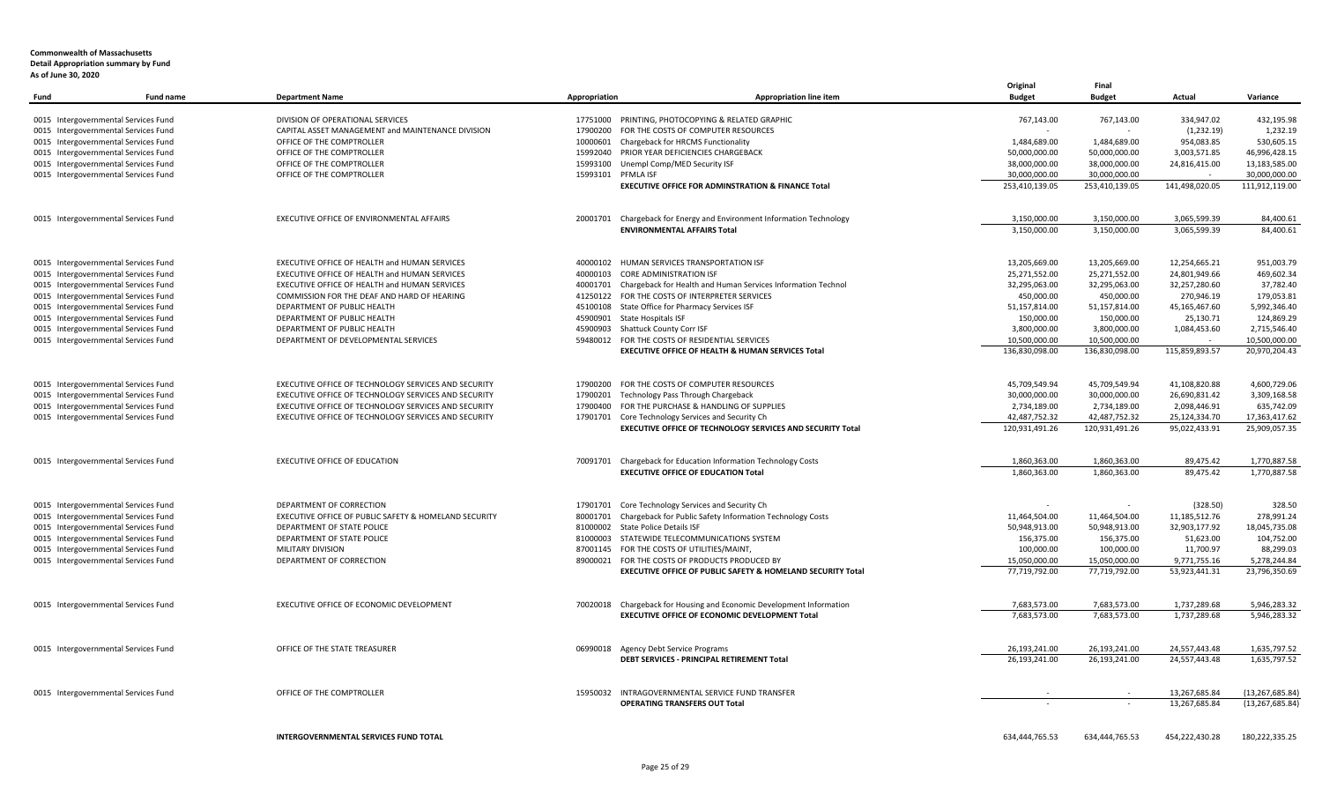| Fund | Fund name                            | <b>Department Name</b>                                | Appropriation      | <b>Appropriation line item</b>                                         | Original<br><b>Budget</b>       | Final<br><b>Budget</b>          | Actual         | Variance                        |
|------|--------------------------------------|-------------------------------------------------------|--------------------|------------------------------------------------------------------------|---------------------------------|---------------------------------|----------------|---------------------------------|
|      |                                      |                                                       |                    |                                                                        |                                 |                                 |                |                                 |
|      | 0015 Intergovernmental Services Fund | DIVISION OF OPERATIONAL SERVICES                      |                    | 17751000 PRINTING, PHOTOCOPYING & RELATED GRAPHIC                      | 767,143.00                      | 767,143.00                      | 334,947.02     | 432,195.98                      |
|      | 0015 Intergovernmental Services Fund | CAPITAL ASSET MANAGEMENT and MAINTENANCE DIVISION     |                    | 17900200 FOR THE COSTS OF COMPUTER RESOURCES                           |                                 |                                 | (1,232.19)     | 1,232.19                        |
|      | 0015 Intergovernmental Services Fund | OFFICE OF THE COMPTROLLER                             |                    | 10000601 Chargeback for HRCMS Functionality                            | 1,484,689.00                    | 1,484,689.00                    | 954,083.85     | 530,605.15                      |
|      | 0015 Intergovernmental Services Fund | OFFICE OF THE COMPTROLLER                             |                    | 15992040 PRIOR YEAR DEFICIENCIES CHARGEBACK                            | 50,000,000.00                   | 50,000,000.00                   | 3,003,571.85   | 46,996,428.15                   |
|      | 0015 Intergovernmental Services Fund | OFFICE OF THE COMPTROLLER                             |                    | 15993100 Unempl Comp/MED Security ISF                                  | 38,000,000.00                   | 38,000,000.00                   | 24,816,415.00  | 13,183,585.00                   |
|      | 0015 Intergovernmental Services Fund | OFFICE OF THE COMPTROLLER                             | 15993101 PFMLA ISF | <b>EXECUTIVE OFFICE FOR ADMINSTRATION &amp; FINANCE Total</b>          | 30,000,000.00<br>253,410,139.05 | 30,000,000.00<br>253,410,139.05 | 141,498,020.05 | 30,000,000.00<br>111,912,119.00 |
|      |                                      |                                                       |                    |                                                                        |                                 |                                 |                |                                 |
|      | 0015 Intergovernmental Services Fund | EXECUTIVE OFFICE OF ENVIRONMENTAL AFFAIRS             | 20001701           | Chargeback for Energy and Environment Information Technology           | 3,150,000.00                    | 3,150,000.00                    | 3,065,599.39   | 84,400.61                       |
|      |                                      |                                                       |                    | <b>ENVIRONMENTAL AFFAIRS Total</b>                                     | 3,150,000.00                    | 3,150,000.00                    | 3,065,599.39   | 84,400.61                       |
|      | 0015 Intergovernmental Services Fund | EXECUTIVE OFFICE OF HEALTH and HUMAN SERVICES         |                    | 40000102 HUMAN SERVICES TRANSPORTATION ISF                             | 13,205,669.00                   | 13,205,669.00                   | 12,254,665.21  | 951,003.79                      |
|      | 0015 Intergovernmental Services Fund | EXECUTIVE OFFICE OF HEALTH and HUMAN SERVICES         |                    | 40000103 CORE ADMINISTRATION ISF                                       | 25,271,552.00                   | 25,271,552.00                   | 24,801,949.66  | 469,602.34                      |
|      | 0015 Intergovernmental Services Fund | EXECUTIVE OFFICE OF HEALTH and HUMAN SERVICES         |                    | 40001701 Chargeback for Health and Human Services Information Technol  | 32,295,063.00                   | 32,295,063.00                   | 32,257,280.60  | 37,782.40                       |
|      | 0015 Intergovernmental Services Fund | COMMISSION FOR THE DEAF AND HARD OF HEARING           |                    | 41250122 FOR THE COSTS OF INTERPRETER SERVICES                         | 450,000.00                      | 450,000.00                      | 270,946.19     | 179,053.81                      |
|      | 0015 Intergovernmental Services Fund | DEPARTMENT OF PUBLIC HEALTH                           |                    | 45100108 State Office for Pharmacy Services ISF                        | 51,157,814.00                   | 51,157,814.00                   | 45,165,467.60  | 5,992,346.40                    |
|      | 0015 Intergovernmental Services Fund | DEPARTMENT OF PUBLIC HEALTH                           |                    | 45900901 State Hospitals ISF                                           | 150,000.00                      | 150,000.00                      | 25,130.71      | 124,869.29                      |
|      | 0015 Intergovernmental Services Fund | DEPARTMENT OF PUBLIC HEALTH                           |                    | 45900903 Shattuck County Corr ISF                                      | 3,800,000.00                    | 3,800,000.00                    | 1,084,453.60   | 2,715,546.40                    |
|      | 0015 Intergovernmental Services Fund | DEPARTMENT OF DEVELOPMENTAL SERVICES                  |                    | 59480012 FOR THE COSTS OF RESIDENTIAL SERVICES                         | 10,500,000.00                   | 10,500,000.00                   |                | 10,500,000.00                   |
|      |                                      |                                                       |                    | <b>EXECUTIVE OFFICE OF HEALTH &amp; HUMAN SERVICES Total</b>           | 136,830,098.00                  | 136,830,098.00                  | 115,859,893.57 | 20,970,204.43                   |
|      | 0015 Intergovernmental Services Fund | EXECUTIVE OFFICE OF TECHNOLOGY SERVICES AND SECURITY  |                    | 17900200 FOR THE COSTS OF COMPUTER RESOURCES                           | 45,709,549.94                   | 45,709,549.94                   | 41,108,820.88  | 4,600,729.06                    |
|      | 0015 Intergovernmental Services Fund | EXECUTIVE OFFICE OF TECHNOLOGY SERVICES AND SECURITY  | 17900201           | Technology Pass Through Chargeback                                     | 30,000,000.00                   | 30,000,000.00                   | 26,690,831.42  | 3,309,168.58                    |
|      | 0015 Intergovernmental Services Fund | EXECUTIVE OFFICE OF TECHNOLOGY SERVICES AND SECURITY  |                    | 17900400 FOR THE PURCHASE & HANDLING OF SUPPLIES                       | 2,734,189.00                    | 2,734,189.00                    | 2,098,446.91   | 635,742.09                      |
|      | 0015 Intergovernmental Services Fund | EXECUTIVE OFFICE OF TECHNOLOGY SERVICES AND SECURITY  |                    | 17901701 Core Technology Services and Security Ch                      | 42,487,752.32                   | 42,487,752.32                   | 25,124,334.70  | 17,363,417.62                   |
|      |                                      |                                                       |                    | <b>EXECUTIVE OFFICE OF TECHNOLOGY SERVICES AND SECURITY Total</b>      | 120,931,491.26                  | 120,931,491.26                  | 95,022,433.91  | 25,909,057.35                   |
|      |                                      |                                                       |                    |                                                                        |                                 |                                 |                |                                 |
|      | 0015 Intergovernmental Services Fund | EXECUTIVE OFFICE OF EDUCATION                         |                    | 70091701 Chargeback for Education Information Technology Costs         | 1,860,363.00                    | 1,860,363.00                    | 89,475.42      | 1,770,887.58                    |
|      |                                      |                                                       |                    | <b>EXECUTIVE OFFICE OF EDUCATION Total</b>                             | 1,860,363.00                    | 1,860,363.00                    | 89,475.42      | 1,770,887.58                    |
|      | 0015 Intergovernmental Services Fund | DEPARTMENT OF CORRECTION                              |                    | 17901701 Core Technology Services and Security Ch                      |                                 |                                 | (328.50)       | 328.50                          |
|      | 0015 Intergovernmental Services Fund | EXECUTIVE OFFICE OF PUBLIC SAFETY & HOMELAND SECURITY |                    | 80001701 Chargeback for Public Safety Information Technology Costs     | 11,464,504.00                   | 11,464,504.00                   | 11,185,512.76  | 278,991.24                      |
|      | 0015 Intergovernmental Services Fund | DEPARTMENT OF STATE POLICE                            |                    | 81000002 State Police Details ISF                                      | 50,948,913.00                   | 50,948,913.00                   | 32,903,177.92  | 18,045,735.08                   |
|      | 0015 Intergovernmental Services Fund | DEPARTMENT OF STATE POLICE                            |                    | 81000003 STATEWIDE TELECOMMUNICATIONS SYSTEM                           | 156,375.00                      | 156,375.00                      | 51,623.00      | 104,752.00                      |
|      | 0015 Intergovernmental Services Fund | MILITARY DIVISION                                     |                    | 87001145 FOR THE COSTS OF UTILITIES/MAINT,                             | 100,000.00                      | 100,000.00                      | 11,700.97      | 88,299.03                       |
|      | 0015 Intergovernmental Services Fund | DEPARTMENT OF CORRECTION                              |                    | 89000021 FOR THE COSTS OF PRODUCTS PRODUCED BY                         | 15,050,000.00                   | 15,050,000.00                   | 9,771,755.16   | 5,278,244.84                    |
|      |                                      |                                                       |                    | <b>EXECUTIVE OFFICE OF PUBLIC SAFETY &amp; HOMELAND SECURITY Total</b> | 77,719,792.00                   | 77,719,792.00                   | 53,923,441.31  | 23,796,350.69                   |
|      | 0015 Intergovernmental Services Fund | EXECUTIVE OFFICE OF ECONOMIC DEVELOPMENT              |                    | 70020018 Chargeback for Housing and Economic Development Information   | 7,683,573.00                    | 7,683,573.00                    | 1,737,289.68   | 5,946,283.32                    |
|      |                                      |                                                       |                    | EXECUTIVE OFFICE OF ECONOMIC DEVELOPMENT Total                         | 7,683,573.00                    | 7,683,573.00                    | 1,737,289.68   | 5,946,283.32                    |
|      |                                      |                                                       |                    |                                                                        |                                 |                                 |                |                                 |
|      | 0015 Intergovernmental Services Fund | OFFICE OF THE STATE TREASURER                         |                    | 06990018 Agency Debt Service Programs                                  | 26,193,241.00                   | 26,193,241.00                   | 24,557,443.48  | 1,635,797.52                    |
|      |                                      |                                                       |                    | DEBT SERVICES - PRINCIPAL RETIREMENT Total                             | 26,193,241.00                   | 26,193,241.00                   | 24,557,443.48  | 1,635,797.52                    |
|      | 0015 Intergovernmental Services Fund | OFFICE OF THE COMPTROLLER                             |                    | 15950032 INTRAGOVERNMENTAL SERVICE FUND TRANSFER                       |                                 |                                 | 13,267,685.84  | (13, 267, 685.84)               |
|      |                                      |                                                       |                    | <b>OPERATING TRANSFERS OUT Total</b>                                   |                                 |                                 | 13,267,685.84  | (13, 267, 685.84)               |
|      |                                      |                                                       |                    |                                                                        |                                 |                                 |                |                                 |
|      |                                      | INTERGOVERNMENTAL SERVICES FUND TOTAL                 |                    |                                                                        | 634,444,765.53                  | 634,444,765.53                  | 454,222,430.28 | 180,222,335.25                  |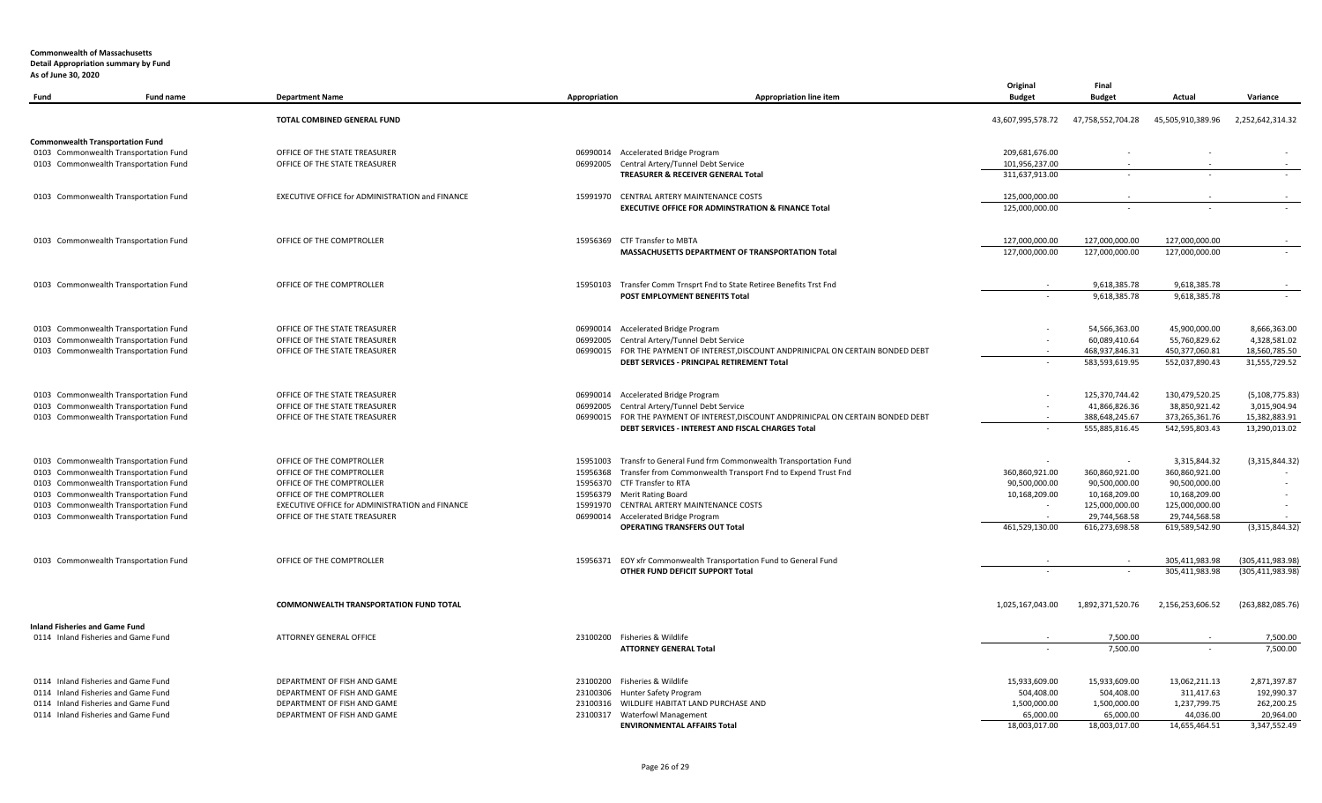| .<br>Fund                             | <b>Fund name</b>                                                               | <b>Department Name</b>                                 | Appropriation        | <b>Appropriation line item</b>                                                                                                          | Original<br><b>Budget</b> | Final<br><b>Budget</b>                     | Actual                           | Variance                       |
|---------------------------------------|--------------------------------------------------------------------------------|--------------------------------------------------------|----------------------|-----------------------------------------------------------------------------------------------------------------------------------------|---------------------------|--------------------------------------------|----------------------------------|--------------------------------|
|                                       |                                                                                | TOTAL COMBINED GENERAL FUND                            |                      |                                                                                                                                         | 43,607,995,578.72         | 47,758,552,704.28                          | 45,505,910,389.96                | 2,252,642,314.32               |
|                                       | <b>Commonwealth Transportation Fund</b>                                        |                                                        |                      |                                                                                                                                         |                           |                                            |                                  |                                |
|                                       | 0103 Commonwealth Transportation Fund                                          | OFFICE OF THE STATE TREASURER                          |                      | 06990014 Accelerated Bridge Program                                                                                                     | 209,681,676.00            |                                            |                                  |                                |
|                                       | 0103 Commonwealth Transportation Fund                                          | OFFICE OF THE STATE TREASURER                          |                      | 06992005 Central Artery/Tunnel Debt Service                                                                                             | 101,956,237.00            |                                            |                                  |                                |
|                                       |                                                                                |                                                        |                      | TREASURER & RECEIVER GENERAL Total                                                                                                      | 311,637,913.00            |                                            |                                  |                                |
|                                       | 0103 Commonwealth Transportation Fund                                          | EXECUTIVE OFFICE for ADMINISTRATION and FINANCE        |                      | 15991970 CENTRAL ARTERY MAINTENANCE COSTS                                                                                               | 125,000,000.00            |                                            |                                  |                                |
|                                       |                                                                                |                                                        |                      | EXECUTIVE OFFICE FOR ADMINSTRATION & FINANCE Total                                                                                      | 125,000,000.00            |                                            |                                  |                                |
|                                       | 0103 Commonwealth Transportation Fund                                          | OFFICE OF THE COMPTROLLER                              |                      | 15956369 CTF Transfer to MBTA                                                                                                           | 127.000.000.00            | 127,000,000.00                             | 127,000,000.00                   |                                |
|                                       |                                                                                |                                                        |                      | MASSACHUSETTS DEPARTMENT OF TRANSPORTATION Total                                                                                        | 127,000,000.00            | 127,000,000.00                             | 127,000,000.00                   |                                |
|                                       | 0103 Commonwealth Transportation Fund                                          | OFFICE OF THE COMPTROLLER                              |                      | 15950103 Transfer Comm Trnsprt Fnd to State Retiree Benefits Trst Fnd                                                                   |                           | 9,618,385.78                               | 9,618,385.78                     |                                |
|                                       |                                                                                |                                                        |                      | POST EMPLOYMENT BENEFITS Total                                                                                                          |                           | 9,618,385.78                               | 9,618,385.78                     |                                |
|                                       | 0103 Commonwealth Transportation Fund                                          | OFFICE OF THE STATE TREASURER                          |                      | 06990014 Accelerated Bridge Program                                                                                                     |                           | 54,566,363.00                              | 45,900,000.00                    | 8,666,363.00                   |
|                                       | 0103 Commonwealth Transportation Fund                                          | OFFICE OF THE STATE TREASURER                          | 06992005             | Central Artery/Tunnel Debt Service                                                                                                      |                           | 60,089,410.64                              | 55,760,829.62                    | 4,328,581.02                   |
|                                       | 0103 Commonwealth Transportation Fund                                          | OFFICE OF THE STATE TREASURER                          |                      | 06990015 FOR THE PAYMENT OF INTEREST, DISCOUNT ANDPRINICPAL ON CERTAIN BONDED DEBT                                                      |                           | 468,937,846.31                             | 450,377,060.81                   | 18,560,785.50                  |
|                                       |                                                                                |                                                        |                      | DEBT SERVICES - PRINCIPAL RETIREMENT Total                                                                                              |                           | 583,593,619.95                             | 552,037,890.43                   | 31,555,729.52                  |
|                                       | 0103 Commonwealth Transportation Fund                                          | OFFICE OF THE STATE TREASURER                          |                      | 06990014 Accelerated Bridge Program                                                                                                     |                           | 125,370,744.42                             | 130,479,520.25                   | (5, 108, 775.83)               |
|                                       | 0103 Commonwealth Transportation Fund                                          | OFFICE OF THE STATE TREASURER                          |                      | 06992005 Central Artery/Tunnel Debt Service                                                                                             |                           | 41,866,826.36                              | 38,850,921.42                    | 3,015,904.94                   |
|                                       | 0103 Commonwealth Transportation Fund                                          | OFFICE OF THE STATE TREASURER                          |                      | 06990015 FOR THE PAYMENT OF INTEREST, DISCOUNT ANDPRINICPAL ON CERTAIN BONDED DEBT<br>DEBT SERVICES - INTEREST AND FISCAL CHARGES Total |                           | 388,648,245.67<br>555,885,816.45           | 373,265,361.76<br>542,595,803.43 | 15,382,883.91<br>13,290,013.02 |
|                                       |                                                                                |                                                        |                      |                                                                                                                                         |                           |                                            |                                  |                                |
|                                       | 0103 Commonwealth Transportation Fund<br>0103 Commonwealth Transportation Fund | OFFICE OF THE COMPTROLLER<br>OFFICE OF THE COMPTROLLER | 15951003<br>15956368 | Transfr to General Fund frm Commonwealth Transportation Fund<br>Transfer from Commonwealth Transport Fnd to Expend Trust Fnd            | 360,860,921.00            | $\overline{\phantom{a}}$<br>360,860,921.00 | 3,315,844.32<br>360,860,921.00   | (3,315,844.32)                 |
|                                       | 0103 Commonwealth Transportation Fund                                          | OFFICE OF THE COMPTROLLER                              |                      | 15956370 CTF Transfer to RTA                                                                                                            | 90,500,000.00             | 90,500,000.00                              | 90,500,000.00                    |                                |
|                                       | 0103 Commonwealth Transportation Fund                                          | OFFICE OF THE COMPTROLLER                              |                      | 15956379 Merit Rating Board                                                                                                             | 10,168,209.00             | 10,168,209.00                              | 10,168,209.00                    |                                |
|                                       | 0103 Commonwealth Transportation Fund                                          | EXECUTIVE OFFICE for ADMINISTRATION and FINANCE        |                      | 15991970 CENTRAL ARTERY MAINTENANCE COSTS                                                                                               |                           | 125,000,000.00                             | 125,000,000.00                   |                                |
|                                       | 0103 Commonwealth Transportation Fund                                          | OFFICE OF THE STATE TREASURER                          |                      | 06990014 Accelerated Bridge Program                                                                                                     |                           | 29,744,568.58                              | 29,744,568.58                    |                                |
|                                       |                                                                                |                                                        |                      | <b>OPERATING TRANSFERS OUT Total</b>                                                                                                    | 461,529,130.00            | 616,273,698.58                             | 619,589,542.90                   | (3,315,844.32)                 |
|                                       | 0103 Commonwealth Transportation Fund                                          | OFFICE OF THE COMPTROLLER                              |                      | 15956371 EOY xfr Commonwealth Transportation Fund to General Fund                                                                       |                           |                                            | 305,411,983.98                   | (305, 411, 983.98)             |
|                                       |                                                                                |                                                        |                      | OTHER FUND DEFICIT SUPPORT Total                                                                                                        |                           | $\sim$                                     | 305,411,983.98                   | (305, 411, 983.98)             |
|                                       |                                                                                | <b>COMMONWEALTH TRANSPORTATION FUND TOTAL</b>          |                      |                                                                                                                                         | 1,025,167,043.00          | 1,892,371,520.76                           | 2,156,253,606.52                 | (263,882,085.76)               |
| <b>Inland Fisheries and Game Fund</b> | 0114 Inland Fisheries and Game Fund                                            | ATTORNEY GENERAL OFFICE                                |                      | 23100200 Fisheries & Wildlife                                                                                                           |                           | 7,500.00                                   |                                  |                                |
|                                       |                                                                                |                                                        |                      | <b>ATTORNEY GENERAL Total</b>                                                                                                           |                           | 7.500.00                                   |                                  | 7,500.00<br>7.500.00           |
|                                       | 0114 Inland Fisheries and Game Fund                                            | DEPARTMENT OF FISH AND GAME                            |                      | 23100200 Fisheries & Wildlife                                                                                                           | 15,933,609.00             | 15,933,609.00                              | 13,062,211.13                    | 2,871,397.87                   |
|                                       | 0114 Inland Fisheries and Game Fund                                            | DEPARTMENT OF FISH AND GAME                            |                      | 23100306 Hunter Safety Program                                                                                                          | 504,408.00                | 504,408.00                                 | 311,417.63                       | 192,990.37                     |
|                                       | 0114 Inland Fisheries and Game Fund                                            | DEPARTMENT OF FISH AND GAME                            |                      | 23100316 WILDLIFE HABITAT LAND PURCHASE AND                                                                                             | 1,500,000.00              | 1,500,000.00                               | 1,237,799.75                     | 262,200.25                     |
|                                       | 0114 Inland Fisheries and Game Fund                                            | DEPARTMENT OF FISH AND GAME                            |                      | 23100317 Waterfowl Management                                                                                                           | 65,000.00                 | 65,000.00                                  | 44,036.00                        | 20,964.00                      |
|                                       |                                                                                |                                                        |                      | <b>ENVIRONMENTAL AFFAIRS Total</b>                                                                                                      | 18,003,017.00             | 18,003,017.00                              | 14,655,464.51                    | 3,347,552.49                   |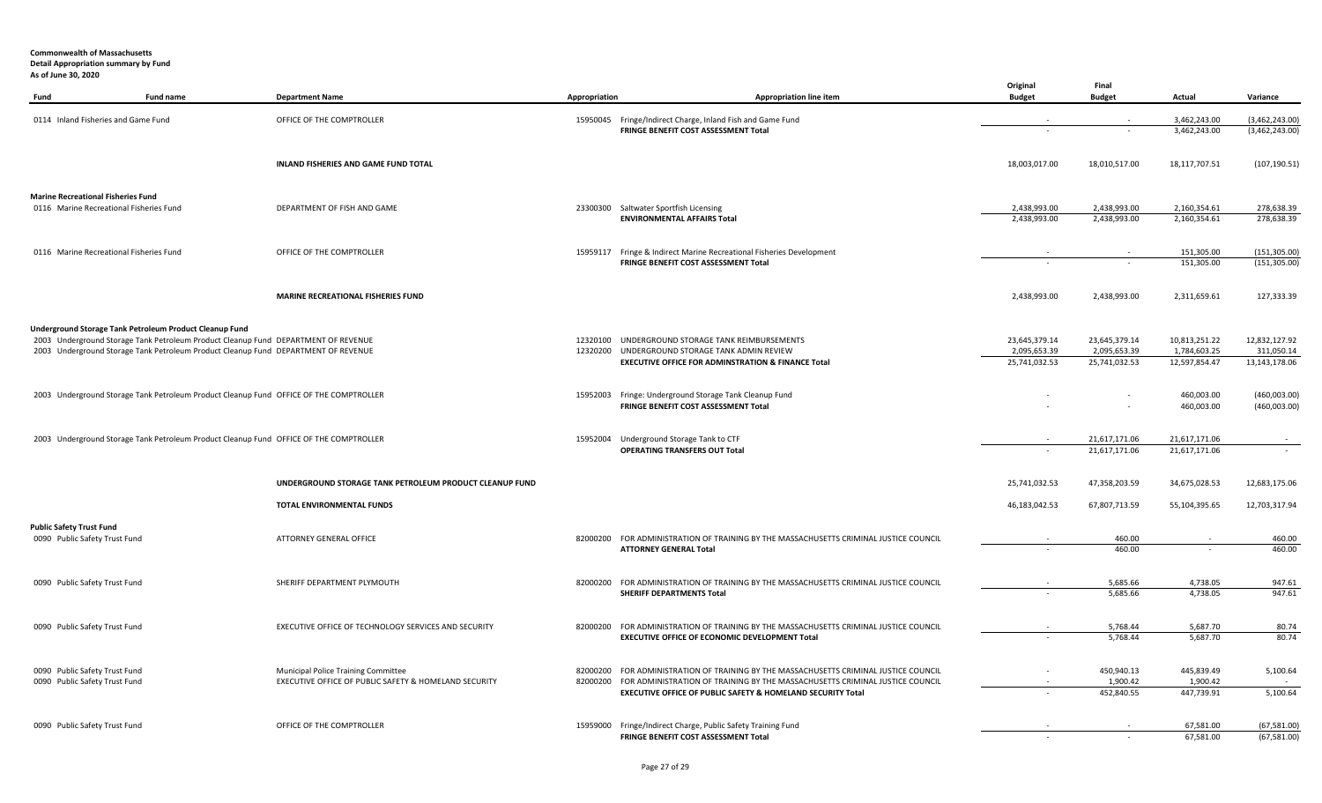| Fund                                                             | <b>Fund name</b>                                                                       | <b>Department Name</b>                                                                       | Appropriation | Appropriation line item                                                                                                                     | Original<br><b>Budget</b>     | Final<br><b>Budget</b>        | Actual                        | Variance                       |
|------------------------------------------------------------------|----------------------------------------------------------------------------------------|----------------------------------------------------------------------------------------------|---------------|---------------------------------------------------------------------------------------------------------------------------------------------|-------------------------------|-------------------------------|-------------------------------|--------------------------------|
| 0114 Inland Fisheries and Game Fund                              |                                                                                        | OFFICE OF THE COMPTROLLER                                                                    |               | 15950045 Fringe/Indirect Charge, Inland Fish and Game Fund                                                                                  |                               |                               | 3,462,243.00                  | (3,462,243.00)                 |
|                                                                  |                                                                                        |                                                                                              |               | FRINGE BENEFIT COST ASSESSMENT Total                                                                                                        |                               |                               | 3,462,243.00                  | (3,462,243.00)                 |
|                                                                  |                                                                                        | <b>INLAND FISHERIES AND GAME FUND TOTAL</b>                                                  |               |                                                                                                                                             | 18,003,017.00                 | 18,010,517.00                 | 18,117,707.51                 | (107, 190.51)                  |
| <b>Marine Recreational Fisheries Fund</b>                        |                                                                                        |                                                                                              |               |                                                                                                                                             |                               |                               |                               |                                |
| 0116 Marine Recreational Fisheries Fund                          |                                                                                        | DEPARTMENT OF FISH AND GAME                                                                  |               | 23300300 Saltwater Sportfish Licensing<br><b>ENVIRONMENTAL AFFAIRS Total</b>                                                                | 2,438,993.00<br>2,438,993.00  | 2,438,993.00<br>2,438,993.00  | 2,160,354.61<br>2,160,354.61  | 278,638.39<br>278,638.39       |
|                                                                  |                                                                                        |                                                                                              |               |                                                                                                                                             |                               |                               |                               |                                |
| 0116 Marine Recreational Fisheries Fund                          |                                                                                        | OFFICE OF THE COMPTROLLER                                                                    |               | 15959117 Fringe & Indirect Marine Recreational Fisheries Development<br>FRINGE BENEFIT COST ASSESSMENT Total                                |                               |                               | 151,305.00<br>151,305.00      | (151, 305.00)<br>(151, 305.00) |
|                                                                  |                                                                                        | MARINE RECREATIONAL FISHERIES FUND                                                           |               |                                                                                                                                             | 2,438,993.00                  | 2,438,993.00                  | 2,311,659.61                  | 127,333.39                     |
|                                                                  | Underground Storage Tank Petroleum Product Cleanup Fund                                |                                                                                              |               |                                                                                                                                             |                               |                               |                               |                                |
|                                                                  | 2003 Underground Storage Tank Petroleum Product Cleanup Fund DEPARTMENT OF REVENUE     |                                                                                              |               | 12320100 UNDERGROUND STORAGE TANK REIMBURSEMENTS                                                                                            | 23,645,379.14                 | 23,645,379.14                 | 10,813,251.22                 | 12,832,127.92                  |
|                                                                  | 2003 Underground Storage Tank Petroleum Product Cleanup Fund DEPARTMENT OF REVENUE     |                                                                                              | 12320200      | UNDERGROUND STORAGE TANK ADMIN REVIEW<br><b>EXECUTIVE OFFICE FOR ADMINSTRATION &amp; FINANCE Total</b>                                      | 2,095,653.39<br>25,741,032.53 | 2,095,653.39<br>25,741,032.53 | 1,784,603.25<br>12,597,854.47 | 311,050.14<br>13,143,178.06    |
|                                                                  |                                                                                        |                                                                                              |               |                                                                                                                                             |                               |                               |                               |                                |
|                                                                  | 2003 Underground Storage Tank Petroleum Product Cleanup Fund OFFICE OF THE COMPTROLLER |                                                                                              |               | 15952003 Fringe: Underground Storage Tank Cleanup Fund<br>FRINGE BENEFIT COST ASSESSMENT Total                                              |                               |                               | 460,003.00<br>460,003.00      | (460,003.00)<br>(460,003.00)   |
|                                                                  |                                                                                        |                                                                                              |               |                                                                                                                                             |                               |                               |                               |                                |
|                                                                  | 2003 Underground Storage Tank Petroleum Product Cleanup Fund OFFICE OF THE COMPTROLLER |                                                                                              | 15952004      | Underground Storage Tank to CTF                                                                                                             |                               | 21,617,171.06                 | 21,617,171.06                 |                                |
|                                                                  |                                                                                        |                                                                                              |               | OPERATING TRANSFERS OUT Total                                                                                                               |                               | 21,617,171.06                 | 21,617,171.06                 |                                |
|                                                                  |                                                                                        | UNDERGROUND STORAGE TANK PETROLEUM PRODUCT CLEANUP FUND                                      |               |                                                                                                                                             | 25,741,032.53                 | 47,358,203.59                 | 34,675,028.53                 | 12,683,175.06                  |
|                                                                  |                                                                                        | TOTAL ENVIRONMENTAL FUNDS                                                                    |               |                                                                                                                                             | 46,183,042.53                 | 67,807,713.59                 | 55,104,395.65                 | 12,703,317.94                  |
| <b>Public Safety Trust Fund</b><br>0090 Public Safety Trust Fund |                                                                                        | ATTORNEY GENERAL OFFICE                                                                      |               | 82000200 FOR ADMINISTRATION OF TRAINING BY THE MASSACHUSETTS CRIMINAL JUSTICE COUNCIL                                                       |                               | 460.00                        |                               | 460.00                         |
|                                                                  |                                                                                        |                                                                                              |               | <b>ATTORNEY GENERAL Total</b>                                                                                                               |                               | 460.00                        |                               | 460.00                         |
| 0090 Public Safety Trust Fund                                    |                                                                                        | SHERIFF DEPARTMENT PLYMOUTH                                                                  |               | 82000200 FOR ADMINISTRATION OF TRAINING BY THE MASSACHUSETTS CRIMINAL JUSTICE COUNCIL                                                       |                               | 5,685.66                      | 4,738.05                      | 947.61                         |
|                                                                  |                                                                                        |                                                                                              |               | <b>SHERIFF DEPARTMENTS Total</b>                                                                                                            |                               | 5,685.66                      | 4,738.05                      | 947.61                         |
| 0090 Public Safety Trust Fund                                    |                                                                                        | EXECUTIVE OFFICE OF TECHNOLOGY SERVICES AND SECURITY                                         |               | 82000200 FOR ADMINISTRATION OF TRAINING BY THE MASSACHUSETTS CRIMINAL JUSTICE COUNCIL                                                       |                               | 5,768.44                      | 5,687.70                      | 80.74                          |
|                                                                  |                                                                                        |                                                                                              |               | EXECUTIVE OFFICE OF ECONOMIC DEVELOPMENT Total                                                                                              |                               | 5.768.44                      | 5,687.70                      | 80.74                          |
| 0090 Public Safety Trust Fund                                    |                                                                                        | Municipal Police Training Committee<br>EXECUTIVE OFFICE OF PUBLIC SAFETY & HOMELAND SECURITY |               | 82000200 FOR ADMINISTRATION OF TRAINING BY THE MASSACHUSETTS CRIMINAL JUSTICE COUNCIL                                                       |                               | 450,940.13                    | 445,839.49                    | 5,100.64                       |
| 0090 Public Safety Trust Fund                                    |                                                                                        |                                                                                              | 82000200      | FOR ADMINISTRATION OF TRAINING BY THE MASSACHUSETTS CRIMINAL JUSTICE COUNCIL<br>EXECUTIVE OFFICE OF PUBLIC SAFETY & HOMELAND SECURITY Total |                               | 1,900.42<br>452,840.55        | 1,900.42<br>447,739.91        | 5,100.64                       |
|                                                                  |                                                                                        |                                                                                              |               |                                                                                                                                             |                               |                               |                               |                                |
| 0090 Public Safety Trust Fund                                    |                                                                                        | OFFICE OF THE COMPTROLLER                                                                    |               | 15959000 Fringe/Indirect Charge, Public Safety Training Fund<br>FRINGE BENEFIT COST ASSESSMENT Total                                        | $\sim$                        | $\sim$                        | 67,581.00<br>67,581.00        | (67,581.00)<br>(67,581.00)     |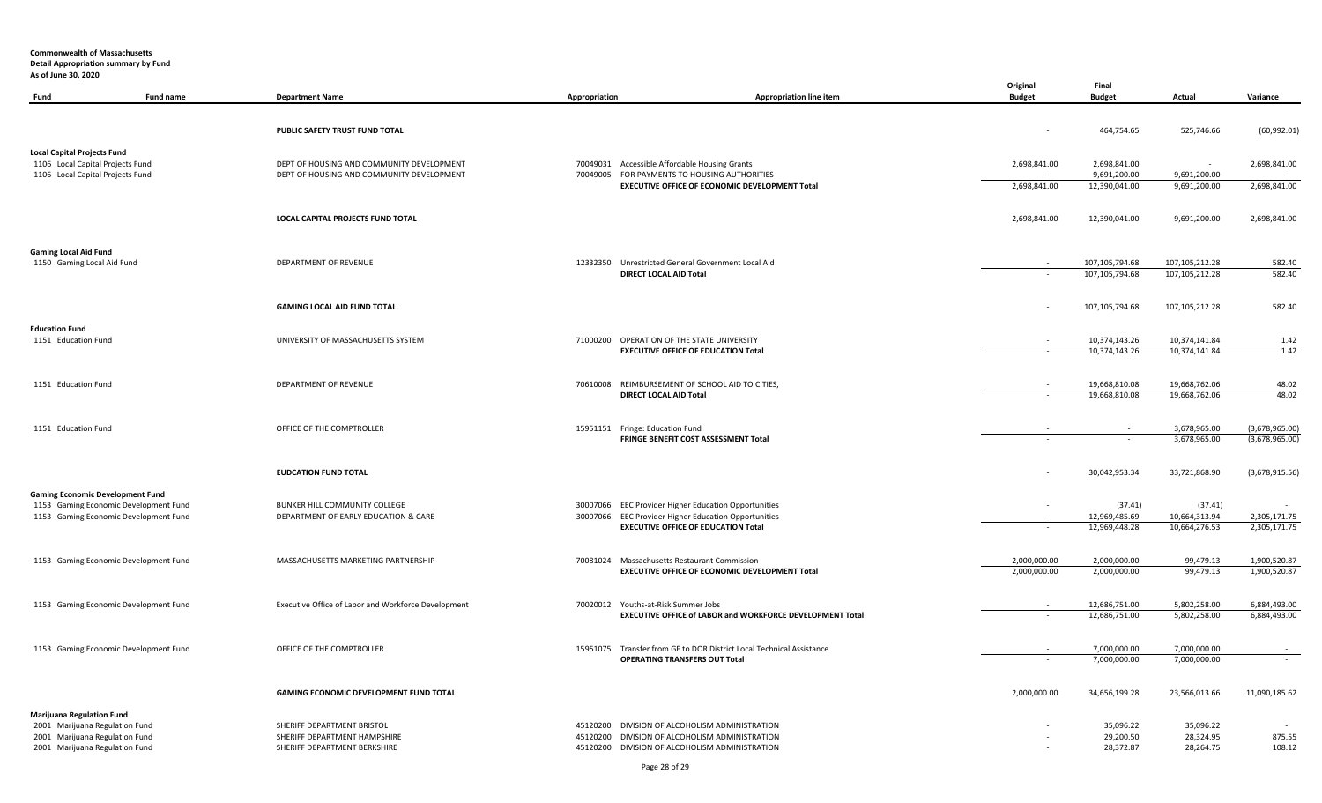|                                         |                                       |                                                     |               |                                                                                                    | Original       | Final                          |                                |                              |
|-----------------------------------------|---------------------------------------|-----------------------------------------------------|---------------|----------------------------------------------------------------------------------------------------|----------------|--------------------------------|--------------------------------|------------------------------|
| Fund                                    | Fund name                             | <b>Department Name</b>                              | Appropriation | <b>Appropriation line item</b>                                                                     | <b>Budget</b>  | <b>Budget</b>                  | Actual                         | Variance                     |
|                                         |                                       |                                                     |               |                                                                                                    |                |                                |                                |                              |
|                                         |                                       | PUBLIC SAFETY TRUST FUND TOTAL                      |               |                                                                                                    | $\blacksquare$ | 464,754.65                     | 525,746.66                     | (60,992.01)                  |
|                                         |                                       |                                                     |               |                                                                                                    |                |                                |                                |                              |
| <b>Local Capital Projects Fund</b>      |                                       |                                                     |               |                                                                                                    |                |                                |                                |                              |
| 1106 Local Capital Projects Fund        |                                       | DEPT OF HOUSING AND COMMUNITY DEVELOPMENT           |               | 70049031 Accessible Affordable Housing Grants                                                      | 2,698,841.00   | 2,698,841.00                   | $\sim$                         | 2,698,841.00                 |
| 1106 Local Capital Projects Fund        |                                       | DEPT OF HOUSING AND COMMUNITY DEVELOPMENT           |               | 70049005 FOR PAYMENTS TO HOUSING AUTHORITIES                                                       |                | 9,691,200.00                   | 9,691,200.00                   |                              |
|                                         |                                       |                                                     |               | EXECUTIVE OFFICE OF ECONOMIC DEVELOPMENT Total                                                     | 2,698,841.00   | 12,390,041.00                  | 9,691,200.00                   | 2,698,841.00                 |
|                                         |                                       |                                                     |               |                                                                                                    |                |                                |                                |                              |
|                                         |                                       | LOCAL CAPITAL PROJECTS FUND TOTAL                   |               |                                                                                                    | 2,698,841.00   | 12,390,041.00                  | 9,691,200.00                   | 2,698,841.00                 |
|                                         |                                       |                                                     |               |                                                                                                    |                |                                |                                |                              |
| <b>Gaming Local Aid Fund</b>            |                                       |                                                     |               |                                                                                                    |                |                                |                                |                              |
| 1150 Gaming Local Aid Fund              |                                       | DEPARTMENT OF REVENUE                               |               | 12332350 Unrestricted General Government Local Aid                                                 |                | 107,105,794.68                 | 107,105,212.28                 | 582.40                       |
|                                         |                                       |                                                     |               | DIRECT LOCAL AID Total                                                                             |                | 107,105,794.68                 | 107,105,212.28                 | 582.40                       |
|                                         |                                       |                                                     |               |                                                                                                    |                |                                |                                |                              |
|                                         |                                       |                                                     |               |                                                                                                    |                |                                |                                |                              |
|                                         |                                       | <b>GAMING LOCAL AID FUND TOTAL</b>                  |               |                                                                                                    |                | 107,105,794.68                 | 107,105,212.28                 | 582.40                       |
| <b>Education Fund</b>                   |                                       |                                                     |               |                                                                                                    |                |                                |                                |                              |
| 1151 Education Fund                     |                                       | UNIVERSITY OF MASSACHUSETTS SYSTEM                  |               | 71000200 OPERATION OF THE STATE UNIVERSITY                                                         |                | 10,374,143.26                  | 10,374,141.84                  | 1.42                         |
|                                         |                                       |                                                     |               | <b>EXECUTIVE OFFICE OF EDUCATION Total</b>                                                         |                | 10,374,143.26                  | 10,374,141.84                  | 1.42                         |
|                                         |                                       |                                                     |               |                                                                                                    |                |                                |                                |                              |
|                                         |                                       | <b>DEPARTMENT OF REVENUE</b>                        |               | 70610008 REIMBURSEMENT OF SCHOOL AID TO CITIES,                                                    |                | 19,668,810.08                  | 19,668,762.06                  | 48.02                        |
| 1151 Education Fund                     |                                       |                                                     |               | DIRECT LOCAL AID Total                                                                             | $\omega$       | 19,668,810.08                  | 19,668,762.06                  | 48.02                        |
|                                         |                                       |                                                     |               |                                                                                                    |                |                                |                                |                              |
|                                         |                                       |                                                     |               |                                                                                                    |                |                                |                                |                              |
| 1151 Education Fund                     |                                       | OFFICE OF THE COMPTROLLER                           |               | 15951151 Fringe: Education Fund                                                                    |                |                                | 3,678,965.00                   | (3,678,965.00)               |
|                                         |                                       |                                                     |               | FRINGE BENEFIT COST ASSESSMENT Total                                                               |                |                                | 3,678,965.00                   | (3,678,965.00)               |
|                                         |                                       |                                                     |               |                                                                                                    |                |                                |                                |                              |
|                                         |                                       | <b>EUDCATION FUND TOTAL</b>                         |               |                                                                                                    |                | 30,042,953.34                  | 33,721,868.90                  | (3,678,915.56)               |
|                                         |                                       |                                                     |               |                                                                                                    |                |                                |                                |                              |
| <b>Gaming Economic Development Fund</b> |                                       |                                                     |               |                                                                                                    |                |                                |                                |                              |
|                                         | 1153 Gaming Economic Development Fund | BUNKER HILL COMMUNITY COLLEGE                       |               | 30007066 EEC Provider Higher Education Opportunities                                               | $\blacksquare$ | (37.41)                        | (37.41)                        |                              |
|                                         | 1153 Gaming Economic Development Fund | DEPARTMENT OF EARLY EDUCATION & CARE                |               | 30007066 EEC Provider Higher Education Opportunities<br><b>EXECUTIVE OFFICE OF EDUCATION Total</b> | $\omega$       | 12,969,485.69<br>12,969,448.28 | 10,664,313.94<br>10,664,276.53 | 2,305,171.75<br>2,305,171.75 |
|                                         |                                       |                                                     |               |                                                                                                    |                |                                |                                |                              |
|                                         |                                       |                                                     |               |                                                                                                    |                |                                |                                |                              |
|                                         | 1153 Gaming Economic Development Fund | MASSACHUSETTS MARKETING PARTNERSHIP                 |               | 70081024 Massachusetts Restaurant Commission                                                       | 2.000.000.00   | 2.000.000.00                   | 99.479.13                      | 1.900.520.87                 |
|                                         |                                       |                                                     |               | EXECUTIVE OFFICE OF ECONOMIC DEVELOPMENT Total                                                     | 2,000,000.00   | 2,000,000.00                   | 99,479.13                      | 1,900,520.87                 |
|                                         |                                       |                                                     |               |                                                                                                    |                |                                |                                |                              |
|                                         | 1153 Gaming Economic Development Fund | Executive Office of Labor and Workforce Development |               | 70020012 Youths-at-Risk Summer Jobs                                                                |                | 12,686,751.00                  | 5,802,258.00                   | 6,884,493.00                 |
|                                         |                                       |                                                     |               | EXECUTIVE OFFICE of LABOR and WORKFORCE DEVELOPMENT Total                                          |                | 12,686,751.00                  | 5,802,258.00                   | 6,884,493.00                 |
|                                         |                                       |                                                     |               |                                                                                                    |                |                                |                                |                              |
|                                         | 1153 Gaming Economic Development Fund | OFFICE OF THE COMPTROLLER                           |               | 15951075 Transfer from GF to DOR District Local Technical Assistance                               |                | 7.000.000.00                   | 7.000.000.00                   |                              |
|                                         |                                       |                                                     |               | <b>OPERATING TRANSFERS OUT Total</b>                                                               |                | 7,000,000.00                   | 7,000,000.00                   |                              |
|                                         |                                       |                                                     |               |                                                                                                    |                |                                |                                |                              |
|                                         |                                       |                                                     |               |                                                                                                    |                |                                |                                |                              |
|                                         |                                       | GAMING ECONOMIC DEVELOPMENT FUND TOTAL              |               |                                                                                                    | 2,000,000.00   | 34,656,199.28                  | 23,566,013.66                  | 11,090,185.62                |
| <b>Marijuana Regulation Fund</b>        |                                       |                                                     |               |                                                                                                    |                |                                |                                |                              |
| 2001 Marijuana Regulation Fund          |                                       | SHERIFF DEPARTMENT BRISTOL                          |               | 45120200 DIVISION OF ALCOHOLISM ADMINISTRATION                                                     |                | 35,096.22                      | 35,096.22                      |                              |
| 2001 Marijuana Regulation Fund          |                                       | SHERIFF DEPARTMENT HAMPSHIRE                        |               | 45120200 DIVISION OF ALCOHOLISM ADMINISTRATION                                                     |                | 29,200.50                      | 28,324.95                      | 875.55                       |
| 2001 Marijuana Regulation Fund          |                                       | SHERIFF DEPARTMENT BERKSHIRE                        |               | 45120200 DIVISION OF ALCOHOLISM ADMINISTRATION                                                     |                | 28,372.87                      | 28,264.75                      | 108.12                       |
|                                         |                                       |                                                     |               |                                                                                                    |                |                                |                                |                              |